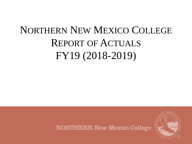# NORTHERN NEW MEXICO COLLEGE REPORT OF ACTUALS FY19 (2018-2019)

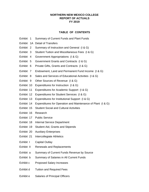# **NORTHERN NEW MEXICO COLLEGE REPORT OF ACTUALS FY 2019**

# **TABLE OF CONTENTS**

- Exhibit 1 Summary of Current Funds and Plant Funds
- Exhibit 1A Detail of Transfers
- Exhibit 2 Summary of Instruction and General (I & G)
- Exhibit 3 Student Tuition and Miscellaneous Fees (I & G)
- Exhibit 4 Government Appropriations (I & G)
- Exhibit 5 Government Grants and Contracts (I & G)
- Exhibit 6 Private Gifts, Grants and Contracts (I & G)
- Exhibit 7 Endowment, Land and Permanent Fund Income (I & G)
- Exhibit 8 Sales and Services of Educational Activities (I & G)
- Exhibit 9 Other Sources of Revenue (I & G)
- Exhibit 10 Expenditures for Instruction (I & G)
- Exhibit 11 Expenditures for Academic Support (I & G)
- Exhibit 12 Expenditures for Student Services (I & G)
- Exhibit 13 Expenditures for Institutional Support (I & G)
- Exhibit 14 Expenditures for Operation and Maintenance of Plant (I & G)
- Exhibit 15 Student Social and Cultural Activities
- Exhibit 16 Research
- Exhibit 17 Public Service
- Exhibit 18 Internal Service Department
- Exhibit 19 Student Aid, Grants and Stipends
- Exhibit 20 Auxiliary Enterprises
- Exhibit 21 Intercollegiate Athletics
- Exhibit I Capital Outlay
- Exhibit II Renewals and Replacements
- Exhibit a Summary of Current Funds Revenue by Source
- Exhibit b Summary of Salaries in All Current Funds
- Exhibit c Proposed Salary Increases
- Exhibit d Tuition and Required Fees
- Exhibit e Salaries of Principal Officers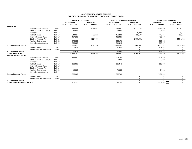# **NORTHERN NEW MEXICO COLLEGE EXHIBIT 1\_SUMMARY OF CURRENT FUNDS AND PLANT FUNDS**

|                                 |                                    |                  | Unrestricted         | <b>Original FY19 Budget</b> | <b>Restricted</b>        |      | Final FY19 Budget (Estimated)<br><b>Unrestricted</b> |      | <b>Restricted</b>        |            | <b>FY19 Unaudited Actuals</b><br><b>Unrestricted</b> |      | <b>Restricted</b> |
|---------------------------------|------------------------------------|------------------|----------------------|-----------------------------|--------------------------|------|------------------------------------------------------|------|--------------------------|------------|------------------------------------------------------|------|-------------------|
|                                 |                                    |                  | <b>FTE</b><br>Amount | <b>FTE</b>                  | Amount                   | FTE. | Amount                                               | FTE. | Amount                   | <b>FTE</b> | Amount                                               | FTE. | Amount            |
| <b>REVENUES</b>                 |                                    |                  |                      |                             |                          |      |                                                      |      |                          |            |                                                      |      |                   |
|                                 | Instruction and General            | Exh <sub>2</sub> | 13,539,094           |                             | 2,236,957                |      | 13,979,857                                           |      | 3,317,763                |            | 14,047,560                                           |      | 2,226,127         |
|                                 | <b>Student Social and Cultural</b> | <b>Exh 15</b>    | 72,864               |                             |                          |      | 97,984                                               |      |                          |            | 91,013                                               |      |                   |
|                                 | Research                           | <b>Exh 16</b>    |                      |                             |                          |      |                                                      |      | 8,000                    |            |                                                      |      | 8,447             |
|                                 | <b>Public Service</b>              | <b>Exh 17</b>    | 544,094              |                             | 22,211                   |      | 458,206                                              |      | 12,197                   |            | 449,737                                              |      | 12,197            |
|                                 | Internal Service Dept.             | Exh 18           | 457,100              |                             |                          |      | 466,837                                              |      |                          |            | 487,439                                              |      |                   |
|                                 | <b>Student Financial Aid</b>       | <b>Exh 19</b>    |                      |                             | 4,354,086                |      |                                                      |      | 5,030,981                |            |                                                      |      | 4,564,832         |
|                                 | <b>Auxiliary Enterprises</b>       | Exh 20           | 675,896              |                             |                          |      | 605,171                                              |      |                          |            | 515,855                                              |      |                   |
|                                 | Intercollegiate Athletics          | <b>Exh 21</b>    | 506,025              |                             |                          |      | 511,312                                              |      | $\overline{\phantom{a}}$ |            | 515,367                                              |      |                   |
| <b>Subtotal Current Funds</b>   |                                    |                  | 15,795,073           |                             | 6,613,254                |      | 16,119,367                                           |      | 8,368,941                |            | 16,106,971                                           |      | 6,811,604         |
|                                 | Capital Outlay                     | Exh I            | 1,050,679            |                             |                          |      | 1,017,090                                            |      |                          |            | 952,539                                              |      |                   |
|                                 | Renewals & Replacements            | Exh II           |                      |                             |                          |      |                                                      |      |                          |            |                                                      |      |                   |
| <b>Subtotal Plant Funds</b>     |                                    |                  | 1,050,679            |                             | $\sim$                   |      | 1,017,090                                            |      | $\overline{a}$           |            | 952,539                                              |      |                   |
| <b>TOTAL REVENUES</b>           |                                    |                  | 16,845,752           |                             | 6,613,254                |      | 17,136,457                                           |      | 8,368,941                |            | 17,059,510                                           |      | 6,811,604         |
| <b>BEGINNING BALANCES</b>       |                                    |                  |                      |                             |                          |      |                                                      |      |                          |            |                                                      |      |                   |
|                                 | Instruction and General            | Exh <sub>2</sub> | 1,574,867            |                             |                          |      | 1,908,369                                            |      |                          |            | 1,908,369                                            |      |                   |
|                                 | <b>Student Social and Cultural</b> | <b>Exh 15</b>    |                      |                             |                          |      | 3,086                                                |      |                          |            | 3,086                                                |      |                   |
|                                 | Research                           | Exh 16           |                      |                             |                          |      |                                                      |      |                          |            |                                                      |      |                   |
|                                 | <b>Public Service</b>              | <b>Exh 17</b>    | 112,598              |                             |                          |      | 115,345                                              |      |                          |            | 115,345                                              |      |                   |
|                                 | Internal Service Dept.             | Exh 18           |                      |                             |                          |      |                                                      |      |                          |            |                                                      |      |                   |
|                                 | <b>Student Financial Aid</b>       | Exh 19           |                      |                             |                          |      |                                                      |      |                          |            |                                                      |      |                   |
|                                 | <b>Auxiliary Enterprises</b>       | Exh 20           | 18,862               |                             |                          |      | 71,900                                               |      |                          |            | 74,202                                               |      |                   |
|                                 | Intercollegiate Athletics          | <b>Exh 21</b>    |                      |                             |                          |      |                                                      |      |                          |            |                                                      |      |                   |
| <b>Subtotal Current Funds</b>   |                                    |                  | 1,706,327            |                             |                          |      | 2,098,700                                            |      | $\overline{\phantom{a}}$ |            | 2,101,002                                            |      |                   |
|                                 | Capital Outlay                     | Exh I            |                      |                             |                          |      |                                                      |      |                          |            |                                                      |      |                   |
|                                 | Renewals & Replacements            | Exh II           |                      |                             |                          |      |                                                      |      |                          |            |                                                      |      |                   |
| <b>Subtotal Plant Funds</b>     |                                    |                  |                      |                             | $\overline{\phantom{a}}$ |      | $\sim$                                               |      | $\overline{\phantom{a}}$ |            | $\sim$                                               |      |                   |
| <b>TOTAL BEGINNING BALANCES</b> |                                    |                  | 1,706,327            |                             | $\overline{\phantom{a}}$ |      | 2.098.700                                            |      | $\blacksquare$           |            | 2.101.002                                            |      |                   |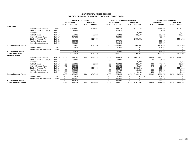#### **NORTHERN NEW MEXICO COLLEGEEXHIBIT 1\_SUMMARY OF CURRENT FUNDS AND PLANT FUNDS**

|                               |                                    |                  | <b>Original FY19 Budget</b><br>Unrestricted<br><b>FTE</b><br>Amount |                          |                          | <b>Restricted</b> |                | <b>Final FY19 Budget (Estimated)</b><br><b>Unrestricted</b> |                          | <b>Restricted</b> |            | <b>FY19 Unaudited Actuals</b><br><b>Unrestricted</b> |                          | <b>Restricted</b> |
|-------------------------------|------------------------------------|------------------|---------------------------------------------------------------------|--------------------------|--------------------------|-------------------|----------------|-------------------------------------------------------------|--------------------------|-------------------|------------|------------------------------------------------------|--------------------------|-------------------|
|                               |                                    |                  |                                                                     |                          | <b>FTE</b>               | Amount            | <b>FTE</b>     | Amount                                                      | <b>FTE</b>               | Amount            | <b>FTE</b> | Amount                                               | <b>FTE</b>               | Amount            |
| <b>AVAILABLE</b>              |                                    |                  |                                                                     |                          |                          |                   |                |                                                             |                          |                   |            |                                                      |                          |                   |
|                               | Instruction and General            | Exh <sub>2</sub> |                                                                     | 15,113,961               |                          | 2,236,957         |                | 15,888,226                                                  |                          | 3,317,763         |            | 15,955,929                                           |                          | 2,226,127         |
|                               | <b>Student Social and Cultural</b> | <b>Exh 15</b>    |                                                                     | 72,864                   |                          |                   |                | 101,070                                                     |                          |                   |            | 94,099                                               |                          |                   |
|                               | Research                           | <b>Exh 16</b>    |                                                                     |                          |                          |                   |                |                                                             |                          | 8,000             |            |                                                      |                          | 8,447             |
|                               | <b>Public Service</b>              | Exh 17           |                                                                     | 656,692                  |                          | 22,211            |                | 573,551                                                     |                          | 12,197            |            | 565,082                                              |                          | 12,197            |
|                               | Internal Service Dept.             | Exh 18           |                                                                     | 457,100                  |                          |                   |                | 466,837                                                     |                          |                   |            | 487,439                                              |                          |                   |
|                               | <b>Student Financial Aid</b>       | <b>Exh 19</b>    |                                                                     |                          |                          | 4,354,086         |                |                                                             |                          | 5,030,981         |            |                                                      |                          | 4,564,832         |
|                               | <b>Auxiliary Enterprises</b>       | <b>Exh 20</b>    |                                                                     | 694,758                  |                          |                   |                | 677,071                                                     |                          |                   |            | 590,057                                              |                          |                   |
|                               | Intercollegiate Athletics          | Exh 21           |                                                                     | 506,025                  |                          |                   |                | 511,312                                                     |                          |                   |            | 515,367                                              |                          |                   |
| <b>Subtotal Current Funds</b> |                                    |                  |                                                                     | 17,501,400               |                          | 6,613,254         |                | 18,218,067                                                  |                          | 8,368,941         |            | 18,207,973                                           |                          | 6,811,604         |
|                               | Capital Outlay                     | Exh I            |                                                                     | 1,050,679                |                          |                   |                | 1,017,090                                                   |                          |                   |            | 952,539                                              |                          |                   |
|                               | Renewals & Replacements            | Exh II           |                                                                     |                          |                          |                   |                |                                                             |                          |                   |            |                                                      |                          |                   |
| <b>Subtotal Plant Funds</b>   |                                    |                  |                                                                     | 1,050,679                |                          |                   |                | 1,017,090                                                   |                          |                   |            | 952,539                                              |                          |                   |
| <b>TOTAL AVAILABLE</b>        |                                    |                  |                                                                     | 18,552,079               |                          | 6,613,254         |                | 19,235,157                                                  |                          | 8,368,941         |            | 19,160,512                                           |                          | 6,811,604         |
| <b>EXPENDITURES</b>           |                                    |                  |                                                                     |                          |                          |                   |                |                                                             |                          |                   |            |                                                      |                          |                   |
|                               | Instruction and General            | Exh 10           | 164.04                                                              | 14, 152, 263             | 14.81                    | 2,139,338         | 164.04         | 13,716,604                                                  | 14.75                    | 3,083,074         | 165.04     | 13,410,173                                           | 14.75                    | 2,068,878         |
|                               | <b>Student Social and Cultural</b> | <b>Exh 15</b>    | 1.00                                                                | 87,864                   | $\overline{\phantom{a}}$ |                   | 1.00           | 97,984                                                      | $\overline{\phantom{a}}$ |                   | 1.00       | 94,383                                               | $\overline{\phantom{a}}$ |                   |
|                               | Research                           | <b>Exh 16</b>    | $\overline{\phantom{a}}$                                            | $\overline{\phantom{a}}$ | $\overline{\phantom{a}}$ |                   | $\blacksquare$ | $\overline{\phantom{a}}$                                    | $\overline{\phantom{a}}$ | 8,000             | $\sim$     |                                                      |                          | 5,927             |
|                               | <b>Public Service</b>              | Exh 17           | 4.30                                                                | 568,899                  | $\overline{\phantom{a}}$ | 22,211            | 3.30           | 483,011                                                     | $\overline{\phantom{a}}$ | 12,197            | 3.30       | 447,570                                              |                          | 15,250            |
|                               | Internal Service Dept.             | Exh 18           | 8.75                                                                | 169.739                  |                          |                   | 8.75           | 181.602                                                     | $\overline{\phantom{a}}$ | 9.130             | 8.75       | (80,681)                                             | $\overline{\phantom{a}}$ | 1,395             |
|                               | <b>Student Financial Aid</b>       | <b>Exh 19</b>    |                                                                     | 170.000                  | $\overline{\phantom{a}}$ | 4.384.146         |                | 182,277                                                     | $\overline{\phantom{a}}$ | 5,061,041         |            | 181,556                                              | $\overline{\phantom{a}}$ | 4,594,892         |
|                               | <b>Auxiliary Enterprises</b>       | <b>Exh 20</b>    | 5.50                                                                | 823,869                  |                          |                   | 5.50           | 787,760                                                     |                          | 10,630            | 5.50       | 760,073                                              |                          | 3,035             |
|                               | Intercollegiate Athletics          | <b>Exh 21</b>    | 5.00                                                                | 506,025                  |                          |                   | 4.50           | 485.694                                                     |                          | 9,130             | 4.50       | 548,701                                              |                          | 7,125             |
| <b>Subtotal Current Funds</b> |                                    |                  | 188.59                                                              | 16,478,659               | 14.81                    | 6,545,695         | 187.09         | 15,934,932                                                  | 14.75                    | 8,193,202         | 188.09     | 15,361,775                                           | 14.75                    | 6,696,501         |
|                               | Capital Outlay                     | Exh I            | $\overline{\phantom{a}}$                                            | 1,050,679                | $\sim$                   |                   |                | 1,017,090                                                   |                          |                   |            | 952,539                                              |                          |                   |
|                               | Renewals & Replacements            | Exh II           |                                                                     | 230,000                  | $\overline{\phantom{a}}$ |                   |                | 230,000                                                     | $\overline{\phantom{a}}$ |                   |            | 173,734                                              |                          |                   |
| <b>Subtotal Plant Funds</b>   |                                    |                  |                                                                     | 1,280,679                | $\sim$                   |                   | . .            | 1,247,090                                                   | $\sim$                   |                   |            | 1,126,273                                            | $\sim$                   |                   |
| <b>TOTAL EXPENDITURES</b>     |                                    |                  | 188.59                                                              | 17,759,338               | 14.81                    | 6,545,695         | 187.09         | 17,182,022                                                  | 14.75                    | 8,193,203         | 188.09     | 16,488,048                                           | 14.75                    | 6,696,501         |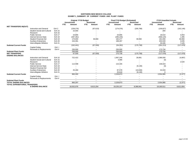#### **NORTHERN NEW MEXICO COLLEGEEXHIBIT 1\_SUMMARY OF CURRENT FUNDS AND PLANT FUNDS**

|                                                |                                    |                  | Original FY19 Budget<br><b>Unrestricted</b><br><b>FTE</b><br>Amount | <b>Restricted</b><br><b>FTE</b><br>Amount | <b>Final FY19 Budget (Estimated)</b><br><b>Unrestricted</b><br>FTE.<br>Amount | <b>Restricted</b><br>FTE.<br>Amount | <b>FY19 Unaudited Actuals</b><br><b>Unrestricted</b><br>FTE.<br>Amount | <b>Restricted</b><br><b>FTE</b><br>Amount |
|------------------------------------------------|------------------------------------|------------------|---------------------------------------------------------------------|-------------------------------------------|-------------------------------------------------------------------------------|-------------------------------------|------------------------------------------------------------------------|-------------------------------------------|
| <b>NET TRANSFERS IN(OUT)</b>                   |                                    |                  |                                                                     |                                           |                                                                               |                                     |                                                                        |                                           |
|                                                | Instruction and General            | Exh <sub>2</sub> | (239, 276)                                                          | (97, 619)                                 | (174, 376)                                                                    | (205, 798)                          | (158, 827)                                                             | (162, 146)                                |
|                                                | <b>Student Social and Cultural</b> | <b>Exh 15</b>    | 15,000                                                              |                                           |                                                                               |                                     | 284                                                                    |                                           |
|                                                | Research                           | Exh 16           |                                                                     |                                           |                                                                               |                                     |                                                                        |                                           |
|                                                | <b>Public Service</b>              | <b>Exh 17</b>    | 24,805                                                              |                                           | 24,805                                                                        |                                     | 18,510                                                                 | 3,053                                     |
|                                                | Internal Service Dept.             | Exh 18           | (287, 361)                                                          |                                           | (285, 235)                                                                    |                                     | (568, 120)                                                             | 1,395                                     |
|                                                | <b>Student Financial Aid</b>       | <b>Exh 19</b>    | 170,000                                                             | 30,060                                    | 182,277                                                                       | 30,060                              | 181,556                                                                | 30,060                                    |
|                                                | <b>Auxiliary Enterprises</b>       | <b>Exh 20</b>    | 154,391                                                             |                                           | 198,267                                                                       |                                     | 202,049                                                                | 3,035                                     |
|                                                | Intercollegiate Athletics          | <b>Exh 21</b>    |                                                                     |                                           |                                                                               |                                     | 33,335                                                                 | 7,125                                     |
| <b>Subtotal Current Funds</b>                  |                                    |                  | (162, 441)                                                          | (67, 559)                                 | (54, 262)                                                                     | (175, 738)                          | (291, 213)                                                             | (117, 479)                                |
|                                                | Capital Outlay                     | $Exh$ I          |                                                                     |                                           |                                                                               |                                     |                                                                        |                                           |
|                                                | Renewals & Replacements            | Exh II           | 230,000                                                             |                                           | 230,000                                                                       |                                     | 173,734                                                                |                                           |
| <b>Subtotal Plant Funds</b>                    |                                    |                  | 230,000                                                             |                                           | 230,000                                                                       |                                     | 173,734                                                                |                                           |
| <b>NET TRANSFERS</b><br><b>ENDING BALANCES</b> |                                    |                  | 67,559                                                              | (67, 559)                                 | 175,738                                                                       | (175, 738)                          | (117, 478)                                                             | (117, 479)                                |
|                                                | <b>Instruction and General</b>     | <b>Exh 10</b>    | 722,422                                                             |                                           | 1,997,246                                                                     | 28,891                              | 2,386,930                                                              | (4,897)                                   |
|                                                | <b>Student Social and Cultural</b> | <b>Exh 15</b>    |                                                                     |                                           | 3,086                                                                         |                                     | (0)                                                                    |                                           |
|                                                | Research                           | Exh 16           |                                                                     |                                           |                                                                               |                                     |                                                                        | 2,520                                     |
|                                                | <b>Public Service</b>              | <b>Exh 17</b>    | 112,598                                                             |                                           | 115,345                                                                       |                                     | 136,023                                                                |                                           |
|                                                | Internal Service Dept.             | Exh 18           |                                                                     |                                           |                                                                               | (9, 130)                            | (0)                                                                    |                                           |
|                                                | <b>Student Financial Aid</b>       | <b>Exh 19</b>    |                                                                     |                                           |                                                                               |                                     |                                                                        |                                           |
|                                                | <b>Auxiliary Enterprises</b>       | <b>Exh 20</b>    | 25,280                                                              |                                           | 87,578                                                                        | (10, 630)                           | 32,033                                                                 |                                           |
|                                                | Intercollegiate Athletics          | <b>Exh 21</b>    |                                                                     |                                           | 25,618                                                                        | (9, 130)                            |                                                                        |                                           |
| <b>Subtotal Current Funds</b>                  |                                    |                  | 860,300                                                             |                                           | 2,228,873                                                                     |                                     | 2,554,985                                                              | (2, 377)                                  |
|                                                | Capital Outlay                     | Exh              |                                                                     |                                           |                                                                               |                                     |                                                                        |                                           |
|                                                | Renewals & Replacements            | Exh II           |                                                                     |                                           |                                                                               |                                     |                                                                        |                                           |
| <b>Subtotal Plant Funds</b>                    |                                    |                  |                                                                     | $\overline{a}$                            | $\sim$                                                                        | $\overline{\phantom{a}}$            |                                                                        |                                           |
| <b>TOTAL ENDING BALANCES</b>                   |                                    |                  | 860.297                                                             |                                           | 2,228,873                                                                     |                                     | 2,554,985                                                              | (2, 377)                                  |
| TOTAL EXPENDITURES, TRANSFERS                  | <b>&amp; ENDING BALANCE</b>        |                  | 18,552,076                                                          | 6,613,254                                 | 19,235,157                                                                    | 8,368,941                           | 19,160,511                                                             | 6,811,604                                 |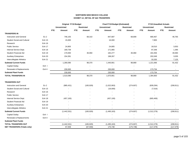## **NORTHERN NEW MEXICO COLLEGE EXHIBIT 1A\_DETAIL OF I&G TRANSFERS**

|                                    |               |                          | <b>Original FY19 Budget</b> |                          | Final FY19 Budget (Estimated) |                          | <b>FY19 Unaudited Actuals</b> |
|------------------------------------|---------------|--------------------------|-----------------------------|--------------------------|-------------------------------|--------------------------|-------------------------------|
|                                    |               | <b>Unrestricted</b>      | Restricted                  | <b>Unrestricted</b>      | <b>Restricted</b>             | <b>Unrestricted</b>      | <b>Restricted</b>             |
|                                    |               | <b>FTE</b><br>Amount     | <b>FTE</b><br>Amount        | <b>FTE</b><br>Amount     | <b>FTE</b><br>Amount          | <b>FTE</b><br>Amount     | <b>FTE</b><br>Amount          |
| <b>TRANSFERS IN</b>                |               |                          |                             |                          |                               |                          |                               |
| Instruction and General            | Ex2           | 746,155                  | 68,310                      | 847,687                  | 68,809                        | 680,467                  | 46,765                        |
| <b>Student Social and Cultural</b> | <b>Exh 15</b> | 15,000                   |                             | 16,000                   |                               | 7,800                    |                               |
| Research                           | Exh 16        | $\blacksquare$           |                             | $\blacksquare$           |                               |                          |                               |
| <b>Public Service</b>              | Exh 17        | 24,805                   |                             | 24,805                   |                               | 18,510                   | 3,053                         |
| Internal Service Dept.             | Exh 18        | 169,739                  |                             | 171,865                  |                               | 97,348                   | 1,395                         |
| Student Financial Aid              | <b>Exh 19</b> | 170,000                  | 30,060                      | 182,277                  | 30,060                        | 181,556                  | 30,060                        |
| <b>Auxiliary Enterprises</b>       | Exh 20        | 154,391                  |                             | 198,267                  |                               | 202,049                  | 3,035                         |
| Intercollegiate Athletics          | Exh 21        | $\overline{\phantom{a}}$ |                             |                          |                               | 33,335                   | 7,125                         |
| <b>Subtotal Current Funds</b>      |               | 1,280,090                | 98,370                      | 1,440,901                | 98,869                        | 1,221,066                | 91,432                        |
| Capital Outlay                     | Exh I         | $\overline{\phantom{a}}$ |                             |                          |                               |                          |                               |
| Renewals & Replacements            | Exh II        | 230,000                  |                             | 230,000                  |                               | 173,734                  |                               |
| <b>Subtotal Plant Funds</b>        |               | 230,000                  | $\overline{\phantom{a}}$    | 230,000                  | $\blacksquare$                | 173,734                  |                               |
| TOTAL TRANSFERS IN                 |               | 1,510,090                | 98,370                      | 1,670,901                | 98,869                        | 1,394,800                | 91,432                        |
| <b>TRANSFERS OUT</b>               |               |                          |                             |                          |                               |                          |                               |
| <b>Instruction and General</b>     | Ex2           | (985, 431)               | (165, 929)                  | (1,022,063)              | (274, 607)                    | (839, 294)               | (208, 911)                    |
| <b>Student Social and Cultural</b> | <b>Exh 15</b> |                          |                             | (16,000)                 |                               | (7, 516)                 |                               |
| Research                           | <b>Exh 16</b> |                          |                             |                          |                               |                          |                               |
| <b>Public Service</b>              | Exh 17        |                          |                             |                          |                               |                          |                               |
| Internal Service Dept.             | <b>Exh 18</b> | (457, 100)               |                             | (457, 100)               |                               | (665, 469)               |                               |
| Student Financial Aid              | Exh 19        |                          |                             |                          |                               |                          |                               |
| <b>Auxiliary Enterprises</b>       | <b>Exh 20</b> |                          |                             |                          |                               |                          |                               |
| Intercollegiate Athletics          | Exh 21        |                          |                             |                          |                               |                          |                               |
| <b>Subtotal Current Funds</b>      |               | (1,442,531)              | (165, 929)                  | (1,495,163)              | (274, 607)                    | (1,512,279)              | (208, 911)                    |
| Capital Outlay                     | Exh I         |                          |                             |                          |                               |                          |                               |
| Renewals & Replacements            | Exh II        | $\overline{\phantom{a}}$ |                             |                          |                               |                          |                               |
| <b>Subtotal Plant Funds</b>        |               | $\overline{\phantom{a}}$ | $\overline{\phantom{a}}$    | $\overline{\phantom{a}}$ | $\overline{\phantom{a}}$      | $\overline{\phantom{a}}$ | $\sim$                        |
| <b>TOTAL TRANSFERS OUT</b>         |               | (1,442,531)              | (165, 929)                  | (1, 495, 163)            | (274, 607)                    | (1,512,279)              | (208, 911)                    |
| <b>NET TRANSFERS (Totals only)</b> |               | 67,559                   | (67, 559)                   | 175,738                  | (175, 738)                    | (117, 479)               | (117, 479)                    |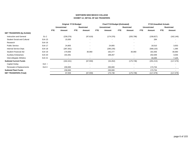# **NORTHERN NEW MEXICO COLLEGE EXHIBIT 1A\_DETAIL OF I&G TRANSFERS**

|                                    |               |                     | <b>Original FY19 Budget</b> |            |                          |            | Final FY19 Budget (Estimated) |            |                          |            | <b>FY19 Unaudited Actuals</b> |            |                          |
|------------------------------------|---------------|---------------------|-----------------------------|------------|--------------------------|------------|-------------------------------|------------|--------------------------|------------|-------------------------------|------------|--------------------------|
|                                    |               | <b>Unrestricted</b> |                             |            | <b>Restricted</b>        |            | <b>Unrestricted</b>           |            | <b>Restricted</b>        |            | <b>Unrestricted</b>           |            | <b>Restricted</b>        |
|                                    |               | <b>FTE</b>          | Amount                      | <b>FTE</b> | Amount                   | <b>FTE</b> | Amount                        | <b>FTE</b> | Amount                   | <b>FTE</b> | Amount                        | <b>FTE</b> | Amount                   |
| <b>NET TRANSFERS (by Exhibit)</b>  |               |                     |                             |            |                          |            |                               |            |                          |            |                               |            |                          |
| Instruction and General            | Ex2           |                     | (239, 276)                  |            | (97, 619)                |            | (174, 376)                    |            | (205, 798)               |            | (158, 827)                    |            | (162, 146)               |
| <b>Student Social and Cultural</b> | Exh 15        |                     | 15,000                      |            | $\overline{\phantom{a}}$ |            | $\overline{\phantom{a}}$      |            | ٠                        |            | 284                           |            | $\overline{\phantom{a}}$ |
| Research                           | Exh 16        |                     | $\overline{\phantom{a}}$    |            | $\overline{\phantom{a}}$ |            |                               |            | $\overline{\phantom{a}}$ |            | $\overline{\phantom{a}}$      |            |                          |
| <b>Public Service</b>              | <b>Exh 17</b> |                     | 24,805                      |            |                          |            | 24,805                        |            | $\overline{\phantom{a}}$ |            | 18,510                        |            | 3,053                    |
| Internal Service Dept.             | Exh 18        |                     | (287, 361)                  |            |                          |            | (285, 235)                    |            |                          |            | (568, 120)                    |            | 1,395                    |
| Student Financial Aid              | Exh 19        |                     | 170,000                     |            | 30,060                   |            | 182,277                       |            | 30,060                   |            | 181,556                       |            | 30,060                   |
| <b>Auxiliary Enterprises</b>       | Exh 20        |                     | 154,391                     |            | $\overline{\phantom{a}}$ |            | 198,267                       |            | ۰                        |            | 202,049                       |            | 3,035                    |
| Intercollegiate Athletics          | Exh 21        |                     | $\overline{\phantom{a}}$    |            | $\overline{\phantom{a}}$ |            | $\overline{\phantom{a}}$      |            | ٠                        |            | 33,335                        |            | 7,125                    |
| <b>Subtotal Current Funds</b>      |               |                     | (162, 441)                  |            | (67, 559)                |            | (54, 262)                     |            | (175, 738)               |            | (291, 213)                    |            | (117, 479)               |
| Capital Outlay                     | Exh I         |                     | $\overline{\phantom{a}}$    |            |                          |            |                               |            | ٠                        |            |                               |            | $\overline{\phantom{a}}$ |
| Renewals & Replacements            | Exh II        |                     | 230,000                     |            | $\overline{\phantom{a}}$ |            | 230,000                       |            | ٠                        |            | 173,734                       |            | $\overline{\phantom{a}}$ |
| <b>Subtotal Plant Funds</b>        |               |                     | 230,000                     |            |                          |            | 230,000                       |            |                          |            | 173,734                       |            |                          |
| <b>NET TRANSFERS (Total)</b>       |               |                     | 67,559                      |            | (67, 559)                |            | 175,738                       |            | (175, 738)               |            | (117, 479)                    |            | (117, 479)               |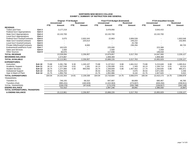#### **NORTHERN NEW MEXICO COLLEGEEXHIBIT 2\_SUMMARY OF INSTRUCTION AND GENERAL**

|                                       |                  |            | <b>Original FY19 Budget</b><br><b>Unrestricted</b> |                | <b>Restricted</b> |            | <b>Final FY19 Budget (Estimated)</b><br><b>Unrestricted</b> |                          | <b>Restricted</b> |            | <b>FY19 Unaudited Actuals</b><br><b>Unrestricted</b> |            | <b>Restricted</b> |
|---------------------------------------|------------------|------------|----------------------------------------------------|----------------|-------------------|------------|-------------------------------------------------------------|--------------------------|-------------------|------------|------------------------------------------------------|------------|-------------------|
|                                       |                  | <b>FTE</b> | Amount                                             | <b>FTE</b>     | Amount            | <b>FTE</b> | Amount                                                      | <b>FTE</b>               | Amount            | <b>FTE</b> | Amount                                               | <b>FTE</b> | Amount            |
| <b>REVENUE:</b>                       |                  |            |                                                    |                |                   |            |                                                             |                          |                   |            |                                                      |            |                   |
| <b>Tuition and Fees</b>               | Exh <sub>3</sub> |            | 3,177,219                                          |                |                   |            | 3,478,956                                                   |                          |                   |            | 3,543,415                                            |            |                   |
| <b>Federal Gov't Appropriations</b>   | Exh 4            |            |                                                    |                |                   |            |                                                             |                          |                   |            |                                                      |            |                   |
| <b>State Gov't Appropriations</b>     | Exh <sub>4</sub> |            | 10,132,700                                         |                |                   |            | 10,132,700                                                  |                          |                   |            | 10,132,700                                           |            |                   |
| <b>Local Gov't Appropriations</b>     | Exh 4            |            |                                                    |                |                   |            |                                                             |                          |                   |            |                                                      |            |                   |
| <b>Federal Gov't Grants/Contracts</b> | Exh <sub>5</sub> |            | 3,075                                              |                | 2,003,343         |            | 22,863                                                      |                          | 2,806,539         |            |                                                      |            | 1,903,548         |
| <b>State Gov't Grants/Contracts</b>   | Exh <sub>5</sub> |            |                                                    |                | 225,614           |            |                                                             |                          | 249,222           |            |                                                      |            | 232,855           |
| Local Gov't Grants/Contracts          | Exh <sub>5</sub> |            |                                                    |                |                   |            |                                                             |                          | 25,708            |            |                                                      |            |                   |
| Private Gifts/Grants/Contracts        | Exh <sub>6</sub> |            |                                                    |                | 8,000             |            |                                                             |                          | 236,294           |            |                                                      |            | 89,725            |
| Endowment/Land/Perm Fund              | Exh <sub>7</sub> |            | 163,525                                            |                |                   |            | 225,000                                                     |                          |                   |            | 223,368                                              |            |                   |
| <b>Sales and Services</b>             | Exh 8            |            | 2,000                                              |                |                   |            | 2,500                                                       |                          |                   |            | 2,059                                                |            |                   |
| <b>Other Sources</b>                  | Exh 9            |            | 60,575                                             |                |                   |            | 117,838                                                     |                          |                   |            | 146,018                                              |            |                   |
| <b>TOTAL REVENUE</b>                  |                  |            | 13,539,094                                         |                | 2,236,957         |            | 13,979,857                                                  |                          | 3,317,763         |            | 14,047,560                                           |            | 2,226,127         |
| <b>BEGINNING BALANCE</b>              |                  |            | 1,574,867                                          |                |                   |            | 1,908,369                                                   |                          |                   |            | 1,908,369                                            |            |                   |
| <b>TOTAL AVAILABLE</b>                |                  |            | 15,113,961                                         |                | 2,236,957         |            | 15,888,226                                                  |                          | 3,317,763         |            | 15,955,929                                           |            | 2,226,127         |
| <b>EXPENDITURES:</b>                  |                  |            |                                                    |                |                   |            |                                                             |                          |                   |            |                                                      |            |                   |
| Instruction                           | <b>Exh 10</b>    | 73.88      | 5.391.796                                          | 9.30           | 1.245.107         | 73.88      | 5.137.912                                                   | 8.88                     | 1,661,512         | 73.88      | 5.215.649                                            | 8.88       | 1,085,914         |
| Academic Support                      | <b>Exh 11</b>    | 16.13      | 1,327,538                                          | 0.01           | 1,181             | 16.13      | 1,235,006                                                   | 0.01                     | 1,343             | 16.13      | 1,194,714                                            | 0.01       | 10,213            |
| <b>Student Services</b>               | <b>Exh 12</b>    | 16.74      | 1.277.966                                          | 5.50           | 893,050           | 16.74      | 1,339,609                                                   | 5.86                     | 1,407,402         | 17.74      | 1,200,635                                            | 5.86       | 965,471           |
| <b>Institutional Support</b>          | <b>Exh 13</b>    | 35.54      | 4,204,204                                          | $\sim$         |                   | 35.54      | 4,051,090                                                   | $\overline{\phantom{a}}$ | 4,675             | 35.54      | 3,871,555                                            | $\sim$     | 2,258             |
| Oper & Maint of Plant                 | <b>Exh 14</b>    | 21.75      | 1,950,759                                          | $\blacksquare$ |                   | 21.75      | 1,952,986                                                   |                          | 8,142             | 21.75      | 1,927,620                                            |            | 5,022             |
| <b>TOTAL EXPENDITURES</b>             |                  | 164.04     | 14, 152, 263                                       | 14.81          | 2,139,338         | 164.04     | 13,716,604                                                  | 14.75                    | 3,083,074         | 165.04     | 13,410,173                                           | 14.75      | 2,068,878         |
| <b>TRANSFERS</b>                      |                  |            |                                                    |                |                   |            |                                                             |                          |                   |            |                                                      |            |                   |
| Transfers In                          |                  |            | 746,155                                            |                | 68,310            |            | 847,687                                                     |                          | 68,809            |            | 680,467                                              |            | 46,765            |
| Transfers (Out)                       |                  |            | (985, 431)                                         |                | (165, 929)        |            | (1,022,063)                                                 |                          | (274, 607)        |            | (839, 294)                                           |            | (208, 911)        |
| <b>TOTAL TRANSFERS</b>                |                  |            | (239, 276)                                         |                | (97,619)          |            | (174, 376)                                                  |                          | (205, 798)        |            | (158, 827)                                           |            | (162, 146)        |
| <b>ENDING BALANCE</b>                 |                  |            | 722,422                                            |                | $\blacksquare$    |            | 1,997,246                                                   |                          | 28,891            |            | 2,386,930                                            |            | (4,897)           |
| TOTAL EXPENDITURES, TRANSFERS         |                  |            |                                                    |                |                   |            |                                                             |                          |                   |            |                                                      |            |                   |
| <b>&amp; ENDING BALANCE</b>           |                  |            | 15,113,961                                         |                | 2,236,957         |            | 15,888,226                                                  |                          | 3,317,763         |            | 15,955,929                                           |            | 2,226,127         |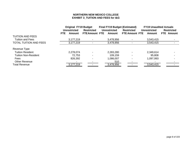# **NORTHERN NEW MEXICO COLLEGEEXHIBIT 3\_TUITION AND FEES for I&G**

|                               |                             | <b>Original FY19 Budget</b> | <b>Final FY19 Budget (Estimated)</b> |                       | <b>FY19 Unaudited Actuals</b> |                   |
|-------------------------------|-----------------------------|-----------------------------|--------------------------------------|-----------------------|-------------------------------|-------------------|
|                               | <b>Unrestricted</b>         | <b>Restricted</b>           | <b>Unrestricted</b>                  | <b>Restricted</b>     | <b>Unrestricted</b>           | <b>Restricted</b> |
|                               | <b>FTE</b><br><b>Amount</b> | <b>FTE Amount FTE</b>       | Amount                               | <b>FTE Amount FTE</b> | Amount                        | <b>FTE</b> Amount |
| <b>TUITION AND FEES</b>       |                             |                             |                                      |                       |                               |                   |
| <b>Tuition and Fees</b>       | 3,177,219                   |                             | 3,478,956                            |                       | 3,543,415                     |                   |
| <b>TOTAL TUITION AND FEES</b> | 3,177,219                   |                             | 3,478,956                            |                       | 3,543,415                     |                   |
| Revenue Type                  |                             |                             |                                      |                       |                               |                   |
| <b>Tuition Resident</b>       | 2,278,074                   |                             | 2,283,280                            |                       | 2,349,614                     |                   |
| <b>Tuition Non-Resident</b>   | 72,753                      |                             | 109,159                              | $\blacksquare$        | 95,808                        |                   |
| Fees                          | 826,392                     |                             | 1,086,007                            |                       | 1,097,993                     |                   |
| <b>Other Revenue</b>          |                             |                             | 510                                  |                       |                               |                   |
| <b>Total Revenue</b>          | 3,177,219                   |                             | 3,478,956                            |                       | 3,543,415                     |                   |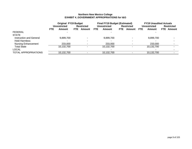# **Northern New Mexico College EXHIBIT 4\_GOVERNMENT APPROPRIATIONS for I&G**

|                             |            |              | <b>Original FY19 Budget</b> |                   | <b>Final FY19 Budget (Estimated)</b> |                     |            |                   | <b>FY19 Unaudited Actuals</b> |              |  |                   |
|-----------------------------|------------|--------------|-----------------------------|-------------------|--------------------------------------|---------------------|------------|-------------------|-------------------------------|--------------|--|-------------------|
|                             |            | Unrestricted |                             | <b>Restricted</b> |                                      | <b>Unrestricted</b> |            | <b>Restricted</b> |                               | Unrestricted |  | <b>Restricted</b> |
|                             | <b>FTE</b> | Amount       | FTE.                        | Amount            | <b>FTE</b>                           | Amount              | <b>FTE</b> | Amount            | <b>FTE</b>                    | Amount       |  | <b>FTE</b> Amount |
| <b>FEDERAL</b>              |            |              |                             |                   |                                      |                     |            |                   |                               |              |  |                   |
| <b>STATE</b>                |            |              |                             |                   |                                      |                     |            |                   |                               |              |  |                   |
| Instruction and General     |            | 9,899,700    |                             |                   |                                      | 9,899,700           |            |                   |                               | 9,899,700    |  |                   |
| <b>Hold Harmless</b>        |            |              |                             |                   |                                      |                     |            |                   |                               |              |  |                   |
| <b>Nursing Enhancement</b>  |            | 233,000      |                             |                   |                                      | 233,000             |            |                   |                               | 233,000      |  |                   |
| <b>Total State</b>          |            | 10,132,700   |                             |                   |                                      | 10.132.700          |            |                   |                               | 10,132,700   |  |                   |
| <b>LOCAL</b>                |            |              |                             |                   |                                      |                     |            |                   |                               |              |  |                   |
| <b>TOTAL APPROPRIATIONS</b> |            | 10,132,700   |                             |                   |                                      | 10.132.700          |            |                   |                               | 10.132.700   |  |                   |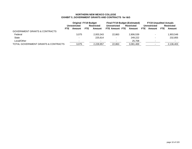# **NORTHERN NEW MEXICO COLLEGE EXHIBIT 5\_GOVERNMENT GRANTS AND CONTRACTS for I&G**

|                                          |              | <b>Original FY19 Budget</b> |                   | <b>Final FY19 Budget (Estimated)</b> |                   |            | <b>FY19 Unaudited Actuals</b> |            |                   |
|------------------------------------------|--------------|-----------------------------|-------------------|--------------------------------------|-------------------|------------|-------------------------------|------------|-------------------|
|                                          | Unrestricted |                             | <b>Restricted</b> | <b>Unrestricted</b>                  | <b>Restricted</b> |            | Unrestricted                  |            | <b>Restricted</b> |
| FTE.                                     | Amount       | <b>FTE</b>                  | Amount            | FTE Amount FTE                       | Amount            | <b>FTE</b> | Amount                        | <b>FTE</b> | Amount            |
| <b>GOVERNMENT GRANTS &amp; CONTRACTS</b> |              |                             |                   |                                      |                   |            |                               |            |                   |
| Federal                                  | 3.075        |                             | 2,003,343         | 22,863                               | 2,806,539         |            |                               |            | 1,903,548         |
| <b>State</b>                             | $\sim$       |                             | 225.614           |                                      | 249.222           |            | $\overline{\phantom{0}}$      |            | 232.855           |
| Local/Other                              |              |                             |                   |                                      | 25,708            |            | $\overline{\phantom{0}}$      |            |                   |
| TOTAL GOVERNMENT GRANTS & CONTRACTS      | 3,075        |                             | 2,228,957         | 22,863                               | 3,081,469         |            | $\overline{\phantom{0}}$      |            | 2,136,403         |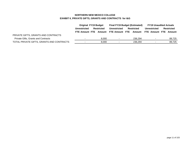# **NORTHERN NEW MEXICO COLLEGE EXHIBIT 6\_PRIVATE GIFTS, GRANTS AND CONTRACTS for I&G**

|                                           | <b>Original FY19 Budget</b> |                   |                          | <b>Final FY19 Budget (Estimated)</b> |                          | <b>FY19 Unaudited Actuals</b> |  |
|-------------------------------------------|-----------------------------|-------------------|--------------------------|--------------------------------------|--------------------------|-------------------------------|--|
|                                           | <b>Unrestricted</b>         | <b>Restricted</b> | Unrestricted             | <b>Restricted</b>                    | Unrestricted             | <b>Restricted</b>             |  |
|                                           | FTE Amount FTE              |                   | Amount FTE Amount FTE    | Amount                               |                          | FTE Amount FTE Amount         |  |
| PRIVATE GIFTS, GRANTS AND CONTRACTS       |                             |                   |                          |                                      |                          |                               |  |
| Private Gifts, Grants and Contracts       |                             | 8.000             | $\sim$                   | 236.294                              | $\blacksquare$           | 89,725                        |  |
| TOTAL PRIVATE GIFTS, GRANTS AND CONTRACTS |                             | 8.000             | $\overline{\phantom{0}}$ | 236.294                              | $\overline{\phantom{a}}$ | 89.725                        |  |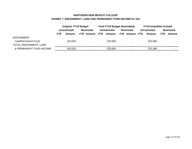# **NORTHERN NEW MEXICO COLLEGE EXHIBIT 7\_ENDOWMENT, LAND AND PERMANENT FUND INCOME for I&G**

|                         |            | <b>Original FY19 Budget</b> |                   | <b>Final FY19 Budget (Estimated)</b> |                     |                   |                     | <b>FY19 Unaudited Actuals</b> |            |                   |
|-------------------------|------------|-----------------------------|-------------------|--------------------------------------|---------------------|-------------------|---------------------|-------------------------------|------------|-------------------|
|                         |            | Unrestricted                | <b>Restricted</b> |                                      | <b>Unrestricted</b> | <b>Restricted</b> | <b>Unrestricted</b> |                               |            | <b>Restricted</b> |
|                         | <b>FTE</b> | Amount                      | <b>FTE Amount</b> | <b>FTE</b>                           | Amount              | <b>FTE Amount</b> | <b>FTE</b>          | Amount                        | <b>FTE</b> | Amount            |
| <b>ENDOWMENT</b>        |            |                             |                   |                                      |                     |                   |                     |                               |            |                   |
| Land/Permanent Fund     |            | 163,525                     | $\sim$            |                                      | 225,000             | ۰                 |                     | 223,368                       |            |                   |
| TOTAL ENDOWMENT, LAND   |            |                             |                   |                                      |                     |                   |                     |                               |            |                   |
| & PERMANENT FUND INCOME |            | 163,525                     | $\sim$            |                                      | 225,000             | $\blacksquare$    |                     | 223,368                       |            |                   |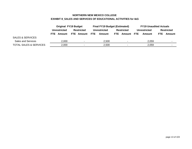# **NORTHERN NEW MEXICO COLLEGE EXHIBIT 8\_SALES AND SERVICES OF EDUCATIONAL ACTIVITIES for I&G**

|                                   |                              | <b>Original FY19 Budget</b> |       |                   | <b>Final FY19 Budget (Estimated)</b> |       |                   | <b>FY19 Unaudited Actuals</b> |                          |        |                          |
|-----------------------------------|------------------------------|-----------------------------|-------|-------------------|--------------------------------------|-------|-------------------|-------------------------------|--------------------------|--------|--------------------------|
|                                   |                              | <b>Unrestricted</b>         |       | <b>Restricted</b> | <b>Unrestricted</b>                  |       | <b>Restricted</b> | Unrestricted                  |                          |        | <b>Restricted</b>        |
|                                   | FTE Amount FTE<br>FTE Amount |                             |       | Amount            | FTE Amount FTE                       |       |                   | Amount                        | <b>FTE</b>               | Amount |                          |
| <b>SALES &amp; SERVICES</b>       |                              |                             |       |                   |                                      |       |                   |                               |                          |        |                          |
| <b>Sales and Services</b>         |                              | 2,000                       |       | ۰                 | 2.500                                |       |                   |                               | 2.059                    |        | $\overline{\phantom{a}}$ |
| <b>TOTAL SALES &amp; SERVICES</b> | 2,000<br>٠                   |                             | 2.500 |                   |                                      | 2,059 |                   |                               | $\overline{\phantom{0}}$ |        |                          |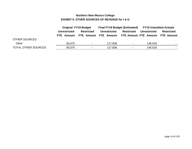# **Northern New Mexico College EXHIBIT 9\_OTHER SOURCES OF REVENUE for I & G**

|                            |                     | <b>Original FY19 Budget</b> |                     |         | <b>Final FY19 Budget (Estimated)</b> |                     | <b>FY19 Unaudited Actuals</b>    |
|----------------------------|---------------------|-----------------------------|---------------------|---------|--------------------------------------|---------------------|----------------------------------|
|                            | <b>Unrestricted</b> | <b>Restricted</b>           | <b>Unrestricted</b> |         | <b>Restricted</b>                    | <b>Unrestricted</b> | Restricted                       |
|                            | <b>FTE</b> Amount   | FTE Amount FTE Amount       |                     |         |                                      |                     | FTE Amount FTE Amount FTE Amount |
| <b>OTHER SOURCES</b>       |                     |                             |                     |         |                                      |                     |                                  |
| Other                      | 60,575              | $\overline{\phantom{a}}$    |                     | 117.838 | $\blacksquare$                       | 146,018             |                                  |
| <b>TOTAL OTHER SOURCES</b> | 60,575              | $\overline{\phantom{a}}$    |                     | 117,838 | $\sim$                               | 146,018             |                                  |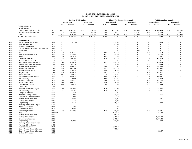# **NORTHERN NEW MEXICO COLLEGE EXHIBIT 10\_EXPENDITURES FOR INSTRUCTION**

|       |                                             |          |            | Original FY19 Budget     |        |                   |                | Final FY19 Budget (Estimated) |                          |            |                          | <b>FY19 Unaudited Actuals</b> |        |                   |
|-------|---------------------------------------------|----------|------------|--------------------------|--------|-------------------|----------------|-------------------------------|--------------------------|------------|--------------------------|-------------------------------|--------|-------------------|
|       |                                             |          |            | <b>Unrestricted</b>      |        | <b>Restricted</b> |                | <b>Unrestricted</b>           |                          | Restricted |                          | <b>Unrestricted</b>           |        | <b>Restricted</b> |
|       |                                             |          | <b>FTE</b> | Amount                   | FTE.   | Amount            | <b>FTE</b>     | Amount                        | FTE.                     | Amount     | <b>FTE</b>               | Amount                        | FTE.   | Amount            |
|       | <b>EXPENDITURES</b>                         |          |            |                          |        |                   |                |                               |                          |            |                          |                               |        |                   |
|       | Total by program                            |          |            |                          |        |                   |                |                               |                          |            |                          |                               |        |                   |
|       | General Academic Instruction                | 101      | 68.86      | 5,049,708                | 1.58   | 592,513           | 68.86          | 4,777,095                     | 1.16                     | 808,699    | 68.86                    | 4,903,466                     | 1.16   | 338,139           |
|       | Vocation-Technical Instruction              | 102      | 2.00       | 110,921                  | $\sim$ | 53,930            | 2.00           | 113,277                       | $\sim$                   | 107,267    | 2.00                     | 107,383                       | $\sim$ | 96,371            |
|       | Other                                       | 105      | 3.02       | 231,167                  | 7.72   | 598,663           | 3.02           | 247,540                       | 7.72                     | 745,546    | 3.02                     | 204,800                       | 7.72   | 651,403           |
|       | <b>TOTAL EXPENDITURES</b>                   |          | 73.88      | 5,391,796                | 9.30   | 1,245,107         | 73.88          | 5,137,912                     | 8.88                     | 1,661,512  | 73.88                    | 5,215,649                     | 8.88   | 1,085,914         |
|       |                                             |          |            |                          |        |                   |                |                               |                          |            |                          |                               |        |                   |
|       | Program 101                                 |          |            |                          |        |                   |                |                               |                          |            |                          |                               |        |                   |
| 11000 | VP of Finance and Admin                     | 1022     |            | (382, 152)               |        |                   |                | (373,999)                     |                          |            |                          | 3,959                         |        |                   |
| 11000 | <b>Risk Management</b>                      | 1035     | $\sim$     | $\sim$                   |        |                   | $\sim$         | (82, 601)                     | $\overline{a}$           |            |                          | $\blacksquare$                |        |                   |
| 11000 | <b>Provost Unallocated</b>                  | 1077     |            |                          |        |                   |                |                               |                          |            |                          |                               |        |                   |
| 11000 | Human Resources (Workens' Comp/Unemp. Comp) | 1088     |            |                          |        |                   |                |                               |                          |            |                          |                               |        |                   |
| 11000 | <b>Work Study</b>                           | 2011     | $\sim$     |                          |        |                   | $\blacksquare$ |                               | $\overline{\phantom{a}}$ | 12,659     | ÷                        |                               |        |                   |
| 11000 | Art                                         | 2052     | 2.82       | 209,530                  |        |                   | 2.82           | 241,749                       |                          | ÷.         | 2.82                     | 227,516                       |        |                   |
| 11000 | Film & Digital Media Arts                   | 2053     | 1.57       | 104,902                  |        |                   | 1.57           | 95,496                        |                          |            | 1.57                     | 88,008                        |        |                   |
| 11000 | Music                                       | 2054     | 1.43       | 110,574                  |        |                   | 1.43           | 21,393                        |                          |            | 1.43                     | 18,552                        |        |                   |
| 11000 | Language & Letters                          | 2111     | 7.58       | 512,342                  |        |                   | 7.58           | 562,248                       | ä,                       |            | 7.58                     | 541,725                       |        |                   |
| 11000 | <b>Tricker Literary Journal</b>             | 2114     | $\sim$     | 37                       |        |                   | $\sim$         |                               |                          |            | $\sim$                   |                               |        |                   |
| 11000 | Humanities & Social Science                 | 2131     | 7.81       | 545,526                  |        |                   | 7.81           | 548,707                       |                          |            | 7.81                     | 530,100                       |        |                   |
| 11000 | Health, Phys Ed & Recreation                | 2148     | 0.32       | 15,779                   |        |                   | 0.32           | 25,840                        | ÷.                       |            | 0.32                     | 20,840                        |        |                   |
| 11000 | Math & Physical Science                     | 2212     | 6.04       | 457,572                  |        |                   | 6.04           | 433,063                       |                          |            | 6.04                     | 457,465                       |        |                   |
| 11000 | Biology & Chemistry                         | 2263     | 6.47       | 534,248                  |        |                   | 6.47           | 551,136                       |                          |            | 6.47                     | 524,328                       |        |                   |
| 11000 | <b>Enviromental Science</b>                 | 2268     | 2.58       | 203,813                  |        |                   | 2.58           | 136,469                       | $\overline{a}$           |            | 2.58                     | 128,182                       |        |                   |
| 11000 | Engineering                                 | 2355     | 6.92       | 622,579                  |        |                   | 6.92           | 577,710                       |                          |            | 6.92                     | 546,573                       |        |                   |
| 11000 | <b>Heath Sciences</b>                       | 2421     | 0.70       | 45,677                   |        |                   | 0.70           | 24,523                        |                          |            | 0.70                     | 17,867                        |        |                   |
| 11000 | Nursing-Associates Degree                   | 2431     | 7.90       | 675,977                  |        |                   | 7.90           | 649,252                       |                          |            | 7.90                     | 599,247                       |        |                   |
| 11000 | <b>BS</b> in Nursing                        | 2432     | 1.00       | 97,098                   |        |                   | 1.00           | 92,383                        |                          |            | 1.00                     | 88,109                        |        |                   |
| 11000 | <b>Teacher Education</b>                    | 2511     | 4.65       | 375,432                  |        |                   | 4.65           | 362,459                       |                          |            | 4.65                     | 348,003                       |        |                   |
| 11000 | <b>Business Education</b>                   | 2571     | 5.85       | 483,230                  |        |                   | 5.85           | 440,230                       |                          |            | 5.85                     | 437,334                       |        |                   |
| 11000 | <b>Construction Trades</b>                  | 2616     | 0.54       | 37,811                   |        |                   | 0.54           | 7,294                         | $\overline{a}$           |            | 0.54                     | 4,749                         |        |                   |
| 11000 | <b>Canal Seis</b>                           | 4208     |            |                          |        |                   | $\sim$         | 11                            |                          |            |                          |                               |        |                   |
| 11011 | Nursing -Associates Degree                  | 2431     | 1.75       | 139,009                  |        |                   | 1.75           | 182,029                       |                          |            | 1.75                     | 141,153                       |        |                   |
| 11011 | <b>BS</b> in Nursing                        | 2432     | 1.20       | 88,243                   |        |                   | 1.20           | 78,627                        | $\overline{\phantom{a}}$ |            | 1.20                     | 44,327                        |        |                   |
| 11012 | Language & Letters                          | 2111     | $\sim$     | 214                      |        |                   | $\blacksquare$ | 214                           |                          |            |                          |                               |        |                   |
| 11012 |                                             | 2114     |            | 2.065                    |        |                   | ä,             | 1.497                         |                          |            | ÷.                       | 967                           |        |                   |
|       | <b>Trickster Literary Journal</b>           |          |            |                          |        |                   |                |                               |                          |            |                          | $\blacksquare$                |        |                   |
| 11012 | Humanities & Social Science                 | 2131     |            | 656                      |        |                   |                | 656                           |                          |            |                          |                               |        |                   |
| 11012 | Math & Physical Science                     | 2212     |            | 4,295                    |        |                   |                | 3,934                         |                          |            |                          | 1,674<br>×.                   |        |                   |
| 11012 | Biology & Chemistry                         | 2263     |            | 2,475                    |        |                   | ٠              | 1,363                         |                          |            |                          |                               |        |                   |
| 11012 | Engineering                                 | 2355     |            | 25,471                   |        |                   |                | 26,191                        |                          |            |                          | 17,133                        |        |                   |
| 11012 | Nursing - Associates Degree                 | 2431     |            | $\sim$                   |        |                   | ä,             | $\sim$                        |                          |            |                          | $\sim$                        |        |                   |
| 11012 | <b>Teacher Education</b>                    | 2511     |            | 750                      |        |                   |                | 750                           |                          |            |                          |                               |        |                   |
| 11012 | <b>Business Education</b>                   | 2571     | $\sim$     | 1,156                    |        |                   |                | 911                           |                          |            |                          |                               |        |                   |
| 11013 | <b>Continuing Education</b>                 | 2653     | 1.73       | 122,399                  |        |                   | 1.73           | 122,788                       |                          |            | 1.73                     | 109,941                       |        |                   |
| 11303 | Arts                                        | 2052/205 | $\sim$     |                          |        |                   | $\sim$         | 1,477.00                      |                          |            | ÷                        | 664.78                        |        |                   |
| 11303 | Math & Physical Science                     | 2212     |            |                          |        |                   |                | 907.00                        |                          |            |                          |                               |        |                   |
| 11303 | <b>Biology &amp; Chemistry</b>              | 2263     | $\sim$     | $\overline{\phantom{a}}$ |        |                   | ä,             | 8,401.00                      |                          |            | $\overline{\phantom{a}}$ | 2,075.00                      |        |                   |
| 11303 | <b>Enviromental Science</b>                 | 2268     |            |                          |        |                   |                | 8,401.00                      |                          |            |                          | 1,380.42                      |        |                   |
| 11303 | Engineering                                 | 2355     |            | 13,000                   |        |                   |                | 21,329                        |                          |            |                          | 1,380                         |        |                   |
| 11303 | Nursing - Associates Degree                 | 2431     |            |                          |        |                   |                |                               |                          |            |                          | $\overline{\phantom{a}}$      |        |                   |
| 11303 | Nursing - BS In Nursing                     | 2432     |            |                          |        |                   |                |                               |                          |            |                          |                               |        |                   |
| 11303 | <b>Business Education</b>                   | 2571     |            |                          |        |                   |                | 3,521.00                      |                          |            |                          |                               |        |                   |
| 11303 | Dean-College of Arts & Science              | 2833     |            |                          |        |                   |                | 736.00                        |                          |            |                          |                               |        |                   |
| 11303 | Dean-College of Arts & Science              | 3052     |            |                          |        |                   |                |                               |                          |            |                          | 212.67                        |        |                   |
| 40103 | Biology & Chemistry                         | 2263     |            |                          |        |                   |                |                               |                          |            |                          | $\blacksquare$                |        |                   |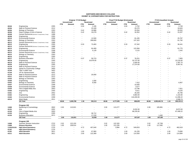#### **NORTHERN NEW MEXICO COLLEGEEXHIBIT 10\_EXPENDITURES FOR INSTRUCTION**

|                |                                             |      |                |                     | Original FY19 Budget |                   |                      | Final FY19 Budget (Estimated) |                          |                   |            | <b>FY19 Unaudited Actuals</b> |                          |                         |
|----------------|---------------------------------------------|------|----------------|---------------------|----------------------|-------------------|----------------------|-------------------------------|--------------------------|-------------------|------------|-------------------------------|--------------------------|-------------------------|
|                |                                             |      |                | <b>Unrestricted</b> |                      | <b>Restricted</b> |                      | <b>Unrestricted</b>           |                          | <b>Restricted</b> |            | <b>Unrestricted</b>           |                          | <b>Restricted</b>       |
|                |                                             |      | <b>FTE</b>     | Amount              | FTE                  | Amount            | <b>FTE</b>           | Amount                        | <b>FTE</b>               | Amount            | <b>FTE</b> | Amount                        | <b>FTE</b>               | Amount                  |
| 40104          | Engineering                                 | 2355 |                |                     | 0.04                 | 1,195             |                      |                               | 0.04                     | 2,752             |            |                               | 0.04                     | 2,749                   |
| 40106          | Math & Physical Science                     | 2212 |                |                     | $\sim$               | 23,169            |                      |                               | $\sim$                   | 20,270            |            |                               | $\sim$                   | 16,820                  |
| 40106          | Biology & Chemistry                         | 2263 |                |                     | 0.42                 | 19,988            |                      |                               | $\sim$                   | 20,554            |            |                               | $\sim$                   | 20,552                  |
| 40106          | Dean-College of Arts & Science              | 2833 |                |                     | 0.42                 | 19,278            |                      |                               | 0.42                     | 16,352            |            |                               | 0.42                     | 15,207                  |
| 40108          | Human Resources (Workens' Comp/Unemp. Comp) | 1088 |                |                     |                      |                   |                      |                               | $\overline{\phantom{a}}$ |                   |            |                               |                          |                         |
| 40108          | Engineering                                 | 2355 |                |                     |                      |                   |                      |                               |                          |                   |            |                               |                          | $\sim$                  |
| 40110          | <b>Enviromental Science</b>                 | 2268 |                |                     |                      | 12,500            |                      |                               |                          | 81,435            |            |                               | $\overline{\phantom{a}}$ | 25,787                  |
| 40111          | Biology & Chemistry                         | 2263 |                |                     |                      | 268,600           |                      |                               |                          | 137,322           |            |                               |                          | 61,792                  |
| 40112          | Human Resources (Workens' Comp/Unemp. Comp) | 1088 |                |                     |                      |                   |                      |                               |                          |                   |            |                               |                          |                         |
| 40112          | Engineering                                 | 2355 |                |                     | 0.33                 | 73,483            |                      |                               | 0.33                     | 67,342            |            |                               | 0.33                     | 36,441                  |
| 40113          | Human Resources (Workens' Comp/Unemp. Comp) | 1088 |                |                     |                      |                   |                      |                               | ÷.                       |                   |            |                               | $\sim$                   |                         |
| 40113          | Engineering                                 | 2355 |                |                     |                      | 64,469            |                      |                               |                          | 123,384           |            |                               | $\overline{\phantom{a}}$ | 61,775                  |
| 40114          | <b>Enviromental Science</b>                 | 2268 |                |                     |                      | 5,129             |                      |                               |                          | 3,115             |            |                               |                          | 1,542                   |
| 40115          | Human Resources (Workens' Comp/Unemp. Comp) | 1088 |                |                     |                      |                   |                      |                               |                          |                   |            |                               |                          |                         |
| 40115          | Biology & Chemistry                         | 2263 |                |                     |                      |                   |                      |                               |                          |                   |            |                               |                          |                         |
| 40116          | Engineering                                 | 2355 |                |                     | ÷.                   |                   |                      |                               | ÷                        |                   |            |                               | $\sim$                   |                         |
| 40117          | <b>Business Education</b>                   | 2571 |                |                     | 0.37                 | 59,723            |                      |                               | 0.37                     | 78,251            |            |                               | 0.37                     | 7,805                   |
| 40118          | Engineering                                 | 2355 |                |                     |                      | 16,979.00         |                      |                               | $\blacksquare$           | 33,737.00         |            |                               | $\blacksquare$           | 15,216.60               |
| 40119          | Math & Physical Science                     | 2212 |                |                     |                      |                   |                      |                               |                          | 2,000.00          |            |                               | $\sim$                   | 1,397.70                |
| 40120          | Engineering                                 | 2355 |                |                     |                      |                   |                      |                               |                          | 17,374.00         |            |                               |                          | 6,497.91                |
| 41118          | Math & Physical Science                     | 2212 |                |                     |                      |                   |                      |                               |                          |                   |            |                               |                          |                         |
| 41144          | Santa Fe Community College                  | 3450 |                |                     |                      |                   |                      |                               |                          |                   |            |                               |                          |                         |
| 41144          | Title V-UNM Taos                            | 3452 |                |                     |                      |                   |                      |                               |                          |                   |            |                               |                          |                         |
|                | VP for Advancement                          | 4201 |                |                     |                      |                   |                      |                               |                          |                   |            |                               |                          |                         |
| 41144          | Math & Physical Science                     | 2212 |                |                     |                      | 20,000            |                      |                               |                          |                   |            |                               |                          |                         |
| 41170          | Math & Physical Science                     | 2212 |                |                     |                      |                   |                      |                               |                          |                   |            |                               |                          |                         |
| 41211<br>41433 |                                             | 2263 |                |                     |                      |                   |                      |                               |                          |                   |            |                               |                          |                         |
|                | Biology & Chemistry<br>Engineering          | 2355 |                |                     |                      | 1,500             |                      |                               |                          |                   |            |                               |                          |                         |
| 41449          |                                             |      |                |                     |                      |                   |                      |                               |                          |                   |            |                               |                          |                         |
| 41455          | Biology & Chemistry                         | 2263 |                |                     |                      | 6,500             |                      |                               |                          | 7,412             |            |                               |                          | 6,907<br>$\overline{a}$ |
| 41457          | <b>Enviromental Science</b>                 | 2268 |                |                     |                      |                   |                      |                               |                          | 10,000            |            |                               |                          |                         |
| 41458          | <b>Enviromental Science</b>                 | 2268 |                |                     |                      |                   |                      |                               |                          | 3,577             |            |                               |                          |                         |
| 41459          | Film & digital Mdia Arts                    | 2053 |                |                     |                      |                   |                      |                               |                          | 13,796            |            |                               |                          | 7,921                   |
| 41460          | Engineering                                 | 2355 |                |                     |                      |                   |                      |                               |                          | 9,011             |            |                               |                          | 8,225                   |
| 41461          | Arts                                        | 2052 |                |                     |                      |                   |                      |                               |                          | 28,293            |            |                               | ÷.                       | 26,796                  |
| 41462          | Engineering                                 | 2355 |                |                     |                      |                   |                      |                               |                          | 3,863.00          |            |                               |                          | 1,102.80                |
| 41464          | <b>Enviromental Science</b>                 | 2268 |                |                     |                      |                   |                      |                               |                          | 116,200.00        |            |                               | $\sim$                   | 11,096.22               |
| 42519          | <b>Work Study</b>                           | 2011 |                |                     |                      |                   |                      |                               |                          |                   |            |                               | $\sim$                   | 2,508.74                |
|                | 101 Total                                   |      | 68.86          | 5,049,708           | 1.58                 | 592,513           | 68.86                | 4,777,095                     | 1.16                     | 808,699           | 68.86      | 4,903,465.76                  | 1.16                     | 338,139.15              |
|                |                                             |      |                |                     |                      |                   |                      |                               |                          |                   |            |                               |                          |                         |
|                | Program 102                                 |      |                |                     |                      |                   |                      |                               |                          |                   |            |                               |                          |                         |
| 11000          | Barbering & Cosmetology                     | 2602 | 2.00<br>$\sim$ | 110,921             |                      |                   | 2.00<br>$\mathbf{r}$ | 113,277                       |                          |                   | 2.00       | 105,891                       |                          |                         |
| 41191          | Arts                                        | 2052 |                | $\sim$              |                      |                   |                      | ٠                             | ÷,                       | 9,032.00          |            |                               |                          | 8,872.00                |
| 41193          | Film & Digital Media Arts                   | 2053 |                |                     |                      |                   |                      |                               |                          | 98,235.00         |            |                               | $\sim$                   | 87,499.22               |
| 41193          | Engineering                                 | 2355 |                |                     |                      | 36,712            |                      |                               |                          |                   |            |                               |                          |                         |
| 41193          | <b>Business Education</b>                   | 2571 |                |                     |                      | 17,218            |                      |                               |                          |                   |            | 1,492                         |                          |                         |
|                | 102 Total                                   |      | 2.00           | 110,921             | $\sim$               | 53,930            | 2.00                 | 113,277                       | $\sim$                   | 107,267           | 2.00       | 107,383                       | $\sim$                   | 96,371                  |
|                | Program 105                                 |      |                |                     |                      |                   |                      |                               |                          |                   |            |                               |                          |                         |
| 11000          | <b>Summer Session Instruction</b>           | 2722 | 2.02           | 122,153             | $\sim$               |                   | 2.02                 | 122,320                       | ÷,                       |                   | 2.02       | 87,708                        |                          |                         |
| 11000          | <b>Distance Education</b>                   | 2723 | 1.00           | 109,014             |                      |                   | 1.00                 | 121,226                       |                          |                   | 1.00       | 117,092                       |                          |                         |
| 11303/41101    | <b>High School Equivalency</b>              | 2725 |                |                     | 4.72                 | 407,640           |                      | 3,994                         | 4.72                     | 549,053           |            |                               | 4.72                     | 462,619                 |
| 41181          | <b>High School Equivalency</b>              | 2725 |                |                     | $\sim$               |                   |                      |                               | $\sim$                   |                   |            |                               | a.                       |                         |
| 41181          | <b>Adult Education</b>                      | 2811 |                | $\sim$              | 1.00                 | 67,960            |                      | ٠                             | 1.00                     | 81,235            |            |                               | 1.00                     | 73,890                  |
| 41211          | <b>Adult Education</b>                      | 2811 |                |                     | 2.00                 | 122,369           |                      |                               | 2.00                     | 114,350           |            |                               | 2.00                     | 114,894                 |
|                |                                             |      |                |                     |                      |                   |                      |                               |                          |                   |            |                               |                          |                         |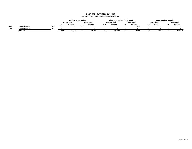#### **NORTHERN NEW MEXICO COLLEGEEXHIBIT 10\_EXPENDITURES FOR INSTRUCTION**

|       |                        |      |                      | <b>Original FY19 Budget</b> |      |                   |            | Final FY19 Budget (Estimated) |            |                   |      | <b>FY19 Unaudited Actuals</b> |            |                   |
|-------|------------------------|------|----------------------|-----------------------------|------|-------------------|------------|-------------------------------|------------|-------------------|------|-------------------------------|------------|-------------------|
|       |                        |      |                      | <b>Unrestricted</b>         |      | <b>Restricted</b> |            | <b>Unrestricted</b>           |            | <b>Restricted</b> |      | Unrestricted                  |            | <b>Restricted</b> |
|       |                        |      | <b>FTE</b><br>Amount |                             | FTE  | Amount            | <b>FTE</b> | Amount                        | <b>FTE</b> | Amount            | FTE  | Amount                        | <b>FTE</b> | Amount            |
| 41212 | <b>Adult Education</b> | 2811 |                      |                             |      | 694               |            | . .                           |            | 908               |      |                               |            |                   |
| 41223 | <b>Adult Education</b> | 2811 |                      |                             |      |                   |            |                               |            |                   |      |                               |            |                   |
|       | 105 Total              |      | 3.02                 | 231.167                     | 7.72 | 598.663           | 3.02       | 247.540                       | 7.72       | 745.546           | 3.02 | 204.800                       | 7.72       | 651.403           |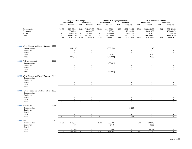|                                           |      |                | <b>Original FY19 Budget</b> |                |                            |                | Final FY19 Budget (Estimated) |                |                          |               | <b>FY19 Unaudited Actuals</b> |                |                             |
|-------------------------------------------|------|----------------|-----------------------------|----------------|----------------------------|----------------|-------------------------------|----------------|--------------------------|---------------|-------------------------------|----------------|-----------------------------|
|                                           |      |                | <b>Unrestricted</b>         |                | <b>Restricted</b>          |                | <b>Unrestricted</b>           |                | <b>Restricted</b>        |               | <b>Unrestricted</b>           |                | <b>Restricted</b>           |
|                                           |      | <b>FTE</b>     | Amount                      | <b>FTE</b>     | Amount                     | <b>FTE</b>     | Amount                        | <b>FTE</b>     | Amount                   | <b>FTE</b>    | Amount                        | <b>FTE</b>     | Amount                      |
| Compensation                              |      | 73.88          | 4,492,472.00                | 9.30           | 710,671.00                 | 73.88          | 4,143,271.64                  | 8.88           | 1,057,679.00             | 73.88         | 4,330,153.36                  | 8.88           | 685,421.56                  |
| Equipment                                 |      |                | 27,322.00                   | $\omega$       | 32,898.00                  | $\blacksquare$ | 72,782.64                     | $\omega$       | 173,963.00               | $\mathcal{L}$ | 56,825.56                     | $\sim$         | 188,262.74                  |
| Travel                                    |      | $\overline{a}$ | 15,400.00                   | $\sim$         | 59,985.00                  | $\mathbf{u}$   | 30,444.00                     | $\mathbf{u}$   | 89,499.00                | $\sim$        | 21,870.00                     | $\sim$         | 36,399.48                   |
| Other                                     |      |                | 856,602.00                  | $\sim$         | 441,552.00                 | $\sim$         | 891,414.00                    | $\sim$         | 340,371.00               | $\sim$        | 806,800.10                    | $\blacksquare$ | 175,829.89                  |
|                                           |      | 73.88          | 5,391,796                   | 9.30           | 1,245,107                  | 73.88          | 5,137,912                     | 8.88           | 1,661,512                | 73.88         | 5,215,649                     | 8.88           | 1,085,914                   |
|                                           |      |                |                             |                |                            |                |                               |                |                          |               |                               |                |                             |
| 11000 VP for Finance and Admin-Unalloca   | 1022 |                |                             |                |                            |                |                               |                |                          |               |                               |                |                             |
| Compensation                              |      |                | (382, 152)                  | $\sim$         |                            |                | (382, 152)                    |                |                          |               | 48                            |                |                             |
| Equipment                                 |      |                |                             |                |                            |                |                               |                |                          |               | ÷,                            |                |                             |
| Travel                                    |      |                |                             |                |                            |                |                               |                |                          |               |                               |                |                             |
| Other                                     |      |                |                             |                |                            |                | 8,153                         |                |                          |               | 3,912                         |                |                             |
| Total                                     |      |                | (382, 152)                  | $\blacksquare$ | $\overline{a}$             | $\blacksquare$ | (373,999)                     | $\sim$         | $\sim$                   | $\omega$      | 3,959                         | $\sim$         | $\mathbf{r}$                |
| 11000 Risk Management                     | 1035 |                |                             |                |                            |                |                               |                |                          |               |                               |                |                             |
| Compensation                              |      |                |                             |                |                            |                | (82, 601)                     |                |                          |               |                               |                |                             |
| Equipment                                 |      |                |                             |                |                            |                |                               |                |                          |               |                               |                |                             |
| Travel                                    |      |                |                             |                |                            |                | $\overline{a}$                |                |                          |               |                               |                |                             |
| Other                                     |      |                |                             |                |                            |                |                               |                |                          |               |                               |                |                             |
| Total                                     |      | $\sim$         | $\mathcal{L}$               | $\mathcal{L}$  | $\mathbf{r}$               | $\mathbf{u}$   | (82, 601)                     | $\sim$         | $\sim$                   | $\omega$      | $\sim$                        | $\sim$         | $\mathcal{L}_{\mathcal{A}}$ |
| 11000 VP for Finance and Admin-Unalloca   | 1077 |                |                             |                |                            |                |                               |                |                          |               |                               |                |                             |
| Compensation                              |      |                |                             |                |                            |                |                               |                |                          |               |                               |                |                             |
| Equipment                                 |      |                |                             |                |                            |                |                               |                |                          |               |                               |                |                             |
| Travel                                    |      |                |                             |                |                            |                |                               |                |                          |               |                               |                |                             |
| Other                                     |      |                |                             |                |                            |                |                               |                |                          |               |                               |                |                             |
| Total                                     |      | $\sim$         | $\sim$                      | $\blacksquare$ | $\sim$                     | $\sim$         | $\omega$                      | $\blacksquare$ | $\sim$                   | $\sim$        | $\sim$                        | $\sim$         | $\sim$                      |
| 11000 Human Resources (Workmen's Con 1088 |      |                |                             |                |                            |                |                               |                |                          |               |                               |                |                             |
| Compensation                              |      |                |                             |                |                            |                |                               |                |                          |               |                               |                |                             |
| Equipment                                 |      |                |                             |                |                            |                |                               |                |                          |               |                               |                |                             |
| Travel                                    |      |                |                             |                |                            |                |                               |                |                          |               |                               |                |                             |
| Other                                     |      |                |                             |                |                            |                |                               |                |                          |               |                               |                |                             |
| Total                                     |      | $\sim$         | $\mathbf{r}$                | $\blacksquare$ | $\blacksquare$             | $\blacksquare$ | $\overline{a}$                | $\mathbf{r}$   | $\sim$                   | $\omega$      | $\sim$                        | $\sim$         | $\sim$                      |
| 11000 Work Study                          | 2011 |                |                             |                |                            |                |                               |                |                          |               |                               |                |                             |
| Compensation                              |      |                |                             |                |                            |                |                               |                | 12,659                   |               |                               |                |                             |
| Equipment                                 |      |                |                             |                |                            |                |                               |                |                          |               |                               |                |                             |
| Travel                                    |      |                |                             |                |                            |                |                               |                | $\blacksquare$           |               |                               |                |                             |
|                                           |      |                |                             |                |                            |                |                               |                |                          |               | $\tilde{\phantom{a}}$         |                |                             |
| Other                                     |      |                | $\sim$                      |                | $\blacksquare$<br>$\omega$ |                | ÷,<br>$\omega$                |                | $\blacksquare$<br>12,659 |               | $\mathbb{Z}^2$                |                | $\sim$                      |
| Total                                     |      | $\sim$         |                             | $\blacksquare$ |                            | $\blacksquare$ |                               | $\blacksquare$ |                          | $\sim$        |                               | $\sim$         |                             |
| 11000 Arts                                | 2052 |                |                             |                |                            |                |                               |                |                          |               |                               |                |                             |
| Compensation                              |      | 2.82           | 173,140                     |                |                            | 2.82           | 205,703                       |                |                          | 2.82          | 192,143                       |                |                             |
| Equipment                                 |      |                | 500                         |                |                            |                | 5,746                         |                |                          |               | 4,779                         |                |                             |
| Travel                                    |      |                |                             |                |                            |                |                               |                |                          |               |                               |                |                             |
| Other                                     |      |                | 35,890                      |                |                            |                | 30,300                        |                |                          |               | 30,594                        |                |                             |
| Total                                     |      | 2.82           | 209,530                     |                | $\overline{a}$             | 2.82           | 241,749                       | $\overline{a}$ | $\overline{a}$           | 2.82          | 227,516                       |                |                             |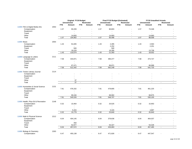|                                    |      |            | Original FY19 Budget     |                |                          |            | Final FY19 Budget (Estimated) |                          |                          |            | <b>FY19 Unaudited Actuals</b> |                |                   |
|------------------------------------|------|------------|--------------------------|----------------|--------------------------|------------|-------------------------------|--------------------------|--------------------------|------------|-------------------------------|----------------|-------------------|
|                                    |      |            | <b>Unrestricted</b>      |                | <b>Restricted</b>        |            | <b>Unrestricted</b>           |                          | <b>Restricted</b>        |            | <b>Unrestricted</b>           |                | <b>Restricted</b> |
|                                    |      | <b>FTE</b> | Amount                   | <b>FTE</b>     | Amount                   | <b>FTE</b> | Amount                        | <b>FTE</b>               | Amount                   | <b>FTE</b> | Amount                        | <b>FTE</b>     | Amount            |
| 11000 Film & Digital Media Arts    | 2053 |            |                          |                |                          |            |                               |                          |                          |            |                               |                |                   |
| Compensation                       |      | 1.57       | 90,209                   |                |                          | 1.57       | 80,803                        | $\sim$                   |                          | 1.57       | 73,348                        |                |                   |
| Equipment                          |      |            |                          |                |                          |            | $\sim$                        |                          |                          |            |                               |                |                   |
| Travel                             |      |            | ÷                        |                |                          |            | $\blacksquare$                |                          |                          |            | $\blacksquare$                |                |                   |
| Other                              |      |            | 14,693                   |                |                          |            | 14,693                        |                          |                          |            | 14,660                        |                |                   |
| Total                              |      | 1.57       | 104,902                  | $\blacksquare$ | $\omega$                 | 1.57       | 95,496                        | $\omega$                 | $\mathbf{r}$             | 1.57       | 88,008                        | $\mathbf{r}$   | $\overline{a}$    |
| <b>11000 Music</b>                 | 2054 |            |                          |                |                          |            |                               |                          |                          |            |                               |                |                   |
| Compensation                       |      | 1.43       | 91,845                   |                |                          | 1.43       | 2,285                         |                          |                          | 1.43       | 2,563                         |                |                   |
| Equipment                          |      |            |                          |                |                          |            | 2,252                         |                          |                          |            | 2,251                         |                |                   |
| Travel                             |      |            | 500                      |                |                          |            | 500                           |                          |                          |            |                               |                |                   |
| Other                              |      |            | 18,229                   |                |                          |            | 16,356                        |                          | $\overline{a}$           |            | 13,738                        |                |                   |
| Total                              |      | 1.43       | 110,574                  | $\blacksquare$ | $\blacksquare$           | 1.43       | 21,393                        | $\blacksquare$           | $\blacksquare$           | 1.43       | 18,552                        | $\blacksquare$ | $\sim$            |
|                                    |      |            |                          |                |                          |            |                               |                          |                          |            |                               |                |                   |
| 11000 Language & Letters           | 2111 |            |                          |                |                          |            |                               |                          |                          |            |                               |                |                   |
| Compensation                       |      | 7.58       | 444,871                  |                |                          | 7.58       | 495,377                       |                          |                          | 7.58       | 474,727                       |                |                   |
| Equipment                          |      |            |                          |                |                          |            | $\overline{a}$                |                          |                          |            |                               |                |                   |
| Travel                             |      |            | $\overline{\phantom{a}}$ |                |                          |            | $\sim$                        |                          |                          |            | ÷,                            |                |                   |
| Other                              |      |            | 67,471                   |                |                          |            | 66,871                        |                          |                          |            | 66,998                        |                |                   |
| Total                              |      | 7.58       | 512,342                  | $\blacksquare$ | $\omega$                 | 7.58       | 562,248                       | $\sim$                   | $\mathbf{r}$             | 7.58       | 541,725                       | $\blacksquare$ | $\Delta$          |
|                                    |      |            |                          |                |                          |            |                               |                          |                          |            |                               |                |                   |
| 11000 Tricker Literary Journal     | 2114 |            |                          |                |                          |            |                               |                          |                          |            |                               |                |                   |
| Compensation                       |      |            |                          |                |                          |            |                               |                          |                          |            |                               |                |                   |
| Equipment                          |      |            |                          |                |                          |            |                               |                          |                          |            |                               |                |                   |
| Travel                             |      |            |                          |                |                          |            |                               |                          |                          |            |                               |                |                   |
| Other                              |      |            | 37                       |                |                          |            | $\overline{\phantom{a}}$      |                          | $\overline{\phantom{a}}$ |            |                               |                |                   |
| Total                              |      |            | 37                       | $\sim$         |                          | $\sim$     | $\sim$                        | ä,                       |                          | $\sim$     | L.                            |                | $\mathbf{r}$      |
| 11000 Humanities & Social Science  | 2131 |            |                          |                |                          |            |                               |                          |                          |            |                               |                |                   |
| Compensation                       |      | 7.81       | 476,332                  |                |                          | 7.81       | 479,805                       |                          |                          | 7.81       | 461,225                       |                |                   |
| Equipment                          |      |            |                          |                |                          |            | $\mathbf{r}$                  |                          |                          |            |                               |                |                   |
| Travel                             |      |            |                          |                |                          |            |                               |                          |                          |            |                               |                |                   |
| Other                              |      |            | 69,194                   |                |                          |            |                               |                          |                          |            | 68,875                        |                |                   |
| Total                              |      | 7.81       | 545,526                  | $\blacksquare$ | $\blacksquare$           | 7.81       | 68,902<br>548,707             | $\blacksquare$           | $\blacksquare$           | 7.81       | 530,100                       | $\blacksquare$ | $\sim$            |
|                                    |      |            |                          |                |                          |            |                               |                          |                          |            |                               |                |                   |
| 11000 Health, Phys Ed & Recreation | 2148 |            |                          |                |                          |            |                               |                          |                          |            |                               |                |                   |
| Compensation                       |      | 0.32       | 10,464                   |                |                          | 0.32       | 20,525                        | $\sim$                   |                          | 0.32       | 15,953                        |                |                   |
| Equipment                          |      |            |                          |                |                          |            |                               |                          |                          |            | ä,                            |                |                   |
| Travel                             |      |            |                          |                |                          |            |                               |                          |                          |            |                               |                |                   |
| Other                              |      |            | 5,315                    |                | $\sim$                   |            | 5,315                         |                          |                          |            | 4,887                         |                |                   |
| Total                              |      | 0.32       | 15,779                   | $\omega$       | $\mathbf{r}$             | 0.32       | 25,840                        | $\omega$                 | $\mathbf{r}$             | 0.32       | 20,840                        | $\sim$         | $\sim$            |
|                                    |      |            |                          |                |                          |            |                               |                          |                          |            |                               |                |                   |
| 11000 Math & Physical Science      | 2212 |            |                          |                |                          |            |                               |                          |                          |            |                               |                |                   |
| Compensation                       |      | 6.04       | 404,145                  |                |                          | 6.04       | 379,636                       |                          |                          | 6.04       | 404,037                       |                |                   |
| Equipment                          |      |            | $\overline{a}$           |                |                          |            | $\blacksquare$                |                          |                          |            | ÷                             |                |                   |
| Travel                             |      |            | 450                      |                |                          |            |                               |                          |                          |            |                               |                |                   |
| Other                              |      |            | 52,977                   |                | $\overline{\phantom{a}}$ |            | 53,427                        |                          | $\overline{a}$           |            | 53,428                        |                |                   |
| Total                              |      | 6.04       | 457,572                  | $\blacksquare$ | $\Delta$                 | 6.04       | 433,063                       | $\overline{\phantom{a}}$ | $\sim$                   | 6.04       | 457,465                       | $\sim$         | $\sim$            |
| 11000 Biology & Chemistry          | 2263 |            |                          |                |                          |            |                               |                          |                          |            |                               |                |                   |
| Compensation                       |      | 6.47       | 455,138                  |                |                          | 6.47       | 471,826                       |                          |                          | 6.47       | 447,547                       |                |                   |
|                                    |      |            |                          |                |                          |            |                               |                          |                          |            |                               |                |                   |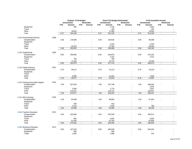|                                 |      |            | Original FY19 Budget |                |                          |            | <b>Final FY19 Budget (Estimated)</b> |                          |                          |            | <b>FY19 Unaudited Actuals</b> |                |                |
|---------------------------------|------|------------|----------------------|----------------|--------------------------|------------|--------------------------------------|--------------------------|--------------------------|------------|-------------------------------|----------------|----------------|
|                                 |      |            | <b>Unrestricted</b>  |                | Restricted               |            | <b>Unrestricted</b>                  |                          | <b>Restricted</b>        |            | <b>Unrestricted</b>           |                | Restricted     |
|                                 |      | <b>FTE</b> | Amount               | <b>FTE</b>     | Amount                   | <b>FTE</b> | Amount                               | <b>FTE</b>               | Amount                   | <b>FTE</b> | Amount                        | <b>FTE</b>     | Amount         |
| Equipment                       |      |            | 300                  |                |                          |            | 1,735                                |                          |                          |            | 1,634                         |                |                |
| Travel                          |      |            |                      |                |                          |            | 493                                  |                          |                          |            | 492                           |                |                |
| Other                           |      |            | 78,810               |                |                          |            | 77,082                               |                          |                          |            | 74,655                        |                |                |
| Total                           |      | 6.47       | 534,248              | $\blacksquare$ |                          | 6.47       | 551,136                              | $\blacksquare$           |                          | 6.47       | 524,328                       | $\omega$       |                |
|                                 |      |            |                      |                |                          |            |                                      |                          |                          |            |                               |                |                |
| 11000 Enviromental Science      | 2268 |            |                      |                |                          |            |                                      |                          |                          |            |                               |                |                |
| Compensation                    |      | 2.58       | 179,390              |                |                          | 2.58       | 105,816                              |                          |                          | 2.58       | 99,388                        |                |                |
| Equipment                       |      |            |                      |                |                          |            |                                      |                          |                          |            | $\overline{\phantom{a}}$      |                |                |
| Travel                          |      |            |                      |                |                          |            | 3,318                                |                          |                          |            | 2,229                         |                |                |
| Other                           |      |            | 24,423               |                |                          |            | 27,335                               |                          | $\overline{a}$           |            | 26,565                        |                |                |
| Total                           |      | 2.58       | 203,813              | $\blacksquare$ | $\sim$                   | 2.58       | 136,469                              | $\blacksquare$           | $\sim$                   | 2.58       | 128,182                       | $\blacksquare$ | $\Delta$       |
|                                 |      |            |                      |                |                          |            |                                      |                          |                          |            |                               |                |                |
| 11000 Engineering               | 2355 |            |                      |                |                          |            |                                      |                          |                          |            |                               |                |                |
| Compensation                    |      | 6.92       | 550,666              | $\sim$         |                          | 6.92       | 504,873                              | $\overline{\phantom{a}}$ |                          | 6.92       | 472,101                       |                |                |
| Equipment                       |      |            |                      |                |                          |            | 1,312                                |                          |                          |            | 1,312                         |                |                |
| Travel                          |      |            | 750                  |                |                          |            | 750                                  |                          |                          |            |                               |                |                |
| Other                           |      |            | 71,163               |                | $\overline{\phantom{a}}$ |            | 70,775                               |                          | $\blacksquare$           |            | 73,160                        |                |                |
| Total                           |      | 6.92       | 622,579              | $\blacksquare$ | $\blacksquare$           | 6.92       | 577,710                              | $\blacksquare$           | $\overline{\phantom{a}}$ | 6.92       | 546,573                       | ÷.             | $\mathbf{r}$   |
|                                 |      |            |                      |                |                          |            |                                      |                          |                          |            |                               |                |                |
| 11000 Heath Sciences            | 2421 |            |                      |                |                          |            |                                      |                          |                          |            |                               |                |                |
| Compensation                    |      | 0.70       | 36,271               |                |                          | 0.70       | 14,113                               |                          |                          | 0.70       | 10,219                        |                |                |
| Equipment                       |      |            |                      |                |                          |            |                                      |                          |                          |            | ÷,                            |                |                |
| Travel                          |      |            | ÷,                   |                |                          |            |                                      |                          |                          |            | ÷.                            |                |                |
| Other                           |      |            | 9,406                |                |                          |            | 10,410                               |                          |                          |            | 7,648                         |                |                |
| Total                           |      | 0.70       | 45,677               | $\blacksquare$ | $\omega$                 | 0.70       | 24,523                               | $\blacksquare$           | $\overline{a}$           | 0.70       | 17,867                        | ÷,             | $\blacksquare$ |
|                                 |      |            |                      |                |                          |            |                                      |                          |                          |            |                               |                |                |
| 11000 Nursing-Associates Degree | 2431 |            |                      |                |                          |            |                                      |                          |                          |            |                               |                |                |
| Compensation                    |      | 7.90       | 557,810              |                |                          | 7.90       | 527,746                              |                          |                          | 7.90       | 489,497                       |                |                |
| Equipment                       |      |            |                      |                |                          |            |                                      |                          |                          |            | 2,076                         |                |                |
| Travel                          |      |            | 2,000                |                |                          |            | 1,775                                |                          |                          |            | 2,827                         |                |                |
| Other                           |      |            | 116,167              |                |                          |            | 119,731                              |                          | $\overline{\phantom{a}}$ |            | 104,847                       |                |                |
| Total                           |      | 7.90       | 675,977              | $\blacksquare$ | $\sim$                   | 7.90       | 649,252                              | $\omega$                 | $\sim$                   | 7.90       | 599,247                       | $\sim$         | $\sim$         |
|                                 |      |            |                      |                |                          |            |                                      |                          |                          |            |                               |                |                |
| 11000 BS in Nursing             | 2432 |            |                      |                |                          |            |                                      |                          |                          |            |                               |                |                |
| Compensation                    |      | 1.00       | 94,488               |                |                          | 1.00       | 88,953                               |                          |                          | 1.00       | 87,324                        |                |                |
| Equipment                       |      |            |                      |                |                          |            |                                      |                          |                          |            |                               |                |                |
| Travel                          |      |            | 500                  |                |                          |            | 910                                  |                          | ä,                       |            | $\blacksquare$                |                |                |
| Other                           |      |            | 2,110                |                | $\overline{a}$           |            | 2,520                                |                          | $\overline{a}$           |            | 785                           |                |                |
| Total                           |      | 1.00       | 97,098               | $\blacksquare$ | $\blacksquare$           | 1.00       | 92,383                               | $\omega$                 | $\mathbf{r}$             | 1.00       | 88,109                        | $\omega$       | $\sim$         |
|                                 |      |            |                      |                |                          |            |                                      |                          |                          |            |                               |                |                |
| 11000 Teacher Education         | 2511 |            |                      |                |                          |            |                                      |                          |                          |            |                               |                |                |
| Compensation                    |      | 4.65       | 312,686              |                |                          | 4.65       | 297,529                              |                          |                          | 4.65       | 282,517                       |                |                |
| Equipment                       |      |            |                      |                |                          |            |                                      |                          |                          |            |                               |                |                |
| Travel                          |      |            | 800                  |                |                          |            | 3,626                                |                          |                          |            | 2,628                         |                |                |
| Other                           |      |            | 61,946               |                |                          |            | 61,304                               |                          |                          |            | 62,858                        |                |                |
| Total                           |      | 4.65       | 375,432              | $\blacksquare$ | $\sim$                   | 4.65       | 362,459                              | $\blacksquare$           | $\overline{\phantom{a}}$ | 4.65       | 348,003                       | $\blacksquare$ | $\blacksquare$ |
|                                 |      |            |                      |                |                          |            |                                      |                          |                          |            |                               |                |                |
| 11000 Business Education        | 2571 |            |                      |                |                          |            |                                      |                          |                          |            |                               |                |                |
| Compensation                    |      | 5.85       | 427,524              |                |                          | 5.85       | 384,536                              |                          |                          | 5.85       | 383,334                       |                |                |
| Equipment                       |      |            | 800                  |                |                          |            | 500                                  |                          |                          |            |                               |                |                |
| Travel                          |      |            | 1,900                |                |                          |            | 1,388                                |                          |                          |            | 231                           |                |                |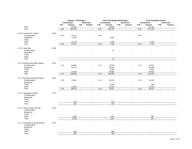|                                   |      |                          | Original FY19 Budget |                          |                          |                          | Final FY19 Budget (Estimated) |                          |                                    |                | <b>FY19 Unaudited Actuals</b> |                |                   |
|-----------------------------------|------|--------------------------|----------------------|--------------------------|--------------------------|--------------------------|-------------------------------|--------------------------|------------------------------------|----------------|-------------------------------|----------------|-------------------|
|                                   |      |                          | <b>Unrestricted</b>  |                          | <b>Restricted</b>        |                          | <b>Unrestricted</b>           |                          | <b>Restricted</b>                  |                | <b>Unrestricted</b>           |                | <b>Restricted</b> |
| Other                             |      | <b>FTE</b>               | Amount<br>53,006     | <b>FTE</b>               | Amount                   | <b>FTE</b>               | Amount<br>53,806              | <b>FTE</b>               | Amount                             | <b>FTE</b>     | Amount<br>53,769              | <b>FTE</b>     | Amount            |
| Total                             |      | 5.85                     | 483,230              | $\blacksquare$           | $\sim$                   | 5.85                     | 440,230                       | $\sim$                   | $\overline{\phantom{a}}$<br>$\sim$ | 5.85           | 437,334                       | $\sim$         | $\sim$            |
|                                   |      |                          |                      |                          |                          |                          |                               |                          |                                    |                |                               |                |                   |
| 11000 Construction Trades         | 2616 |                          |                      |                          |                          |                          |                               |                          |                                    |                |                               |                |                   |
| Compensation                      |      | 0.54                     | 22,517               |                          |                          | 0.54                     |                               |                          |                                    | 0.54           |                               |                |                   |
| Equipment                         |      |                          | 2,545                |                          |                          |                          | 2,545                         |                          |                                    |                |                               |                |                   |
| Travel                            |      |                          | $\overline{a}$       |                          |                          |                          | $\sim$                        |                          |                                    |                |                               |                |                   |
| Other                             |      |                          | 12,749               |                          |                          |                          | 4,749                         |                          | $\blacksquare$                     |                | 4,749                         |                |                   |
| Total                             |      | 0.54                     | 37,811               | $\bar{\phantom{a}}$      | $\omega$                 | 0.54                     | 7,294                         | $\blacksquare$           | $\mathbf{r}$                       | 0.54           | 4,749                         | ÷,             | $\mathbf{r}$      |
| 11000 Canal Seis                  | 4208 |                          |                      |                          |                          |                          |                               |                          |                                    |                |                               |                |                   |
| Compensation                      |      |                          |                      |                          |                          |                          | 11                            |                          |                                    |                |                               |                |                   |
| Equipment                         |      |                          |                      |                          |                          |                          |                               |                          |                                    |                |                               |                |                   |
| Travel                            |      |                          |                      |                          |                          |                          |                               |                          |                                    |                |                               |                |                   |
| Other                             |      |                          |                      |                          |                          |                          | $\sim$                        |                          |                                    |                |                               |                |                   |
| Total                             |      | $\blacksquare$           | $\blacksquare$       | $\blacksquare$           | $\blacksquare$           | $\blacksquare$           | 11                            | $\blacksquare$           | $\mathcal{L}_{\mathcal{A}}$        | $\blacksquare$ | $\sim$                        | $\blacksquare$ | $\blacksquare$    |
|                                   |      |                          |                      |                          |                          |                          |                               |                          |                                    |                |                               |                |                   |
| 11011 Nursing-Associates Degree   | 2431 |                          |                      |                          |                          |                          |                               |                          |                                    |                |                               |                |                   |
| Compensation                      |      | 1.75                     | 84,802               |                          |                          | 1.75                     | 70,543                        |                          |                                    | 1.75           | 50,412                        |                |                   |
| Equipment                         |      |                          | 20,727               |                          |                          |                          | 48,194                        |                          |                                    |                | 40,066                        |                |                   |
| Travel                            |      |                          |                      |                          |                          |                          | 4,387                         |                          |                                    |                | 2,652                         |                |                   |
| Other                             |      |                          | 33,480               |                          |                          |                          | 58,905                        |                          |                                    |                | 48,023                        |                |                   |
| Total                             |      | 1.75                     | 139,009              | $\blacksquare$           | $\sim$                   | 1.75                     | 182,029                       | $\sim$                   | ÷                                  | 1.75           | 141,153                       | $\omega$       | $\sim$            |
| 11011 Nursing-Associates Degree   | 2432 |                          |                      |                          |                          |                          |                               |                          |                                    |                |                               |                |                   |
| Compensation                      |      | 1.20                     | 75,643               |                          |                          | 1.20                     | 64,574                        |                          |                                    | 1.20           | 33,222                        |                |                   |
| Equipment                         |      |                          |                      |                          |                          |                          |                               |                          |                                    |                | $\sim$                        |                |                   |
| Travel                            |      |                          |                      |                          |                          |                          | 1,600                         |                          |                                    |                | 946                           |                |                   |
| Other                             |      |                          | 12,600               |                          | $\overline{\phantom{a}}$ |                          | 12,453                        |                          | $\blacksquare$                     |                | 10,159                        |                |                   |
| Total                             |      | 1.20                     | 88,243               | $\blacksquare$           | $\omega$                 | 1.20                     | 78,627                        | $\blacksquare$           | $\overline{a}$                     | 1.20           | 44,327                        | $\blacksquare$ |                   |
|                                   |      |                          |                      |                          |                          |                          |                               |                          |                                    |                |                               |                |                   |
| 11012 Language & Letters          | 2111 |                          |                      |                          |                          |                          |                               |                          |                                    |                |                               |                |                   |
| Compensation                      |      |                          |                      |                          |                          |                          |                               |                          |                                    |                |                               |                |                   |
| Equipment                         |      |                          |                      |                          |                          |                          |                               |                          |                                    |                |                               |                |                   |
| Travel                            |      |                          |                      |                          |                          |                          |                               |                          |                                    |                |                               |                |                   |
| Other                             |      |                          | 214                  |                          |                          |                          | 214                           |                          |                                    |                | $\mathbf{r}$                  |                |                   |
| Total                             |      | $\blacksquare$           | 214                  | $\overline{\phantom{a}}$ | $\omega$                 | $\blacksquare$           | 214                           | $\overline{\phantom{a}}$ | $\omega$                           | $\blacksquare$ |                               | $\blacksquare$ | $\omega$          |
| 11012 Tricker Literary Journal    | 2114 |                          |                      |                          |                          |                          |                               |                          |                                    |                |                               |                |                   |
| Compensation                      |      |                          |                      |                          |                          |                          |                               |                          |                                    |                |                               |                |                   |
| Equipment                         |      |                          |                      |                          |                          |                          |                               |                          |                                    |                |                               |                |                   |
| Travel                            |      |                          |                      |                          |                          |                          |                               |                          |                                    |                |                               |                |                   |
| Other                             |      |                          | 2,065                |                          |                          |                          | 1,497                         |                          |                                    |                | 967                           |                |                   |
| Total                             |      | $\sim$                   | 2,065                | $\blacksquare$           | $\sim$                   | $\sim$                   | 1,497                         | $\blacksquare$           | $\mathcal{L}$                      | $\mathbf{r}$   | 967                           | $\omega$       | $\sim$            |
|                                   |      |                          |                      |                          |                          |                          |                               |                          |                                    |                |                               |                |                   |
| 11012 Humanities & Social Science | 2131 |                          |                      |                          |                          |                          |                               |                          |                                    |                |                               |                |                   |
| Compensation                      |      |                          |                      |                          |                          |                          |                               |                          |                                    |                |                               |                |                   |
| Equipment                         |      |                          |                      |                          |                          |                          |                               |                          |                                    |                |                               |                |                   |
| Travel<br>Other                   |      |                          |                      |                          |                          |                          |                               |                          |                                    |                |                               |                |                   |
| Total                             |      | $\overline{\phantom{a}}$ | 656<br>656           | $\blacksquare$           |                          | $\overline{\phantom{a}}$ | 656<br>656                    | $\blacksquare$           | ÷,                                 | $\blacksquare$ |                               | $\blacksquare$ |                   |
|                                   |      |                          |                      |                          |                          |                          |                               |                          |                                    |                |                               |                |                   |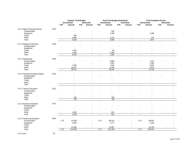| <b>Unrestricted</b><br>Restricted<br><b>Restricted</b><br><b>Unrestricted</b><br>Restricted<br><b>Unrestricted</b><br><b>FTE</b><br>Amount<br><b>FTE</b><br>Amount<br><b>FTE</b><br><b>FTE</b><br>Amount<br><b>FTE</b><br>Amount<br><b>FTE</b><br>Amount<br>Amount<br>2212<br>Compensation<br>320<br>÷,<br>$\blacksquare$<br>1,488<br>1,489<br>Equipment<br>300<br>Travel<br>$\blacksquare$<br>$\overline{\phantom{a}}$<br>3,995<br>187<br>Other<br>2,125<br>$\sim$<br>$\overline{\phantom{a}}$<br>4,295<br>3,934<br>1,674<br>Total<br>$\blacksquare$<br>$\sim$<br>$\sim$<br>$\blacksquare$<br>$\sim$<br>$\mathcal{L}_{\mathcal{A}}$<br>$\sim$<br>$\blacksquare$<br>$\sim$<br>11012 Biology & Chemistry<br>2263<br>Compensation<br>Equipment<br>1,075<br>Travel<br>63<br>1,400<br>1,300<br>Other<br>$\overline{\phantom{a}}$<br>$\overline{a}$<br>2,475<br>1,363<br>Total<br>$\blacksquare$<br>$\overline{\phantom{a}}$<br>$\omega$<br>$\blacksquare$<br>$\blacksquare$<br>$\overline{\phantom{a}}$<br>$\blacksquare$<br>$\blacksquare$<br>$\blacksquare$<br>$\blacksquare$<br>2355<br>11012 Engineering<br>6,998<br>Compensation<br>1,411<br>÷,<br>1,861<br>1,384<br>Equipment<br>Travel<br>7,000<br>7,539<br>5,867<br>18,471<br>9,794<br>8,470<br>Other<br>25,471<br>26,191<br>17,133<br>Total<br>$\blacksquare$<br>$\blacksquare$<br>$\blacksquare$<br>$\mathbf{r}$<br>$\omega$<br>$\blacksquare$<br>$\omega$ .<br>$\blacksquare$<br>$\bar{\phantom{a}}$<br>11012 Nursing-Associates Degree<br>2431<br>Compensation<br>Equipment<br>Travel<br>Other<br>Total<br>$\omega$<br>$\omega$<br>$\mathcal{L}_{\mathcal{A}}$<br>$\blacksquare$<br>$\blacksquare$<br>$\blacksquare$<br>$\blacksquare$<br>$\blacksquare$<br>$\sim$<br>$\blacksquare$<br>$\sim$<br>$\sim$<br>2511<br>11012 Teacher Education<br>Compensation<br>÷,<br>Equipment<br>Travel<br>÷<br>750<br>Other<br>750<br>750<br>750<br>Total<br>$\blacksquare$<br>$\sim$<br>$\blacksquare$<br>$\sim$<br>$\sim$<br>$\blacksquare$<br>÷,<br>$\blacksquare$<br>$\blacksquare$<br>$\sim$<br>11012 Business Education<br>2571<br>Compensation<br>Equipment<br>Travel<br>ä,<br>911<br>Other<br>1,156<br>$\overline{\phantom{a}}$<br>$\overline{\phantom{a}}$<br>$\overline{\phantom{a}}$<br>$\overline{\phantom{a}}$<br>911<br>1,156<br>Total<br>$\blacksquare$<br>$\blacksquare$<br>$\blacksquare$<br>$\omega$<br>L.<br>$\blacksquare$<br>$\sim$<br>$\sim$<br>$\blacksquare$<br>$\sim$<br>2653<br>Compensation<br>1.73<br>97,839<br>1.73<br>99,144<br>1.73<br>89,697<br>$\overline{a}$<br>3,200<br>Equipment<br>1,777<br>1,494<br>Travel<br>$\sim$<br>$\sim$<br>$\sim$<br>21,867<br>18,750<br>Other<br>21,360<br>$\overline{\phantom{a}}$<br>1.73<br>122,399<br>1.73<br>122,788<br>1.73<br>109,941<br>Total<br>$\blacksquare$<br>$\blacksquare$<br>$\blacksquare$<br>$\omega$<br>$\sim$<br>$\sim$ |                               |  | Original FY19 Budget |  | Final FY19 Budget (Estimated) |  | <b>FY19 Unaudited Actuals</b> |  |
|-----------------------------------------------------------------------------------------------------------------------------------------------------------------------------------------------------------------------------------------------------------------------------------------------------------------------------------------------------------------------------------------------------------------------------------------------------------------------------------------------------------------------------------------------------------------------------------------------------------------------------------------------------------------------------------------------------------------------------------------------------------------------------------------------------------------------------------------------------------------------------------------------------------------------------------------------------------------------------------------------------------------------------------------------------------------------------------------------------------------------------------------------------------------------------------------------------------------------------------------------------------------------------------------------------------------------------------------------------------------------------------------------------------------------------------------------------------------------------------------------------------------------------------------------------------------------------------------------------------------------------------------------------------------------------------------------------------------------------------------------------------------------------------------------------------------------------------------------------------------------------------------------------------------------------------------------------------------------------------------------------------------------------------------------------------------------------------------------------------------------------------------------------------------------------------------------------------------------------------------------------------------------------------------------------------------------------------------------------------------------------------------------------------------------------------------------------------------------------------------------------------------------------------------------------------------------------------------------------------------------------------------------------------------------------------------------------------------------------------------------------------------------------------------------------------------------------------------------------|-------------------------------|--|----------------------|--|-------------------------------|--|-------------------------------|--|
|                                                                                                                                                                                                                                                                                                                                                                                                                                                                                                                                                                                                                                                                                                                                                                                                                                                                                                                                                                                                                                                                                                                                                                                                                                                                                                                                                                                                                                                                                                                                                                                                                                                                                                                                                                                                                                                                                                                                                                                                                                                                                                                                                                                                                                                                                                                                                                                                                                                                                                                                                                                                                                                                                                                                                                                                                                                     |                               |  |                      |  |                               |  |                               |  |
|                                                                                                                                                                                                                                                                                                                                                                                                                                                                                                                                                                                                                                                                                                                                                                                                                                                                                                                                                                                                                                                                                                                                                                                                                                                                                                                                                                                                                                                                                                                                                                                                                                                                                                                                                                                                                                                                                                                                                                                                                                                                                                                                                                                                                                                                                                                                                                                                                                                                                                                                                                                                                                                                                                                                                                                                                                                     |                               |  |                      |  |                               |  |                               |  |
|                                                                                                                                                                                                                                                                                                                                                                                                                                                                                                                                                                                                                                                                                                                                                                                                                                                                                                                                                                                                                                                                                                                                                                                                                                                                                                                                                                                                                                                                                                                                                                                                                                                                                                                                                                                                                                                                                                                                                                                                                                                                                                                                                                                                                                                                                                                                                                                                                                                                                                                                                                                                                                                                                                                                                                                                                                                     | 11012 Math & Physical Science |  |                      |  |                               |  |                               |  |
|                                                                                                                                                                                                                                                                                                                                                                                                                                                                                                                                                                                                                                                                                                                                                                                                                                                                                                                                                                                                                                                                                                                                                                                                                                                                                                                                                                                                                                                                                                                                                                                                                                                                                                                                                                                                                                                                                                                                                                                                                                                                                                                                                                                                                                                                                                                                                                                                                                                                                                                                                                                                                                                                                                                                                                                                                                                     |                               |  |                      |  |                               |  |                               |  |
|                                                                                                                                                                                                                                                                                                                                                                                                                                                                                                                                                                                                                                                                                                                                                                                                                                                                                                                                                                                                                                                                                                                                                                                                                                                                                                                                                                                                                                                                                                                                                                                                                                                                                                                                                                                                                                                                                                                                                                                                                                                                                                                                                                                                                                                                                                                                                                                                                                                                                                                                                                                                                                                                                                                                                                                                                                                     |                               |  |                      |  |                               |  |                               |  |
|                                                                                                                                                                                                                                                                                                                                                                                                                                                                                                                                                                                                                                                                                                                                                                                                                                                                                                                                                                                                                                                                                                                                                                                                                                                                                                                                                                                                                                                                                                                                                                                                                                                                                                                                                                                                                                                                                                                                                                                                                                                                                                                                                                                                                                                                                                                                                                                                                                                                                                                                                                                                                                                                                                                                                                                                                                                     |                               |  |                      |  |                               |  |                               |  |
|                                                                                                                                                                                                                                                                                                                                                                                                                                                                                                                                                                                                                                                                                                                                                                                                                                                                                                                                                                                                                                                                                                                                                                                                                                                                                                                                                                                                                                                                                                                                                                                                                                                                                                                                                                                                                                                                                                                                                                                                                                                                                                                                                                                                                                                                                                                                                                                                                                                                                                                                                                                                                                                                                                                                                                                                                                                     |                               |  |                      |  |                               |  |                               |  |
|                                                                                                                                                                                                                                                                                                                                                                                                                                                                                                                                                                                                                                                                                                                                                                                                                                                                                                                                                                                                                                                                                                                                                                                                                                                                                                                                                                                                                                                                                                                                                                                                                                                                                                                                                                                                                                                                                                                                                                                                                                                                                                                                                                                                                                                                                                                                                                                                                                                                                                                                                                                                                                                                                                                                                                                                                                                     |                               |  |                      |  |                               |  |                               |  |
|                                                                                                                                                                                                                                                                                                                                                                                                                                                                                                                                                                                                                                                                                                                                                                                                                                                                                                                                                                                                                                                                                                                                                                                                                                                                                                                                                                                                                                                                                                                                                                                                                                                                                                                                                                                                                                                                                                                                                                                                                                                                                                                                                                                                                                                                                                                                                                                                                                                                                                                                                                                                                                                                                                                                                                                                                                                     |                               |  |                      |  |                               |  |                               |  |
|                                                                                                                                                                                                                                                                                                                                                                                                                                                                                                                                                                                                                                                                                                                                                                                                                                                                                                                                                                                                                                                                                                                                                                                                                                                                                                                                                                                                                                                                                                                                                                                                                                                                                                                                                                                                                                                                                                                                                                                                                                                                                                                                                                                                                                                                                                                                                                                                                                                                                                                                                                                                                                                                                                                                                                                                                                                     |                               |  |                      |  |                               |  |                               |  |
|                                                                                                                                                                                                                                                                                                                                                                                                                                                                                                                                                                                                                                                                                                                                                                                                                                                                                                                                                                                                                                                                                                                                                                                                                                                                                                                                                                                                                                                                                                                                                                                                                                                                                                                                                                                                                                                                                                                                                                                                                                                                                                                                                                                                                                                                                                                                                                                                                                                                                                                                                                                                                                                                                                                                                                                                                                                     |                               |  |                      |  |                               |  |                               |  |
|                                                                                                                                                                                                                                                                                                                                                                                                                                                                                                                                                                                                                                                                                                                                                                                                                                                                                                                                                                                                                                                                                                                                                                                                                                                                                                                                                                                                                                                                                                                                                                                                                                                                                                                                                                                                                                                                                                                                                                                                                                                                                                                                                                                                                                                                                                                                                                                                                                                                                                                                                                                                                                                                                                                                                                                                                                                     |                               |  |                      |  |                               |  |                               |  |
|                                                                                                                                                                                                                                                                                                                                                                                                                                                                                                                                                                                                                                                                                                                                                                                                                                                                                                                                                                                                                                                                                                                                                                                                                                                                                                                                                                                                                                                                                                                                                                                                                                                                                                                                                                                                                                                                                                                                                                                                                                                                                                                                                                                                                                                                                                                                                                                                                                                                                                                                                                                                                                                                                                                                                                                                                                                     |                               |  |                      |  |                               |  |                               |  |
|                                                                                                                                                                                                                                                                                                                                                                                                                                                                                                                                                                                                                                                                                                                                                                                                                                                                                                                                                                                                                                                                                                                                                                                                                                                                                                                                                                                                                                                                                                                                                                                                                                                                                                                                                                                                                                                                                                                                                                                                                                                                                                                                                                                                                                                                                                                                                                                                                                                                                                                                                                                                                                                                                                                                                                                                                                                     |                               |  |                      |  |                               |  |                               |  |
|                                                                                                                                                                                                                                                                                                                                                                                                                                                                                                                                                                                                                                                                                                                                                                                                                                                                                                                                                                                                                                                                                                                                                                                                                                                                                                                                                                                                                                                                                                                                                                                                                                                                                                                                                                                                                                                                                                                                                                                                                                                                                                                                                                                                                                                                                                                                                                                                                                                                                                                                                                                                                                                                                                                                                                                                                                                     |                               |  |                      |  |                               |  |                               |  |
|                                                                                                                                                                                                                                                                                                                                                                                                                                                                                                                                                                                                                                                                                                                                                                                                                                                                                                                                                                                                                                                                                                                                                                                                                                                                                                                                                                                                                                                                                                                                                                                                                                                                                                                                                                                                                                                                                                                                                                                                                                                                                                                                                                                                                                                                                                                                                                                                                                                                                                                                                                                                                                                                                                                                                                                                                                                     |                               |  |                      |  |                               |  |                               |  |
|                                                                                                                                                                                                                                                                                                                                                                                                                                                                                                                                                                                                                                                                                                                                                                                                                                                                                                                                                                                                                                                                                                                                                                                                                                                                                                                                                                                                                                                                                                                                                                                                                                                                                                                                                                                                                                                                                                                                                                                                                                                                                                                                                                                                                                                                                                                                                                                                                                                                                                                                                                                                                                                                                                                                                                                                                                                     |                               |  |                      |  |                               |  |                               |  |
|                                                                                                                                                                                                                                                                                                                                                                                                                                                                                                                                                                                                                                                                                                                                                                                                                                                                                                                                                                                                                                                                                                                                                                                                                                                                                                                                                                                                                                                                                                                                                                                                                                                                                                                                                                                                                                                                                                                                                                                                                                                                                                                                                                                                                                                                                                                                                                                                                                                                                                                                                                                                                                                                                                                                                                                                                                                     |                               |  |                      |  |                               |  |                               |  |
|                                                                                                                                                                                                                                                                                                                                                                                                                                                                                                                                                                                                                                                                                                                                                                                                                                                                                                                                                                                                                                                                                                                                                                                                                                                                                                                                                                                                                                                                                                                                                                                                                                                                                                                                                                                                                                                                                                                                                                                                                                                                                                                                                                                                                                                                                                                                                                                                                                                                                                                                                                                                                                                                                                                                                                                                                                                     |                               |  |                      |  |                               |  |                               |  |
|                                                                                                                                                                                                                                                                                                                                                                                                                                                                                                                                                                                                                                                                                                                                                                                                                                                                                                                                                                                                                                                                                                                                                                                                                                                                                                                                                                                                                                                                                                                                                                                                                                                                                                                                                                                                                                                                                                                                                                                                                                                                                                                                                                                                                                                                                                                                                                                                                                                                                                                                                                                                                                                                                                                                                                                                                                                     |                               |  |                      |  |                               |  |                               |  |
|                                                                                                                                                                                                                                                                                                                                                                                                                                                                                                                                                                                                                                                                                                                                                                                                                                                                                                                                                                                                                                                                                                                                                                                                                                                                                                                                                                                                                                                                                                                                                                                                                                                                                                                                                                                                                                                                                                                                                                                                                                                                                                                                                                                                                                                                                                                                                                                                                                                                                                                                                                                                                                                                                                                                                                                                                                                     |                               |  |                      |  |                               |  |                               |  |
|                                                                                                                                                                                                                                                                                                                                                                                                                                                                                                                                                                                                                                                                                                                                                                                                                                                                                                                                                                                                                                                                                                                                                                                                                                                                                                                                                                                                                                                                                                                                                                                                                                                                                                                                                                                                                                                                                                                                                                                                                                                                                                                                                                                                                                                                                                                                                                                                                                                                                                                                                                                                                                                                                                                                                                                                                                                     |                               |  |                      |  |                               |  |                               |  |
|                                                                                                                                                                                                                                                                                                                                                                                                                                                                                                                                                                                                                                                                                                                                                                                                                                                                                                                                                                                                                                                                                                                                                                                                                                                                                                                                                                                                                                                                                                                                                                                                                                                                                                                                                                                                                                                                                                                                                                                                                                                                                                                                                                                                                                                                                                                                                                                                                                                                                                                                                                                                                                                                                                                                                                                                                                                     |                               |  |                      |  |                               |  |                               |  |
|                                                                                                                                                                                                                                                                                                                                                                                                                                                                                                                                                                                                                                                                                                                                                                                                                                                                                                                                                                                                                                                                                                                                                                                                                                                                                                                                                                                                                                                                                                                                                                                                                                                                                                                                                                                                                                                                                                                                                                                                                                                                                                                                                                                                                                                                                                                                                                                                                                                                                                                                                                                                                                                                                                                                                                                                                                                     |                               |  |                      |  |                               |  |                               |  |
|                                                                                                                                                                                                                                                                                                                                                                                                                                                                                                                                                                                                                                                                                                                                                                                                                                                                                                                                                                                                                                                                                                                                                                                                                                                                                                                                                                                                                                                                                                                                                                                                                                                                                                                                                                                                                                                                                                                                                                                                                                                                                                                                                                                                                                                                                                                                                                                                                                                                                                                                                                                                                                                                                                                                                                                                                                                     |                               |  |                      |  |                               |  |                               |  |
|                                                                                                                                                                                                                                                                                                                                                                                                                                                                                                                                                                                                                                                                                                                                                                                                                                                                                                                                                                                                                                                                                                                                                                                                                                                                                                                                                                                                                                                                                                                                                                                                                                                                                                                                                                                                                                                                                                                                                                                                                                                                                                                                                                                                                                                                                                                                                                                                                                                                                                                                                                                                                                                                                                                                                                                                                                                     |                               |  |                      |  |                               |  |                               |  |
|                                                                                                                                                                                                                                                                                                                                                                                                                                                                                                                                                                                                                                                                                                                                                                                                                                                                                                                                                                                                                                                                                                                                                                                                                                                                                                                                                                                                                                                                                                                                                                                                                                                                                                                                                                                                                                                                                                                                                                                                                                                                                                                                                                                                                                                                                                                                                                                                                                                                                                                                                                                                                                                                                                                                                                                                                                                     |                               |  |                      |  |                               |  |                               |  |
|                                                                                                                                                                                                                                                                                                                                                                                                                                                                                                                                                                                                                                                                                                                                                                                                                                                                                                                                                                                                                                                                                                                                                                                                                                                                                                                                                                                                                                                                                                                                                                                                                                                                                                                                                                                                                                                                                                                                                                                                                                                                                                                                                                                                                                                                                                                                                                                                                                                                                                                                                                                                                                                                                                                                                                                                                                                     |                               |  |                      |  |                               |  |                               |  |
|                                                                                                                                                                                                                                                                                                                                                                                                                                                                                                                                                                                                                                                                                                                                                                                                                                                                                                                                                                                                                                                                                                                                                                                                                                                                                                                                                                                                                                                                                                                                                                                                                                                                                                                                                                                                                                                                                                                                                                                                                                                                                                                                                                                                                                                                                                                                                                                                                                                                                                                                                                                                                                                                                                                                                                                                                                                     |                               |  |                      |  |                               |  |                               |  |
|                                                                                                                                                                                                                                                                                                                                                                                                                                                                                                                                                                                                                                                                                                                                                                                                                                                                                                                                                                                                                                                                                                                                                                                                                                                                                                                                                                                                                                                                                                                                                                                                                                                                                                                                                                                                                                                                                                                                                                                                                                                                                                                                                                                                                                                                                                                                                                                                                                                                                                                                                                                                                                                                                                                                                                                                                                                     |                               |  |                      |  |                               |  |                               |  |
|                                                                                                                                                                                                                                                                                                                                                                                                                                                                                                                                                                                                                                                                                                                                                                                                                                                                                                                                                                                                                                                                                                                                                                                                                                                                                                                                                                                                                                                                                                                                                                                                                                                                                                                                                                                                                                                                                                                                                                                                                                                                                                                                                                                                                                                                                                                                                                                                                                                                                                                                                                                                                                                                                                                                                                                                                                                     |                               |  |                      |  |                               |  |                               |  |
|                                                                                                                                                                                                                                                                                                                                                                                                                                                                                                                                                                                                                                                                                                                                                                                                                                                                                                                                                                                                                                                                                                                                                                                                                                                                                                                                                                                                                                                                                                                                                                                                                                                                                                                                                                                                                                                                                                                                                                                                                                                                                                                                                                                                                                                                                                                                                                                                                                                                                                                                                                                                                                                                                                                                                                                                                                                     |                               |  |                      |  |                               |  |                               |  |
|                                                                                                                                                                                                                                                                                                                                                                                                                                                                                                                                                                                                                                                                                                                                                                                                                                                                                                                                                                                                                                                                                                                                                                                                                                                                                                                                                                                                                                                                                                                                                                                                                                                                                                                                                                                                                                                                                                                                                                                                                                                                                                                                                                                                                                                                                                                                                                                                                                                                                                                                                                                                                                                                                                                                                                                                                                                     |                               |  |                      |  |                               |  |                               |  |
|                                                                                                                                                                                                                                                                                                                                                                                                                                                                                                                                                                                                                                                                                                                                                                                                                                                                                                                                                                                                                                                                                                                                                                                                                                                                                                                                                                                                                                                                                                                                                                                                                                                                                                                                                                                                                                                                                                                                                                                                                                                                                                                                                                                                                                                                                                                                                                                                                                                                                                                                                                                                                                                                                                                                                                                                                                                     |                               |  |                      |  |                               |  |                               |  |
|                                                                                                                                                                                                                                                                                                                                                                                                                                                                                                                                                                                                                                                                                                                                                                                                                                                                                                                                                                                                                                                                                                                                                                                                                                                                                                                                                                                                                                                                                                                                                                                                                                                                                                                                                                                                                                                                                                                                                                                                                                                                                                                                                                                                                                                                                                                                                                                                                                                                                                                                                                                                                                                                                                                                                                                                                                                     |                               |  |                      |  |                               |  |                               |  |
|                                                                                                                                                                                                                                                                                                                                                                                                                                                                                                                                                                                                                                                                                                                                                                                                                                                                                                                                                                                                                                                                                                                                                                                                                                                                                                                                                                                                                                                                                                                                                                                                                                                                                                                                                                                                                                                                                                                                                                                                                                                                                                                                                                                                                                                                                                                                                                                                                                                                                                                                                                                                                                                                                                                                                                                                                                                     |                               |  |                      |  |                               |  |                               |  |
|                                                                                                                                                                                                                                                                                                                                                                                                                                                                                                                                                                                                                                                                                                                                                                                                                                                                                                                                                                                                                                                                                                                                                                                                                                                                                                                                                                                                                                                                                                                                                                                                                                                                                                                                                                                                                                                                                                                                                                                                                                                                                                                                                                                                                                                                                                                                                                                                                                                                                                                                                                                                                                                                                                                                                                                                                                                     |                               |  |                      |  |                               |  |                               |  |
|                                                                                                                                                                                                                                                                                                                                                                                                                                                                                                                                                                                                                                                                                                                                                                                                                                                                                                                                                                                                                                                                                                                                                                                                                                                                                                                                                                                                                                                                                                                                                                                                                                                                                                                                                                                                                                                                                                                                                                                                                                                                                                                                                                                                                                                                                                                                                                                                                                                                                                                                                                                                                                                                                                                                                                                                                                                     |                               |  |                      |  |                               |  |                               |  |
|                                                                                                                                                                                                                                                                                                                                                                                                                                                                                                                                                                                                                                                                                                                                                                                                                                                                                                                                                                                                                                                                                                                                                                                                                                                                                                                                                                                                                                                                                                                                                                                                                                                                                                                                                                                                                                                                                                                                                                                                                                                                                                                                                                                                                                                                                                                                                                                                                                                                                                                                                                                                                                                                                                                                                                                                                                                     |                               |  |                      |  |                               |  |                               |  |
|                                                                                                                                                                                                                                                                                                                                                                                                                                                                                                                                                                                                                                                                                                                                                                                                                                                                                                                                                                                                                                                                                                                                                                                                                                                                                                                                                                                                                                                                                                                                                                                                                                                                                                                                                                                                                                                                                                                                                                                                                                                                                                                                                                                                                                                                                                                                                                                                                                                                                                                                                                                                                                                                                                                                                                                                                                                     | 11013 Continuing Education    |  |                      |  |                               |  |                               |  |
|                                                                                                                                                                                                                                                                                                                                                                                                                                                                                                                                                                                                                                                                                                                                                                                                                                                                                                                                                                                                                                                                                                                                                                                                                                                                                                                                                                                                                                                                                                                                                                                                                                                                                                                                                                                                                                                                                                                                                                                                                                                                                                                                                                                                                                                                                                                                                                                                                                                                                                                                                                                                                                                                                                                                                                                                                                                     |                               |  |                      |  |                               |  |                               |  |
|                                                                                                                                                                                                                                                                                                                                                                                                                                                                                                                                                                                                                                                                                                                                                                                                                                                                                                                                                                                                                                                                                                                                                                                                                                                                                                                                                                                                                                                                                                                                                                                                                                                                                                                                                                                                                                                                                                                                                                                                                                                                                                                                                                                                                                                                                                                                                                                                                                                                                                                                                                                                                                                                                                                                                                                                                                                     |                               |  |                      |  |                               |  |                               |  |
|                                                                                                                                                                                                                                                                                                                                                                                                                                                                                                                                                                                                                                                                                                                                                                                                                                                                                                                                                                                                                                                                                                                                                                                                                                                                                                                                                                                                                                                                                                                                                                                                                                                                                                                                                                                                                                                                                                                                                                                                                                                                                                                                                                                                                                                                                                                                                                                                                                                                                                                                                                                                                                                                                                                                                                                                                                                     |                               |  |                      |  |                               |  |                               |  |
|                                                                                                                                                                                                                                                                                                                                                                                                                                                                                                                                                                                                                                                                                                                                                                                                                                                                                                                                                                                                                                                                                                                                                                                                                                                                                                                                                                                                                                                                                                                                                                                                                                                                                                                                                                                                                                                                                                                                                                                                                                                                                                                                                                                                                                                                                                                                                                                                                                                                                                                                                                                                                                                                                                                                                                                                                                                     |                               |  |                      |  |                               |  |                               |  |
|                                                                                                                                                                                                                                                                                                                                                                                                                                                                                                                                                                                                                                                                                                                                                                                                                                                                                                                                                                                                                                                                                                                                                                                                                                                                                                                                                                                                                                                                                                                                                                                                                                                                                                                                                                                                                                                                                                                                                                                                                                                                                                                                                                                                                                                                                                                                                                                                                                                                                                                                                                                                                                                                                                                                                                                                                                                     |                               |  |                      |  |                               |  |                               |  |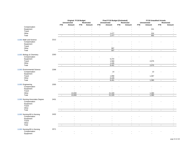|                                 |      |                | Original FY19 Budget     |                |                                            |                             | Final FY19 Budget (Estimated) |                          |                          |                             | <b>FY19 Unaudited Actuals</b>      |                             |                             |
|---------------------------------|------|----------------|--------------------------|----------------|--------------------------------------------|-----------------------------|-------------------------------|--------------------------|--------------------------|-----------------------------|------------------------------------|-----------------------------|-----------------------------|
|                                 |      | <b>FTE</b>     | Unrestricted<br>Amount   | <b>FTE</b>     | Restricted<br>Amount                       | <b>FTE</b>                  | <b>Unrestricted</b><br>Amount | <b>FTE</b>               | Restricted<br>Amount     | <b>FTE</b>                  | <b>Unrestricted</b><br>Amount      | <b>FTE</b>                  | <b>Restricted</b><br>Amount |
| Compensation                    |      |                |                          |                |                                            |                             |                               |                          |                          |                             |                                    |                             |                             |
| Equipment                       |      |                |                          |                |                                            |                             |                               |                          |                          |                             | 341                                |                             |                             |
| Travel                          |      |                |                          |                |                                            |                             |                               |                          |                          |                             | $\mathbf{r}$                       |                             |                             |
| Other                           |      |                |                          |                |                                            |                             | 1,477                         |                          |                          |                             | 324                                |                             |                             |
| Total                           |      | $\blacksquare$ | $\mathcal{L}$            | $\blacksquare$ | $\blacksquare$                             | $\mathcal{L}_{\mathcal{A}}$ | 1,477                         | $\blacksquare$           | $\omega$                 | $\mathcal{L}_{\mathcal{A}}$ | 665                                | $\mathcal{L}_{\mathcal{A}}$ | $\sim$                      |
|                                 |      |                |                          |                |                                            |                             |                               |                          |                          |                             |                                    |                             |                             |
| 11303 Math and Science          | 2212 |                |                          |                |                                            |                             |                               |                          |                          |                             |                                    |                             |                             |
| Compensation                    |      |                |                          |                |                                            |                             |                               |                          |                          |                             |                                    |                             |                             |
| Equipment                       |      |                |                          |                |                                            |                             |                               |                          |                          |                             |                                    |                             |                             |
| Travel                          |      |                |                          |                |                                            |                             |                               |                          |                          |                             |                                    |                             |                             |
| Other                           |      |                |                          |                |                                            |                             | 907                           |                          |                          |                             |                                    |                             |                             |
| Total                           |      | $\blacksquare$ | $\mathbb{Z}^2$           | $\blacksquare$ | $\omega$                                   | $\omega$                    | 907                           | $\omega$                 | $\mathbf{r}$             | $\mathcal{L}_{\mathcal{A}}$ | $\mathbf{u}$                       | $\mathbf{r}$                | $\mathbf{r}$                |
|                                 |      |                |                          |                |                                            |                             |                               |                          |                          |                             |                                    |                             |                             |
| 11303 Biology & Chemistry       | 2263 |                |                          |                |                                            |                             |                               |                          |                          |                             |                                    |                             |                             |
| Compensation                    |      |                |                          |                |                                            |                             | $\overline{\phantom{a}}$      |                          |                          |                             |                                    |                             |                             |
| Equipment                       |      |                |                          |                |                                            |                             | 5,372                         |                          |                          |                             |                                    |                             |                             |
| Travel                          |      |                |                          |                |                                            |                             | 1,584                         |                          |                          |                             | 2,075                              |                             |                             |
| Other                           |      |                |                          |                |                                            |                             | 1,445                         |                          | $\overline{\phantom{a}}$ |                             | $\blacksquare$                     |                             |                             |
| Total                           |      |                | $\sim$                   | $\sim$         | $\sim$                                     | $\blacksquare$              | 8,401                         | $\blacksquare$           | $\overline{\phantom{a}}$ | $\sim$                      | 2,075                              | $\blacksquare$              | $\sim$                      |
| 11303 Environmental Science     | 2268 |                |                          |                |                                            |                             |                               |                          |                          |                             |                                    |                             |                             |
| Compensation                    |      |                |                          |                |                                            |                             | 14                            |                          |                          |                             | 13                                 |                             |                             |
| Equipment                       |      |                |                          |                |                                            |                             | $\blacksquare$                |                          |                          |                             | $\blacksquare$                     |                             |                             |
| Travel                          |      |                |                          |                |                                            |                             | 1,958                         |                          |                          |                             | 1,367                              |                             |                             |
| Other                           |      |                |                          |                |                                            |                             | 6,429                         |                          |                          |                             | $\sim$                             |                             |                             |
| Total                           |      | $\blacksquare$ | $\blacksquare$           | $\blacksquare$ | $\blacksquare$                             | $\blacksquare$              | 8,401                         | $\blacksquare$           | $\omega$                 | $\blacksquare$              | 1,380                              | $\mathcal{L}_{\mathcal{A}}$ | $\sim$                      |
|                                 |      |                |                          |                |                                            |                             |                               |                          |                          |                             |                                    |                             |                             |
| 11303 Engineering               | 2355 |                |                          |                |                                            |                             |                               |                          |                          |                             |                                    |                             |                             |
| Compensation                    |      |                |                          |                |                                            |                             |                               |                          |                          |                             |                                    |                             |                             |
| Equipment                       |      |                |                          |                |                                            |                             |                               |                          |                          |                             |                                    |                             |                             |
| Travel                          |      |                |                          |                |                                            |                             |                               |                          |                          |                             | $\overline{\phantom{a}}$           |                             |                             |
| Other                           |      |                | 13,000                   |                | $\overline{\phantom{a}}$                   |                             | 21,329                        |                          |                          |                             | 1,380                              |                             |                             |
| Total                           |      | $\mathbf{u}$   | 13,000                   | $\omega$       | $\blacksquare$                             | $\mathbf{r}$                | 21,329                        | $\blacksquare$           | $\mathbf{r}$             | $\mathbf{r}$                | 1,380                              | $\mathbf{r}$                | $\sim$                      |
|                                 |      |                |                          |                |                                            |                             |                               |                          |                          |                             |                                    |                             |                             |
| 11303 Nursing-Associates Degree | 2431 |                |                          |                |                                            |                             |                               |                          |                          |                             |                                    |                             |                             |
| Compensation                    |      |                |                          |                |                                            |                             |                               |                          |                          |                             |                                    |                             |                             |
| Equipment                       |      |                |                          |                |                                            |                             |                               |                          |                          |                             |                                    |                             |                             |
| Travel<br>Other                 |      |                |                          |                |                                            |                             | $\sim$                        |                          |                          |                             |                                    |                             |                             |
| Total                           |      |                | $\blacksquare$<br>$\sim$ | $\blacksquare$ | $\overline{\phantom{a}}$<br>$\blacksquare$ | $\blacksquare$              | $\sim$                        | $\overline{\phantom{a}}$ | $\overline{a}$           | $\blacksquare$              | $\overline{\phantom{a}}$<br>$\sim$ | $\sim$                      |                             |
|                                 |      |                |                          |                |                                            |                             |                               |                          |                          |                             |                                    |                             |                             |
| 11303 Nursing-BS in Nursing     | 2432 |                |                          |                |                                            |                             |                               |                          |                          |                             |                                    |                             |                             |
| Compensation                    |      |                |                          |                |                                            |                             |                               |                          |                          |                             |                                    |                             |                             |
| Equipment                       |      |                |                          |                |                                            |                             |                               |                          |                          |                             |                                    |                             |                             |
| Travel                          |      |                |                          |                |                                            |                             |                               |                          |                          |                             |                                    |                             |                             |
| Other                           |      |                |                          |                |                                            |                             |                               |                          |                          |                             |                                    |                             |                             |
| Total                           |      |                | $\sim$                   | $\omega$       | $\omega$                                   | $\sim$                      | $\mathcal{L}_{\mathcal{A}}$   | $\sim$                   | $\sim$                   | $\sim$                      | $\sim$                             | $\sim$                      | $\sim$                      |
|                                 |      |                |                          |                |                                            |                             |                               |                          |                          |                             |                                    |                             |                             |
| 11303 Nursing-BS in Nursing     | 2571 |                |                          |                |                                            |                             |                               |                          |                          |                             |                                    |                             |                             |
| Compensation                    |      |                |                          |                |                                            |                             |                               |                          |                          |                             |                                    |                             |                             |
| Equipment                       |      |                |                          |                |                                            |                             |                               |                          |                          |                             |                                    |                             |                             |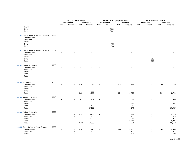|                                        |      |                          | Original FY19 Budget     |                             |                |                | Final FY19 Budget (Estimated) |                          |                |                             | <b>FY19 Unaudited Actuals</b> |                |                   |
|----------------------------------------|------|--------------------------|--------------------------|-----------------------------|----------------|----------------|-------------------------------|--------------------------|----------------|-----------------------------|-------------------------------|----------------|-------------------|
|                                        |      |                          | Unrestricted             |                             | Restricted     |                | <b>Unrestricted</b>           |                          | Restricted     |                             | <b>Unrestricted</b>           |                | <b>Restricted</b> |
|                                        |      | <b>FTE</b>               | Amount                   | <b>FTE</b>                  | Amount         | <b>FTE</b>     | Amount                        | <b>FTE</b>               | Amount         | <b>FTE</b>                  | Amount                        | <b>FTE</b>     | Amount            |
| Travel                                 |      |                          |                          |                             |                |                |                               |                          |                |                             |                               |                |                   |
| Other                                  |      |                          | ÷,                       |                             |                |                | 3,521                         |                          | $\sim$         |                             | $\overline{a}$                |                |                   |
| Total                                  |      | $\blacksquare$           | $\mathcal{L}$            | $\mathcal{L}_{\mathcal{A}}$ | $\sim$         | $\sim$         | 3,521                         | $\blacksquare$           | $\omega$       | $\mathcal{L}_{\mathcal{A}}$ | $\omega$                      | $\sim$         | $\sim$            |
| 11303 Dean College of Arts and Science | 2833 |                          |                          |                             |                |                |                               |                          |                |                             |                               |                |                   |
| Compensation                           |      |                          |                          |                             |                |                |                               |                          |                |                             |                               |                |                   |
| Equipment                              |      |                          |                          |                             |                |                |                               |                          |                |                             |                               |                |                   |
| Travel                                 |      |                          |                          |                             |                |                |                               |                          |                |                             |                               |                |                   |
| Other                                  |      |                          |                          |                             |                |                | 736                           |                          | $\sim$         |                             |                               |                |                   |
| Total                                  |      | $\overline{\phantom{a}}$ | $\sim$                   | $\blacksquare$              | $\blacksquare$ | $\blacksquare$ | 736                           | $\blacksquare$           | $\sim$         | $\blacksquare$              | $\blacksquare$                | $\blacksquare$ | $\blacksquare$    |
| 11303 Dean College of Arts and Science | 3052 |                          |                          |                             |                |                |                               |                          |                |                             |                               |                |                   |
| Compensation                           |      |                          |                          |                             |                |                |                               |                          |                |                             |                               |                |                   |
| Equipment                              |      |                          |                          |                             |                |                |                               |                          |                |                             |                               |                |                   |
| Travel                                 |      |                          |                          |                             |                |                |                               |                          |                |                             |                               |                |                   |
| Other                                  |      |                          |                          |                             |                |                |                               |                          |                |                             | 213                           |                |                   |
| Total                                  |      | $\blacksquare$           | $\overline{\phantom{a}}$ | $\blacksquare$              | $\omega$       | $\blacksquare$ | $\sim$                        | $\overline{\phantom{a}}$ | ÷,             | $\overline{\phantom{a}}$    | 213                           | $\blacksquare$ | $\blacksquare$    |
|                                        |      |                          |                          |                             |                |                |                               |                          |                |                             |                               |                |                   |
| 40103 Biology & Chemistry              | 2263 |                          |                          |                             |                |                |                               |                          |                |                             |                               |                |                   |
| Compensation                           |      |                          |                          |                             |                |                |                               |                          |                |                             |                               |                |                   |
| Equipment<br>Travel                    |      |                          |                          |                             |                |                |                               |                          |                |                             |                               |                |                   |
| Other                                  |      |                          |                          |                             |                |                |                               |                          |                |                             |                               |                |                   |
| Total                                  |      |                          | $\sim$                   | $\omega$                    | $\sim$         | $\sim$         | $\sim$                        | $\omega$                 | $\mathcal{L}$  | $\mathcal{L}_{\mathcal{A}}$ | $\sim$                        | $\omega$       | $\sim$            |
|                                        |      |                          |                          |                             |                |                |                               |                          |                |                             |                               |                |                   |
|                                        |      |                          |                          |                             |                |                |                               |                          |                |                             |                               |                |                   |
| 40104 Engineering                      | 2355 |                          |                          |                             |                |                |                               |                          |                |                             |                               |                |                   |
| Compensation                           |      |                          |                          | 0.04                        | 695<br>$\sim$  |                |                               | 0.04                     | 2,752          |                             |                               | 0.04           | 2,749             |
| Equipment<br>Travel                    |      |                          |                          |                             | $\sim$         |                |                               |                          |                |                             |                               |                | $\sim$            |
| Other                                  |      |                          |                          |                             | 500            |                | $\overline{\phantom{a}}$      |                          |                |                             |                               |                | $\sim$            |
| Total                                  |      |                          | $\sim$                   | 0.04                        | 1,195          | $\omega$       | $\mathbf{r}$                  | 0.04                     | 2,752          | $\blacksquare$              | $\blacksquare$                | 0.04           | 2,749             |
|                                        |      |                          |                          |                             |                |                |                               |                          |                |                             |                               |                |                   |
| 40106 Math and Science                 | 2212 |                          |                          |                             |                |                |                               |                          |                |                             |                               |                |                   |
| Compensation                           |      |                          |                          |                             | 17,769         |                |                               |                          | 17,620         |                             |                               |                | 15,995            |
| Equipment                              |      |                          |                          |                             |                |                |                               |                          |                |                             |                               |                |                   |
| Travel<br>Other                        |      |                          |                          |                             | 5,400          |                | $\sim$                        |                          | 825<br>1,825   |                             |                               |                | 825<br>$\sim$     |
| Total                                  |      | $\blacksquare$           | $\blacksquare$           | $\blacksquare$              | 23,169         | $\blacksquare$ | $\mathcal{L}_{\mathcal{A}}$   | $\overline{\phantom{a}}$ | 20,270         | $\blacksquare$              | $\sim$                        | $\sim$         | 16,820            |
|                                        |      |                          |                          |                             |                |                |                               |                          |                |                             |                               |                |                   |
| 40106 Biology & Chemistry              | 2263 |                          |                          |                             |                |                |                               |                          |                |                             |                               |                |                   |
| Compensation                           |      |                          |                          | 0.42                        | 10,988         |                |                               |                          | 9,418          |                             |                               |                | 9,416             |
| Equipment                              |      |                          |                          |                             | $\sim$         |                |                               |                          | $\overline{a}$ |                             |                               |                | 318               |
| Travel                                 |      |                          |                          |                             | 3,000          |                |                               |                          | 911            |                             |                               |                | 911               |
| Other                                  |      |                          |                          |                             | 6,000          |                | $\sim$                        |                          | 10,225         |                             |                               |                | 9,907             |
| Total                                  |      | $\sim$                   | $\sim$                   | 0.42                        | 19,988         | $\blacksquare$ | $\omega$                      | $\omega$                 | 20,554         | $\omega$                    | $\mathbf{r}$                  | $\mathbf{r}$   | 20,552            |
| 40106 Dean-College of Arts & Science   | 2833 |                          |                          |                             |                |                |                               |                          |                |                             |                               |                |                   |
| Compensation                           |      |                          |                          | 0.42                        | 17,278         |                |                               | 0.42                     | 13,152         |                             |                               | 0.42           | 12,040            |
| Equipment                              |      |                          |                          |                             |                |                |                               |                          | $\overline{a}$ |                             |                               |                |                   |
| Travel                                 |      |                          |                          |                             |                |                |                               |                          | 1,400          |                             |                               |                | 1,395             |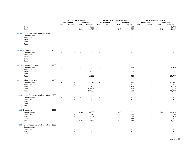|                                            |      |                | Original FY19 Budget        |                             |                |                | Final FY19 Budget (Estimated) |                          |                          |                             |                          | <b>FY19 Unaudited Actuals</b> |                   |
|--------------------------------------------|------|----------------|-----------------------------|-----------------------------|----------------|----------------|-------------------------------|--------------------------|--------------------------|-----------------------------|--------------------------|-------------------------------|-------------------|
|                                            |      |                | <b>Unrestricted</b>         |                             | Restricted     |                | <b>Unrestricted</b>           |                          | <b>Restricted</b>        |                             | <b>Unrestricted</b>      |                               | <b>Restricted</b> |
|                                            |      | <b>FTE</b>     | Amount                      | <b>FTE</b>                  | Amount         | <b>FTE</b>     | Amount                        | <b>FTE</b>               | Amount                   | <b>FTE</b>                  | Amount                   | <b>FTE</b>                    | Amount            |
| Other                                      |      |                |                             |                             | 2,000          |                |                               |                          | 1,800                    |                             | $\overline{a}$           |                               | 1,772             |
| Total                                      |      | $\blacksquare$ | $\blacksquare$              | 0.42                        | 19,278         | $\blacksquare$ | $\overline{\phantom{a}}$      | 0.42                     | 16,352                   | $\mathcal{L}_{\mathcal{A}}$ | $\omega$                 | 0.42                          | 15,207            |
| 40108 Human Resources (Workmen's Con 1088  |      |                |                             |                             |                |                |                               |                          |                          |                             |                          |                               |                   |
| Compensation                               |      |                |                             |                             |                |                |                               |                          |                          |                             |                          |                               |                   |
| Equipment                                  |      |                |                             |                             |                |                |                               |                          |                          |                             |                          |                               |                   |
| Travel                                     |      |                |                             |                             |                |                |                               |                          |                          |                             |                          |                               |                   |
| Other                                      |      |                |                             |                             |                |                |                               |                          |                          |                             |                          |                               |                   |
| Total                                      |      | $\sim$         | $\sim$                      | $\blacksquare$              | $\blacksquare$ | $\blacksquare$ | $\sim$                        | $\overline{\phantom{a}}$ | $\overline{\phantom{a}}$ | $\blacksquare$              | ÷,                       | $\overline{\phantom{a}}$      | $\blacksquare$    |
|                                            |      |                |                             |                             |                |                |                               |                          |                          |                             |                          |                               |                   |
| 40108 Engineering                          | 2355 |                |                             |                             |                |                |                               |                          |                          |                             |                          |                               |                   |
| Compensation                               |      |                |                             |                             |                |                |                               |                          |                          |                             |                          |                               |                   |
| Equipment                                  |      |                |                             |                             |                |                |                               |                          |                          |                             |                          |                               |                   |
| Travel                                     |      |                |                             |                             |                |                |                               |                          |                          |                             |                          |                               |                   |
| Other                                      |      |                |                             |                             |                |                |                               |                          |                          |                             |                          |                               |                   |
| Total                                      |      | $\blacksquare$ | $\omega$                    | $\blacksquare$              | $\mathbf{r}$   | $\mathbf{r}$   | $\sim$                        | $\blacksquare$           | $\mathbf{r}$             | $\mathcal{L}_{\mathcal{A}}$ | $\overline{a}$           | $\blacksquare$                |                   |
|                                            | 2268 |                |                             |                             |                |                |                               |                          |                          |                             |                          |                               |                   |
| 40110 Enviromental Science<br>Compensation |      |                |                             |                             |                |                |                               |                          | 53,176                   |                             |                          |                               | 25,040            |
| Equipment                                  |      |                |                             |                             |                |                |                               |                          |                          |                             |                          |                               |                   |
| Travel                                     |      |                |                             |                             | 12,500         |                |                               |                          | 28,259                   |                             |                          |                               | 747               |
| Other                                      |      |                | $\overline{a}$              |                             | $\blacksquare$ |                |                               |                          |                          |                             | $\overline{\phantom{a}}$ |                               | $\sim$            |
| Total                                      |      |                | $\overline{a}$              | $\sim$                      | 12,500         | $\sim$         | $\sim$                        | $\sim$                   | 81,435                   | $\omega$                    | $\mathbf{r}$             | $\omega$                      | 25,787            |
|                                            |      |                |                             |                             |                |                |                               |                          |                          |                             |                          |                               |                   |
| 40111 Biology & Chemistry                  | 2263 |                |                             |                             |                |                |                               |                          |                          |                             |                          |                               |                   |
| Compensation                               |      |                |                             |                             | 47,473         |                |                               |                          | 83,932                   |                             |                          |                               | 43,862            |
| Equipment<br>Travel                        |      |                |                             |                             | 1,500          |                |                               |                          | 10,696                   |                             |                          |                               | 6,759             |
| Other                                      |      |                |                             |                             | 219,627        |                |                               |                          | 42,694                   |                             |                          |                               | 11,172            |
| Total                                      |      | $\blacksquare$ | $\sim$                      | $\blacksquare$              | 268,600        | $\sim$         | $\omega$                      | $\sim$                   | 137,322                  | $\mathbf{r}$                | $\sim$                   | $\blacksquare$                | 61,792            |
|                                            |      |                |                             |                             |                |                |                               |                          |                          |                             |                          |                               |                   |
| 40112 Human Resources (Workmen's Con 1088  |      |                |                             |                             |                |                |                               |                          |                          |                             |                          |                               |                   |
| Compensation                               |      |                |                             |                             |                |                |                               |                          |                          |                             |                          |                               |                   |
| Equipment                                  |      |                |                             |                             |                |                |                               |                          |                          |                             |                          |                               |                   |
| Travel                                     |      |                |                             |                             |                |                |                               |                          |                          |                             |                          |                               |                   |
| Other                                      |      |                | $\overline{\phantom{a}}$    |                             |                |                |                               |                          |                          |                             | $\blacksquare$           |                               |                   |
| Total                                      |      | $\sim$         | $\sim$                      | $\mathcal{L}_{\mathcal{A}}$ | $\sim$         | $\blacksquare$ | $\mathbf{r}$                  | $\blacksquare$           | $\mathbf{r}$             | $\mathcal{L}_{\mathcal{A}}$ | $\blacksquare$           | $\blacksquare$                | $\omega$          |
| 40112 Engineering                          | 2355 |                |                             |                             |                |                |                               |                          |                          |                             |                          |                               |                   |
| Compensation                               |      |                |                             | 0.33                        | 53,533         |                |                               | 0.33                     | 51,022                   |                             |                          | 0.33                          | 33,473            |
| Equipment                                  |      |                |                             |                             | 4,398          |                |                               |                          | 396                      |                             |                          |                               | 166               |
| Travel                                     |      |                |                             |                             | 3,552          |                |                               |                          | 4,056                    |                             |                          |                               | 526               |
| Other                                      |      |                |                             |                             | 12,000         |                |                               |                          | 11,868                   |                             |                          |                               | 2,277             |
| Total                                      |      | $\blacksquare$ | $\mathcal{L}_{\mathcal{A}}$ | 0.33                        | 73,483         | $\blacksquare$ | $\omega$                      | 0.33                     | 67,342                   | $\mathcal{L}_{\mathcal{A}}$ | $\sim$                   | 0.33                          | 36,441            |
|                                            |      |                |                             |                             |                |                |                               |                          |                          |                             |                          |                               |                   |
| 40113 Human Resources (Workmen's Con 1088  |      |                |                             |                             |                |                |                               |                          |                          |                             |                          |                               |                   |
| Compensation<br>Equipment                  |      |                |                             |                             |                |                |                               |                          |                          |                             |                          |                               |                   |
| Travel                                     |      |                |                             |                             |                |                |                               |                          |                          |                             |                          |                               |                   |
| Other                                      |      |                |                             |                             |                |                |                               |                          |                          |                             |                          |                               |                   |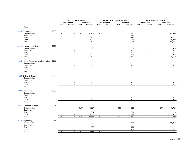|                                           |      |                          | Original FY19 Budget        |                             |                   | Final FY19 Budget (Estimated) |                     |                     |                          | <b>FY19 Unaudited Actuals</b> |                     |                |                   |  |
|-------------------------------------------|------|--------------------------|-----------------------------|-----------------------------|-------------------|-------------------------------|---------------------|---------------------|--------------------------|-------------------------------|---------------------|----------------|-------------------|--|
|                                           |      |                          | <b>Unrestricted</b>         |                             | <b>Restricted</b> |                               | <b>Unrestricted</b> |                     | Restricted               |                               | <b>Unrestricted</b> |                | <b>Restricted</b> |  |
|                                           |      | <b>FTE</b>               | Amount                      | <b>FTE</b>                  | Amount            | <b>FTE</b>                    | Amount              | <b>FTE</b>          | Amount                   | <b>FTE</b>                    | Amount              | <b>FTE</b>     | Amount            |  |
| Total                                     |      |                          |                             | $\overline{a}$              |                   | $\sim$                        |                     | $\mathbf{r}$        |                          | $\sim$                        |                     |                |                   |  |
| 40113 Engineering                         | 2355 |                          |                             |                             |                   |                               |                     |                     |                          |                               |                     |                |                   |  |
| Compensation                              |      |                          |                             |                             | 51,234            |                               |                     |                     | 82,997                   |                               |                     |                | 45,509            |  |
| Equipment                                 |      |                          |                             |                             | $\sim$            |                               |                     |                     | 14,557                   |                               |                     |                |                   |  |
| Travel                                    |      |                          |                             |                             | 3,500             |                               |                     |                     | 8,750                    |                               |                     |                | 5,374             |  |
| Other                                     |      |                          |                             |                             | 9,735             |                               |                     |                     | 17,080                   |                               |                     |                | 10,892            |  |
| Total                                     |      |                          | $\mathbf{r}$                | $\omega$                    | 64,469            | $\omega$                      | $\overline{a}$      | $\bar{\phantom{a}}$ | 123,384                  | $\omega$                      | $\blacksquare$      | $\blacksquare$ | 61,775            |  |
|                                           |      |                          |                             |                             |                   |                               |                     |                     |                          |                               |                     |                |                   |  |
| 40114 Enviromental Science                | 2268 |                          |                             |                             |                   |                               |                     |                     |                          |                               |                     |                |                   |  |
| Compensation                              |      |                          |                             |                             | 629               |                               |                     |                     | 625                      |                               |                     |                | 623               |  |
| Equipment                                 |      |                          |                             |                             | 1,500             |                               |                     |                     | $\sim$                   |                               |                     |                | $\blacksquare$    |  |
| Travel                                    |      |                          |                             |                             | $\blacksquare$    |                               |                     |                     | $\overline{\phantom{a}}$ |                               |                     |                |                   |  |
| Other                                     |      |                          |                             |                             | 3,000             |                               |                     |                     | 2,490                    |                               |                     |                | 918               |  |
| Total                                     |      | $\blacksquare$           | $\blacksquare$              | $\blacksquare$              | 5,129             | $\sim$                        | $\blacksquare$      | $\blacksquare$      | 3,115                    | $\mathcal{L}$                 | $\sim$              | $\blacksquare$ | 1,542             |  |
| 40115 Human Resources (Workmen's Con 1088 |      |                          |                             |                             |                   |                               |                     |                     |                          |                               |                     |                |                   |  |
| Compensation                              |      |                          |                             |                             |                   |                               |                     |                     |                          |                               |                     |                |                   |  |
| Equipment                                 |      |                          |                             |                             |                   |                               |                     |                     |                          |                               |                     |                |                   |  |
| Travel                                    |      |                          |                             |                             |                   |                               |                     |                     |                          |                               |                     |                |                   |  |
| Other                                     |      |                          |                             |                             |                   |                               |                     |                     |                          |                               |                     |                |                   |  |
| Total                                     |      | $\blacksquare$           | $\omega$                    | $\blacksquare$              | $\blacksquare$    | $\blacksquare$                | $\omega$            | $\blacksquare$      | $\omega$                 | $\blacksquare$                | $\blacksquare$      | $\blacksquare$ | $\sim$            |  |
|                                           |      |                          |                             |                             |                   |                               |                     |                     |                          |                               |                     |                |                   |  |
| 40115 Biology & Chemistry                 | 2263 |                          |                             |                             |                   |                               |                     |                     |                          |                               |                     |                |                   |  |
| Compensation                              |      |                          |                             |                             |                   |                               |                     |                     |                          |                               |                     |                |                   |  |
| Equipment                                 |      |                          |                             |                             |                   |                               |                     |                     |                          |                               |                     |                |                   |  |
| Travel                                    |      |                          |                             |                             |                   |                               |                     |                     |                          |                               |                     |                |                   |  |
| Other                                     |      |                          | $\overline{\phantom{a}}$    |                             |                   |                               |                     |                     |                          |                               | $\overline{a}$      |                |                   |  |
| Total                                     |      | $\overline{\phantom{a}}$ | $\sim$                      | $\blacksquare$              | $\blacksquare$    | $\blacksquare$                | $\blacksquare$      | $\blacksquare$      | $\sim$                   | $\blacksquare$                | $\sim$              | $\blacksquare$ | $\sim$            |  |
|                                           |      |                          |                             |                             |                   |                               |                     |                     |                          |                               |                     |                |                   |  |
| 40116 Engineering                         | 2355 |                          |                             |                             |                   |                               |                     |                     |                          |                               |                     |                |                   |  |
| Compensation                              |      |                          |                             |                             |                   |                               |                     |                     |                          |                               |                     |                |                   |  |
| Equipment                                 |      |                          |                             |                             |                   |                               |                     |                     |                          |                               |                     |                |                   |  |
| Travel                                    |      |                          |                             |                             |                   |                               |                     |                     |                          |                               |                     |                |                   |  |
| Other                                     |      |                          |                             |                             |                   |                               |                     |                     |                          |                               | $\blacksquare$      |                |                   |  |
| Total                                     |      | $\blacksquare$           | $\mathcal{L}_{\mathcal{A}}$ | $\mathcal{L}_{\mathcal{A}}$ | $\sim$            | $\blacksquare$                | $\sim$              | $\blacksquare$      | $\mathbf{r}$             | $\mathcal{L}_{\mathcal{A}}$   | $\mathbf{r}$        | $\blacksquare$ | $\omega$          |  |
| 40117 Business Education                  | 2571 |                          |                             |                             |                   |                               |                     |                     |                          |                               |                     |                |                   |  |
| Compensation                              |      |                          |                             | 0.37                        | 42,034            |                               |                     | 0.37                | 60,563                   |                               |                     | 0.37           | 7,729             |  |
| Equipment                                 |      |                          |                             |                             |                   |                               |                     |                     | ÷.                       |                               |                     |                | $\blacksquare$    |  |
| Travel                                    |      |                          |                             |                             | 1,351             |                               |                     |                     | 1,350                    |                               |                     |                | 76                |  |
| Other                                     |      |                          |                             |                             | 16,338            |                               |                     |                     | 16,338                   |                               | ÷                   |                | $\sim$            |  |
| Total                                     |      | $\blacksquare$           | $\sim$                      | 0.37                        | 59,723            | $\omega$                      | $\mathbf{r}$        | 0.37                | 78,251                   | $\blacksquare$                | $\blacksquare$      | 0.37           | 7,805             |  |
|                                           |      |                          |                             |                             |                   |                               |                     |                     |                          |                               |                     |                |                   |  |
| 40118 Engineering                         | 2355 |                          |                             |                             |                   |                               |                     |                     |                          |                               |                     |                |                   |  |
| Compensation                              |      |                          |                             |                             | 11,529            |                               |                     |                     | 24,187                   |                               |                     |                | 15,217            |  |
| Equipment                                 |      |                          |                             |                             | $\blacksquare$    |                               |                     |                     | $\blacksquare$           |                               |                     |                |                   |  |
| Travel                                    |      |                          |                             |                             | 2,950             |                               |                     |                     | 4,150                    |                               |                     |                |                   |  |
| Other                                     |      |                          |                             |                             | 2,500             |                               |                     |                     | 5,400                    |                               |                     |                |                   |  |
| Total                                     |      | $\blacksquare$           | $\sim$                      | $\blacksquare$              | 16,979            | $\overline{\phantom{a}}$      | $\sim$              | $\blacksquare$      | 33,737                   | $\blacksquare$                | $\blacksquare$      | $\blacksquare$ | 15,217            |  |
|                                           |      |                          |                             |                             |                   |                               |                     |                     |                          |                               |                     |                |                   |  |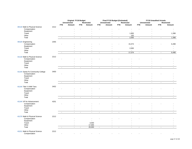|                                  |      |                | Original FY19 Budget |                |                          |                          | Final FY19 Budget (Estimated) |                |                |                             |                     | <b>FY19 Unaudited Actuals</b> |                          |
|----------------------------------|------|----------------|----------------------|----------------|--------------------------|--------------------------|-------------------------------|----------------|----------------|-----------------------------|---------------------|-------------------------------|--------------------------|
|                                  |      |                | <b>Unrestricted</b>  |                | Restricted               |                          | <b>Unrestricted</b>           |                | Restricted     |                             | <b>Unrestricted</b> |                               | <b>Restricted</b>        |
|                                  |      | <b>FTE</b>     | Amount               | <b>FTE</b>     | Amount                   | <b>FTE</b>               | Amount                        | <b>FTE</b>     | Amount         | <b>FTE</b>                  | Amount              | <b>FTE</b>                    | Amount                   |
| 40119 Math & Physical Science    | 2212 |                |                      |                |                          |                          |                               |                |                |                             |                     |                               |                          |
| Compensation                     |      |                |                      |                |                          |                          |                               |                |                |                             |                     |                               |                          |
| Equipment                        |      |                |                      |                |                          |                          |                               |                |                |                             |                     |                               |                          |
| Travel                           |      |                |                      |                |                          |                          |                               |                | 1,850          |                             |                     |                               | 1,398                    |
| Other                            |      |                |                      |                |                          |                          |                               |                | 150            |                             | $\blacksquare$      |                               | $\overline{\phantom{a}}$ |
| Total                            |      |                | $\mathbf{r}$         | $\sim$         | $\overline{a}$           | $\blacksquare$           | $\sim$                        | $\blacksquare$ | 2,000          | $\omega$                    | $\sim$              | $\blacksquare$                | 1,398                    |
|                                  |      |                |                      |                |                          |                          |                               |                |                |                             |                     |                               |                          |
| 40120 Engineering                | 2355 |                |                      |                |                          |                          |                               |                |                |                             |                     |                               |                          |
| Compensation                     |      |                |                      |                |                          |                          |                               |                | 15,374         |                             |                     |                               | 6,498                    |
| Equipment                        |      |                |                      |                |                          |                          |                               |                |                |                             |                     |                               |                          |
| Travel                           |      |                |                      |                |                          |                          |                               |                | 2,000          |                             |                     |                               |                          |
| Other                            |      |                |                      |                |                          |                          | $\sim$                        |                | $\sim$         |                             | $\sim$              |                               |                          |
| Total                            |      | $\sim$         | $\blacksquare$       | $\blacksquare$ | $\sim$                   | $\overline{\phantom{a}}$ | $\mathbb{Z}$                  | $\blacksquare$ | 17,374         | $\mathcal{L}_{\mathcal{A}}$ | $\blacksquare$      | $\blacksquare$                | 6,498                    |
|                                  |      |                |                      |                |                          |                          |                               |                |                |                             |                     |                               |                          |
| 41118 Math & Physical Science    | 2212 |                |                      |                |                          |                          |                               |                |                |                             |                     |                               |                          |
| Compensation                     |      |                |                      |                |                          |                          |                               |                |                |                             |                     |                               |                          |
| Equipment                        |      |                |                      |                |                          |                          |                               |                |                |                             |                     |                               |                          |
| Travel                           |      |                |                      |                |                          |                          |                               |                |                |                             |                     |                               |                          |
| Other                            |      |                |                      |                |                          |                          |                               |                |                |                             |                     |                               |                          |
| Total                            |      | $\blacksquare$ | $\omega$             | $\blacksquare$ | $\sim$                   | $\sim$                   | $\sim$                        | $\omega$       | $\mathbf{r}$   | $\sim$                      | $\mathbf{r}$        | $\blacksquare$                | $\omega$                 |
|                                  |      |                |                      |                |                          |                          |                               |                |                |                             |                     |                               |                          |
| 41144 Santa Fe Community College | 3450 |                |                      |                |                          |                          |                               |                |                |                             |                     |                               |                          |
| Compensation                     |      |                |                      |                |                          |                          |                               |                |                |                             |                     |                               |                          |
| Equipment                        |      |                |                      |                |                          |                          |                               |                |                |                             |                     |                               |                          |
| Travel                           |      |                |                      |                |                          |                          |                               |                |                |                             |                     |                               |                          |
| Other                            |      |                | $\overline{a}$       |                | $\overline{\phantom{a}}$ |                          | $\sim$                        |                |                |                             | $\overline{a}$      |                               |                          |
| Total                            |      | $\blacksquare$ | $\overline{a}$       | $\sim$         | $\overline{a}$           | ÷,                       | $\sim$                        | $\omega$       | $\sim$         | $\omega$                    | $\sim$              | $\sim$                        | $\blacksquare$           |
|                                  |      |                |                      |                |                          |                          |                               |                |                |                             |                     |                               |                          |
| 41144 Title V-UNM Taos           | 3452 |                |                      |                |                          |                          |                               |                |                |                             |                     |                               |                          |
| Compensation                     |      |                |                      |                |                          |                          |                               |                |                |                             |                     |                               |                          |
| Equipment<br>Travel              |      |                |                      |                |                          |                          |                               |                |                |                             |                     |                               |                          |
| Other                            |      |                |                      |                |                          |                          |                               |                |                |                             |                     |                               |                          |
| Total                            |      | $\sim$         | $\omega$             | $\sim$         | $\blacksquare$           | $\omega$                 | $\sim$                        | $\omega$       | $\mathbf{r}$   | $\mathbf{r}$                | $\mathbf{r}$        | $\sim$                        | $\omega$                 |
|                                  |      |                |                      |                |                          |                          |                               |                |                |                             |                     |                               |                          |
| 41144 VP for Advancement         | 4201 |                |                      |                |                          |                          |                               |                |                |                             |                     |                               |                          |
| Compensation                     |      |                |                      |                |                          |                          |                               |                |                |                             |                     |                               |                          |
| Equipment                        |      |                |                      |                |                          |                          |                               |                |                |                             |                     |                               |                          |
| Travel                           |      |                |                      |                |                          |                          |                               |                |                |                             |                     |                               |                          |
| Other                            |      |                |                      |                | $\overline{\phantom{a}}$ |                          | $\blacksquare$                |                |                |                             | $\blacksquare$      |                               |                          |
| Total                            |      | $\blacksquare$ | $\mathcal{L}$        | $\blacksquare$ | $\omega$                 | $\sim$                   | $\omega$                      | $\blacksquare$ | $\blacksquare$ | $\mathcal{L}_{\mathcal{A}}$ | $\blacksquare$      | $\blacksquare$                | $\sim$                   |
|                                  |      |                |                      |                |                          |                          |                               |                |                |                             |                     |                               |                          |
| 41170 Math & Physical Science    | 2212 |                |                      |                |                          |                          |                               |                |                |                             |                     |                               |                          |
| Compensation                     |      |                |                      |                |                          |                          |                               |                |                |                             |                     |                               |                          |
| Equipment                        |      |                |                      |                |                          |                          |                               |                |                |                             |                     |                               |                          |
| Travel                           |      |                |                      |                | 3,000                    |                          |                               |                |                |                             |                     |                               |                          |
| Other                            |      |                |                      |                | 17,000                   |                          |                               |                |                |                             |                     |                               |                          |
| Total                            |      | $\blacksquare$ | $\blacksquare$       | $\blacksquare$ | 20,000                   | $\blacksquare$           | $\overline{\phantom{a}}$      | $\blacksquare$ | $\blacksquare$ | $\sim$                      | $\blacksquare$      | $\blacksquare$                | $\blacksquare$           |
|                                  |      |                |                      |                |                          |                          |                               |                |                |                             |                     |                               |                          |
| 41211 Math & Physical Science    | 2212 |                |                      |                |                          |                          |                               |                |                |                             |                     |                               |                          |
| Compensation                     |      |                |                      |                |                          |                          |                               |                |                |                             |                     |                               |                          |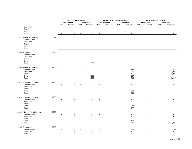|                                   |      |                          | Original FY19 Budget<br>Unrestricted<br>Restricted |                |                |                | Final FY19 Budget (Estimated)        |                          |                   | <b>FY19 Unaudited Actuals</b><br><b>Unrestricted</b><br><b>Restricted</b> |                |                             |                |  |
|-----------------------------------|------|--------------------------|----------------------------------------------------|----------------|----------------|----------------|--------------------------------------|--------------------------|-------------------|---------------------------------------------------------------------------|----------------|-----------------------------|----------------|--|
|                                   |      |                          |                                                    |                |                |                | <b>Unrestricted</b>                  |                          | <b>Restricted</b> |                                                                           |                |                             |                |  |
|                                   |      | <b>FTE</b>               | Amount                                             | <b>FTE</b>     | Amount         | <b>FTE</b>     | Amount                               | <b>FTE</b>               | Amount            | <b>FTE</b>                                                                | Amount         | <b>FTE</b>                  | Amount         |  |
| Equipment                         |      |                          |                                                    |                |                |                |                                      |                          |                   |                                                                           |                |                             |                |  |
| Travel<br>Other                   |      |                          |                                                    |                |                |                |                                      |                          |                   |                                                                           |                |                             |                |  |
| Total                             |      | $\sim$                   | $\mathcal{L}_{\mathcal{A}}$                        | $\blacksquare$ | $\mathbf{r}$   | $\blacksquare$ | $\omega$                             | $\overline{\phantom{a}}$ | $\sim$            | $\blacksquare$                                                            | $\sim$         | $\mathcal{L}_{\mathcal{A}}$ | $\sim$         |  |
|                                   |      |                          |                                                    |                |                |                |                                      |                          |                   |                                                                           |                |                             |                |  |
| 41433 Biology & Chemistry         | 2263 |                          |                                                    |                |                |                |                                      |                          |                   |                                                                           |                |                             |                |  |
| Compensation                      |      |                          |                                                    |                |                |                |                                      |                          |                   |                                                                           |                |                             |                |  |
| Equipment                         |      |                          |                                                    |                |                |                |                                      |                          |                   |                                                                           |                |                             |                |  |
| Travel                            |      |                          |                                                    |                |                |                |                                      |                          |                   |                                                                           |                |                             |                |  |
| Other<br>Total                    |      | $\sim$                   | $\omega$                                           | $\blacksquare$ | $\omega$       | $\omega$       | $\mathbf{r}$                         | $\blacksquare$           | $\mathbf{r}$      | $\blacksquare$                                                            | $\mathbf{r}$   | $\blacksquare$              | $\omega$       |  |
|                                   |      |                          |                                                    |                |                |                |                                      |                          |                   |                                                                           |                |                             |                |  |
| 41449 Engineering                 | 2355 |                          |                                                    |                |                |                |                                      |                          |                   |                                                                           |                |                             |                |  |
| Compensation                      |      |                          |                                                    |                |                |                |                                      |                          |                   |                                                                           |                |                             |                |  |
| Equipment                         |      |                          |                                                    |                | 1,500          |                |                                      |                          |                   |                                                                           |                |                             |                |  |
| Travel                            |      |                          |                                                    |                | $\sim$         |                |                                      |                          |                   |                                                                           |                |                             |                |  |
| Other                             |      |                          |                                                    |                |                |                |                                      |                          |                   |                                                                           |                |                             |                |  |
| Total                             |      | $\overline{\phantom{a}}$ | $\mathcal{L}_{\mathcal{A}}$                        | $\blacksquare$ | 1,500          | $\sim$         | $\sim$                               | $\blacksquare$           | $\omega$          | $\blacksquare$                                                            | $\blacksquare$ | $\blacksquare$              | $\sim$         |  |
| 41455 Biology & Chemistry         | 2263 |                          |                                                    |                |                |                |                                      |                          |                   |                                                                           |                |                             |                |  |
| Compensation                      |      |                          |                                                    |                |                |                |                                      |                          | 1,889             |                                                                           |                |                             | 1,888          |  |
| Equipment                         |      |                          |                                                    |                |                |                |                                      |                          | 2,291             |                                                                           |                |                             | 1,924          |  |
| Travel                            |      |                          |                                                    |                | 500            |                |                                      |                          | 1,165             |                                                                           |                |                             | 3,096          |  |
| Other                             |      |                          |                                                    |                | 6,000          |                |                                      |                          | 2,067             |                                                                           |                |                             | $\sim$         |  |
| Total                             |      | $\sim$                   | $\mathbf{r}$                                       | $\blacksquare$ | 6,500          | $\omega$       | $\mathbf{r}$                         | $\omega$                 | 7,412             | $\omega$                                                                  | $\mathbf{r}$   | $\sim$                      | 6,907          |  |
| 41457 Enviromental Science        | 2268 |                          |                                                    |                |                |                |                                      |                          |                   |                                                                           |                |                             |                |  |
| Compensation                      |      |                          |                                                    |                |                |                |                                      |                          |                   |                                                                           |                |                             |                |  |
| Equipment                         |      |                          |                                                    |                |                |                |                                      |                          |                   |                                                                           |                |                             |                |  |
| Travel                            |      |                          |                                                    |                |                |                |                                      |                          |                   |                                                                           |                |                             |                |  |
| Other                             |      |                          |                                                    |                |                |                |                                      |                          | 10,000            |                                                                           |                |                             |                |  |
| Total                             |      | $\blacksquare$           | $\overline{\phantom{a}}$                           | $\blacksquare$ | $\sim$         | $\blacksquare$ | $\blacksquare$                       | $\overline{\phantom{a}}$ | 10,000            | $\blacksquare$                                                            |                | $\overline{\phantom{a}}$    | $\blacksquare$ |  |
|                                   |      |                          |                                                    |                |                |                |                                      |                          |                   |                                                                           |                |                             |                |  |
| 41458 Enviromental Science        | 2268 |                          |                                                    |                |                |                |                                      |                          |                   |                                                                           |                |                             |                |  |
| Compensation                      |      |                          |                                                    |                |                |                |                                      |                          |                   |                                                                           |                |                             |                |  |
| Equipment<br>Travel               |      |                          |                                                    |                |                |                |                                      |                          |                   |                                                                           |                |                             |                |  |
| Other                             |      |                          |                                                    |                |                |                |                                      |                          | 3,577             |                                                                           |                |                             |                |  |
| Total                             |      | $\sim$                   | $\sim$                                             | $\blacksquare$ | $\sim$         | $\sim$         | $\overline{\phantom{a}}$<br>$\omega$ | $\blacksquare$           | 3,577             | $\mathcal{L}$                                                             | $\sim$         | $\blacksquare$              | $\sim$         |  |
|                                   |      |                          |                                                    |                |                |                |                                      |                          |                   |                                                                           |                |                             |                |  |
| 41459 Film and Digital Media Arts | 2053 |                          |                                                    |                |                |                |                                      |                          |                   |                                                                           |                |                             |                |  |
| Compensation                      |      |                          |                                                    |                |                |                |                                      |                          |                   |                                                                           |                |                             |                |  |
| Equipment                         |      |                          |                                                    |                |                |                |                                      |                          |                   |                                                                           |                |                             | 7,921          |  |
| Travel                            |      |                          |                                                    |                |                |                |                                      |                          |                   |                                                                           |                |                             | $\mathbf{r}$   |  |
| Other                             |      |                          |                                                    |                |                |                | $\blacksquare$                       |                          | 13,796            |                                                                           |                |                             | $\sim$         |  |
| Total                             |      | $\overline{\phantom{a}}$ | $\omega$                                           | $\blacksquare$ | $\blacksquare$ | $\blacksquare$ | $\omega$                             | $\blacksquare$           | 13,796            | $\Box$                                                                    | $\mathbf{r}$   | $\mathcal{L}$               | 7,921          |  |
| 41460 Engineering                 | 2355 |                          |                                                    |                |                |                |                                      |                          |                   |                                                                           |                |                             |                |  |
| Compensation                      |      |                          |                                                    |                |                |                |                                      |                          | 739               |                                                                           |                |                             | 735            |  |
| Equipment                         |      |                          |                                                    |                |                |                |                                      |                          | ÷                 |                                                                           |                |                             | $\sim$         |  |
| Travel                            |      |                          |                                                    |                |                |                |                                      |                          |                   |                                                                           |                |                             |                |  |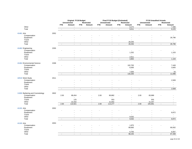|                                 |      | Original FY19 Budget<br><b>Unrestricted</b><br><b>Restricted</b> |                                    |                |                                          |                          | Final FY19 Budget (Estimated)<br><b>Unrestricted</b> |                | <b>Restricted</b>        | <b>FY19 Unaudited Actuals</b><br><b>Unrestricted</b><br><b>Restricted</b> |                          |                          |                                    |  |
|---------------------------------|------|------------------------------------------------------------------|------------------------------------|----------------|------------------------------------------|--------------------------|------------------------------------------------------|----------------|--------------------------|---------------------------------------------------------------------------|--------------------------|--------------------------|------------------------------------|--|
|                                 |      | <b>FTE</b>                                                       | Amount                             | <b>FTE</b>     | Amount                                   | <b>FTE</b>               | Amount                                               | <b>FTE</b>     | Amount                   | <b>FTE</b>                                                                | Amount                   | <b>FTE</b>               | Amount                             |  |
| Other                           |      |                                                                  |                                    |                |                                          |                          |                                                      |                | 8,272                    |                                                                           |                          |                          | 7,490                              |  |
| Total                           |      | $\sim$                                                           | $\sim$                             | $\omega$       | $\mathbf{r}$                             | $\sim$                   | $\sim$                                               | $\blacksquare$ | 9,011                    | $\sim$                                                                    | $\mathbf{r}$             | $\blacksquare$           | 8,225                              |  |
|                                 |      |                                                                  |                                    |                |                                          |                          |                                                      |                |                          |                                                                           |                          |                          |                                    |  |
| 41461 Arts                      | 2052 |                                                                  |                                    |                |                                          |                          |                                                      |                |                          |                                                                           |                          |                          |                                    |  |
| Compensation<br>Equipment       |      |                                                                  |                                    |                |                                          |                          |                                                      |                |                          |                                                                           |                          |                          | 26,796                             |  |
| Travel                          |      |                                                                  |                                    |                |                                          |                          |                                                      |                |                          |                                                                           |                          |                          | $\blacksquare$                     |  |
| Other                           |      |                                                                  |                                    |                |                                          |                          |                                                      |                | 28,293                   |                                                                           | $\overline{a}$           |                          | $\overline{\phantom{a}}$           |  |
| Total                           |      |                                                                  | $\sim$                             | $\blacksquare$ |                                          | $\blacksquare$           | $\sim$                                               | $\blacksquare$ | 28,293                   | $\blacksquare$                                                            | $\overline{a}$           | $\sim$                   | 26,796                             |  |
|                                 |      |                                                                  |                                    |                |                                          |                          |                                                      |                |                          |                                                                           |                          |                          |                                    |  |
| 41462 Engineering               | 2355 |                                                                  |                                    |                |                                          |                          |                                                      |                |                          |                                                                           |                          |                          |                                    |  |
| Compensation                    |      |                                                                  |                                    |                |                                          |                          |                                                      |                | $\sim$                   |                                                                           |                          |                          | $\sim$                             |  |
| Equipment                       |      |                                                                  |                                    |                |                                          |                          |                                                      |                | 1,252<br>$\sim$          |                                                                           |                          |                          | 1,103                              |  |
| Travel<br>Other                 |      |                                                                  |                                    |                |                                          |                          |                                                      |                | 2,611                    |                                                                           | ÷,                       |                          | $\blacksquare$<br>$\mathbf{r}$     |  |
| Total                           |      | $\blacksquare$                                                   | $\sim$                             | $\blacksquare$ | $\blacksquare$                           | $\blacksquare$           | $\mathcal{L}_{\mathcal{A}}$                          | $\blacksquare$ | 3,863                    | $\omega$                                                                  | $\blacksquare$           | $\blacksquare$           | 1,103                              |  |
|                                 |      |                                                                  |                                    |                |                                          |                          |                                                      |                |                          |                                                                           |                          |                          |                                    |  |
| 41464 Environmental Science     | 2268 |                                                                  |                                    |                |                                          |                          |                                                      |                |                          |                                                                           |                          |                          |                                    |  |
| Compensation                    |      |                                                                  |                                    |                |                                          |                          |                                                      |                | 102,700                  |                                                                           |                          |                          | 7,449                              |  |
| Equipment                       |      |                                                                  |                                    |                |                                          |                          |                                                      |                | 6,000                    |                                                                           |                          |                          | 3,605                              |  |
| Travel<br>Other                 |      |                                                                  |                                    |                |                                          |                          |                                                      |                | $\mathbf{r}$<br>7,500    |                                                                           |                          |                          | $\sim$<br>43                       |  |
| Total                           |      | $\sim$                                                           | $\sim$                             | $\omega$       | $\overline{a}$                           | $\mathbf{r}$             | $\overline{a}$                                       | $\blacksquare$ | 116,200                  | $\omega$                                                                  | $\overline{a}$           | $\blacksquare$           | 11,096                             |  |
|                                 |      |                                                                  |                                    |                |                                          |                          |                                                      |                |                          |                                                                           |                          |                          |                                    |  |
| 42519 Work-Study                | 2011 |                                                                  |                                    |                |                                          |                          |                                                      |                |                          |                                                                           |                          |                          |                                    |  |
| Compensation                    |      |                                                                  |                                    |                |                                          |                          |                                                      |                |                          |                                                                           |                          |                          | 2,509                              |  |
| Equipment                       |      |                                                                  |                                    |                |                                          |                          |                                                      |                |                          |                                                                           |                          |                          |                                    |  |
| Travel                          |      |                                                                  |                                    |                |                                          |                          |                                                      |                |                          |                                                                           |                          |                          |                                    |  |
| Other                           |      | ÷,                                                               | $\overline{\phantom{a}}$<br>$\sim$ | $\sim$         | $\overline{\phantom{a}}$<br>$\mathbf{r}$ | $\mathbf{r}$             | $\overline{\phantom{a}}$<br>$\sim$                   |                | $\blacksquare$<br>$\sim$ |                                                                           | $\blacksquare$<br>$\sim$ |                          | $\overline{\phantom{a}}$<br>2,509  |  |
| Total                           |      |                                                                  |                                    |                |                                          |                          |                                                      | $\blacksquare$ |                          | $\blacksquare$                                                            |                          | $\blacksquare$           |                                    |  |
| 11000 Barbering and Cosmetology | 2602 |                                                                  |                                    |                |                                          |                          |                                                      |                |                          |                                                                           |                          |                          |                                    |  |
| Compensation                    |      | 2.00                                                             | 88,454                             |                |                                          | 2.00                     | 90,882                                               |                |                          | 2.00                                                                      | 83,989                   |                          |                                    |  |
| Equipment                       |      |                                                                  | $\sim$                             |                |                                          |                          |                                                      |                |                          |                                                                           | $\blacksquare$           |                          |                                    |  |
| Travel                          |      |                                                                  | 125                                |                |                                          |                          | 553                                                  |                |                          |                                                                           | 555                      |                          |                                    |  |
| Other<br>Total                  |      | 2.00                                                             | 22,342<br>110,921                  | $\blacksquare$ | $\overline{a}$                           | 2.00                     | 21,842<br>113,277                                    | $\blacksquare$ | $\overline{a}$           | 2.00                                                                      | 21,347<br>105,891        | $\omega$                 | $\overline{\phantom{a}}$<br>$\sim$ |  |
|                                 |      |                                                                  |                                    |                |                                          |                          |                                                      |                |                          |                                                                           |                          |                          |                                    |  |
| 41191 Arts                      | 2052 |                                                                  |                                    |                |                                          |                          |                                                      |                |                          |                                                                           |                          |                          |                                    |  |
| Compensation                    |      |                                                                  |                                    |                |                                          |                          |                                                      |                |                          |                                                                           |                          |                          |                                    |  |
| Equipment                       |      |                                                                  |                                    |                |                                          |                          |                                                      |                |                          |                                                                           |                          |                          | 8,872                              |  |
| Travel                          |      |                                                                  |                                    |                |                                          |                          |                                                      |                |                          |                                                                           |                          |                          | $\sim$                             |  |
| Other                           |      |                                                                  |                                    |                |                                          |                          |                                                      |                | 9,032                    |                                                                           |                          |                          | $\sim$                             |  |
| Total                           |      | $\blacksquare$                                                   | $\omega$                           | $\blacksquare$ | $\blacksquare$                           | $\overline{\phantom{a}}$ | $\omega$                                             | $\blacksquare$ | 9,032                    | $\blacksquare$                                                            | $\omega$                 | $\blacksquare$           | 8,872                              |  |
| 41193 Arts                      | 2053 |                                                                  |                                    |                |                                          |                          |                                                      |                |                          |                                                                           |                          |                          |                                    |  |
| Compensation                    |      |                                                                  |                                    |                |                                          |                          |                                                      |                | 1,875                    |                                                                           |                          |                          |                                    |  |
| Equipment                       |      |                                                                  |                                    |                |                                          |                          |                                                      |                | 89,660                   |                                                                           |                          |                          | 80,932                             |  |
| Travel                          |      |                                                                  |                                    |                |                                          |                          |                                                      |                | $\sim$                   |                                                                           |                          |                          | $\mathbf{r}$                       |  |
| Other                           |      |                                                                  |                                    |                |                                          |                          |                                                      |                | 6,700                    |                                                                           |                          |                          | 6,567                              |  |
| Total                           |      |                                                                  | $\overline{a}$                     | $\blacksquare$ |                                          |                          |                                                      | $\blacksquare$ | 98,235                   | $\blacksquare$                                                            | ÷.                       | $\overline{\phantom{a}}$ | 87,499                             |  |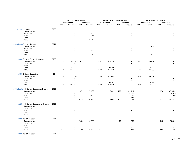|                                             |      | <b>Original FY19 Budget</b> |                          |                             |                          | Final FY19 Budget (Estimated) |                          |                | <b>FY19 Unaudited Actuals</b> |                             |                          |                |                |
|---------------------------------------------|------|-----------------------------|--------------------------|-----------------------------|--------------------------|-------------------------------|--------------------------|----------------|-------------------------------|-----------------------------|--------------------------|----------------|----------------|
|                                             |      |                             | <b>Unrestricted</b>      |                             | <b>Restricted</b>        |                               | <b>Unrestricted</b>      |                | <b>Restricted</b>             |                             | <b>Unrestricted</b>      |                | Restricted     |
|                                             |      | <b>FTE</b>                  | Amount                   | <b>FTE</b>                  | Amount                   | <b>FTE</b>                    | Amount                   | <b>FTE</b>     | Amount                        | <b>FTE</b>                  | Amount                   | <b>FTE</b>     | Amount         |
| 41193 Engineering                           | 2355 |                             |                          |                             |                          |                               |                          |                |                               |                             |                          |                |                |
| Compensation                                |      | ä,                          |                          |                             |                          |                               |                          |                |                               |                             |                          |                |                |
| Equipment                                   |      |                             | $\overline{a}$           |                             | 25,500                   |                               |                          |                |                               |                             |                          |                |                |
| Travel                                      |      |                             |                          |                             | 8,212                    |                               |                          |                |                               |                             |                          |                |                |
| Other                                       |      |                             | $\overline{\phantom{a}}$ |                             | 3,000                    |                               | $\blacksquare$           |                | $\overline{\phantom{a}}$      |                             |                          |                |                |
| Total                                       |      | $\overline{\phantom{a}}$    | $\sim$                   | $\mathcal{L}_{\mathcal{A}}$ | 36,712                   | $\sim$                        | $\blacksquare$           | $\blacksquare$ | $\omega$                      | $\sim$                      | $\blacksquare$           | $\blacksquare$ | $\blacksquare$ |
| 11000/41193 Business Education              | 2571 |                             |                          |                             |                          |                               |                          |                |                               |                             |                          |                |                |
| Compensation                                |      |                             |                          |                             |                          |                               |                          |                |                               |                             | 1,492                    |                |                |
| Equipment                                   |      |                             |                          |                             |                          |                               |                          |                |                               |                             |                          |                |                |
| Travel                                      |      |                             |                          |                             | 1,660                    |                               |                          |                |                               |                             |                          |                |                |
| Other                                       |      |                             | $\sim$                   |                             | 15,558                   |                               | $\overline{a}$           |                | $\sim$                        |                             | $\overline{\phantom{a}}$ |                |                |
| Total                                       |      | $\sim$                      | $\sim$                   | $\sim$                      | 17,218                   | $\sim$                        | $\mathbf{r}$             | $\blacksquare$ | $\omega$                      | $\omega$ .                  | 1,492                    | $\blacksquare$ | $\sim$         |
| 11000 Summer Session Instruction            | 2722 |                             |                          |                             |                          |                               |                          |                |                               |                             |                          |                |                |
| Compensation                                |      | 2.02                        | 104,387                  |                             |                          | 2.02                          | 104,554                  |                |                               | 2.02                        | 69,942                   |                |                |
| Equipment                                   |      |                             |                          |                             |                          |                               |                          |                |                               |                             |                          |                |                |
| Travel                                      |      |                             |                          |                             |                          |                               |                          |                |                               |                             |                          |                |                |
| Other                                       |      |                             | 17,766                   |                             | $\overline{\phantom{a}}$ |                               | 17,766                   |                | $\sim$                        |                             | 17,766                   |                |                |
| Total                                       |      | 2.02                        | 122,153                  | $\sim$                      | $\blacksquare$           | 2.02                          | 122,320                  | $\blacksquare$ | $\blacksquare$                | 2.02                        | 87,708                   | $\blacksquare$ | $\sim$         |
| 11000 Distance Education                    | 26   |                             |                          |                             |                          |                               |                          |                |                               |                             |                          |                |                |
| Compensation                                |      | 1.00                        | 95,253                   |                             | $\overline{\phantom{a}}$ | 1.00                          | 107,465                  |                |                               | 1.00                        | 104,004                  |                |                |
| Equipment                                   |      |                             | ÷,                       |                             |                          |                               | ÷,                       |                |                               |                             | $\overline{a}$           |                |                |
| Travel                                      |      |                             |                          |                             | $\overline{\phantom{a}}$ |                               | $\blacksquare$           |                | $\overline{\phantom{a}}$      |                             | $\overline{\phantom{a}}$ |                |                |
| Other                                       |      |                             | 13,761                   |                             | $\blacksquare$           |                               | 13,761                   |                | $\sim$                        |                             | 13,088                   |                |                |
| Total                                       |      | 1.00                        | 109,014                  | $\blacksquare$              | $\omega$                 | 1.00                          | 121,226                  | $\blacksquare$ | $\mathbf{r}$                  | 1.00                        | 117,092                  | $\blacksquare$ | $\blacksquare$ |
|                                             |      |                             |                          |                             |                          |                               |                          |                |                               |                             |                          |                |                |
| 11303/41101 High School Equivalency Program | 2725 |                             |                          |                             |                          |                               |                          |                |                               |                             |                          |                |                |
| Compensation                                |      | ÷                           |                          | 4.72                        | 270,180                  | $\overline{\phantom{a}}$      | 3,994                    | 4.72           | 330,414                       | $\sim$                      |                          | 4.72           | 271,556        |
| Equipment                                   |      |                             |                          |                             |                          |                               | $\overline{a}$           |                | 59,807                        |                             |                          |                | 54,870         |
| Travel                                      |      |                             | ÷,                       |                             | 16,260                   |                               | $\overline{\phantom{a}}$ |                | 22,087                        |                             |                          |                | 15,066         |
| Other                                       |      |                             | $\blacksquare$           |                             | 121,200                  |                               | $\sim$                   |                | 136,745                       |                             | $\sim$                   |                | 121,127        |
| Total                                       |      | $\sim$                      | $\omega$                 | 4.72                        | 407,640                  | $\blacksquare$                | 3,994                    | 4.72           | 549,053                       | $\mathcal{L}_{\mathcal{A}}$ | $\mathbf{u}$             | 4.72           | 462,619        |
| 41118 High School Equibvalency Program      | 2725 |                             |                          |                             |                          |                               |                          |                |                               |                             |                          |                |                |
| Compensation                                |      |                             |                          |                             |                          |                               |                          |                |                               |                             |                          |                |                |
| Equipment                                   |      |                             |                          |                             |                          |                               |                          |                |                               |                             |                          |                |                |
| Travel                                      |      |                             |                          |                             |                          |                               |                          |                |                               |                             |                          |                |                |
| Other                                       |      |                             | $\blacksquare$           |                             | $\blacksquare$           |                               | $\overline{\phantom{a}}$ |                | $\sim$                        |                             |                          |                |                |
| Total                                       |      | $\sim$                      | $\mathbf{r}$             | $\omega$                    | $\omega$                 | $\sim$                        | $\mathbf{r}$             | $\blacksquare$ | $\mathbf{r}$                  | $\sim$                      | $\mathbf{u}$             | $\blacksquare$ | $\sim$         |
| 41181 Adult Education                       | 2811 |                             |                          |                             |                          |                               |                          |                |                               |                             |                          |                |                |
| Compensation                                |      | ٠                           |                          | 1.00                        | 67,960                   | $\sim$                        |                          | 1.00           | 81,235                        | $\overline{a}$              |                          | 1.00           | 73,890         |
| Equipment                                   |      |                             |                          |                             |                          |                               |                          |                |                               |                             |                          |                |                |
| Travel                                      |      |                             |                          |                             |                          |                               | ٠                        |                |                               |                             |                          |                |                |
| Other                                       |      |                             |                          |                             |                          |                               |                          |                |                               |                             |                          |                |                |
| Total                                       |      | $\sim$                      | $\sim$                   | 1.00                        | 67,960                   | $\blacksquare$                | $\sim$                   | 1.00           | 81,235                        | $\mathcal{L}_{\mathcal{A}}$ | $\mathbf{u}$             | 1.00           | 73,890         |
|                                             |      |                             |                          |                             |                          |                               |                          |                |                               |                             |                          |                |                |

**41211** Adult Education 2811

page 30 of 103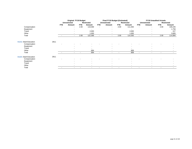|                       |      | <b>Original FY19 Budget</b> |                          |                          |                          |                          | Final FY19 Budget (Estimated) |            |                          | <b>FY19 Unaudited Actuals</b> |                          |                          |                   |  |
|-----------------------|------|-----------------------------|--------------------------|--------------------------|--------------------------|--------------------------|-------------------------------|------------|--------------------------|-------------------------------|--------------------------|--------------------------|-------------------|--|
|                       |      |                             | <b>Unrestricted</b>      |                          | <b>Restricted</b>        |                          | Unrestricted                  |            | Restricted               |                               | <b>Unrestricted</b>      |                          | <b>Restricted</b> |  |
|                       |      | <b>FTE</b>                  | Amount                   | <b>FTE</b>               | Amount                   | <b>FTE</b>               | Amount                        | <b>FTE</b> | Amount                   | <b>FTE</b>                    | Amount                   | <b>FTE</b>               | Amount            |  |
| Compensation          |      |                             | $\overline{a}$           | 2.00                     | 119,369                  | $\sim$                   | $\sim$                        | 2.00       | 111,350                  | $\sim$                        | $\overline{\phantom{a}}$ | 2.00                     | 109,245           |  |
| Equipment             |      |                             |                          |                          |                          |                          |                               |            |                          |                               | $\overline{\phantom{0}}$ |                          | 1,756             |  |
| Travel                |      |                             |                          |                          | 2,000                    |                          |                               |            | 2,000                    |                               |                          |                          | 227               |  |
| Other                 |      |                             |                          |                          | 1,000                    |                          |                               |            | 1,000                    |                               |                          |                          | 3,665             |  |
| Total                 |      |                             | $\sim$                   | 2.00                     | 122,369                  | $\sim$                   | $\sim$                        | 2.00       | 114,350                  | $\overline{\phantom{a}}$      | $\overline{\phantom{a}}$ | 2.00                     | 114,894           |  |
| 41212 Adult Education | 2811 |                             |                          |                          |                          |                          |                               |            |                          |                               |                          |                          |                   |  |
| Compensation          |      |                             |                          |                          |                          |                          |                               |            |                          |                               |                          |                          |                   |  |
| Equipment             |      |                             | $\overline{\phantom{a}}$ |                          | $\overline{a}$           |                          | $\overline{\phantom{a}}$      |            | $\overline{\phantom{a}}$ |                               | $\overline{\phantom{0}}$ |                          |                   |  |
| Travel                |      |                             |                          |                          |                          |                          |                               |            |                          |                               |                          |                          |                   |  |
| Other                 |      |                             |                          |                          | 694                      |                          |                               |            | 908                      |                               |                          |                          |                   |  |
| Total                 |      |                             | $\overline{\phantom{a}}$ | $\overline{\phantom{a}}$ | 694                      | $\sim$                   | $\sim$                        |            | 908                      |                               | $\overline{\phantom{a}}$ |                          |                   |  |
| 41223 Adult Education | 2811 |                             |                          |                          |                          |                          |                               |            |                          |                               |                          |                          |                   |  |
| Compensation          |      |                             |                          |                          |                          |                          |                               |            |                          |                               |                          |                          |                   |  |
| Equipment             |      |                             |                          |                          |                          |                          |                               |            |                          |                               |                          |                          |                   |  |
| Travel                |      |                             |                          |                          |                          |                          |                               |            |                          |                               |                          |                          |                   |  |
| Other                 |      |                             |                          |                          |                          |                          |                               |            | $\overline{\phantom{a}}$ |                               | $\overline{\phantom{a}}$ |                          |                   |  |
| Total                 |      |                             | $\overline{\phantom{a}}$ | $\overline{\phantom{a}}$ | $\overline{\phantom{a}}$ | $\overline{\phantom{a}}$ | ٠                             |            | $\overline{\phantom{0}}$ |                               | $\overline{\phantom{0}}$ | $\overline{\phantom{a}}$ | $\blacksquare$    |  |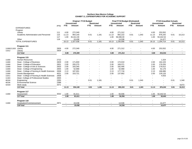|                     |                                             |      | <b>Original FY19 Budget</b> |              |                          | Final FY19 Budget (Estimated) |                |                          |                          | <b>FY19 Unaudited Actuals</b> |            |                          |                          |                   |
|---------------------|---------------------------------------------|------|-----------------------------|--------------|--------------------------|-------------------------------|----------------|--------------------------|--------------------------|-------------------------------|------------|--------------------------|--------------------------|-------------------|
|                     |                                             |      |                             | Unrestricted |                          | <b>Restricted</b>             |                | <b>Unrestricted</b>      |                          | <b>Restricted</b>             |            | Unrestricted             |                          | <b>Restricted</b> |
|                     |                                             | prog | <b>FTE</b>                  | Amount       | <b>FTE</b>               | Amount                        | <b>FTE</b>     | Amount                   | <b>FTE</b>               | Amount                        | <b>FTE</b> | Amount                   | <b>FTE</b>               | Amount            |
|                     | <b>EXPENDITURES</b>                         |      |                             |              |                          |                               |                |                          |                          |                               |            |                          |                          |                   |
|                     | Program                                     |      |                             |              |                          |                               |                |                          |                          |                               |            |                          |                          |                   |
|                     | Library                                     | 111  | 4.00                        | 272,349      |                          |                               | 4.00           | 271,312                  | $\overline{\phantom{a}}$ |                               | 4.00       | 253,552                  |                          |                   |
|                     | Academic Administration and Personnel       | 115  | 11.13                       | 954,140      | 0.01                     | 1,181                         | 11.13          | 892,222                  | 0.01                     | 1,343                         | 11.13      | 876,242                  | 0.01                     | 10,213            |
|                     |                                             | 117  | 1.00                        | 81,611.00    |                          |                               | 1.00           | 56,936.00                | $\overline{\phantom{a}}$ |                               | 1.00       | 50,442.54                |                          |                   |
|                     | Other                                       | 118  | $\overline{\phantom{a}}$    | 19,438       |                          |                               |                | 14,536                   |                          |                               |            | 14,477                   |                          |                   |
|                     | <b>TOTAL EXPENDITURES</b>                   |      | 16.13                       | 1,327,538    | 0.01                     | 1.181                         | 16.13          | ,235,006                 | 0.01                     | 1,343                         | 16.13      | 1,194,714                | 0.01                     | 10,213            |
|                     | Program 111                                 |      |                             |              |                          |                               |                |                          |                          |                               |            |                          |                          |                   |
| 11000/11303 Library |                                             | 2826 | 4.00                        | 272,349      |                          |                               | 4.00           | 271,312                  |                          |                               | 4.00       | 253,552                  |                          |                   |
| 11012               | Library                                     | 2826 | $\sim$                      |              |                          |                               | $\sim$         | $\blacksquare$           | $\overline{\phantom{a}}$ | $\overline{\phantom{a}}$      | $\sim$     | $\overline{\phantom{a}}$ |                          |                   |
|                     | 111 Total                                   |      | 4.00                        | 272,349      |                          |                               | 4.00           | 271,312                  | $\sim$                   | $\blacksquare$                | 4.00       | 253,552                  | $\sim$                   |                   |
|                     | Program 115                                 |      |                             |              |                          |                               |                |                          |                          |                               |            |                          |                          |                   |
| 11000               | <b>Human Resources</b>                      | 2722 | $\sim$                      |              |                          |                               |                |                          |                          |                               |            | 1,324                    |                          |                   |
| 11000               | Dean - College of Business                  | 2829 | 2.00                        | 171,830      |                          |                               | 2.00           | 172,010                  |                          |                               | 2.00       | 164,103                  |                          |                   |
| 11000               | Dean - College of Education                 | 2831 | 2.00                        | 205,275      |                          |                               | 2.00           | 169,371                  |                          |                               | 2.00       | 179,255                  |                          |                   |
| 11000               | Dean - College of Arts & Sciences           | 2833 | 2.00                        | 183,345      |                          |                               | 2.00           | 182,495                  |                          |                               | 2.00       | 179,012                  |                          |                   |
| 11000               | Dean - College of Engineering               | 2835 | 1.00                        | 52,968       |                          |                               | 1.00           | 52,968                   |                          |                               | 1.00       | 52,176                   |                          |                   |
| 11000               | Dean - College of Nursing & Health Sciences | 2838 | 2.13                        | 187,001      |                          |                               | 2.13           | 177,716                  |                          |                               | 2.13       | 166,686                  |                          |                   |
| 11000               | <b>Grants Management</b>                    | 4021 | 2.00                        | 153,721      |                          |                               | 2.00           | 137,662                  |                          | $\blacksquare$                | 2.00       | 129,133                  |                          |                   |
| 11011               | Dean - College of Nursing & Health Sciences | 2838 | $\sim$                      |              |                          |                               | $\blacksquare$ | $\overline{\phantom{a}}$ |                          |                               |            | 4,553                    |                          |                   |
| 11303               | Dean- College of Professional Studies       | 2835 |                             |              |                          |                               |                | $\overline{\phantom{a}}$ |                          |                               |            | $\overline{\phantom{a}}$ |                          |                   |
| 40104               | Engineering                                 | 2355 |                             |              | 0.01                     | 1,181                         |                | $\overline{\phantom{a}}$ | 0.01                     | 1,343                         |            | $\overline{\phantom{a}}$ | 0.01                     | 1,340             |
| 40106               | <b>Environmental Science</b>                | 2388 |                             |              | $\overline{\phantom{a}}$ |                               |                | $\blacksquare$           | $\overline{\phantom{a}}$ |                               |            |                          | $\overline{\phantom{a}}$ |                   |
| 425XX               | Work study                                  | 2571 |                             |              |                          |                               |                |                          | $\overline{\phantom{a}}$ |                               |            |                          |                          | 8,872             |
|                     | 115 Total                                   |      | 11.13                       | 954,140      | 0.01                     | 1,181                         | 11.13          | 892,222                  | 0.01                     | 1,343                         | 11.13      | 876,242                  | 0.01                     | 10,213            |
|                     |                                             |      |                             |              |                          |                               |                |                          |                          |                               |            |                          |                          |                   |
|                     | Program 117                                 |      |                             |              |                          |                               |                |                          |                          |                               |            |                          |                          |                   |
| 11000               | Assessment                                  | 3032 | 1.00                        | 81,611       |                          |                               | 1.00           | 56,936                   |                          | $\overline{\phantom{a}}$      | 1.00       | 50,442.54                |                          |                   |
|                     | 117 Total                                   |      | 1.00                        | 81,611       | $\sim$                   | $\overline{a}$                | 1.00           | 56,936                   | $\sim$                   | $\sim$                        | 1.00       | 50,443                   | $\sim$                   | $\sim$            |
|                     | Program 118                                 |      |                             |              |                          |                               |                |                          |                          |                               |            |                          |                          |                   |
| 11000               | Graduation/Commencement                     | 2871 |                             | 19,438       |                          |                               |                | 14,536                   |                          |                               |            | 14,477                   |                          |                   |
|                     | 118 Total                                   |      |                             | 19,438       |                          |                               |                | 14,536                   | $\overline{\phantom{a}}$ |                               |            | 14,477                   |                          |                   |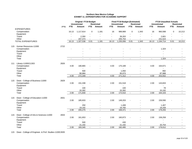|     |                                             |      | Original FY19 Budget<br><b>Unrestricted</b><br><b>Restricted</b> |               |                |                | <b>Final FY19 Budget (Estimated)</b><br><b>Unrestricted</b><br><b>Restricted</b> |           |                |              | <b>FY19 Unaudited Actuals</b><br><b>Unrestricted</b><br><b>Restricted</b> |                |             |        |
|-----|---------------------------------------------|------|------------------------------------------------------------------|---------------|----------------|----------------|----------------------------------------------------------------------------------|-----------|----------------|--------------|---------------------------------------------------------------------------|----------------|-------------|--------|
|     |                                             | prog | <b>FTE</b>                                                       | <b>Amount</b> | FTE.           | Amount         | <b>FTE</b>                                                                       | Amount    | <b>FTE</b>     | Amount       | <b>FTE</b>                                                                | <b>Amount</b>  | <b>FTE</b>  | Amount |
|     | <b>EXPENDITURES</b>                         |      |                                                                  |               |                |                |                                                                                  |           |                |              |                                                                           |                |             |        |
|     | Compensation                                |      | 16.13                                                            | 1,117,814     | 0              | 1,181          | 16                                                                               | 989,989   | 0              | 1,343        | 16                                                                        | 960,588        | $\mathbf 0$ | 10,213 |
|     | Equipment                                   |      |                                                                  |               |                |                |                                                                                  |           |                |              |                                                                           | $\blacksquare$ |             |        |
|     | Travel                                      |      |                                                                  | 2,350         |                |                | $\blacksquare$                                                                   | 39,263    |                |              |                                                                           | 2,601          |             |        |
|     | Other                                       |      |                                                                  | 207,374       | $\sim$         |                |                                                                                  | 205,754   | $\sim$         | $\sim$       | $\sim$                                                                    | 231,524        |             |        |
|     | TOTAL EXPENDITURES                          |      | 16.13                                                            | 1,327,538     | 0.01           | 1,181          | 16.13                                                                            | 1,235,006 | 0.01           | 1,343        | 16.13                                                                     | 1,194,714      | 0.01        | 10,213 |
|     | 115 Human Resources-11000                   | 2722 |                                                                  |               |                |                |                                                                                  |           |                |              |                                                                           |                |             |        |
|     | Compensation                                |      |                                                                  |               |                |                |                                                                                  |           |                |              |                                                                           | 1,324          |             |        |
|     | Equipment                                   |      |                                                                  |               |                |                |                                                                                  |           |                |              |                                                                           |                |             |        |
|     | Travel                                      |      |                                                                  |               |                |                |                                                                                  |           |                |              |                                                                           |                |             |        |
|     | Other                                       |      |                                                                  |               |                |                |                                                                                  |           |                |              |                                                                           |                |             |        |
|     | Total                                       |      | $\blacksquare$                                                   | $\sim$        | $\blacksquare$ | $\sim$         | $\blacksquare$                                                                   | $\sim$    | $\mathbf{r}$   | $\sim$       | $\blacksquare$                                                            | 1,324          | $\sim$      | $\sim$ |
| 111 | Library-11000/11303                         | 2826 |                                                                  |               |                |                |                                                                                  |           |                |              |                                                                           |                |             |        |
|     | Compensation                                |      | 4.00                                                             | 180,865       |                |                | 4.00                                                                             | 175,189   |                |              | 4.00                                                                      | 164,671        |             |        |
|     | Equipment                                   |      |                                                                  |               |                |                |                                                                                  |           |                |              |                                                                           |                |             |        |
|     | Travel                                      |      |                                                                  | 500           |                |                |                                                                                  | 1,050     |                |              |                                                                           | 892            |             |        |
|     | Other                                       |      |                                                                  | 90,984        |                | $\sim$         |                                                                                  | 95,073    |                | $\sim$       |                                                                           | 87,988         |             |        |
|     | Total                                       |      | 4.00                                                             | 272,349       | $\omega$       | $\sim$         | 4.00                                                                             | 271,312   | $\omega$       | $\sim$       | 4.00                                                                      | 253,552        | $\omega$    | $\sim$ |
|     |                                             |      |                                                                  |               |                |                |                                                                                  |           |                |              |                                                                           |                |             |        |
|     | 115 Dean - College of Business-11000        | 2829 |                                                                  |               |                |                |                                                                                  |           |                |              |                                                                           |                |             |        |
|     | Compensation                                |      | 2.00                                                             | 151,338       |                |                | 2.00                                                                             | 151,518   |                |              | 2.00                                                                      | 143,833        |             |        |
|     | Equipment                                   |      |                                                                  |               |                |                |                                                                                  |           |                |              |                                                                           |                |             |        |
|     | Travel                                      |      |                                                                  | 100           |                |                |                                                                                  | 100       |                |              |                                                                           | 78             |             |        |
|     | Other                                       |      |                                                                  | 20,392        |                |                |                                                                                  | 20,392    |                |              |                                                                           | 20,192         |             |        |
|     | Total                                       |      | 2.00                                                             | 171,830       | $\sim$         | $\sim$         | 2.00                                                                             | 172,010   | $\sim$         |              | 2.00                                                                      | 164,103        | $\sim$      | $\sim$ |
|     | 115 Dean - College of Education-11000       | 2831 |                                                                  |               |                |                |                                                                                  |           |                |              |                                                                           |                |             |        |
|     | Compensation                                |      | 2.00                                                             | 185,833       |                |                | 2.00                                                                             | 149,203   |                |              | 2.00                                                                      | 159,590        |             |        |
|     | Equipment                                   |      |                                                                  |               |                |                |                                                                                  |           |                |              |                                                                           | $\sim$         |             |        |
|     | Travel                                      |      |                                                                  | 250           |                |                |                                                                                  | 1,408     |                |              |                                                                           | 1,407          |             |        |
|     | Other                                       |      |                                                                  | 19,192        |                |                |                                                                                  | 18,760    |                |              |                                                                           | 18,258         |             |        |
|     | Total                                       |      | 2.00                                                             | 205,275       | $\blacksquare$ | $\blacksquare$ | 2.00                                                                             | 169,371   | $\blacksquare$ | $\sim$       | 2.00                                                                      | 179,255        | $\sim$      |        |
|     | 115 Dean - College of Arts & Sciences-11000 | 2833 |                                                                  |               |                |                |                                                                                  |           |                |              |                                                                           |                |             |        |
|     | Compensation                                |      | 2.00                                                             | 161,653       |                |                | 2.00                                                                             | 160,873   |                |              | 2.00                                                                      | 158,258        |             |        |
|     | Equipment                                   |      |                                                                  |               |                |                |                                                                                  |           |                |              |                                                                           |                |             |        |
|     | Travel                                      |      |                                                                  | 500           |                |                |                                                                                  | 430       |                |              |                                                                           |                |             |        |
|     | Other                                       |      |                                                                  | 21,192        |                |                |                                                                                  | 21,192    |                |              |                                                                           | 20,754         |             |        |
|     | Total                                       |      | 2.00                                                             | 183,345       | $\omega$       | $\mathbf{L}$   | 2.00                                                                             | 182,495   | $\omega$       | $\mathbf{r}$ | 2.00                                                                      | 179,012        | $\omega$    | $\sim$ |
|     |                                             |      |                                                                  |               |                |                |                                                                                  |           |                |              |                                                                           |                |             |        |

115 Dean - College of Engineer. & Prof. Studies-110002835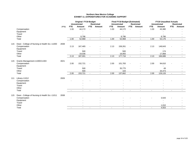|     |                                               |      | <b>Original FY19 Budget</b> |                     |                |                   | <b>Final FY19 Budget (Estimated)</b> |                     |                | <b>FY19 Unaudited Actuals</b> |                |                     |            |                   |
|-----|-----------------------------------------------|------|-----------------------------|---------------------|----------------|-------------------|--------------------------------------|---------------------|----------------|-------------------------------|----------------|---------------------|------------|-------------------|
|     |                                               |      |                             | <b>Unrestricted</b> |                | <b>Restricted</b> |                                      | <b>Unrestricted</b> |                | <b>Restricted</b>             |                | <b>Unrestricted</b> |            | <b>Restricted</b> |
|     |                                               | prog | <b>FTE</b>                  | Amount              | FTE            | Amount            | <b>FTE</b>                           | <b>Amount</b>       | FTE            | Amount                        | <b>FTE</b>     | <b>Amount</b>       | <b>FTE</b> | Amount            |
|     | Compensation                                  |      | 1.00                        | 44,172              | $\blacksquare$ |                   | 1.00                                 | 44,172              |                |                               | 1.00           | 43,380              |            |                   |
|     | Equipment                                     |      |                             |                     |                |                   |                                      |                     |                |                               |                |                     |            |                   |
|     | Travel                                        |      |                             |                     |                |                   |                                      |                     |                |                               |                |                     |            |                   |
|     | Other                                         |      |                             | 8,796               |                |                   |                                      | 8,796               |                |                               |                | 8,796               |            |                   |
|     | Total                                         |      | 1.00                        | 52,968              |                | $\sim$            | 1.00                                 | 52,968              |                | $\sim$                        | 1.00           | 52,176              |            |                   |
| 115 | Dean - College of Nursing & Health Sci.-11000 | 2838 |                             |                     |                |                   |                                      |                     |                |                               |                |                     |            |                   |
|     | Compensation                                  |      | 2.13                        | 167,465             |                |                   | 2.13                                 | 158,261             |                |                               | 2.13           | 148,643             |            |                   |
|     | Equipment                                     |      |                             |                     |                |                   |                                      |                     |                |                               |                |                     |            |                   |
|     | Travel                                        |      |                             | 500                 |                |                   |                                      | 500                 |                |                               |                | 174                 |            |                   |
|     | Other                                         |      |                             | 19,036              |                |                   |                                      | 18,955              |                |                               |                | 17,868              |            |                   |
|     | Total                                         |      | 2.13                        | 187,001             | $\sim$         | $\blacksquare$    | 2.13                                 | 177,716             | $\blacksquare$ | $\sim$                        | 2.13           | 166,686             | $\sim$     | $\sim$            |
|     |                                               |      |                             |                     |                |                   |                                      |                     |                |                               |                |                     |            |                   |
| 115 | Grants Management-11000/11303                 | 4021 |                             |                     |                |                   |                                      |                     |                |                               |                |                     |            |                   |
|     | Compensation                                  |      | 2.00                        | 152,721             |                |                   | 2.00                                 | 101,783             |                |                               | 2.00           | 94,610              |            |                   |
|     | Equipment                                     |      |                             |                     |                |                   |                                      |                     |                |                               |                |                     |            |                   |
|     | Travel                                        |      |                             | 500                 |                |                   |                                      | 35,775              |                |                               |                | 49                  |            |                   |
|     | Other                                         |      |                             | 500                 |                |                   |                                      | 104                 |                |                               |                | 34,473              |            |                   |
|     | Total                                         |      | 2.00                        | 153,721             | $\sim$         | $\sim$            | 2.00                                 | 137,662             | $\sim$         | $\sim$                        | 2.00           | 129,133             | $\sim$     |                   |
| 111 | Library-11012                                 | 2826 |                             |                     |                |                   |                                      |                     |                |                               |                |                     |            |                   |
|     | Compensation                                  |      |                             |                     |                |                   |                                      |                     |                |                               |                |                     |            |                   |
|     | Equipment                                     |      |                             |                     |                |                   |                                      |                     |                |                               |                |                     |            |                   |
|     | Travel                                        |      |                             |                     |                |                   |                                      |                     |                |                               |                |                     |            |                   |
|     | Other                                         |      |                             |                     |                |                   |                                      |                     |                |                               |                |                     |            |                   |
|     | Total                                         |      |                             | $\sim$              | $\blacksquare$ | $\sim$            | $\blacksquare$                       |                     |                | $\blacksquare$                | $\blacksquare$ |                     |            |                   |
| 115 | Dean - College of Nursing & Health Sci.-11011 | 2838 |                             |                     |                |                   |                                      |                     |                |                               |                |                     |            |                   |
|     | Compensation                                  |      |                             |                     |                |                   |                                      |                     |                |                               |                | 3,543               |            |                   |
|     | Equipment                                     |      |                             |                     |                |                   |                                      |                     |                |                               |                |                     |            |                   |
|     | Travel                                        |      |                             |                     |                |                   |                                      |                     |                |                               |                |                     |            |                   |
|     | Other                                         |      |                             |                     |                |                   |                                      |                     |                |                               |                | 1,010               |            |                   |
|     | Total                                         |      |                             | $\sim$              | $\blacksquare$ | $\sim$            | $\mathbf{r}$                         | $\sim$              | $\mathbf{r}$   | $\overline{a}$                | $\sim$         | 4,553               | $\sim$     |                   |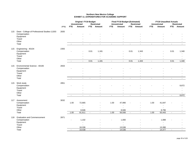|     |                                               |      | <b>Original FY19 Budget</b><br><b>Unrestricted</b><br><b>Restricted</b> |                |                |                | <b>Final FY19 Budget (Estimated)</b> |                               |            | <b>FY19 Unaudited Actuals</b><br><b>Unrestricted</b><br><b>Restricted</b> |                |                |                          |                |
|-----|-----------------------------------------------|------|-------------------------------------------------------------------------|----------------|----------------|----------------|--------------------------------------|-------------------------------|------------|---------------------------------------------------------------------------|----------------|----------------|--------------------------|----------------|
|     |                                               | prog | <b>FTE</b>                                                              | Amount         | <b>FTE</b>     | Amount         | <b>FTE</b>                           | <b>Unrestricted</b><br>Amount | <b>FTE</b> | <b>Restricted</b><br>Amount                                               | <b>FTE</b>     | Amount         | <b>FTE</b>               | Amount         |
| 115 | Dean - College of Professional Studies-11303  | 2835 |                                                                         |                |                |                |                                      |                               |            |                                                                           |                |                |                          |                |
|     | Compensation                                  |      |                                                                         |                |                |                |                                      |                               |            |                                                                           |                |                |                          |                |
|     | Equipment                                     |      |                                                                         |                |                |                |                                      |                               |            |                                                                           |                |                |                          |                |
|     | Travel                                        |      |                                                                         |                |                |                |                                      |                               |            |                                                                           |                |                |                          |                |
|     | Other                                         |      |                                                                         |                |                |                |                                      |                               |            |                                                                           |                |                |                          |                |
|     | Total                                         |      | $\sim$                                                                  | $\sim$         | $\sim$         | $\sim$         |                                      |                               |            | $\overline{a}$                                                            | $\sim$         |                | $\overline{\phantom{a}}$ |                |
| 115 | Engineering - 40104                           | 2355 |                                                                         |                |                |                |                                      |                               |            |                                                                           |                |                |                          |                |
|     | Compensation                                  |      |                                                                         | $\blacksquare$ | 0.01           | 1,181          |                                      |                               | 0.01       | 1,343                                                                     |                |                | 0.01                     | 1,340          |
|     | Equipment<br>Travel                           |      |                                                                         |                |                |                |                                      |                               |            |                                                                           |                |                |                          |                |
|     | Other                                         |      |                                                                         |                |                | $\sim$         |                                      |                               |            |                                                                           |                |                |                          |                |
|     | Total                                         |      | $\sim$                                                                  | $\omega$       | 0.01           | 1,181          | $\sim$                               | $\mathbf{r}$                  | 0.01       | 1,343                                                                     | $\sim$         | $\sim$         | 0.01                     | 1,340          |
|     |                                               |      |                                                                         |                |                |                |                                      |                               |            |                                                                           |                |                |                          |                |
| 115 | Environmental Science - 40106<br>Compensation | 2833 |                                                                         |                |                |                |                                      |                               |            |                                                                           |                |                |                          |                |
|     | Equipment                                     |      |                                                                         |                |                |                |                                      |                               |            |                                                                           |                |                |                          |                |
|     | Travel                                        |      |                                                                         |                |                |                |                                      |                               |            |                                                                           |                |                |                          |                |
|     | Other                                         |      |                                                                         | $\blacksquare$ |                | $\blacksquare$ |                                      |                               |            | $\sim$                                                                    |                | $\blacksquare$ |                          | $\sim$         |
|     | Total                                         |      | $\sim$                                                                  | $\sim$         | $\sim$         | $\sim$         | $\sim$                               | $\mathbf{r}$                  | $\sim$     | $\sim$                                                                    | $\mathbf{r}$   | $\sim$         | $\sim$                   | $\sim$         |
| 115 | Work study                                    | 2851 |                                                                         |                |                |                |                                      |                               |            |                                                                           |                |                |                          |                |
|     | Compensation                                  |      |                                                                         |                |                |                |                                      |                               |            |                                                                           |                |                |                          | 8,872          |
|     | Equipment                                     |      |                                                                         |                |                |                |                                      |                               |            |                                                                           |                |                |                          |                |
|     | Travel                                        |      |                                                                         |                |                |                |                                      |                               |            |                                                                           |                |                |                          | $\blacksquare$ |
|     | Other<br>Total                                |      | $\sim$                                                                  | $\sim$         | $\sim$         | $\sim$         | $\sim$                               | $\sim$                        | $\sim$     | $\sim$                                                                    | $\sim$         | $\sim$         | $\sim$                   | 8,872          |
|     |                                               |      |                                                                         |                |                |                |                                      |                               |            |                                                                           |                |                |                          |                |
| 117 | Assessment<br>Compensation                    | 3032 | 1.00                                                                    | 72,665         |                |                | 1.00                                 | 47,990                        |            |                                                                           | 1.00           | 41,647         |                          |                |
|     | Equipment                                     |      |                                                                         | $\blacksquare$ |                |                |                                      | $\blacksquare$                |            |                                                                           |                | $\blacksquare$ |                          |                |
|     | Travel                                        |      |                                                                         | $\sim$         |                |                |                                      |                               |            |                                                                           |                | $\overline{a}$ |                          |                |
|     | Other                                         |      |                                                                         | 8,946          |                | $\sim$         |                                      | 8,946                         |            | $\sim$                                                                    |                | 8,796          |                          |                |
|     | Total                                         |      | 1.00                                                                    | 81,611         | $\sim$         | $\sim$         | 1.00                                 | 56,936                        | $\omega$   | $\omega$                                                                  | 1.00           | 50,443         | $\blacksquare$           | $\sim$         |
| 118 | <b>Graduation and Commencement</b>            | 2871 |                                                                         |                |                |                |                                      |                               |            |                                                                           |                |                |                          |                |
|     | Compensation                                  |      | $\blacksquare$                                                          | 1,102          |                |                |                                      | 1,000                         |            |                                                                           |                | 1,088          |                          |                |
|     | Equipment                                     |      |                                                                         | $\sim$         |                |                |                                      | $\sim$                        |            |                                                                           |                | $\sim$         |                          |                |
|     | Travel                                        |      |                                                                         | $\sim$         |                |                |                                      |                               |            |                                                                           |                | $\sim$         |                          |                |
|     | Other                                         |      |                                                                         | 18,336         |                |                |                                      | 13,536                        |            |                                                                           |                | 13,390         |                          |                |
|     | Total                                         |      | $\sim$                                                                  | 19,438         | $\blacksquare$ | $\sim$         | $\sim$                               | 14,536                        |            | $\overline{a}$                                                            | $\blacksquare$ | 14,477         | $\sim$                   |                |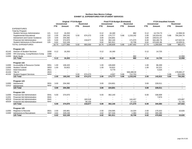#### **Northern New Mexico College EXHIBIT 12\_EXPENDITURES FOR STUDENT SERVICES**

|       |                                             |      |                          | <b>Original FY19 Budget</b><br><b>Unrestricted</b> |                          | <b>Restricted</b>        |                          | Final FY19 Budget (Estimated)<br><b>Unrestricted</b> |                          | <b>Restricted</b> |            | <b>FY19 Unaudited Actuals</b><br><b>Unrestricted</b> |                          | <b>Restricted</b> |
|-------|---------------------------------------------|------|--------------------------|----------------------------------------------------|--------------------------|--------------------------|--------------------------|------------------------------------------------------|--------------------------|-------------------|------------|------------------------------------------------------|--------------------------|-------------------|
|       |                                             |      | <b>FTE</b>               | Amount                                             | FTE.                     | Amount                   | FTE.                     | Amount                                               | FTE.                     | Amount            | <b>FTE</b> | Amount                                               | <b>FTE</b>               | Amount            |
|       | <b>EXPENDITURES</b>                         |      |                          |                                                    |                          |                          |                          |                                                      |                          |                   |            |                                                      |                          |                   |
|       | <b>Total by Program</b>                     |      |                          |                                                    |                          |                          |                          |                                                      |                          |                   |            |                                                      |                          |                   |
|       | <b>Student Services Administration</b>      | 121  | 0.12                     | 16,263                                             | $\overline{\phantom{a}}$ |                          | 0.12                     | 16.180                                               | $\overline{\phantom{a}}$ | 882               | 0.12       | 14.724.73                                            | $\overline{\phantom{a}}$ | 12.958.33         |
|       | Supplemental Educational                    | 122  | 2.00                     | 160,242                                            | 5.50                     | 674,373                  | 2.00                     | 174,777                                              | 5.86                     | 1,219,242         | 2.00       | 142.814.61                                           | 5.86                     | 794,264.74        |
|       | Advisement and Career Guidance              | 123  | 3.00                     | 204,382                                            | $\overline{\phantom{a}}$ |                          | 3.00                     | 224,601                                              | $\overline{\phantom{a}}$ |                   | 3.00       | 228,011.07                                           | $\overline{\phantom{a}}$ |                   |
|       | <b>Financial Aid Administration</b>         | 124  | 5.00                     | 374,970                                            |                          | 218,677                  | 5.00                     | 362,140                                              |                          | 171,570           | 6.00       | 344,482.76                                           |                          | 147,622.04        |
|       | <b>Student Admissions &amp; Recruitment</b> | 125  | 6.62                     | 522,109                                            |                          | $\overline{\phantom{a}}$ | 6.62                     | 561,911                                              |                          | 15,708            | 6.62       | 470,601.86                                           |                          | 10,626.01         |
|       | <b>TOTAL EXPENDITURES</b>                   |      | 16.74                    | 1,277,966                                          | 5.50                     | 893,050                  | 16.74                    | ,339,609                                             | 5.86                     | 1,407,402         | 17.74      | 1,200,635                                            | $\overline{5.86}$        | 965,471           |
|       | Program 121                                 |      |                          |                                                    |                          |                          |                          |                                                      |                          |                   |            |                                                      |                          |                   |
| 41143 | <b>Director of Student Services</b>         | 1030 | 0.12                     | 16,263                                             |                          |                          | 0.12                     | 16,180                                               |                          |                   | 0.12       | 14,725                                               |                          |                   |
| 11000 | HR-Unemploy, Comp/Workers Comp              | 1088 |                          |                                                    |                          |                          | $\blacksquare$           |                                                      |                          |                   | ۰          |                                                      |                          |                   |
| 11000 | <b>Work Study</b>                           | 3003 | $\overline{\phantom{a}}$ |                                                    |                          |                          | $\overline{\phantom{a}}$ |                                                      |                          | 882               |            |                                                      |                          | 12,958            |
|       | 121 Total                                   |      | 0.12                     | 16,263                                             | $\blacksquare$           | $\blacksquare$           | 0.12                     | 16,180                                               |                          | 882               | 0.12       | 14,725                                               |                          | 12,958            |
|       |                                             |      |                          |                                                    |                          |                          |                          |                                                      |                          |                   |            |                                                      |                          |                   |
|       | Program 122                                 |      |                          |                                                    |                          |                          |                          |                                                      |                          |                   |            |                                                      |                          |                   |
| 11000 | Accessibility & Resource Center             | 3051 | 1.00                     | 106,420                                            |                          |                          | 1.00                     | 106,669                                              |                          |                   | 1.00       | 86,269                                               |                          |                   |
| 11000 | <b>Student Tutorial</b>                     | 3053 | 1.00                     | 53,822                                             |                          |                          | 1.00                     | 53,822                                               |                          |                   | 1.00       | 52,221                                               |                          |                   |
| 11012 | <b>Adult Education</b>                      | 2811 | $\blacksquare$           |                                                    |                          |                          | $\blacksquare$           | 9,779                                                |                          |                   | ٠          | 4,324                                                |                          |                   |
| 41104 | Title IV                                    | 2815 |                          |                                                    |                          |                          |                          |                                                      |                          | 506,489.00        |            |                                                      |                          | 178,665.27        |
| 41102 | <b>Student Support Services</b>             | 3052 |                          |                                                    | 5.50                     | 674,373                  |                          | 4,507                                                | 5.86                     | 712,753           |            |                                                      | 5.86                     | 615,599           |
|       | 122 Total                                   |      | 2.00                     | 160,242                                            | 5.50                     | 674,373                  | 2.00                     | 174,777                                              | 5.86                     | 1,219,242         | 2.00       | 142,815                                              | 5.86                     | 794,265           |
|       | Program 123                                 |      |                          |                                                    |                          |                          |                          |                                                      |                          |                   |            |                                                      |                          |                   |
| 11000 | Advisement                                  | 3031 | 3.00                     | 204,382                                            |                          |                          | 3.00                     | 224,601                                              |                          |                   | 3.00       | 228,011                                              |                          |                   |
| 11012 | Advisement                                  | 3031 |                          |                                                    |                          |                          | $\sim$                   |                                                      |                          |                   |            |                                                      |                          |                   |
|       | 123 Total                                   |      | 3.00                     | 204,382                                            | $\sim$                   | $\blacksquare$           | 3.00                     | 224,601                                              | $\sim$                   | $\sim$            | 3.00       | 228,011                                              | $\sim$                   | $\sim$            |
|       | Program 124                                 |      |                          |                                                    |                          |                          |                          |                                                      |                          |                   |            |                                                      |                          |                   |
| 11000 | <b>Financial Aid Administration</b>         | 3041 | 5.00                     | 374,970                                            |                          |                          | 5.00                     | 362,140                                              |                          |                   | 6.00       | 336,609                                              |                          |                   |
| 11201 | <b>Financial Aid Administration</b>         | 3041 | $\blacksquare$           |                                                    |                          |                          |                          |                                                      |                          |                   |            | 7,874                                                |                          |                   |
| 42519 | <b>Financial Aid Administration</b>         | 3041 |                          |                                                    |                          | 160,518                  |                          |                                                      |                          | 144,457           |            |                                                      |                          | 125,897           |
| 42529 | <b>Financial Aid Administration</b>         | 3041 |                          |                                                    |                          | 58,159                   |                          |                                                      |                          | 27,113            |            |                                                      |                          | 21,725            |
|       | 124 Total                                   |      | 5.00                     | 374,970                                            |                          | 218,677                  | 5.00                     | 362,140                                              |                          | 171,570           | 6.00       | 344,483                                              |                          | 147,622           |
|       | Program 125                                 |      |                          |                                                    |                          |                          |                          |                                                      |                          |                   |            |                                                      |                          |                   |
| 11000 | Registrar & Records                         | 3021 | 2.00                     | 192,861                                            |                          |                          | 2.00                     | 234,595                                              |                          | 14,324            | 2.00       | 170,322                                              |                          | 10,626            |
| 11000 | Admissions & Recruitment                    | 3022 | 4.62                     | 329,248                                            |                          |                          | 4.62                     | 327,316                                              |                          | 1,384             | 4.62       | 300,280                                              |                          |                   |
|       | 125 Total                                   |      | 6.62                     | 522,109                                            |                          | $\blacksquare$           | 6.62                     | 561,911                                              |                          | 15,708            | 6.62       | 470,602                                              | $\blacksquare$           | 10,626            |
|       |                                             |      |                          |                                                    |                          |                          |                          |                                                      |                          |                   |            |                                                      |                          |                   |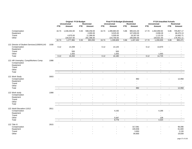|                                                             |      |                          | <b>Original FY19 Budget</b>   |                          |                             |                | Final FY19 Budget (Estimated)              |                          |                             |                | <b>FY19 Unaudited Actuals</b> |                          |                             |
|-------------------------------------------------------------|------|--------------------------|-------------------------------|--------------------------|-----------------------------|----------------|--------------------------------------------|--------------------------|-----------------------------|----------------|-------------------------------|--------------------------|-----------------------------|
|                                                             |      | <b>FTE</b>               | <b>Unrestricted</b><br>Amount | <b>FTE</b>               | <b>Restricted</b><br>Amount | <b>FTE</b>     | <b>Unrestricted</b><br>Amount              | <b>FTE</b>               | <b>Restricted</b><br>Amount | <b>FTE</b>     | <b>Unrestricted</b><br>Amount | <b>FTE</b>               | <b>Restricted</b><br>Amount |
| Compensation<br>Equipment                                   |      | 16.74                    | 1,046,454.00                  | 5.50                     | 598,258.00<br>2,000.00      | 16.74          | 1,099,884.00<br>9,525.00                   | 5.86                     | 985,631.00<br>107,659.00    | 17.74          | 1,002,859.92<br>2,838.28      | 5.86<br>$\blacksquare$   | 705,857.17<br>68,470.13     |
| Travel<br>Other                                             |      |                          | 4,975.00<br>226,537.00        |                          | 11,396.00<br>281,396.00     |                | 5,500.00<br>224,700.00                     |                          | 18,307.00<br>295,805.00     |                | 1,115.33<br>193,821.50        | $\sim$<br>$\blacksquare$ | 14,692.71<br>176,451.11     |
|                                                             |      | 16.74                    | 1,277,966                     | 5.50                     | 893,050                     | 16.74          | 1,339,609                                  | 5.86                     | 1,407,402                   | 17.74          | 1,200,635                     | 5.86                     | 965,471                     |
| 121 Director of Student Services11000/41143<br>Compensation | 1030 | 0.12                     | 14,208                        |                          |                             | 0.12           | 14,125                                     |                          |                             | 0.12           | 13,670                        |                          |                             |
| Equipment<br>Travel                                         |      |                          | $\blacksquare$<br>500         |                          |                             |                | 500                                        |                          |                             |                | $\overline{\phantom{a}}$      |                          |                             |
| Other                                                       |      |                          | 1,555                         |                          | $\blacksquare$              |                | 1,555                                      |                          | $\overline{\phantom{a}}$    |                | 1,055                         |                          |                             |
| Total                                                       |      | 0.12                     | 16,263                        | $\overline{\phantom{a}}$ | $\blacksquare$              | 0.12           | 16,180                                     | $\blacksquare$           | $\blacksquare$              | 0.12           | 14,725                        | $\blacksquare$           | $\blacksquare$              |
| 121 HR-Unemploy, Comp/Workers Comp<br>Compensation          | 1088 |                          |                               |                          |                             |                |                                            |                          |                             |                |                               |                          |                             |
| Equipment<br>Travel                                         |      |                          |                               |                          |                             |                |                                            |                          |                             |                |                               |                          |                             |
| Other<br>Total                                              |      | $\blacksquare$           | $\overline{a}$                | $\blacksquare$           | $\overline{a}$              | $\blacksquare$ | $\overline{a}$                             | $\overline{\phantom{a}}$ | $\overline{a}$              | $\blacksquare$ | $\ddot{\phantom{a}}$          | $\blacksquare$           | $\overline{a}$              |
|                                                             |      |                          |                               |                          |                             |                |                                            |                          |                             |                |                               |                          |                             |
| 121 Work Study<br>Compensation                              | 3003 |                          |                               |                          |                             |                |                                            |                          | 882                         |                |                               |                          | 12,958                      |
| Equipment                                                   |      |                          |                               |                          |                             |                |                                            |                          |                             |                |                               |                          |                             |
| Travel<br>Other                                             |      |                          |                               |                          |                             |                |                                            |                          |                             |                |                               |                          |                             |
| Total                                                       |      | $\overline{\phantom{a}}$ | $\overline{a}$                | $\blacksquare$           | $\blacksquare$              | $\blacksquare$ | $\overline{\phantom{a}}$                   | ÷,                       | 882                         | $\blacksquare$ | $\blacksquare$                | $\blacksquare$           | 12,958                      |
| 122 Work study                                              | 1088 |                          |                               |                          |                             |                |                                            |                          |                             |                |                               |                          |                             |
| Compensation<br>Equipment                                   |      |                          |                               |                          |                             |                |                                            |                          |                             |                |                               |                          |                             |
| Travel                                                      |      |                          |                               |                          |                             |                |                                            |                          |                             |                |                               |                          |                             |
| Other<br>Total                                              |      | $\overline{\phantom{a}}$ | $\overline{a}$                | $\sim$                   | $\sim$                      | $\blacksquare$ | $\sim$                                     | $\overline{\phantom{a}}$ | $\sim$                      | $\blacksquare$ | $\overline{a}$                | $\sim$                   | $\mathcal{L}_{\mathcal{A}}$ |
|                                                             |      |                          |                               |                          |                             |                |                                            |                          |                             |                |                               |                          |                             |
| 122 Adult Education-11012<br>Compensation                   | 2811 |                          |                               |                          |                             |                | 4,192                                      |                          |                             |                | 4,186                         |                          |                             |
| Equipment<br>Travel                                         |      |                          |                               |                          |                             |                | $\blacksquare$<br>$\overline{\phantom{a}}$ |                          |                             |                | $\overline{a}$                |                          |                             |
| Other                                                       |      |                          |                               |                          |                             |                | 5,587                                      |                          | $\overline{\phantom{a}}$    |                | 138                           |                          | $\sim$                      |
| Total                                                       |      | $\blacksquare$           | $\ddot{\phantom{a}}$          | $\sim$                   | $\overline{a}$              | $\blacksquare$ | 9,779                                      | $\blacksquare$           | $\blacksquare$              | $\sim$         | 4,324                         | $\blacksquare$           | $\blacksquare$              |
| 122 Title IV                                                | 2815 |                          |                               |                          |                             |                |                                            |                          |                             |                |                               |                          |                             |
| Compensation                                                |      | $\overline{a}$           |                               |                          |                             |                |                                            |                          | 317,081                     |                |                               |                          | 96,096                      |
| Equipment<br>Travel                                         |      |                          |                               |                          |                             |                |                                            |                          | 100,658<br>3,950            |                |                               |                          | 61,600<br>2,130             |
| Other                                                       |      |                          |                               |                          |                             |                |                                            |                          | 84,800                      |                |                               |                          | 18,839                      |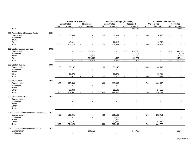| <b>Unrestricted</b><br><b>Restricted</b><br><b>Unrestricted</b><br><b>Restricted</b><br><b>Unrestricted</b><br><b>Restricted</b><br><b>FTE</b><br>Amount<br><b>FTE</b><br>Amount<br><b>FTE</b><br><b>Amount</b><br><b>FTE</b><br>Amount<br><b>FTE</b><br>Amount<br><b>FTE</b><br>Amount<br>Total<br>506,489<br>178,665<br>$\sim$<br>$\blacksquare$<br>$\sim$<br>$\blacksquare$<br>$\blacksquare$<br>$\blacksquare$<br>$\overline{\phantom{a}}$<br>$\blacksquare$<br>$\blacksquare$<br>$\sim$<br>122 Accessibility & Resource Center<br>3051<br>1.00<br>1.00<br>Compensation<br>60,509<br>1.00<br>84,354<br>70,290<br>Equipment<br>Travel<br>$\overline{a}$<br>$\sim$<br>÷<br>Other<br>45,911<br>22,315<br>15,979<br>1.00<br>106,420<br>106,669<br>86,269<br>Total<br>1.00<br>1.00<br>$\sim$<br>$\blacksquare$<br>$\ddot{\phantom{a}}$<br>$\blacksquare$<br>$\blacksquare$<br>122 Student Support Services<br>3052<br>Compensation<br>5.50<br>379,581<br>5.86<br>496,098<br>5.86<br>449,181<br>2,000<br>7,001<br>6,870<br>Equipment<br>11,396<br>12,563<br>Travel<br>14,357<br>$\blacksquare$<br>281,396<br>146,986<br>Other<br>4,507<br>195,297<br>5.50<br>674,373<br>4,507<br>5.86<br>712,753<br>5.86<br>615,599<br>Total<br>$\overline{\phantom{a}}$<br>$\blacksquare$<br>$\overline{\phantom{a}}$<br>$\blacksquare$<br>$\sim$<br>3053<br>122 Student Tutorial<br>1.00<br>Compensation<br>38,147<br>1.00<br>38,147<br>1.00<br>36,742<br>Equipment<br>Travel<br>Other<br>15,675<br>15,675<br>15,479<br>1.00<br>53,822<br>1.00<br>52,221<br>1.00<br>53,822<br>Total<br>$\sim$<br>$\Delta$<br>$\mathbf{r}$<br>$\sim$<br>$\sim$<br>$\sim$<br>123 Advisement<br>3031<br>3.00<br>Compensation<br>175,538<br>3.00<br>195,495<br>3.00<br>200,119<br>Equipment<br>$\blacksquare$<br>Travel<br>$\blacksquare$<br>Other<br>28,844<br>29,106<br>27,892<br>3.00<br>204,382<br>3.00<br>224,601<br>3.00<br>228,011<br>Total<br>$\sim$<br>$\overline{\phantom{a}}$<br>$\mathbf{r}$<br>$\overline{a}$<br>$\overline{a}$<br>$\sim$<br>3031<br>123 Advisement-11012<br>Compensation<br>Equipment<br>Travel<br>Other<br>Total<br>$\ddot{\phantom{a}}$<br>$\sim$<br>$\sim$<br>$\blacksquare$<br>$\blacksquare$<br>$\blacksquare$<br>$\sim$<br>$\sim$<br>$\overline{\phantom{a}}$<br>$\blacksquare$<br>$\overline{\phantom{a}}$<br>$\sim$<br>124 Financial Aid Administration 11000/11012<br>3041<br>5.00<br>316,845<br>5.00<br>286,186<br>6.00<br>282,491<br>Compensation<br>9,525<br>Equipment<br>Travel<br>2,500<br>Other<br>58,125<br>63,929<br>54,118<br>$\blacksquare$<br>362,140<br>5.00<br>374,970<br>5.00<br>6.00<br>336,609<br>Total<br>$\blacksquare$<br>$\mathbf{r}$<br>$\blacksquare$<br>$\sim$<br>$\blacksquare$<br>$\sim$<br>124 Financial Aid Administration 42519<br>3041<br>160,518<br>144,457<br>122,646<br>Compensation<br>Equipment<br>$\overline{\phantom{a}}$<br>$\sim$<br>۰ |  | <b>Original FY19 Budget</b> |  | Final FY19 Budget (Estimated) |  | <b>FY19 Unaudited Actuals</b> |  |
|---------------------------------------------------------------------------------------------------------------------------------------------------------------------------------------------------------------------------------------------------------------------------------------------------------------------------------------------------------------------------------------------------------------------------------------------------------------------------------------------------------------------------------------------------------------------------------------------------------------------------------------------------------------------------------------------------------------------------------------------------------------------------------------------------------------------------------------------------------------------------------------------------------------------------------------------------------------------------------------------------------------------------------------------------------------------------------------------------------------------------------------------------------------------------------------------------------------------------------------------------------------------------------------------------------------------------------------------------------------------------------------------------------------------------------------------------------------------------------------------------------------------------------------------------------------------------------------------------------------------------------------------------------------------------------------------------------------------------------------------------------------------------------------------------------------------------------------------------------------------------------------------------------------------------------------------------------------------------------------------------------------------------------------------------------------------------------------------------------------------------------------------------------------------------------------------------------------------------------------------------------------------------------------------------------------------------------------------------------------------------------------------------------------------------------------------------------------------------------------------------------------------------------------------------------------------------------------------------------------------------------------------------------------------------------------------------------------------------------------------------------------------------------------------------------------------------------------------------------------------------------|--|-----------------------------|--|-------------------------------|--|-------------------------------|--|
|                                                                                                                                                                                                                                                                                                                                                                                                                                                                                                                                                                                                                                                                                                                                                                                                                                                                                                                                                                                                                                                                                                                                                                                                                                                                                                                                                                                                                                                                                                                                                                                                                                                                                                                                                                                                                                                                                                                                                                                                                                                                                                                                                                                                                                                                                                                                                                                                                                                                                                                                                                                                                                                                                                                                                                                                                                                                                 |  |                             |  |                               |  |                               |  |
|                                                                                                                                                                                                                                                                                                                                                                                                                                                                                                                                                                                                                                                                                                                                                                                                                                                                                                                                                                                                                                                                                                                                                                                                                                                                                                                                                                                                                                                                                                                                                                                                                                                                                                                                                                                                                                                                                                                                                                                                                                                                                                                                                                                                                                                                                                                                                                                                                                                                                                                                                                                                                                                                                                                                                                                                                                                                                 |  |                             |  |                               |  |                               |  |
|                                                                                                                                                                                                                                                                                                                                                                                                                                                                                                                                                                                                                                                                                                                                                                                                                                                                                                                                                                                                                                                                                                                                                                                                                                                                                                                                                                                                                                                                                                                                                                                                                                                                                                                                                                                                                                                                                                                                                                                                                                                                                                                                                                                                                                                                                                                                                                                                                                                                                                                                                                                                                                                                                                                                                                                                                                                                                 |  |                             |  |                               |  |                               |  |
|                                                                                                                                                                                                                                                                                                                                                                                                                                                                                                                                                                                                                                                                                                                                                                                                                                                                                                                                                                                                                                                                                                                                                                                                                                                                                                                                                                                                                                                                                                                                                                                                                                                                                                                                                                                                                                                                                                                                                                                                                                                                                                                                                                                                                                                                                                                                                                                                                                                                                                                                                                                                                                                                                                                                                                                                                                                                                 |  |                             |  |                               |  |                               |  |
|                                                                                                                                                                                                                                                                                                                                                                                                                                                                                                                                                                                                                                                                                                                                                                                                                                                                                                                                                                                                                                                                                                                                                                                                                                                                                                                                                                                                                                                                                                                                                                                                                                                                                                                                                                                                                                                                                                                                                                                                                                                                                                                                                                                                                                                                                                                                                                                                                                                                                                                                                                                                                                                                                                                                                                                                                                                                                 |  |                             |  |                               |  |                               |  |
|                                                                                                                                                                                                                                                                                                                                                                                                                                                                                                                                                                                                                                                                                                                                                                                                                                                                                                                                                                                                                                                                                                                                                                                                                                                                                                                                                                                                                                                                                                                                                                                                                                                                                                                                                                                                                                                                                                                                                                                                                                                                                                                                                                                                                                                                                                                                                                                                                                                                                                                                                                                                                                                                                                                                                                                                                                                                                 |  |                             |  |                               |  |                               |  |
|                                                                                                                                                                                                                                                                                                                                                                                                                                                                                                                                                                                                                                                                                                                                                                                                                                                                                                                                                                                                                                                                                                                                                                                                                                                                                                                                                                                                                                                                                                                                                                                                                                                                                                                                                                                                                                                                                                                                                                                                                                                                                                                                                                                                                                                                                                                                                                                                                                                                                                                                                                                                                                                                                                                                                                                                                                                                                 |  |                             |  |                               |  |                               |  |
|                                                                                                                                                                                                                                                                                                                                                                                                                                                                                                                                                                                                                                                                                                                                                                                                                                                                                                                                                                                                                                                                                                                                                                                                                                                                                                                                                                                                                                                                                                                                                                                                                                                                                                                                                                                                                                                                                                                                                                                                                                                                                                                                                                                                                                                                                                                                                                                                                                                                                                                                                                                                                                                                                                                                                                                                                                                                                 |  |                             |  |                               |  |                               |  |
|                                                                                                                                                                                                                                                                                                                                                                                                                                                                                                                                                                                                                                                                                                                                                                                                                                                                                                                                                                                                                                                                                                                                                                                                                                                                                                                                                                                                                                                                                                                                                                                                                                                                                                                                                                                                                                                                                                                                                                                                                                                                                                                                                                                                                                                                                                                                                                                                                                                                                                                                                                                                                                                                                                                                                                                                                                                                                 |  |                             |  |                               |  |                               |  |
|                                                                                                                                                                                                                                                                                                                                                                                                                                                                                                                                                                                                                                                                                                                                                                                                                                                                                                                                                                                                                                                                                                                                                                                                                                                                                                                                                                                                                                                                                                                                                                                                                                                                                                                                                                                                                                                                                                                                                                                                                                                                                                                                                                                                                                                                                                                                                                                                                                                                                                                                                                                                                                                                                                                                                                                                                                                                                 |  |                             |  |                               |  |                               |  |
|                                                                                                                                                                                                                                                                                                                                                                                                                                                                                                                                                                                                                                                                                                                                                                                                                                                                                                                                                                                                                                                                                                                                                                                                                                                                                                                                                                                                                                                                                                                                                                                                                                                                                                                                                                                                                                                                                                                                                                                                                                                                                                                                                                                                                                                                                                                                                                                                                                                                                                                                                                                                                                                                                                                                                                                                                                                                                 |  |                             |  |                               |  |                               |  |
|                                                                                                                                                                                                                                                                                                                                                                                                                                                                                                                                                                                                                                                                                                                                                                                                                                                                                                                                                                                                                                                                                                                                                                                                                                                                                                                                                                                                                                                                                                                                                                                                                                                                                                                                                                                                                                                                                                                                                                                                                                                                                                                                                                                                                                                                                                                                                                                                                                                                                                                                                                                                                                                                                                                                                                                                                                                                                 |  |                             |  |                               |  |                               |  |
|                                                                                                                                                                                                                                                                                                                                                                                                                                                                                                                                                                                                                                                                                                                                                                                                                                                                                                                                                                                                                                                                                                                                                                                                                                                                                                                                                                                                                                                                                                                                                                                                                                                                                                                                                                                                                                                                                                                                                                                                                                                                                                                                                                                                                                                                                                                                                                                                                                                                                                                                                                                                                                                                                                                                                                                                                                                                                 |  |                             |  |                               |  |                               |  |
|                                                                                                                                                                                                                                                                                                                                                                                                                                                                                                                                                                                                                                                                                                                                                                                                                                                                                                                                                                                                                                                                                                                                                                                                                                                                                                                                                                                                                                                                                                                                                                                                                                                                                                                                                                                                                                                                                                                                                                                                                                                                                                                                                                                                                                                                                                                                                                                                                                                                                                                                                                                                                                                                                                                                                                                                                                                                                 |  |                             |  |                               |  |                               |  |
|                                                                                                                                                                                                                                                                                                                                                                                                                                                                                                                                                                                                                                                                                                                                                                                                                                                                                                                                                                                                                                                                                                                                                                                                                                                                                                                                                                                                                                                                                                                                                                                                                                                                                                                                                                                                                                                                                                                                                                                                                                                                                                                                                                                                                                                                                                                                                                                                                                                                                                                                                                                                                                                                                                                                                                                                                                                                                 |  |                             |  |                               |  |                               |  |
|                                                                                                                                                                                                                                                                                                                                                                                                                                                                                                                                                                                                                                                                                                                                                                                                                                                                                                                                                                                                                                                                                                                                                                                                                                                                                                                                                                                                                                                                                                                                                                                                                                                                                                                                                                                                                                                                                                                                                                                                                                                                                                                                                                                                                                                                                                                                                                                                                                                                                                                                                                                                                                                                                                                                                                                                                                                                                 |  |                             |  |                               |  |                               |  |
|                                                                                                                                                                                                                                                                                                                                                                                                                                                                                                                                                                                                                                                                                                                                                                                                                                                                                                                                                                                                                                                                                                                                                                                                                                                                                                                                                                                                                                                                                                                                                                                                                                                                                                                                                                                                                                                                                                                                                                                                                                                                                                                                                                                                                                                                                                                                                                                                                                                                                                                                                                                                                                                                                                                                                                                                                                                                                 |  |                             |  |                               |  |                               |  |
|                                                                                                                                                                                                                                                                                                                                                                                                                                                                                                                                                                                                                                                                                                                                                                                                                                                                                                                                                                                                                                                                                                                                                                                                                                                                                                                                                                                                                                                                                                                                                                                                                                                                                                                                                                                                                                                                                                                                                                                                                                                                                                                                                                                                                                                                                                                                                                                                                                                                                                                                                                                                                                                                                                                                                                                                                                                                                 |  |                             |  |                               |  |                               |  |
|                                                                                                                                                                                                                                                                                                                                                                                                                                                                                                                                                                                                                                                                                                                                                                                                                                                                                                                                                                                                                                                                                                                                                                                                                                                                                                                                                                                                                                                                                                                                                                                                                                                                                                                                                                                                                                                                                                                                                                                                                                                                                                                                                                                                                                                                                                                                                                                                                                                                                                                                                                                                                                                                                                                                                                                                                                                                                 |  |                             |  |                               |  |                               |  |
|                                                                                                                                                                                                                                                                                                                                                                                                                                                                                                                                                                                                                                                                                                                                                                                                                                                                                                                                                                                                                                                                                                                                                                                                                                                                                                                                                                                                                                                                                                                                                                                                                                                                                                                                                                                                                                                                                                                                                                                                                                                                                                                                                                                                                                                                                                                                                                                                                                                                                                                                                                                                                                                                                                                                                                                                                                                                                 |  |                             |  |                               |  |                               |  |
|                                                                                                                                                                                                                                                                                                                                                                                                                                                                                                                                                                                                                                                                                                                                                                                                                                                                                                                                                                                                                                                                                                                                                                                                                                                                                                                                                                                                                                                                                                                                                                                                                                                                                                                                                                                                                                                                                                                                                                                                                                                                                                                                                                                                                                                                                                                                                                                                                                                                                                                                                                                                                                                                                                                                                                                                                                                                                 |  |                             |  |                               |  |                               |  |
|                                                                                                                                                                                                                                                                                                                                                                                                                                                                                                                                                                                                                                                                                                                                                                                                                                                                                                                                                                                                                                                                                                                                                                                                                                                                                                                                                                                                                                                                                                                                                                                                                                                                                                                                                                                                                                                                                                                                                                                                                                                                                                                                                                                                                                                                                                                                                                                                                                                                                                                                                                                                                                                                                                                                                                                                                                                                                 |  |                             |  |                               |  |                               |  |
|                                                                                                                                                                                                                                                                                                                                                                                                                                                                                                                                                                                                                                                                                                                                                                                                                                                                                                                                                                                                                                                                                                                                                                                                                                                                                                                                                                                                                                                                                                                                                                                                                                                                                                                                                                                                                                                                                                                                                                                                                                                                                                                                                                                                                                                                                                                                                                                                                                                                                                                                                                                                                                                                                                                                                                                                                                                                                 |  |                             |  |                               |  |                               |  |
|                                                                                                                                                                                                                                                                                                                                                                                                                                                                                                                                                                                                                                                                                                                                                                                                                                                                                                                                                                                                                                                                                                                                                                                                                                                                                                                                                                                                                                                                                                                                                                                                                                                                                                                                                                                                                                                                                                                                                                                                                                                                                                                                                                                                                                                                                                                                                                                                                                                                                                                                                                                                                                                                                                                                                                                                                                                                                 |  |                             |  |                               |  |                               |  |
|                                                                                                                                                                                                                                                                                                                                                                                                                                                                                                                                                                                                                                                                                                                                                                                                                                                                                                                                                                                                                                                                                                                                                                                                                                                                                                                                                                                                                                                                                                                                                                                                                                                                                                                                                                                                                                                                                                                                                                                                                                                                                                                                                                                                                                                                                                                                                                                                                                                                                                                                                                                                                                                                                                                                                                                                                                                                                 |  |                             |  |                               |  |                               |  |
|                                                                                                                                                                                                                                                                                                                                                                                                                                                                                                                                                                                                                                                                                                                                                                                                                                                                                                                                                                                                                                                                                                                                                                                                                                                                                                                                                                                                                                                                                                                                                                                                                                                                                                                                                                                                                                                                                                                                                                                                                                                                                                                                                                                                                                                                                                                                                                                                                                                                                                                                                                                                                                                                                                                                                                                                                                                                                 |  |                             |  |                               |  |                               |  |
|                                                                                                                                                                                                                                                                                                                                                                                                                                                                                                                                                                                                                                                                                                                                                                                                                                                                                                                                                                                                                                                                                                                                                                                                                                                                                                                                                                                                                                                                                                                                                                                                                                                                                                                                                                                                                                                                                                                                                                                                                                                                                                                                                                                                                                                                                                                                                                                                                                                                                                                                                                                                                                                                                                                                                                                                                                                                                 |  |                             |  |                               |  |                               |  |
|                                                                                                                                                                                                                                                                                                                                                                                                                                                                                                                                                                                                                                                                                                                                                                                                                                                                                                                                                                                                                                                                                                                                                                                                                                                                                                                                                                                                                                                                                                                                                                                                                                                                                                                                                                                                                                                                                                                                                                                                                                                                                                                                                                                                                                                                                                                                                                                                                                                                                                                                                                                                                                                                                                                                                                                                                                                                                 |  |                             |  |                               |  |                               |  |
|                                                                                                                                                                                                                                                                                                                                                                                                                                                                                                                                                                                                                                                                                                                                                                                                                                                                                                                                                                                                                                                                                                                                                                                                                                                                                                                                                                                                                                                                                                                                                                                                                                                                                                                                                                                                                                                                                                                                                                                                                                                                                                                                                                                                                                                                                                                                                                                                                                                                                                                                                                                                                                                                                                                                                                                                                                                                                 |  |                             |  |                               |  |                               |  |
|                                                                                                                                                                                                                                                                                                                                                                                                                                                                                                                                                                                                                                                                                                                                                                                                                                                                                                                                                                                                                                                                                                                                                                                                                                                                                                                                                                                                                                                                                                                                                                                                                                                                                                                                                                                                                                                                                                                                                                                                                                                                                                                                                                                                                                                                                                                                                                                                                                                                                                                                                                                                                                                                                                                                                                                                                                                                                 |  |                             |  |                               |  |                               |  |
|                                                                                                                                                                                                                                                                                                                                                                                                                                                                                                                                                                                                                                                                                                                                                                                                                                                                                                                                                                                                                                                                                                                                                                                                                                                                                                                                                                                                                                                                                                                                                                                                                                                                                                                                                                                                                                                                                                                                                                                                                                                                                                                                                                                                                                                                                                                                                                                                                                                                                                                                                                                                                                                                                                                                                                                                                                                                                 |  |                             |  |                               |  |                               |  |
|                                                                                                                                                                                                                                                                                                                                                                                                                                                                                                                                                                                                                                                                                                                                                                                                                                                                                                                                                                                                                                                                                                                                                                                                                                                                                                                                                                                                                                                                                                                                                                                                                                                                                                                                                                                                                                                                                                                                                                                                                                                                                                                                                                                                                                                                                                                                                                                                                                                                                                                                                                                                                                                                                                                                                                                                                                                                                 |  |                             |  |                               |  |                               |  |
|                                                                                                                                                                                                                                                                                                                                                                                                                                                                                                                                                                                                                                                                                                                                                                                                                                                                                                                                                                                                                                                                                                                                                                                                                                                                                                                                                                                                                                                                                                                                                                                                                                                                                                                                                                                                                                                                                                                                                                                                                                                                                                                                                                                                                                                                                                                                                                                                                                                                                                                                                                                                                                                                                                                                                                                                                                                                                 |  |                             |  |                               |  |                               |  |
|                                                                                                                                                                                                                                                                                                                                                                                                                                                                                                                                                                                                                                                                                                                                                                                                                                                                                                                                                                                                                                                                                                                                                                                                                                                                                                                                                                                                                                                                                                                                                                                                                                                                                                                                                                                                                                                                                                                                                                                                                                                                                                                                                                                                                                                                                                                                                                                                                                                                                                                                                                                                                                                                                                                                                                                                                                                                                 |  |                             |  |                               |  |                               |  |
|                                                                                                                                                                                                                                                                                                                                                                                                                                                                                                                                                                                                                                                                                                                                                                                                                                                                                                                                                                                                                                                                                                                                                                                                                                                                                                                                                                                                                                                                                                                                                                                                                                                                                                                                                                                                                                                                                                                                                                                                                                                                                                                                                                                                                                                                                                                                                                                                                                                                                                                                                                                                                                                                                                                                                                                                                                                                                 |  |                             |  |                               |  |                               |  |
|                                                                                                                                                                                                                                                                                                                                                                                                                                                                                                                                                                                                                                                                                                                                                                                                                                                                                                                                                                                                                                                                                                                                                                                                                                                                                                                                                                                                                                                                                                                                                                                                                                                                                                                                                                                                                                                                                                                                                                                                                                                                                                                                                                                                                                                                                                                                                                                                                                                                                                                                                                                                                                                                                                                                                                                                                                                                                 |  |                             |  |                               |  |                               |  |
|                                                                                                                                                                                                                                                                                                                                                                                                                                                                                                                                                                                                                                                                                                                                                                                                                                                                                                                                                                                                                                                                                                                                                                                                                                                                                                                                                                                                                                                                                                                                                                                                                                                                                                                                                                                                                                                                                                                                                                                                                                                                                                                                                                                                                                                                                                                                                                                                                                                                                                                                                                                                                                                                                                                                                                                                                                                                                 |  |                             |  |                               |  |                               |  |
|                                                                                                                                                                                                                                                                                                                                                                                                                                                                                                                                                                                                                                                                                                                                                                                                                                                                                                                                                                                                                                                                                                                                                                                                                                                                                                                                                                                                                                                                                                                                                                                                                                                                                                                                                                                                                                                                                                                                                                                                                                                                                                                                                                                                                                                                                                                                                                                                                                                                                                                                                                                                                                                                                                                                                                                                                                                                                 |  |                             |  |                               |  |                               |  |
|                                                                                                                                                                                                                                                                                                                                                                                                                                                                                                                                                                                                                                                                                                                                                                                                                                                                                                                                                                                                                                                                                                                                                                                                                                                                                                                                                                                                                                                                                                                                                                                                                                                                                                                                                                                                                                                                                                                                                                                                                                                                                                                                                                                                                                                                                                                                                                                                                                                                                                                                                                                                                                                                                                                                                                                                                                                                                 |  |                             |  |                               |  |                               |  |
|                                                                                                                                                                                                                                                                                                                                                                                                                                                                                                                                                                                                                                                                                                                                                                                                                                                                                                                                                                                                                                                                                                                                                                                                                                                                                                                                                                                                                                                                                                                                                                                                                                                                                                                                                                                                                                                                                                                                                                                                                                                                                                                                                                                                                                                                                                                                                                                                                                                                                                                                                                                                                                                                                                                                                                                                                                                                                 |  |                             |  |                               |  |                               |  |
|                                                                                                                                                                                                                                                                                                                                                                                                                                                                                                                                                                                                                                                                                                                                                                                                                                                                                                                                                                                                                                                                                                                                                                                                                                                                                                                                                                                                                                                                                                                                                                                                                                                                                                                                                                                                                                                                                                                                                                                                                                                                                                                                                                                                                                                                                                                                                                                                                                                                                                                                                                                                                                                                                                                                                                                                                                                                                 |  |                             |  |                               |  |                               |  |
|                                                                                                                                                                                                                                                                                                                                                                                                                                                                                                                                                                                                                                                                                                                                                                                                                                                                                                                                                                                                                                                                                                                                                                                                                                                                                                                                                                                                                                                                                                                                                                                                                                                                                                                                                                                                                                                                                                                                                                                                                                                                                                                                                                                                                                                                                                                                                                                                                                                                                                                                                                                                                                                                                                                                                                                                                                                                                 |  |                             |  |                               |  |                               |  |
|                                                                                                                                                                                                                                                                                                                                                                                                                                                                                                                                                                                                                                                                                                                                                                                                                                                                                                                                                                                                                                                                                                                                                                                                                                                                                                                                                                                                                                                                                                                                                                                                                                                                                                                                                                                                                                                                                                                                                                                                                                                                                                                                                                                                                                                                                                                                                                                                                                                                                                                                                                                                                                                                                                                                                                                                                                                                                 |  |                             |  |                               |  |                               |  |
|                                                                                                                                                                                                                                                                                                                                                                                                                                                                                                                                                                                                                                                                                                                                                                                                                                                                                                                                                                                                                                                                                                                                                                                                                                                                                                                                                                                                                                                                                                                                                                                                                                                                                                                                                                                                                                                                                                                                                                                                                                                                                                                                                                                                                                                                                                                                                                                                                                                                                                                                                                                                                                                                                                                                                                                                                                                                                 |  |                             |  |                               |  |                               |  |
|                                                                                                                                                                                                                                                                                                                                                                                                                                                                                                                                                                                                                                                                                                                                                                                                                                                                                                                                                                                                                                                                                                                                                                                                                                                                                                                                                                                                                                                                                                                                                                                                                                                                                                                                                                                                                                                                                                                                                                                                                                                                                                                                                                                                                                                                                                                                                                                                                                                                                                                                                                                                                                                                                                                                                                                                                                                                                 |  |                             |  |                               |  |                               |  |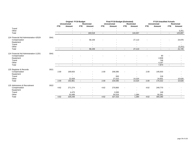|                                        |      |                          | <b>Original FY19 Budget</b> |                          |                          |                          | Final FY19 Budget (Estimated) |                          |                   |            | <b>FY19 Unaudited Actuals</b> |                          |                   |
|----------------------------------------|------|--------------------------|-----------------------------|--------------------------|--------------------------|--------------------------|-------------------------------|--------------------------|-------------------|------------|-------------------------------|--------------------------|-------------------|
|                                        |      |                          | <b>Unrestricted</b>         |                          | <b>Restricted</b>        |                          | <b>Unrestricted</b>           |                          | <b>Restricted</b> |            | <b>Unrestricted</b>           |                          | <b>Restricted</b> |
|                                        |      | FTE                      | Amount                      | <b>FTE</b>               | Amount                   | <b>FTE</b>               | Amount                        | <b>FTE</b>               | Amount            | <b>FTE</b> | Amount                        | <b>FTE</b>               | Amount            |
| Travel                                 |      |                          |                             |                          |                          |                          |                               |                          |                   |            |                               |                          |                   |
| Other                                  |      |                          |                             |                          |                          |                          |                               |                          |                   |            |                               |                          | 3,251             |
| Total                                  |      | $\overline{\phantom{a}}$ | $\overline{\phantom{a}}$    | $\overline{\phantom{a}}$ | 160,518                  | $\sim$                   | $\overline{\phantom{a}}$      | $\sim$                   | 144,457           | $\sim$     | $\overline{\phantom{a}}$      | $\sim$                   | 125,897           |
| 124 Financial Aid Administration 42529 | 3041 |                          |                             |                          |                          |                          |                               |                          |                   |            |                               |                          |                   |
| Compensation                           |      |                          |                             |                          | 58,159                   |                          |                               |                          | 27,113            |            |                               |                          | 24,976            |
| Equipment                              |      |                          |                             |                          |                          |                          |                               |                          |                   |            |                               |                          |                   |
| Travel                                 |      |                          |                             |                          |                          |                          |                               |                          |                   |            |                               |                          |                   |
| Other                                  |      |                          |                             |                          |                          |                          |                               |                          |                   |            |                               |                          | (3,251)           |
| Total                                  |      | $\sim$                   | $\sim$                      | $\overline{\phantom{a}}$ | 58,159                   | $\sim$                   | $\sim$                        | $\overline{\phantom{a}}$ | 27,113            | $\sim$     | $\overline{\phantom{a}}$      | $\sim$                   | 21,725            |
| 124 Financial Aid Administration-11201 | 3041 |                          |                             |                          |                          |                          |                               |                          |                   |            |                               |                          |                   |
| Compensation                           |      |                          |                             |                          |                          |                          |                               |                          |                   |            | 90                            |                          |                   |
| Equipment                              |      |                          |                             |                          |                          |                          |                               |                          |                   |            | 2,838                         |                          |                   |
| Travel                                 |      |                          |                             |                          |                          |                          |                               |                          |                   |            | 748                           |                          |                   |
| Other                                  |      |                          |                             |                          |                          |                          |                               |                          |                   |            | 4,197                         |                          |                   |
| Total                                  |      |                          | $\blacksquare$              |                          |                          | $\overline{\phantom{a}}$ | $\overline{\phantom{a}}$      |                          |                   |            | 7,874                         | $\overline{\phantom{a}}$ |                   |
| 125 Registrar & Records                | 3021 |                          |                             |                          |                          |                          |                               |                          |                   |            |                               |                          |                   |
| Compensation                           |      | 2.00                     | 169,933                     |                          |                          | 2.00                     | 206,585                       |                          |                   | 2.00       | 145,503                       |                          |                   |
| Equipment                              |      |                          |                             |                          |                          |                          |                               |                          |                   |            |                               |                          |                   |
| Travel                                 |      |                          |                             |                          |                          |                          | 500                           |                          |                   |            | 218                           |                          |                   |
| Other                                  |      |                          | 22,928                      |                          |                          |                          | 27,510                        |                          | 14,324            |            | 24,601                        |                          | 10,626            |
| Total                                  |      | 2.00                     | 192,861                     | $\sim$                   | $\overline{\phantom{a}}$ | 2.00                     | 234,595                       | $\sim$                   | 14,324            | 2.00       | 170,322                       | $\sim$                   | 10,626            |
| 125 Admissions & Recruitment           | 3022 |                          |                             |                          |                          |                          |                               |                          |                   |            |                               |                          |                   |
| Compensation                           |      | 4.62                     | 271,274                     |                          |                          | 4.62                     | 270,800                       |                          |                   | 4.62       | 249,770                       |                          |                   |
| Equipment                              |      |                          |                             |                          |                          |                          |                               |                          |                   |            |                               |                          |                   |
| Travel                                 |      |                          | 4,475                       |                          |                          |                          | 2,000                         |                          |                   |            | 149                           |                          |                   |
| Other                                  |      |                          | 53,499                      |                          |                          |                          | 54,516                        |                          | 1,384             |            | 50,361                        |                          |                   |
| Total                                  |      | 4.62                     | 329,248                     | $\overline{\phantom{a}}$ |                          | 4.62                     | 327,316                       | $\overline{\phantom{a}}$ | 1,384             | 4.62       | 300,280                       | $\overline{\phantom{a}}$ |                   |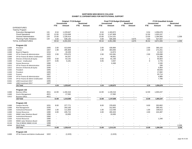#### **NORTHERN NEW MEXICO COLLEGEEXHIBIT 13\_EXPENDITURES FOR INSTITUTIONAL SUPPORT**

|       |                                    |      |                          | Original FY19 Budget<br><b>Unrestricted</b> |                          | <b>Restricted</b>        |                          | Final FY19 Budget (Estimated)<br><b>Unrestricted</b> |                          | <b>Restricted</b>        |                          | <b>FY19 Unaudited Actuals</b><br><b>Unrestricted</b> |                          | <b>Restricted</b>        |
|-------|------------------------------------|------|--------------------------|---------------------------------------------|--------------------------|--------------------------|--------------------------|------------------------------------------------------|--------------------------|--------------------------|--------------------------|------------------------------------------------------|--------------------------|--------------------------|
|       |                                    |      | <b>FTE</b>               | Amount                                      | FTE.                     | Amount                   | <b>FTE</b>               | Amount                                               | <b>FTE</b>               | Amount                   | <b>FTE</b>               | Amount                                               | <b>FTE</b>               | Amount                   |
|       | <b>EXPENDITURES</b>                |      |                          |                                             |                          |                          |                          |                                                      |                          |                          |                          |                                                      |                          |                          |
|       | Total by Program                   |      |                          |                                             |                          |                          |                          |                                                      |                          |                          |                          |                                                      |                          |                          |
|       | <b>Executive Management</b>        | 131  | 6.54                     | 1,229,647                                   |                          |                          | 6.54                     | 1,183,872                                            |                          |                          | 6.54                     | 1,056,678                                            |                          |                          |
|       | <b>Fiscal Operations</b>           | 132  | 12.00                    | 1,210,008                                   |                          |                          | 12.00                    | 1,147,808                                            |                          |                          | 12.00                    | 1,003,247                                            |                          |                          |
|       | <b>General Administration</b>      | 133  | 13.00                    | 1,228,414                                   |                          |                          | 13.00                    | 1,214,101                                            |                          | $\overline{\phantom{a}}$ | 13.00                    | 1,284,583                                            |                          | 2,258                    |
|       | <b>Planning-Public Relations</b>   | 134  | 4.00                     | 536,135                                     | $\overline{\phantom{a}}$ | $\overline{\phantom{a}}$ | 4.00                     | 505,309                                              | $\overline{\phantom{a}}$ | 4,675                    | 4.00                     | 527,047                                              | $\overline{\phantom{a}}$ | $\sim$                   |
|       | <b>TOTAL EXPENDITURES</b>          |      | 35.54                    | 4,204,204                                   | $\sim$                   | $\overline{a}$           | 35.54                    | 4,051,090                                            | $\blacksquare$           | 4,675                    | 35.54                    | 3,871,555                                            | $\blacksquare$           | 2,258                    |
|       |                                    |      |                          |                                             |                          |                          |                          |                                                      |                          |                          |                          |                                                      |                          |                          |
|       | Program 131                        |      |                          |                                             |                          |                          |                          |                                                      |                          |                          |                          |                                                      |                          |                          |
| 11000 | President                          | 1005 | 2.00                     | 413,649                                     |                          |                          | 2.00                     | 428,984                                              |                          |                          | 2.00                     | 365,102                                              |                          |                          |
| 11000 | Provost                            | 1007 | 1.99                     | 295,909                                     |                          |                          | 1.99                     | 303,005                                              |                          |                          | 2.00                     | 272,251                                              |                          |                          |
| 11000 | <b>Board of Regents</b>            | 1010 | $\blacksquare$           | 18,349                                      |                          |                          | $\sim$                   | 14,874                                               |                          |                          | $\overline{\phantom{a}}$ | 12,152                                               |                          |                          |
| 11000 | VP for Finance & Administration    | 1020 | 2.00                     | 378,070                                     |                          |                          | 2.00                     | 315,581                                              |                          |                          | 2.00                     | 226,698                                              |                          |                          |
| 11000 | VP for Finance & Admin-Unallocated | 1022 | $\overline{\phantom{a}}$ | 64,337                                      |                          |                          | $\sim$                   | 49,951                                               |                          |                          | $\blacksquare$           | 31,595                                               |                          |                          |
| 11000 | Director of Diversity & Equity     | 1040 | 0.50                     | 53,142                                      |                          |                          | 0.50                     | 61,230                                               |                          |                          | $\overline{1}$           | 55,603                                               |                          |                          |
| 11000 | Provost - Unallocated              | 1077 | 0.05                     | 6,191                                       |                          |                          | 0.05                     | 3,947                                                |                          |                          | $\mathbf 0$              | 2,776                                                |                          |                          |
| 11000 | <b>Human Resources</b>             | 1080 | $\blacksquare$           |                                             |                          |                          | $\overline{\phantom{a}}$ | 6,300                                                |                          |                          | $\overline{\phantom{a}}$ | 2,530                                                |                          |                          |
| 11012 | VP for Finance & Administration    | 1020 |                          |                                             |                          |                          |                          |                                                      |                          |                          |                          | 206                                                  |                          |                          |
| 11012 | Director of Diversity & Equity     | 1040 |                          |                                             |                          |                          |                          |                                                      |                          |                          |                          | 5,954                                                |                          |                          |
| 11302 | President                          | 1005 |                          |                                             |                          |                          |                          |                                                      |                          |                          |                          | 30,826                                               |                          |                          |
|       |                                    | 1005 |                          |                                             |                          |                          |                          |                                                      |                          |                          |                          | 17,682                                               |                          |                          |
| 11303 | President                          | 1007 |                          |                                             |                          |                          |                          |                                                      |                          |                          |                          | 20,714                                               |                          |                          |
| 11303 | Provost                            |      |                          |                                             |                          |                          |                          |                                                      |                          |                          |                          |                                                      |                          |                          |
| 11303 | VP for Finance & Administration    | 1020 |                          |                                             |                          |                          |                          |                                                      |                          |                          |                          | 4,885                                                |                          |                          |
| 11303 | VP for Finance & Admin-Unallocated | 1022 |                          |                                             |                          |                          |                          |                                                      |                          |                          |                          | 7,706                                                |                          |                          |
| 41461 | LANS Investment 2017               | 1005 | $\overline{a}$           |                                             |                          |                          |                          |                                                      |                          |                          |                          |                                                      |                          |                          |
| 41461 | LANS Investment 2017               | 1007 |                          |                                             | $\overline{\phantom{0}}$ |                          | $\overline{\phantom{a}}$ |                                                      |                          |                          |                          |                                                      |                          |                          |
|       | 131 Total                          |      | 6.54                     | 1,229,647                                   | $\sim$                   | $\blacksquare$           | 6.54                     | 1,183,872                                            | $\blacksquare$           | $\blacksquare$           | 6.55                     | 1,056,678                                            | $\blacksquare$           | $\overline{\phantom{a}}$ |
|       | Program 132                        |      |                          |                                             |                          |                          |                          |                                                      |                          |                          |                          |                                                      |                          |                          |
| 11000 | <b>Business Office</b>             | 4011 | 12.00                    | 1,192,416                                   |                          |                          | 12.00                    | 1,130,216                                            |                          |                          | 12.00                    | 1,003,247                                            |                          |                          |
| 11000 | <b>Grants Management</b>           | 4021 | $\sim$                   | 17,592                                      |                          |                          | $\overline{\phantom{a}}$ | 17,592                                               |                          | $\overline{a}$           | $\overline{a}$           |                                                      |                          |                          |
| 11012 | <b>Business Office</b>             | 4011 | $\overline{\phantom{a}}$ |                                             |                          |                          | $\overline{\phantom{a}}$ |                                                      |                          | $\blacksquare$           | $\overline{a}$           |                                                      |                          |                          |
|       | 132 Total                          |      | 12.00                    | 1,210,008                                   | $\overline{\phantom{a}}$ | $\sim$                   | 12.00                    | 1,147,808                                            | $\blacksquare$           | $\sim$                   | 12.00                    | 1,003,247                                            | $\sim$                   | $\blacksquare$           |
|       |                                    |      |                          |                                             |                          |                          |                          |                                                      |                          |                          |                          |                                                      |                          |                          |
|       | Program 133                        |      |                          |                                             |                          |                          |                          |                                                      |                          |                          |                          |                                                      |                          |                          |
| 11000 | <b>Campus Security</b>             | 1031 | 8.00                     | 377,771                                     |                          |                          | 8.00                     | 378,820                                              |                          |                          | 8.00                     | 353,802                                              |                          |                          |
| 11000 | <b>Risk Management</b>             | 1035 | $\blacksquare$           | 293,100                                     |                          |                          | $\sim$                   | 312,842                                              |                          |                          | $\sim$                   | 395,441                                              |                          |                          |
| 11000 | <b>Institutional Research</b>      | 1060 | 1.00                     | 111,828                                     |                          |                          | 1.00                     | 112,036                                              |                          |                          | 1.00                     | 109,613                                              |                          |                          |
| 11000 | <b>Human Resources</b>             | 1080 | 4.00                     | 435,715                                     |                          |                          | 4.00                     | 400,403                                              |                          |                          | 4.00                     | 424,487                                              |                          |                          |
| 11301 | NNMC Labor Relations Board         | 1090 | $\overline{\phantom{a}}$ | 10,000                                      |                          |                          | $\overline{\phantom{a}}$ | 10,000                                               |                          |                          | $\overline{\phantom{a}}$ | $\overline{a}$                                       |                          |                          |
| 11303 | <b>Institutional Research</b>      | 1060 | $\blacksquare$           | $\overline{a}$                              |                          |                          | $\overline{a}$           |                                                      |                          |                          |                          |                                                      |                          |                          |
| 11303 | <b>Human Resources</b>             | 1080 | $\overline{a}$           |                                             |                          |                          |                          |                                                      |                          |                          | $\overline{a}$           | 1,240                                                |                          |                          |
| 11303 | <b>NNMC Labor Relations Board</b>  | 1090 |                          |                                             |                          |                          |                          |                                                      |                          |                          |                          |                                                      |                          |                          |
| 41144 | Title III NRGSC-NNMC-41144         | 1088 | $\overline{\phantom{a}}$ |                                             |                          |                          |                          |                                                      |                          |                          |                          |                                                      |                          |                          |
| 425XX | Work Study                         | 4002 |                          |                                             |                          |                          |                          |                                                      |                          |                          |                          |                                                      |                          | 2,258                    |
|       | 133 Total                          |      | 13.00                    | 1,228,414                                   | $\blacksquare$           | $\overline{a}$           | 13.00                    | 1,214,101                                            | $\blacksquare$           |                          | 13.00                    | 1,284,583                                            |                          | 2,258                    |

 $11000$ for Finance and Admin‐Unallocated 1022 - (1,523) - - - (1,523) - - - - - -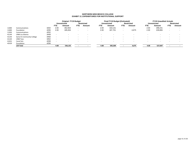### **NORTHERN NEW MEXICO COLLEGEEXHIBIT 13\_EXPENDITURES FOR INSTITUTIONAL SUPPORT**

|       |                            |      |            | <b>Original FY19 Budget</b> |                          |                   |            | <b>Final FY19 Budget (Estimated)</b> |                          |                   |            | <b>FY19 Unaudited Actuals</b> |            |                   |
|-------|----------------------------|------|------------|-----------------------------|--------------------------|-------------------|------------|--------------------------------------|--------------------------|-------------------|------------|-------------------------------|------------|-------------------|
|       |                            |      |            | <b>Unrestricted</b>         |                          | <b>Restricted</b> |            | <b>Unrestricted</b>                  |                          | <b>Restricted</b> |            | <b>Unrestricted</b>           |            | <b>Restricted</b> |
|       |                            |      | <b>FTE</b> | Amount                      | <b>FTE</b>               | Amount            | <b>FTE</b> | Amount                               | FTE.                     | Amount            | <b>FTE</b> | Amount                        | <b>FTE</b> | Amount            |
| 11000 | Communications             | 4202 | 2.00       | 352.654                     | $\overline{\phantom{a}}$ |                   | 2.00       | 319.131                              | $\overline{\phantom{0}}$ |                   | 2.00       | 298,241                       |            |                   |
| 11000 | Foundation                 | 4206 | 2.00       | 185,004                     | $\overline{\phantom{a}}$ |                   | 2.00       | 187,701                              | $\overline{\phantom{0}}$ | 4,675             | 2.00       | 228,806                       |            |                   |
| 11303 | Communications             | 4202 |            |                             |                          |                   |            |                                      |                          |                   |            |                               |            |                   |
| 41144 | <b>UNM Los Alamos</b>      | 3449 |            |                             |                          |                   |            |                                      |                          |                   |            |                               |            |                   |
| 41144 | Santa Fe Community College | 3450 |            |                             | $\overline{\phantom{a}}$ | $\blacksquare$    |            | $\overline{\phantom{0}}$             |                          |                   |            |                               |            |                   |
| 41144 | <b>UNM Taos</b>            | 3452 |            |                             | $\overline{\phantom{a}}$ | $\,$              |            | $\overline{\phantom{0}}$             |                          |                   |            |                               |            |                   |
| 41452 | Canal Seis                 | 4208 |            |                             | $\overline{\phantom{a}}$ |                   |            | $\overline{\phantom{0}}$             |                          |                   |            |                               |            |                   |
| 42529 | Foundation                 | 4206 |            |                             |                          |                   |            |                                      |                          |                   |            |                               |            |                   |
|       | 134 Total                  |      | 4.00       | 536,135                     |                          |                   | 4.00       | 505,309                              |                          | 4,675             | 4.00       | 527,047                       |            |                   |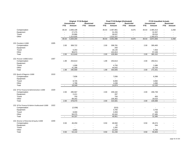|                                              |      |                          | Original FY19 Budget     |                          |                          |                          | Final FY19 Budget (Estimated) |                          |                          |                          | <b>FY19 Unaudited Actuals</b> |                          |                          |
|----------------------------------------------|------|--------------------------|--------------------------|--------------------------|--------------------------|--------------------------|-------------------------------|--------------------------|--------------------------|--------------------------|-------------------------------|--------------------------|--------------------------|
|                                              |      |                          | <b>Unrestricted</b>      |                          | <b>Restricted</b>        |                          | <b>Unrestricted</b>           |                          | <b>Restricted</b>        |                          | <b>Unrestricted</b>           |                          | <b>Restricted</b>        |
|                                              |      | <b>FTE</b>               | Amount                   | <b>FTE</b>               | Amount                   | <b>FTE</b>               | Amount                        | FTE.                     | Amount                   | <b>FTE</b>               | Amount                        | FTE.                     | Amount                   |
| Compensation                                 |      | 35.54                    | 2,836,108                |                          |                          | 35.54                    | 2,467,861                     | $\overline{\phantom{a}}$ | 4,675                    | 35.54                    | 2,465,313                     |                          | 2,258                    |
| Equipment                                    |      |                          | 27,275                   |                          |                          | $\overline{\phantom{a}}$ | 31,255                        |                          | $\overline{a}$           | $\overline{\phantom{a}}$ | 31,557                        |                          |                          |
| Travel                                       |      | $\overline{\phantom{0}}$ | 25,886                   | $\blacksquare$           |                          | $\overline{\phantom{a}}$ | 36,637                        | $\overline{\phantom{a}}$ | $\overline{\phantom{a}}$ | $\overline{\phantom{a}}$ | 29,010                        |                          | $\overline{\phantom{0}}$ |
| Other                                        |      |                          | 1,314,935                | $\overline{\phantom{a}}$ | $\overline{\phantom{a}}$ | $\overline{\phantom{a}}$ | 1,515,337                     | $\overline{\phantom{0}}$ | $\overline{\phantom{a}}$ | $\overline{\phantom{a}}$ | 1,345,675                     |                          |                          |
|                                              |      | 35.54                    | 4,204,204                | $\sim$                   | $\blacksquare$           | 35.54                    | 4,051,090                     | $\blacksquare$           | 4,675                    | 35.54                    | 3,871,555                     | $\overline{\phantom{a}}$ | 2,258                    |
| 131 President-11000                          | 1005 |                          |                          |                          |                          |                          |                               |                          |                          |                          |                               |                          |                          |
| Compensation                                 |      | 2.00                     | 308,722                  |                          |                          | 2.00                     | 308,781                       |                          |                          | 2.00                     | 300,400                       |                          |                          |
| Equipment                                    |      |                          | $\overline{\phantom{a}}$ |                          |                          |                          | 250                           |                          |                          |                          |                               |                          |                          |
| Travel                                       |      |                          | 6,253                    |                          |                          |                          | 18,140                        |                          |                          |                          | 7,453                         |                          |                          |
| Other                                        |      |                          | 98,674                   |                          | $\blacksquare$           |                          | 101,813                       |                          |                          |                          | 57,249                        |                          |                          |
| Total                                        |      | 2.00                     | 413,649                  | $\overline{\phantom{a}}$ | $\overline{\phantom{a}}$ | 2.00                     | 428,984                       | $\overline{\phantom{a}}$ | $\overline{\phantom{a}}$ | 2.00                     | 365,102                       |                          | $\blacksquare$           |
| 131 Provost-11000/11012                      | 1007 |                          |                          |                          |                          |                          |                               |                          |                          |                          |                               |                          |                          |
| Compensation                                 |      | 1.99                     | 253,613                  |                          |                          | 1.99                     | 253,613                       |                          |                          | 2.00                     | 250,011                       |                          |                          |
| Equipment                                    |      |                          | $\overline{\phantom{a}}$ |                          |                          |                          |                               |                          |                          |                          |                               |                          |                          |
| Travel                                       |      |                          | 1,008                    |                          |                          |                          | 4,750                         |                          |                          |                          | 2.486                         |                          |                          |
| Other                                        |      |                          | 41,288                   |                          | $\blacksquare$           |                          | 44,642                        |                          | $\blacksquare$           |                          | 19,754                        |                          |                          |
| Total                                        |      | 1.99                     | 295,909                  | $\sim$                   | $\overline{\phantom{a}}$ | 1.99                     | 303,005                       | $\overline{\phantom{a}}$ | $\overline{\phantom{a}}$ | 2.00                     | 272,251                       | $\overline{\phantom{a}}$ | $\blacksquare$           |
| 131 Board of Regents-11000                   | 1010 |                          |                          |                          |                          |                          |                               |                          |                          |                          |                               |                          |                          |
| Compensation                                 |      |                          | 7,836                    |                          |                          |                          | 7,836                         |                          |                          |                          | 6,399                         |                          |                          |
| Equipment                                    |      |                          |                          |                          |                          |                          |                               |                          |                          |                          |                               |                          |                          |
| Travel                                       |      |                          | 8,725                    |                          |                          |                          | 6,000                         |                          |                          |                          | 4,692                         |                          |                          |
| Other                                        |      |                          | 1,788                    |                          |                          |                          | 1,038                         |                          |                          |                          | 1,060                         |                          |                          |
| Total                                        |      | $\overline{\phantom{a}}$ | 18,349                   | $\blacksquare$           | $\overline{\phantom{a}}$ | $\blacksquare$           | 14,874                        | $\blacksquare$           | $\blacksquare$           | $\overline{\phantom{a}}$ | 12,152                        | $\blacksquare$           | $\blacksquare$           |
| 131 VP for Finance & Administration-11000    | 1020 |                          |                          |                          |                          |                          |                               |                          |                          |                          |                               |                          |                          |
| Compensation                                 |      | 2.00                     | 285,567                  |                          |                          | 2.00                     | 209,182                       |                          |                          | 2.00                     | 206,739                       |                          |                          |
| Equipment                                    |      |                          | 2,411                    |                          |                          |                          | 287                           |                          |                          |                          |                               |                          |                          |
| Travel                                       |      |                          | 750                      |                          |                          |                          | 750                           |                          |                          |                          | 450                           |                          |                          |
| Other                                        |      |                          | 89,342                   |                          |                          |                          | 105,362                       |                          |                          |                          | 19,510                        |                          |                          |
| Total                                        |      | 2.00                     | 378,070                  | $\sim$                   | $\mathbf{r}$             | 2.00                     | 315,581                       | $\overline{\phantom{a}}$ | $\blacksquare$           | 2.00                     | 226,698                       | $\blacksquare$           | $\blacksquare$           |
| 131 VP for Finance & Admin-Unallocated-11000 | 1022 |                          |                          |                          |                          |                          |                               |                          |                          |                          |                               |                          |                          |
| Compensation                                 |      |                          | (2,038)                  |                          |                          |                          | (515)                         |                          |                          |                          |                               |                          |                          |
| Equipment                                    |      |                          |                          |                          |                          |                          | 3,765                         |                          |                          |                          | 3,763                         |                          |                          |
| Travel                                       |      |                          | 8,000                    |                          |                          |                          | 3,359                         |                          |                          |                          | 346                           |                          |                          |
| Other                                        |      |                          | 58,375                   |                          | $\overline{\phantom{a}}$ |                          | 43,342                        |                          | $\overline{a}$           |                          | 27,485                        |                          |                          |
| Total                                        |      | $\overline{\phantom{0}}$ | 64,337                   | $\sim$                   | $\overline{\phantom{a}}$ | $\blacksquare$           | 49,951                        | $\blacksquare$           | $\blacksquare$           | $\overline{\phantom{a}}$ | 31,595                        | $\overline{\phantom{a}}$ | $\blacksquare$           |
|                                              |      |                          |                          |                          |                          |                          |                               |                          |                          |                          |                               |                          |                          |
| 131 Director of Diversity & Equity-11000     | 1040 |                          |                          |                          |                          |                          |                               |                          |                          |                          |                               |                          |                          |
| Compensation                                 |      | 0.50                     | 46,250                   |                          |                          | 0.50                     | 46,582                        |                          |                          | 0.50                     | 49,474                        |                          |                          |
| Equipment                                    |      |                          | $\overline{\phantom{a}}$ |                          |                          |                          | 22                            |                          |                          |                          | 344                           |                          |                          |
| Travel                                       |      |                          |                          |                          |                          |                          | 1,282                         |                          |                          |                          |                               |                          |                          |
| Other                                        |      |                          | 6,892                    |                          |                          |                          | 13,344                        |                          |                          |                          | 5,784                         |                          |                          |
| Total                                        |      | 0.50                     | 53.142                   | $\overline{a}$           | $\overline{a}$           | 0.50                     | 61,230                        |                          | $\overline{a}$           | 0.50                     | 55,603                        |                          |                          |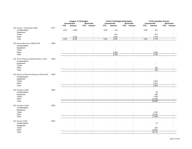|                                                |      |                          | Original FY19 Budget<br><b>Unrestricted</b> |                          | <b>Restricted</b>        |                             | Final FY19 Budget (Estimated)<br><b>Unrestricted</b> |                          | <b>Restricted</b>        |                          | <b>FY19 Unaudited Actuals</b> |                          |                          |
|------------------------------------------------|------|--------------------------|---------------------------------------------|--------------------------|--------------------------|-----------------------------|------------------------------------------------------|--------------------------|--------------------------|--------------------------|-------------------------------|--------------------------|--------------------------|
|                                                |      | <b>FTE</b>               | Amount                                      |                          |                          |                             |                                                      |                          |                          |                          | <b>Unrestricted</b>           |                          | <b>Restricted</b>        |
|                                                |      |                          |                                             | <b>FTE</b>               | Amount                   | <b>FTE</b>                  | Amount                                               | FTE.                     | <b>Amount</b>            | <b>FTE</b>               | Amount                        | <b>FTE</b>               | Amount                   |
| 131 Provost - Unallocated-11000                | 1077 |                          |                                             |                          |                          |                             |                                                      |                          |                          |                          |                               |                          |                          |
| Compensation                                   |      | 0.05                     | 2,500                                       |                          |                          | 0.05                        | 313                                                  |                          |                          | 0.05                     | 311                           |                          |                          |
| Equipment                                      |      |                          |                                             |                          |                          |                             | $\blacksquare$                                       |                          |                          |                          | $\blacksquare$                |                          |                          |
| Travel                                         |      |                          |                                             |                          |                          |                             | 672                                                  |                          |                          |                          | 671                           |                          |                          |
| Other                                          |      |                          | 3,691                                       |                          |                          |                             | 2,962                                                |                          | $\overline{a}$           |                          | 1,794                         |                          |                          |
| Total                                          |      | 0.05                     | 6,191                                       | $\overline{\phantom{a}}$ | $\overline{\phantom{a}}$ | 0.05                        | 3,947                                                | $\overline{\phantom{a}}$ | $\blacksquare$           | 0.05                     | 2,776                         | $\overline{\phantom{a}}$ | $\overline{\phantom{a}}$ |
|                                                |      |                          |                                             |                          |                          |                             |                                                      |                          |                          |                          |                               |                          |                          |
| 131 Human Resources-11000/11303                | 1080 |                          |                                             |                          |                          |                             |                                                      |                          |                          |                          |                               |                          |                          |
| Compensation                                   |      |                          |                                             |                          |                          |                             |                                                      |                          |                          |                          |                               |                          |                          |
| Equipment                                      |      |                          |                                             |                          |                          |                             |                                                      |                          |                          |                          |                               |                          |                          |
| Travel                                         |      |                          |                                             |                          |                          |                             |                                                      |                          |                          |                          |                               |                          |                          |
| Other                                          |      |                          |                                             |                          |                          |                             | 6,300                                                |                          |                          |                          | 2,530                         |                          |                          |
| Total                                          |      | $\blacksquare$           | $\overline{\phantom{a}}$                    | $\overline{a}$           |                          | $\overline{\phantom{a}}$    | 6,300                                                | ÷,                       | $\overline{a}$           | $\blacksquare$           | 2,530                         | $\overline{a}$           | $\overline{a}$           |
|                                                |      |                          |                                             |                          |                          |                             |                                                      |                          |                          |                          |                               |                          |                          |
| 131 VP for Finance and Administration -11012   | 1020 |                          |                                             |                          |                          |                             |                                                      |                          |                          |                          |                               |                          |                          |
| Compensation                                   |      |                          |                                             |                          |                          |                             |                                                      |                          |                          |                          |                               |                          |                          |
| Equipment                                      |      |                          |                                             |                          |                          |                             |                                                      |                          |                          |                          |                               |                          |                          |
| Travel                                         |      |                          |                                             |                          |                          |                             |                                                      |                          |                          |                          |                               |                          |                          |
| Other                                          |      |                          |                                             |                          |                          |                             |                                                      |                          |                          |                          | 206                           |                          |                          |
| Total                                          |      | $\blacksquare$           | $\sim$                                      | $\overline{\phantom{a}}$ | $\blacksquare$           | $\overline{\phantom{a}}$    | ÷,                                                   | $\overline{\phantom{a}}$ | $\blacksquare$           | $\sim$                   | 206                           | $\blacksquare$           | $\overline{a}$           |
|                                                |      |                          |                                             |                          |                          |                             |                                                      |                          |                          |                          |                               |                          |                          |
| 131 Director of Diversity & Equity-11012/11302 | 1040 |                          |                                             |                          |                          |                             |                                                      |                          |                          |                          |                               |                          |                          |
|                                                |      |                          |                                             |                          |                          |                             |                                                      |                          |                          |                          |                               |                          |                          |
| Compensation                                   |      |                          |                                             |                          |                          |                             |                                                      |                          |                          |                          |                               |                          |                          |
| Equipment                                      |      |                          |                                             |                          |                          |                             |                                                      |                          |                          |                          |                               |                          |                          |
| Travel                                         |      |                          |                                             |                          |                          |                             |                                                      |                          |                          |                          | 1,281                         |                          |                          |
| Other                                          |      |                          | $\overline{\phantom{a}}$                    |                          |                          |                             |                                                      |                          |                          |                          | 4,672                         |                          |                          |
| Total                                          |      | $\overline{\phantom{a}}$ | $\blacksquare$                              | $\blacksquare$           | $\blacksquare$           | $\overline{\phantom{a}}$    | $\sim$                                               | $\overline{\phantom{a}}$ | $\overline{\phantom{a}}$ | $\overline{\phantom{a}}$ | 5,954                         | $\overline{\phantom{a}}$ | $\blacksquare$           |
|                                                |      |                          |                                             |                          |                          |                             |                                                      |                          |                          |                          |                               |                          |                          |
| 131 President-11302                            | 1005 |                          |                                             |                          |                          |                             |                                                      |                          |                          |                          |                               |                          |                          |
| Compensation                                   |      |                          |                                             |                          |                          |                             |                                                      |                          |                          |                          | 56                            |                          |                          |
| Equipment                                      |      |                          |                                             |                          |                          |                             |                                                      |                          |                          |                          | 250                           |                          |                          |
| Travel                                         |      |                          |                                             |                          |                          |                             |                                                      |                          |                          |                          | 7,285                         |                          |                          |
| Other                                          |      |                          |                                             |                          |                          |                             |                                                      |                          |                          |                          | 23,235                        |                          |                          |
| Total                                          |      | $\blacksquare$           | $\blacksquare$                              | $\sim$                   | $\blacksquare$           | $\mathcal{L}_{\mathcal{A}}$ | $\sim$                                               | $\blacksquare$           | $\overline{\phantom{a}}$ | $\blacksquare$           | 30,826                        | $\sim$                   | $\overline{\phantom{a}}$ |
|                                                |      |                          |                                             |                          |                          |                             |                                                      |                          |                          |                          |                               |                          |                          |
| 131 President-11303                            | 1005 |                          |                                             |                          |                          |                             |                                                      |                          |                          |                          |                               |                          |                          |
| Compensation                                   |      |                          |                                             |                          |                          |                             |                                                      |                          |                          |                          |                               |                          |                          |
| Equipment                                      |      |                          |                                             |                          |                          |                             |                                                      |                          |                          |                          |                               |                          |                          |
| Travel                                         |      |                          |                                             |                          |                          |                             |                                                      |                          |                          |                          | 1,232                         |                          |                          |
| Other                                          |      |                          | $\overline{\phantom{a}}$                    |                          |                          |                             |                                                      |                          |                          |                          | 16,450                        |                          |                          |
| Total                                          |      | $\overline{\phantom{a}}$ | $\overline{\phantom{a}}$                    | $\overline{\phantom{a}}$ | $\blacksquare$           | $\overline{\phantom{a}}$    | $\overline{\phantom{a}}$                             | $\overline{\phantom{a}}$ | $\overline{\phantom{a}}$ | $\overline{\phantom{a}}$ | 17,682                        | $\overline{\phantom{a}}$ | $\overline{\phantom{a}}$ |
|                                                |      |                          |                                             |                          |                          |                             |                                                      |                          |                          |                          |                               |                          |                          |
| 131 Provost-11303                              | 1007 |                          |                                             |                          |                          |                             |                                                      |                          |                          |                          |                               |                          |                          |
| Compensation                                   |      |                          |                                             |                          |                          |                             |                                                      |                          |                          |                          | 37                            |                          |                          |
| Equipment                                      |      |                          |                                             |                          |                          |                             |                                                      |                          |                          |                          | $\blacksquare$                |                          |                          |
| Travel                                         |      |                          |                                             |                          |                          |                             |                                                      |                          |                          |                          | 816                           |                          |                          |
| Other                                          |      |                          |                                             |                          |                          |                             |                                                      |                          |                          |                          | 19,862                        |                          |                          |
| Total                                          |      | $\overline{a}$           | $\sim$                                      | $\sim$                   | $\overline{a}$           | $\sim$                      | $\sim$                                               | $\overline{a}$           | $\overline{a}$           | $\sim$                   | 20,714                        |                          |                          |
|                                                |      |                          |                                             |                          |                          |                             |                                                      |                          |                          |                          |                               |                          |                          |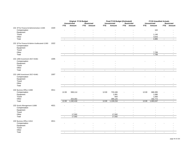|                                              |      |                          | Original FY19 Budget        |                          |                          |                          | Final FY19 Budget (Estimated) |                          |                          |                          | <b>FY19 Unaudited Actuals</b> |                          |                          |
|----------------------------------------------|------|--------------------------|-----------------------------|--------------------------|--------------------------|--------------------------|-------------------------------|--------------------------|--------------------------|--------------------------|-------------------------------|--------------------------|--------------------------|
|                                              |      |                          | <b>Unrestricted</b>         |                          | <b>Restricted</b>        |                          | <b>Unrestricted</b>           |                          | <b>Restricted</b>        |                          | <b>Unrestricted</b>           |                          | <b>Restricted</b>        |
|                                              |      | <b>FTE</b>               | Amount                      | <b>FTE</b>               | Amount                   | <b>FTE</b>               | Amount                        | <b>FTE</b>               | <b>Amount</b>            | <b>FTE</b>               | Amount                        | <b>FTE</b>               | Amount                   |
| 131 VP for Finance & Administration-11303    | 1020 |                          |                             |                          |                          |                          |                               |                          |                          |                          |                               |                          |                          |
| Compensation                                 |      |                          |                             |                          |                          |                          |                               |                          |                          | $\overline{a}$           | 102                           |                          |                          |
| Equipment                                    |      |                          |                             |                          |                          |                          |                               |                          |                          |                          | $\sim$                        |                          |                          |
| Travel                                       |      |                          |                             |                          |                          |                          |                               |                          |                          |                          | 1,140                         |                          |                          |
| Other                                        |      |                          |                             |                          |                          |                          |                               |                          |                          |                          | 3,643                         |                          |                          |
| Total                                        |      |                          | $\blacksquare$              | $\overline{\phantom{a}}$ | $\overline{\phantom{a}}$ | $\overline{\phantom{a}}$ | $\blacksquare$                | $\overline{\phantom{a}}$ | $\overline{\phantom{a}}$ | $\blacksquare$           | 4,885                         | $\overline{\phantom{a}}$ | $\overline{\phantom{a}}$ |
|                                              |      | $\overline{\phantom{a}}$ |                             |                          |                          |                          |                               |                          |                          |                          |                               |                          |                          |
|                                              |      |                          |                             |                          |                          |                          |                               |                          |                          |                          |                               |                          |                          |
| 131 VP for Finance & Admin-Unallocated-11303 | 1022 |                          |                             |                          |                          |                          |                               |                          |                          |                          |                               |                          |                          |
| Compensation                                 |      |                          |                             |                          |                          |                          |                               |                          |                          |                          |                               |                          |                          |
| Equipment                                    |      |                          |                             |                          |                          |                          |                               |                          |                          |                          |                               |                          |                          |
| Travel                                       |      |                          |                             |                          |                          |                          |                               |                          |                          |                          |                               |                          |                          |
| Other                                        |      |                          |                             |                          |                          |                          |                               |                          |                          |                          | 7,706                         |                          |                          |
| Total                                        |      | $\blacksquare$           | $\mathcal{L}_{\mathcal{A}}$ | $\sim$                   | $\blacksquare$           | $\sim$                   | $\sim$                        | $\blacksquare$           | $\overline{\phantom{a}}$ | $\blacksquare$           | 7,706                         | $\overline{a}$           | $\overline{\phantom{a}}$ |
|                                              |      |                          |                             |                          |                          |                          |                               |                          |                          |                          |                               |                          |                          |
| 131 LANS Investment 2017-41461               | 1005 |                          |                             |                          |                          |                          |                               |                          |                          |                          |                               |                          |                          |
| Compensation                                 |      |                          |                             |                          |                          |                          |                               |                          |                          |                          |                               |                          |                          |
| Equipment                                    |      |                          |                             |                          |                          |                          |                               |                          |                          |                          |                               |                          |                          |
| Travel                                       |      |                          |                             |                          |                          |                          |                               |                          |                          |                          |                               |                          |                          |
| Other                                        |      |                          |                             |                          |                          |                          | $\overline{a}$                |                          |                          |                          |                               |                          |                          |
| Total                                        |      | $\overline{\phantom{a}}$ | $\blacksquare$              | $\blacksquare$           | $\overline{\phantom{a}}$ | $\overline{\phantom{a}}$ | $\overline{\phantom{a}}$      | $\overline{\phantom{a}}$ | $\blacksquare$           | $\frac{1}{2}$            | $\blacksquare$                | $\blacksquare$           |                          |
|                                              |      |                          |                             |                          |                          |                          |                               |                          |                          |                          |                               |                          |                          |
| 131 LANS Investment 2017-41461               | 1007 |                          |                             |                          |                          |                          |                               |                          |                          |                          |                               |                          |                          |
| Compensation                                 |      |                          |                             |                          |                          |                          |                               |                          |                          |                          |                               |                          |                          |
|                                              |      |                          |                             |                          |                          |                          |                               |                          |                          |                          |                               |                          |                          |
| Equipment                                    |      |                          |                             |                          |                          |                          |                               |                          |                          |                          |                               |                          |                          |
| Travel                                       |      |                          |                             |                          |                          |                          |                               |                          |                          |                          |                               |                          |                          |
| Other                                        |      |                          | $\overline{\phantom{a}}$    |                          | $\overline{\phantom{a}}$ |                          | $\overline{\phantom{a}}$      |                          | $\overline{\phantom{a}}$ |                          |                               |                          |                          |
| Total                                        |      | $\overline{\phantom{a}}$ | $\overline{\phantom{a}}$    | $\overline{\phantom{a}}$ | $\overline{\phantom{a}}$ | $\overline{\phantom{a}}$ | $\overline{\phantom{a}}$      | $\overline{\phantom{a}}$ | $\blacksquare$           | $\overline{\phantom{a}}$ | $\overline{\phantom{a}}$      | $\blacksquare$           |                          |
|                                              |      |                          |                             |                          |                          |                          |                               |                          |                          |                          |                               |                          |                          |
| 132 Business Office-11000                    | 4011 |                          |                             |                          |                          |                          |                               |                          |                          |                          |                               |                          |                          |
| Compensation                                 |      | 12.00                    | 938,114                     |                          |                          | 12.00                    | 733,166                       |                          |                          | 12.00                    | 668,395                       |                          |                          |
| Equipment                                    |      |                          |                             |                          |                          |                          | 1,081                         |                          |                          |                          | 1,080                         |                          |                          |
| Travel                                       |      |                          |                             |                          |                          |                          | 844                           |                          |                          |                          | 1,000                         |                          |                          |
| Other                                        |      |                          | 254,302                     |                          |                          |                          | 395,125                       |                          |                          |                          | 332,772                       |                          |                          |
| Total                                        |      | 12.00                    | 1,192,416                   | $\sim$                   | $\overline{\phantom{a}}$ | 12.00                    | 1,130,216                     | $\overline{\phantom{a}}$ | $\overline{\phantom{a}}$ | 12.00                    | 1,003,247                     | $\sim$                   | $\overline{\phantom{a}}$ |
|                                              |      |                          |                             |                          |                          |                          |                               |                          |                          |                          |                               |                          |                          |
| 132 Grants Management-11000                  | 4021 |                          |                             |                          |                          |                          |                               |                          |                          |                          |                               |                          |                          |
| Compensation                                 |      |                          |                             |                          |                          |                          |                               |                          |                          |                          |                               |                          |                          |
| Equipment                                    |      |                          |                             |                          |                          |                          |                               |                          |                          |                          |                               |                          |                          |
| Travel                                       |      |                          |                             |                          |                          |                          |                               |                          |                          |                          |                               |                          |                          |
| Other                                        |      |                          | 17,592                      |                          |                          |                          | 17,592                        |                          |                          |                          |                               |                          |                          |
| Total                                        |      | $\overline{\phantom{a}}$ | 17,592                      | $\blacksquare$           | $\overline{\phantom{a}}$ | $\overline{\phantom{a}}$ | 17,592                        | $\overline{\phantom{a}}$ | $\blacksquare$           | $\overline{\phantom{a}}$ | $\blacksquare$                | $\blacksquare$           |                          |
|                                              |      |                          |                             |                          |                          |                          |                               |                          |                          |                          |                               |                          |                          |
| 132 Business Office-11012                    | 4011 |                          |                             |                          |                          |                          |                               |                          |                          |                          |                               |                          |                          |
| Compensation                                 |      |                          |                             |                          |                          |                          |                               |                          |                          |                          |                               |                          |                          |
|                                              |      |                          |                             |                          |                          |                          |                               |                          |                          |                          |                               |                          |                          |
| Equipment                                    |      |                          |                             |                          |                          |                          |                               |                          |                          |                          |                               |                          |                          |
| Travel                                       |      |                          |                             |                          |                          |                          |                               |                          |                          |                          |                               |                          |                          |
| Other                                        |      |                          |                             |                          |                          |                          |                               |                          |                          |                          |                               |                          |                          |
| Total                                        |      | $\sim$                   | $\sim$                      | $\overline{\phantom{a}}$ | $\mathbf{r}$             | $\blacksquare$           | $\sim$                        | $\sim$                   | $\mathbf{r}$             | $\sim$                   | $\overline{a}$                | $\overline{\phantom{a}}$ |                          |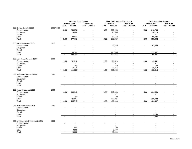|                                      |           |                          | Original FY19 Budget     |                          |                          |                          | Final FY19 Budget (Estimated) |                          |                          |                          | <b>FY19 Unaudited Actuals</b> |                          |                   |
|--------------------------------------|-----------|--------------------------|--------------------------|--------------------------|--------------------------|--------------------------|-------------------------------|--------------------------|--------------------------|--------------------------|-------------------------------|--------------------------|-------------------|
|                                      |           |                          | <b>Unrestricted</b>      |                          | <b>Restricted</b>        |                          | <b>Unrestricted</b>           |                          | <b>Restricted</b>        |                          | <b>Unrestricted</b>           |                          | <b>Restricted</b> |
|                                      |           | FTE                      | Amount                   | <b>FTE</b>               | Amount                   | <b>FTE</b>               | Amount                        | <b>FTE</b>               | Amount                   | <b>FTE</b>               | Amount                        | <b>FTE</b>               | Amount            |
| 133 Campus Security-11000            | 1031/4522 |                          |                          |                          |                          |                          |                               |                          |                          |                          |                               |                          |                   |
| Compensation                         |           | 8.00                     | 269,976                  |                          |                          | 8.00                     | 270,458                       |                          |                          | 8.00                     | 246,735                       |                          |                   |
| Equipment                            |           |                          | 24,864                   |                          |                          |                          | 25,850                        |                          |                          |                          | 26,119                        |                          |                   |
| Travel                               |           |                          |                          |                          |                          |                          |                               |                          |                          |                          |                               |                          |                   |
| Other                                |           |                          | 82,931                   |                          | $\overline{\phantom{0}}$ |                          | 82,512                        |                          | $\overline{a}$           |                          | 80,947                        |                          |                   |
| Total                                |           | 8.00                     | 377,771                  | $\overline{\phantom{a}}$ | $\overline{\phantom{a}}$ | 8.00                     | 378,820                       | $\blacksquare$           | $\overline{\phantom{a}}$ | 8.00                     | 353,802                       | $\blacksquare$           | $\sim$            |
|                                      |           |                          |                          |                          |                          |                          |                               |                          |                          |                          |                               |                          |                   |
| 133 Risk Management-11000            | 1035      |                          |                          |                          |                          |                          |                               |                          |                          |                          |                               |                          |                   |
| Compensation                         |           |                          |                          |                          |                          |                          |                               |                          |                          | $\overline{\phantom{a}}$ |                               |                          |                   |
|                                      |           |                          |                          |                          |                          |                          | 19,389                        |                          |                          |                          | 101,989                       |                          |                   |
| Equipment                            |           |                          |                          |                          |                          |                          |                               |                          |                          |                          |                               |                          |                   |
| Travel                               |           |                          |                          |                          |                          |                          | $\overline{a}$                |                          |                          |                          |                               |                          |                   |
| Other                                |           |                          | 293,100                  |                          |                          |                          | 293,453                       |                          |                          |                          | 293,452                       |                          |                   |
| Total                                |           | $\overline{\phantom{a}}$ | 293,100                  | $\overline{\phantom{a}}$ | $\mathbf{r}$             | $\overline{\phantom{a}}$ | 312,842                       | $\sim$                   | $\blacksquare$           | $\sim$                   | 395,441                       | $\overline{\phantom{a}}$ | $\sim$            |
|                                      |           |                          |                          |                          |                          |                          |                               |                          |                          |                          |                               |                          |                   |
| 133 Institutional Research-11000     | 1060      |                          |                          |                          |                          |                          |                               |                          |                          |                          |                               |                          |                   |
| Compensation                         |           | 1.00                     | 101,312                  |                          |                          | 1.00                     | 101,520                       |                          |                          | 1.00                     | 99,441                        |                          |                   |
| Equipment                            |           |                          |                          |                          |                          |                          |                               |                          |                          |                          | $\blacksquare$                |                          |                   |
| Travel                               |           |                          | 240                      |                          |                          |                          | 240                           |                          |                          |                          | 159                           |                          |                   |
| Other                                |           |                          | 10,276                   |                          | $\overline{\phantom{a}}$ |                          | 10,276                        |                          | $\blacksquare$           |                          | 10,013                        |                          |                   |
| Total                                |           | 1.00                     | 111,828                  | $\overline{\phantom{a}}$ | $\blacksquare$           | 1.00                     | 112,036                       | $\overline{\phantom{a}}$ | $\blacksquare$           | 1.00                     | 109,613                       | $\blacksquare$           | $\blacksquare$    |
|                                      |           |                          |                          |                          |                          |                          |                               |                          |                          |                          |                               |                          |                   |
| 133 Institutional Research-11303     | 1060      |                          |                          |                          |                          |                          |                               |                          |                          |                          |                               |                          |                   |
| Compensation                         |           |                          |                          |                          |                          |                          |                               |                          |                          |                          |                               |                          |                   |
| Equipment                            |           |                          |                          |                          |                          |                          |                               |                          |                          |                          |                               |                          |                   |
| Travel                               |           |                          |                          |                          |                          |                          |                               |                          |                          |                          |                               |                          |                   |
| Other                                |           |                          | $\overline{\phantom{a}}$ |                          |                          |                          |                               |                          |                          |                          |                               |                          |                   |
| Total                                |           | $\overline{\phantom{a}}$ | $\sim$                   | $\overline{\phantom{a}}$ | $\sim$                   | $\overline{\phantom{a}}$ | $\sim$                        | ÷,                       | $\blacksquare$           | $\overline{\phantom{a}}$ | $\overline{a}$                | $\blacksquare$           | $\blacksquare$    |
|                                      |           |                          |                          |                          |                          |                          |                               |                          |                          |                          |                               |                          |                   |
| 133 Human Resources-11000            | 1080      |                          |                          |                          |                          |                          |                               |                          |                          |                          |                               |                          |                   |
| Compensation                         |           | 4.00                     | 308,948                  |                          |                          | 4.00                     | 267,408                       |                          |                          | 4.00                     | 294,550                       |                          |                   |
| Equipment                            |           |                          |                          |                          |                          |                          |                               |                          |                          |                          |                               |                          |                   |
| Travel                               |           |                          | 100                      |                          |                          |                          | 100                           |                          |                          |                          |                               |                          |                   |
| Other                                |           |                          | 126,667                  |                          |                          |                          | 132,895                       |                          |                          |                          | 129,938                       |                          |                   |
| Total                                |           | 4.00                     | 435,715                  | $\sim$                   | $\overline{\phantom{a}}$ | 4.00                     | 400,403                       | $\sim$                   | $\sim$                   | 4.00                     | 424,487                       | $\sim$                   | $\blacksquare$    |
|                                      |           |                          |                          |                          |                          |                          |                               |                          |                          |                          |                               |                          |                   |
| 133 Human Resources-11303            | 1080      |                          |                          |                          |                          |                          |                               |                          |                          |                          |                               |                          |                   |
| Compensation                         |           |                          |                          |                          |                          |                          |                               |                          |                          |                          |                               |                          |                   |
| Equipment                            |           |                          |                          |                          |                          |                          |                               |                          |                          |                          |                               |                          |                   |
| Travel                               |           |                          |                          |                          |                          |                          |                               |                          |                          |                          |                               |                          |                   |
| Other                                |           |                          |                          |                          |                          |                          |                               |                          | $\overline{\phantom{a}}$ |                          | 1,240                         |                          |                   |
|                                      |           |                          | $\overline{\phantom{a}}$ |                          | $\sim$                   |                          |                               |                          |                          |                          |                               |                          |                   |
| Total                                |           | $\overline{\phantom{a}}$ | $\blacksquare$           | $\overline{\phantom{a}}$ |                          | $\blacksquare$           | $\blacksquare$                | $\overline{\phantom{a}}$ | $\overline{\phantom{a}}$ | $\overline{\phantom{a}}$ | 1,240                         | $\blacksquare$           | $\sim$            |
| 133 NNMC Labor Relations Board-11301 | 1090      |                          |                          |                          |                          |                          |                               |                          |                          |                          |                               |                          |                   |
| Compensation                         |           |                          |                          |                          |                          |                          |                               |                          |                          |                          |                               |                          |                   |
|                                      |           |                          |                          |                          |                          |                          |                               |                          |                          |                          |                               |                          |                   |
| Equipment                            |           |                          |                          |                          |                          |                          | $\overline{\phantom{a}}$      |                          |                          |                          |                               |                          |                   |
| Travel                               |           |                          | 500                      |                          |                          |                          | 500                           |                          |                          |                          |                               |                          |                   |
| Other                                |           |                          | 9,500                    |                          |                          |                          | 9,500                         |                          |                          |                          |                               |                          |                   |
| Total                                |           | $\overline{\phantom{a}}$ | 10,000                   | $\overline{a}$           | $\sim$                   | $\sim$                   | 10,000                        | $\overline{a}$           | $\overline{\phantom{a}}$ | $\overline{\phantom{a}}$ | $\overline{a}$                | $\overline{a}$           |                   |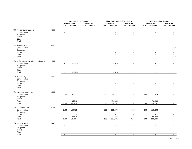|                                          |      |                          | Original FY19 Budget     |                          |                          |                          | Final FY19 Budget (Estimated) |                |                          |                          | <b>FY19 Unaudited Actuals</b> |                          |                          |
|------------------------------------------|------|--------------------------|--------------------------|--------------------------|--------------------------|--------------------------|-------------------------------|----------------|--------------------------|--------------------------|-------------------------------|--------------------------|--------------------------|
|                                          |      |                          | <b>Unrestricted</b>      |                          | <b>Restricted</b>        |                          | <b>Unrestricted</b>           |                | <b>Restricted</b>        |                          | <b>Unrestricted</b>           |                          | Restricted               |
|                                          |      | <b>FTE</b>               | Amount                   | <b>FTE</b>               | <b>Amount</b>            | FTE                      | Amount                        |                | FTE Amount               | <b>FTE</b>               | Amount                        |                          | FTE Amount               |
| 133 Title III NRGSC-NNMC-41144           | 1088 |                          |                          |                          |                          |                          |                               |                |                          |                          |                               |                          |                          |
| Compensation                             |      |                          |                          |                          |                          |                          |                               |                |                          |                          |                               |                          |                          |
| Equipment                                |      |                          |                          |                          |                          |                          |                               |                |                          |                          |                               |                          |                          |
| Travel                                   |      |                          |                          |                          |                          |                          |                               |                |                          |                          |                               |                          |                          |
| Other                                    |      |                          | $\overline{a}$           |                          |                          |                          |                               |                |                          |                          |                               |                          |                          |
| Total                                    |      | $\overline{\phantom{a}}$ | $\sim$                   | $\overline{\phantom{a}}$ | $\sim$                   | $\blacksquare$           | $\sim$                        | $\overline{a}$ | $\overline{a}$           | $\sim$                   | $\blacksquare$                | $\blacksquare$           |                          |
| 133 Work Study-425XX                     | 4002 |                          |                          |                          |                          |                          |                               |                |                          |                          |                               |                          |                          |
| Compensation                             |      |                          |                          |                          |                          |                          |                               |                |                          |                          |                               |                          | 2,258                    |
| Equipment                                |      |                          |                          |                          |                          |                          |                               |                |                          |                          |                               |                          |                          |
| Travel                                   |      |                          |                          |                          |                          |                          |                               |                |                          |                          |                               |                          |                          |
| Other                                    |      |                          |                          |                          |                          |                          |                               |                |                          |                          |                               |                          |                          |
| Total                                    |      | $\overline{\phantom{a}}$ | $\blacksquare$           | $\overline{\phantom{a}}$ | $\blacksquare$           | $\overline{\phantom{a}}$ | $\overline{a}$                | $\overline{a}$ |                          | $\overline{\phantom{a}}$ | $\overline{a}$                | $\blacksquare$           | 2,258                    |
| 134 VP for Finance and Admin-Unallocated | 1022 |                          |                          |                          |                          |                          |                               |                |                          |                          |                               |                          |                          |
| Compensation                             |      |                          | (1,523)                  |                          |                          |                          | (1,523)                       |                |                          |                          |                               |                          |                          |
| Equipment                                |      |                          |                          |                          |                          |                          |                               |                |                          |                          |                               |                          |                          |
| Travel                                   |      |                          |                          |                          |                          |                          |                               |                |                          |                          |                               |                          |                          |
| Other                                    |      |                          | $\blacksquare$           |                          |                          |                          | $\overline{a}$                |                |                          |                          |                               |                          |                          |
| Total                                    |      | $\overline{\phantom{a}}$ | (1, 523)                 | $\overline{\phantom{a}}$ | $\overline{\phantom{a}}$ | $\overline{\phantom{a}}$ | (1, 523)                      | $\overline{a}$ |                          | $\overline{\phantom{a}}$ | $\overline{a}$                | $\overline{\phantom{a}}$ | $\frac{1}{2}$            |
| 134 Work Study                           | 4002 |                          |                          |                          |                          |                          |                               |                |                          |                          |                               |                          |                          |
| Compensation                             |      |                          |                          |                          |                          |                          |                               |                |                          |                          |                               |                          |                          |
| Equipment                                |      |                          |                          |                          |                          |                          |                               |                |                          |                          |                               |                          |                          |
| Travel                                   |      |                          |                          |                          |                          |                          |                               |                |                          |                          |                               |                          |                          |
| Other                                    |      |                          | $\overline{\phantom{a}}$ |                          | $\blacksquare$           |                          |                               |                |                          |                          |                               |                          |                          |
| Total                                    |      | $\overline{\phantom{a}}$ | $\overline{\phantom{a}}$ | $\overline{\phantom{a}}$ | $\overline{\phantom{a}}$ | $\overline{\phantom{a}}$ | $\blacksquare$                | $\sim$         | $\blacksquare$           | $\overline{\phantom{a}}$ | $\mathbf{r}$                  | $\overline{\phantom{a}}$ | $\overline{\phantom{a}}$ |
| 134 Communications-11000                 | 4202 |                          |                          |                          |                          |                          |                               |                |                          |                          |                               |                          |                          |
| Compensation                             |      | 2.00                     | 157,112                  |                          |                          | 2.00                     | 134,772                       |                |                          | 2.00                     | 121,376                       |                          |                          |
| Equipment                                |      |                          |                          |                          |                          |                          |                               |                |                          |                          | $\overline{a}$                |                          |                          |
| Travel                                   |      |                          |                          |                          |                          |                          |                               |                |                          |                          |                               |                          |                          |
| Other                                    |      |                          | 195,542                  |                          | $\overline{a}$           |                          | 184,359                       |                | $\overline{\phantom{a}}$ |                          | 176,864                       |                          |                          |
| Total                                    |      | 2.00                     | 352,654                  | $\blacksquare$           | $\overline{\phantom{a}}$ | 2.00                     | 319,131                       |                | $\overline{a}$           | 2.00                     | 298,241                       | $\overline{\phantom{a}}$ | $\overline{a}$           |
| 134 Foundation-11000                     | 4206 |                          |                          |                          |                          |                          |                               |                |                          |                          |                               |                          |                          |
| Compensation                             |      | 2.00                     | 159,719                  |                          |                          | 2.00                     | 116,879                       |                | 4,675                    | 2.00                     | 119,298                       |                          |                          |
| Equipment                                |      |                          |                          |                          |                          |                          |                               |                |                          |                          | $\overline{a}$                |                          |                          |
| Travel                                   |      |                          | 310                      |                          |                          |                          |                               |                |                          |                          |                               |                          |                          |
| Other                                    |      |                          | 24,975                   |                          | $\overline{a}$           |                          | 70,822                        |                | $\overline{\phantom{a}}$ |                          | 109,508                       |                          |                          |
| Total                                    |      | 2.00                     | 185,004                  | $\overline{\phantom{a}}$ | $\blacksquare$           | 2.00                     | 187,701                       | $\sim$         | 4,675                    | 2.00                     | 228,806                       | $\overline{\phantom{a}}$ | $\blacksquare$           |
| 134 UNM Los Alamos                       | 3449 |                          |                          |                          |                          |                          |                               |                |                          |                          |                               |                          |                          |
| Compensation                             |      |                          |                          |                          |                          |                          |                               |                |                          |                          |                               |                          |                          |
| Equipment                                |      |                          |                          |                          |                          |                          |                               |                |                          |                          |                               |                          |                          |
| Travel                                   |      |                          |                          |                          |                          |                          |                               |                |                          |                          |                               |                          |                          |
| Other                                    |      |                          |                          |                          |                          |                          |                               |                |                          |                          |                               |                          |                          |
| Total                                    |      | $\overline{\phantom{a}}$ | $\mathbf{r}$             | $\blacksquare$           | $\mathbf{r}$             | $\blacksquare$           | $\sim$                        | $\sim$         | $\overline{\phantom{a}}$ | $\blacksquare$           | $\blacksquare$                | $\sim$                   |                          |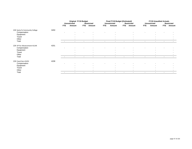|                                |      |                          | <b>Original FY19 Budget</b> |                          |                          |                          | Final FY19 Budget (Estimated) |                          |                          |                          | <b>FY19 Unaudited Actuals</b> |                          |                          |
|--------------------------------|------|--------------------------|-----------------------------|--------------------------|--------------------------|--------------------------|-------------------------------|--------------------------|--------------------------|--------------------------|-------------------------------|--------------------------|--------------------------|
|                                |      |                          | <b>Unrestricted</b>         |                          | <b>Restricted</b>        |                          | <b>Unrestricted</b>           |                          | <b>Restricted</b>        |                          | <b>Unrestricted</b>           |                          | <b>Restricted</b>        |
|                                |      | <b>FTE</b>               | Amount                      | <b>FTE</b>               | Amount                   | <b>FTE</b>               | Amount                        | <b>FTE</b>               | Amount                   | <b>FTE</b>               | Amount                        | <b>FTE</b>               | Amount                   |
| 134 Santa Fe Community College | 3450 |                          |                             |                          |                          |                          |                               |                          |                          |                          |                               |                          |                          |
| Compensation                   |      |                          |                             |                          |                          |                          |                               |                          |                          |                          |                               |                          |                          |
| Equipment                      |      |                          | $\overline{\phantom{0}}$    |                          |                          |                          | $\overline{\phantom{0}}$      |                          | $\overline{\phantom{a}}$ |                          |                               |                          |                          |
| Travel                         |      |                          |                             |                          |                          |                          |                               |                          |                          |                          |                               |                          |                          |
| Other                          |      |                          | $\overline{\phantom{a}}$    |                          |                          |                          | $\overline{\phantom{a}}$      |                          | $\overline{\phantom{a}}$ |                          | $\overline{\phantom{a}}$      |                          |                          |
| Total                          |      | $\overline{\phantom{a}}$ | $\sim$                      | $\overline{\phantom{a}}$ | $\overline{\phantom{a}}$ | $\overline{\phantom{a}}$ | $\sim$                        | $\sim$                   | $\overline{\phantom{a}}$ | $\overline{\phantom{a}}$ | $\overline{\phantom{a}}$      | $\overline{\phantom{a}}$ | $\overline{\phantom{a}}$ |
| 134 VP For Advancement-41144   | 4201 |                          |                             |                          |                          |                          |                               |                          |                          |                          |                               |                          |                          |
| Compensation                   |      |                          |                             |                          |                          |                          |                               |                          |                          |                          |                               |                          |                          |
| Equipment                      |      |                          | $\overline{\phantom{0}}$    |                          | $\overline{\phantom{a}}$ |                          | $\overline{\phantom{0}}$      |                          |                          |                          |                               |                          |                          |
| Travel                         |      |                          |                             |                          |                          |                          |                               |                          |                          |                          |                               |                          |                          |
| Other                          |      |                          | $\overline{\phantom{a}}$    |                          |                          |                          | $\overline{\phantom{a}}$      |                          | $\overline{\phantom{a}}$ |                          |                               |                          | $\overline{\phantom{0}}$ |
| Total                          |      |                          | $\overline{\phantom{a}}$    | $\overline{\phantom{a}}$ |                          | $\overline{\phantom{a}}$ | $\overline{\phantom{a}}$      | $\overline{\phantom{a}}$ | $\overline{\phantom{a}}$ | $\overline{\phantom{a}}$ | $\blacksquare$                | $\overline{\phantom{a}}$ | $\sim$                   |
| 134 Canal Seis-41452           | 4208 |                          |                             |                          |                          |                          |                               |                          |                          |                          |                               |                          |                          |
| Compensation                   |      |                          |                             |                          |                          |                          |                               |                          |                          |                          |                               |                          |                          |
| Equipment                      |      |                          | $\overline{\phantom{0}}$    |                          |                          |                          | $\overline{\phantom{0}}$      |                          |                          |                          |                               |                          |                          |
| Travel                         |      |                          |                             |                          |                          |                          |                               |                          |                          |                          |                               |                          |                          |
| Other                          |      |                          | $\overline{\phantom{a}}$    |                          |                          |                          | -                             |                          | $\overline{\phantom{a}}$ |                          |                               |                          |                          |
| Total                          |      | $\overline{a}$           | $\overline{\phantom{a}}$    | $\overline{\phantom{a}}$ | $\overline{\phantom{a}}$ | $\overline{\phantom{a}}$ | $\overline{\phantom{a}}$      | $\overline{\phantom{a}}$ | $\overline{\phantom{a}}$ | $\overline{\phantom{a}}$ | $\overline{\phantom{a}}$      | $\blacksquare$           | $\overline{\phantom{a}}$ |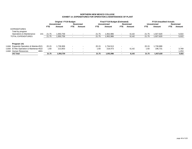### **NORTHERN NEW MEXICO COLLEGEEXHIBIT 14\_EXPENDITURES FOR OPERATION & MAINTENANCE OF PLANT**

|       |                                         |      |            | <b>Original FY19 Budget</b> |            |                   |                          | <b>Final FY19 Budget (Estimated)</b> |                          |                          |                          | <b>FY19 Unaudited Actuals</b> |                          |                          |
|-------|-----------------------------------------|------|------------|-----------------------------|------------|-------------------|--------------------------|--------------------------------------|--------------------------|--------------------------|--------------------------|-------------------------------|--------------------------|--------------------------|
|       |                                         |      |            | <b>Unrestricted</b>         |            | <b>Restricted</b> |                          | <b>Unrestricted</b>                  |                          | <b>Restricted</b>        |                          | <b>Unrestricted</b>           |                          | <b>Restricted</b>        |
|       |                                         |      | <b>FTE</b> | Amount                      | <b>FTE</b> | Amount            | <b>FTE</b>               | Amount                               | FTE.                     | Amount                   | FTE.                     | Amount                        | FTE.                     | Amount                   |
|       | <b>EXPENDITURES</b>                     |      |            |                             |            |                   |                          |                                      |                          |                          |                          |                               |                          |                          |
|       | Total by program                        |      |            |                             |            |                   |                          |                                      |                          |                          |                          |                               |                          |                          |
|       | Operations & Maintenance                | 141  | 21.75      | 950,759.                    | $\,$ $\,$  |                   | 21.75                    | .952,986                             |                          | 8.142                    | 21.75                    | 1.927.620                     |                          | 5,022                    |
|       | TOTAL EXPENDITURES                      |      | 21.75      | 950,759,                    |            |                   | 21.75                    | 952,986,                             |                          | 8,142                    | 21.75                    | 1,927,620                     |                          | 5,022                    |
|       |                                         |      |            |                             |            |                   |                          |                                      |                          |                          |                          |                               |                          |                          |
|       | Program 141                             |      |            |                             |            |                   |                          |                                      |                          |                          |                          |                               |                          |                          |
|       | 11000 Espanola Operation & Mainter 4521 |      | 20.15      | .736.906                    | $\sim$     |                   | 20.15                    | .734.513                             | $\sim$                   | $\overline{\phantom{a}}$ | 20.15                    | .730.889                      | $\overline{\phantom{a}}$ | $\overline{\phantom{0}}$ |
| 11000 | El Rito Operation & Maintenar 4522      |      | 1.60       | 213,853                     | $\sim$     |                   | 1.60                     | 218,473                              | $\sim$                   | 8.142                    | 1.60                     | 196,731                       | ۰.                       | 3,769                    |
| 11000 | Human Resources                         | 4801 |            | $\overline{\phantom{a}}$    |            |                   | $\overline{\phantom{0}}$ | $\overline{\phantom{a}}$             |                          | $\sim$                   | $\overline{\phantom{0}}$ | $\blacksquare$                |                          | 1,253                    |
|       | 141 Total                               |      | 21.75      | 1,950,759                   |            |                   | 21.75                    | 1,952,986                            | $\overline{\phantom{a}}$ | 8,142                    | 21.75                    | 1,927,620                     | $\sim$                   | 5,022                    |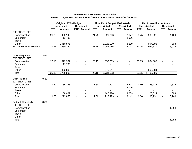# **NORTHERN NEW MEXICO COLLEGEEXHIBIT 14\_EXPENDITURES FOR OPERATION & MAINTENANCE OF PLANT**

|                                                 |      |            | <b>Original FY19 Budget</b><br><b>Unrestricted</b> |                | <b>Restricted</b> |                          | <b>Final FY19 Budget (Estimated)</b><br><b>Unrestricted</b> |                | <b>Restricted</b> |                | <b>FY19 Unaudited Actuals</b><br><b>Unrestricted</b> |                | <b>Restricted</b> |
|-------------------------------------------------|------|------------|----------------------------------------------------|----------------|-------------------|--------------------------|-------------------------------------------------------------|----------------|-------------------|----------------|------------------------------------------------------|----------------|-------------------|
|                                                 |      | <b>FTE</b> | <b>Amount</b>                                      | <b>FTE</b>     | <b>Amount</b>     | <b>FTE</b>               | <b>Amount</b>                                               | <b>FTE</b>     | <b>Amount</b>     | <b>FTE</b>     | <b>Amount</b>                                        | <b>FTE</b>     | <b>Amount</b>     |
| <b>EXPENDITURES</b>                             |      |            |                                                    |                |                   |                          |                                                             |                |                   |                |                                                      |                |                   |
| Compensation                                    |      | 21.75      | 928,148                                            |                |                   | 21.75                    | 929,766                                                     |                | 2,877             | 21.75          | 933,521                                              |                | 4,129             |
| Equipment                                       |      |            | 11,735                                             |                |                   |                          |                                                             |                | 2,026             |                |                                                      |                |                   |
| Travel                                          |      |            |                                                    |                |                   |                          |                                                             |                | $\blacksquare$    |                |                                                      |                |                   |
| Other                                           |      |            | 1,010,876                                          |                |                   |                          | 1,023,220                                                   |                | 3,239             | $\blacksquare$ | 994,098                                              |                | 893               |
| <b>TOTAL EXPENDITURES</b>                       |      | 21.75      | 1,950,759                                          |                |                   | 21.75                    | 1,952,986                                                   |                | 8,142             | 21.75          | 1,927,620                                            | $\blacksquare$ | 5,022             |
| O&M - Espanola                                  | 4521 |            |                                                    |                |                   |                          |                                                             |                |                   |                |                                                      |                |                   |
| <b>EXPENDITURES</b>                             |      |            |                                                    |                |                   |                          |                                                             |                |                   |                |                                                      |                |                   |
| Compensation                                    |      | 20.15      | 872,362                                            |                |                   | 20.15                    | 859,269                                                     |                |                   | 20.15          | 864,805                                              |                |                   |
| Equipment                                       |      |            | 11,735                                             |                |                   |                          |                                                             |                |                   |                |                                                      |                |                   |
| Travel                                          |      |            |                                                    |                |                   |                          |                                                             |                |                   |                |                                                      |                |                   |
| Other                                           |      |            | 852,809                                            |                |                   |                          | 875,244                                                     |                |                   |                | 866,084                                              |                |                   |
| Total                                           |      | 20.15      | 1,736,906                                          |                |                   | 20.15                    | 1,734,513                                                   | $\blacksquare$ |                   | 20.15          | 1,730,889                                            | $\blacksquare$ |                   |
| O&M - El Rito                                   | 4522 |            |                                                    |                |                   |                          |                                                             |                |                   |                |                                                      |                |                   |
| <b>EXPENDITURES</b>                             |      |            |                                                    |                |                   |                          |                                                             |                |                   |                |                                                      |                |                   |
| Compensation                                    |      | 1.60       | 55,786                                             |                |                   | 1.60                     | 70,497                                                      |                | 2,877             | 1.60           | 68,716                                               |                | 2,876             |
| Equipment                                       |      |            |                                                    |                |                   |                          |                                                             |                | 2,026             |                |                                                      |                |                   |
| Travel                                          |      |            |                                                    |                |                   |                          |                                                             |                | $\blacksquare$    |                |                                                      |                |                   |
| Other                                           |      |            | 158,067                                            |                |                   |                          | 147,976                                                     |                | 3,239             |                | 128,014                                              |                | 893               |
| Total                                           |      | 1.60       | 213,853                                            | $\sim$         | $\blacksquare$    | 1.60                     | 218,473                                                     |                | 8,142             | 1.60           | 196,731                                              | $\blacksquare$ | 3,769             |
| <b>Federal Workstudy</b><br><b>EXPENDITURES</b> | 4801 |            |                                                    |                |                   |                          |                                                             |                |                   |                |                                                      |                |                   |
|                                                 |      |            |                                                    |                |                   |                          |                                                             |                |                   |                |                                                      |                |                   |
| Compensation                                    |      |            |                                                    |                |                   |                          |                                                             |                |                   |                |                                                      |                | 1,253             |
| Equipment<br>Travel                             |      |            |                                                    |                |                   |                          |                                                             |                |                   |                |                                                      |                |                   |
| Other                                           |      |            |                                                    |                |                   |                          |                                                             |                |                   |                |                                                      |                |                   |
| Total                                           |      |            |                                                    | $\blacksquare$ |                   | $\overline{\phantom{a}}$ |                                                             |                |                   | $\blacksquare$ |                                                      | $\blacksquare$ | 1,253             |
|                                                 |      |            |                                                    |                |                   |                          |                                                             |                |                   |                |                                                      |                |                   |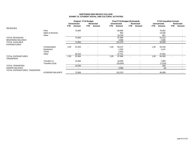### **NORTHERN NEW MEXICO COLLEGEEXHIBIT 15\_STUDENT SOCIAL AND CULTURAL ACTIVITIES**

|                                               |                  |      | <b>Original FY19 Budget</b> |                |                          |      | <b>Final FY19 Budget (Estimated)</b> |                          |                          |      | <b>FY19 Unaudited Actuals</b> |      |                   |
|-----------------------------------------------|------------------|------|-----------------------------|----------------|--------------------------|------|--------------------------------------|--------------------------|--------------------------|------|-------------------------------|------|-------------------|
|                                               |                  |      | <b>Unrestricted</b>         |                | <b>Restricted</b>        |      | <b>Unrestricted</b>                  |                          | Restricted               |      | <b>Unrestricted</b>           |      | <b>Restricted</b> |
|                                               |                  | FTE. | Amount                      | <b>FTE</b>     | Amount                   | FTE  | Amount                               | <b>FTE</b>               | Amount                   | FTE. | Amount                        | FTE. | Amount            |
| <b>REVENUES</b>                               |                  |      |                             |                |                          |      |                                      |                          |                          |      |                               |      |                   |
|                                               | Fees             |      | 72,864                      |                |                          |      | 80,864                               |                          |                          |      | 76,952                        |      |                   |
|                                               | Sales & Services |      |                             |                |                          |      | 862                                  |                          | ۰                        |      | 13,200                        |      |                   |
|                                               | Other            |      |                             |                |                          |      | 16,258                               |                          | $\overline{\phantom{a}}$ |      | 861                           |      |                   |
| <b>TOTAL REVENUES</b>                         |                  |      | 72,864                      |                | $\sim$                   |      | 97,984                               |                          | $\overline{\phantom{a}}$ |      | 91,013                        |      |                   |
| <b>BEGINNING BALANCE</b>                      |                  |      |                             |                |                          |      | 3,086                                |                          |                          |      | 3,086                         |      |                   |
| <b>TOTAL AVAILABLE</b>                        |                  |      | 72,864                      |                | $\overline{\phantom{0}}$ |      | 101,070                              |                          | $\overline{\phantom{a}}$ |      | 94,099                        |      |                   |
| <b>EXPENDITURES</b>                           |                  |      |                             |                |                          |      |                                      |                          |                          |      |                               |      |                   |
|                                               | Compensation     | 1.00 | 51,554                      | $\blacksquare$ |                          | 1.00 | 56,157                               | $\overline{\phantom{a}}$ | $\overline{\phantom{a}}$ | 1.00 | 55,418                        |      |                   |
|                                               | Equipment        |      |                             |                | $\overline{\phantom{a}}$ |      | 1,262                                |                          | ٠                        |      | 1,141                         |      |                   |
|                                               | Travel           |      |                             |                |                          |      | 2,814                                |                          |                          |      |                               |      |                   |
|                                               | Other            |      | 36,310                      |                |                          |      | 37,751                               |                          |                          |      | 37,825                        |      |                   |
| <b>TOTAL EXPENDITURES</b><br><b>TRANSFERS</b> |                  | 1.00 | 87,864                      |                |                          | 1.00 | 97,984                               |                          |                          | 1.00 | 94,383                        |      |                   |
|                                               | Transfers In     |      | 15,000                      |                |                          |      | 16,000                               |                          | ۰                        |      | 7,800                         |      |                   |
|                                               | Transfers (Out)  |      | $\overline{\phantom{a}}$    |                |                          |      | (16,000)                             |                          |                          |      | (7,516)                       |      |                   |
| <b>TOTAL TRANSFERS</b>                        |                  |      | 15,000                      |                | $\overline{\phantom{0}}$ |      | $\overline{\phantom{a}}$             |                          | $\overline{\phantom{a}}$ |      | 284                           |      |                   |
| <b>ENDING BALANCE</b>                         |                  |      | $\overline{\phantom{a}}$    |                | $\overline{\phantom{a}}$ |      | 3,086                                |                          | $\overline{\phantom{a}}$ |      | (0)                           |      |                   |
| TOTAL EXPENDITURES, TRANSFERS                 | & ENDING BALANCE |      | 72,864                      |                |                          |      | 101,070                              |                          | $\overline{\phantom{a}}$ |      | 94,099                        |      |                   |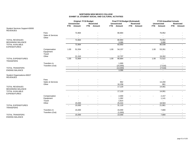### **NORTHERN NEW MEXICO COLLEGEEXHIBIT 15\_STUDENT SOCIAL AND CULTURAL ACTIVITIES**

|                                                   |                  |      | <b>Original FY19 Budget</b><br><b>Unrestricted</b> |            | <b>Restricted</b> |      | <b>Final FY19 Budget (Estimated)</b><br><b>Unrestricted</b> |                | <b>Restricted</b>        |            | <b>FY19 Unaudited Actuals</b><br><b>Unrestricted</b> |            | <b>Restricted</b> |
|---------------------------------------------------|------------------|------|----------------------------------------------------|------------|-------------------|------|-------------------------------------------------------------|----------------|--------------------------|------------|------------------------------------------------------|------------|-------------------|
|                                                   |                  | FTE  | Amount                                             | <b>FTE</b> | Amount            | FTE  | Amount                                                      | <b>FTE</b>     | Amount                   | <b>FTE</b> | Amount                                               | <b>FTE</b> | Amount            |
| Student Services Support-83000<br><b>REVENUES</b> |                  |      |                                                    |            |                   |      |                                                             |                |                          |            |                                                      |            |                   |
|                                                   | Fees             |      | 72,864                                             |            |                   |      | 80,864                                                      |                |                          |            | 76,952                                               |            |                   |
|                                                   | Sales & Services |      |                                                    |            |                   |      |                                                             |                |                          |            |                                                      |            |                   |
|                                                   | Other            |      | $\overline{\phantom{a}}$                           |            |                   |      | $\overline{\phantom{a}}$                                    |                |                          |            | $\sim$                                               |            |                   |
| <b>TOTAL REVENUES</b><br><b>BEGINNING BALANCE</b> |                  |      | 72,864                                             |            |                   |      | 80,864<br>3,086                                             |                |                          |            | 76,952<br>3,086                                      |            |                   |
| <b>TOTAL AVAILABLE</b><br><b>EXPENDITURES</b>     |                  |      | 72,864                                             |            |                   |      | 83,950                                                      |                |                          |            | 80,038                                               |            |                   |
|                                                   | Compensation     | 1.00 | 51,554                                             |            |                   | 1.00 | 54,157                                                      |                |                          | 1.00       | 53,261                                               |            |                   |
|                                                   | Equipment        |      |                                                    |            |                   |      |                                                             |                |                          |            |                                                      |            |                   |
|                                                   | Travel           |      |                                                    |            |                   |      |                                                             |                |                          |            |                                                      |            |                   |
|                                                   | Other            |      | 21,310                                             |            |                   |      | 12,707                                                      |                |                          |            | 19,262                                               |            |                   |
| <b>TOTAL EXPENDITURES</b><br><b>TRANSFERS</b>     |                  | 1.00 | 72,864                                             |            |                   | 1.00 | 66,864                                                      |                |                          | 1.00       | 72,522                                               |            |                   |
|                                                   | Transfers In     |      |                                                    |            |                   |      | 1,000                                                       |                |                          |            |                                                      |            |                   |
|                                                   | Transfers (Out)  |      |                                                    |            |                   |      | (15,000)                                                    |                |                          |            | (7, 516)                                             |            |                   |
| <b>TOTAL TRANSFERS</b>                            |                  |      | $\sim$                                             |            | $\sim$            |      | (14,000)                                                    |                | $\sim$                   |            | (7, 516)                                             |            | $\sim$            |
| <b>ENDING BALANCE</b>                             |                  |      | $\sim$                                             |            | $\sim$            |      | 3,086                                                       |                | $\overline{\phantom{a}}$ |            | $\sim$                                               |            |                   |
| Student Organizations-83027<br><b>REVENUES</b>    |                  |      |                                                    |            |                   |      |                                                             |                |                          |            |                                                      |            |                   |
|                                                   | Fees             |      |                                                    |            |                   |      |                                                             |                |                          |            |                                                      |            |                   |
|                                                   | Sales & Services |      |                                                    |            |                   |      | 862                                                         |                |                          |            | 13,200                                               |            |                   |
|                                                   | Other            |      |                                                    |            |                   |      | 16,258                                                      |                |                          |            | 861                                                  |            |                   |
| <b>TOTAL REVENUES</b><br><b>BEGINNING BALANCE</b> |                  |      | $\overline{\phantom{a}}$                           |            |                   |      | 17,120                                                      |                |                          |            | 14,061                                               |            |                   |
| <b>TOTAL AVAILABLE</b><br><b>EXPENDITURES</b>     |                  |      | $\overline{\phantom{a}}$                           |            | $\sim$            |      | 17,120                                                      |                | $\overline{\phantom{a}}$ |            | 14,061                                               |            |                   |
|                                                   | Compensation     |      |                                                    |            |                   |      | 2,000                                                       |                |                          |            | 2,157                                                |            |                   |
|                                                   | Equipment        |      |                                                    |            |                   |      | 1,262                                                       |                |                          |            | 1,141                                                |            |                   |
|                                                   | Travel           |      |                                                    |            |                   |      | 2,814                                                       |                |                          |            |                                                      |            |                   |
|                                                   | Other            |      | 15,000                                             |            |                   |      | 25,044                                                      |                |                          |            | 18,563                                               |            |                   |
| TOTAL EXPENDITURES<br><b>TRANSFERS</b>            |                  |      | 15,000                                             |            |                   |      | 31,120                                                      | $\blacksquare$ |                          |            | 21,861                                               |            |                   |
|                                                   | Transfers In     |      | 15,000                                             |            |                   |      | 15,000                                                      |                |                          |            | 7,800                                                |            |                   |
|                                                   | Transfers (Out)  |      | $\sim$                                             |            |                   |      | (1,000)                                                     |                |                          |            | $\sim$                                               |            |                   |
| <b>TOTAL TRANSFERS</b>                            |                  |      | 15,000                                             |            | $\blacksquare$    |      | 14,000                                                      |                | $\overline{\phantom{a}}$ |            | 7,800                                                |            | $\sim$            |
| <b>ENDING BALANCE</b>                             |                  |      | $\Delta$                                           |            | $\blacksquare$    |      | $\omega$                                                    |                | $\sim$                   |            | $\sim$                                               |            | $\sim$            |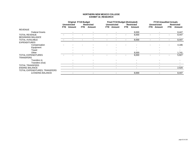### **NORTHERN NEW MEXICO COLLEGE EXHIBIT 16\_RESEARCH**

|                               |            | <b>Original FY19 Budget</b> |            |                          |                          | <b>Final FY19 Budget (Estimated)</b> |                          |                          |      | <b>FY19 Unaudited Actuals</b> |     |                   |
|-------------------------------|------------|-----------------------------|------------|--------------------------|--------------------------|--------------------------------------|--------------------------|--------------------------|------|-------------------------------|-----|-------------------|
|                               |            | <b>Unrestricted</b>         |            | <b>Restricted</b>        |                          | <b>Unrestricted</b>                  |                          | <b>Restricted</b>        |      | <b>Unrestricted</b>           |     | <b>Restricted</b> |
|                               | <b>FTE</b> | Amount                      | <b>FTE</b> | Amount                   | <b>FTE</b>               | Amount                               | <b>FTE</b>               | Amount                   | FTE. | Amount                        | FTE | Amount            |
| <b>REVENUE</b>                |            |                             |            |                          |                          |                                      |                          |                          |      |                               |     |                   |
| <b>Federal Grants</b>         |            |                             |            |                          |                          |                                      |                          | 8,000                    |      |                               |     | 8,447             |
| <b>TOTAL REVENUE</b>          |            |                             |            |                          |                          |                                      |                          | 8,000                    | ۰    |                               |     | 8,447             |
| <b>BEGINNING BALANCE</b>      |            |                             |            |                          |                          |                                      |                          |                          |      |                               |     |                   |
| <b>TOTAL AVAILABLE</b>        |            |                             |            |                          | $\overline{\phantom{0}}$ |                                      | $\overline{\phantom{a}}$ | 8,000                    | ۰    |                               | ٠   | 8,447             |
| <b>EXPENDITURES</b>           |            |                             |            |                          |                          |                                      |                          |                          |      |                               |     |                   |
| Compensation                  |            |                             |            |                          |                          |                                      |                          |                          |      |                               | ٠   | 4,186             |
| Equipment                     |            |                             |            |                          |                          |                                      |                          |                          |      |                               |     |                   |
| Travel                        |            |                             |            |                          |                          |                                      |                          |                          |      |                               |     |                   |
| Other                         |            |                             |            |                          |                          |                                      |                          | 8,000                    |      |                               |     | 1,741             |
| <b>TOTAL EXPENDITURES</b>     |            |                             |            |                          |                          |                                      | $\blacksquare$           | 8,000                    | ۰    |                               | ٠   | 5,927             |
| TRANSFERS                     |            |                             |            |                          |                          |                                      |                          |                          |      |                               |     |                   |
| Transfers In                  |            |                             |            |                          |                          |                                      |                          |                          |      |                               |     |                   |
| Transfers (Out)               |            |                             |            |                          |                          |                                      |                          |                          |      |                               |     |                   |
| <b>TOTAL TRANSFERS</b>        |            | $\overline{\phantom{a}}$    |            | $\overline{\phantom{0}}$ |                          | $\overline{\phantom{a}}$             |                          | $\overline{\phantom{a}}$ |      |                               |     |                   |
| <b>ENDING BALANCE</b>         |            |                             |            |                          |                          |                                      |                          |                          |      |                               |     | 2,520             |
| TOTAL EXPENDITURES, TRANSFERS |            |                             |            |                          |                          |                                      |                          |                          |      |                               |     |                   |
| & ENDING BALANCE              |            |                             |            |                          |                          |                                      |                          | 8,000                    |      |                               |     | 8,447             |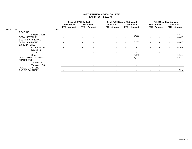### **NORTHERN NEW MEXICO COLLEGE EXHIBIT 16\_RESEARCH**

|            |                          |       |      | <b>Original FY19 Budget</b> |                          |                   |      | <b>Final FY19 Budget (Estimated)</b> |      |                          |      | <b>FY19 Unaudited Actuals</b> |      |                   |
|------------|--------------------------|-------|------|-----------------------------|--------------------------|-------------------|------|--------------------------------------|------|--------------------------|------|-------------------------------|------|-------------------|
|            |                          |       |      | <b>Unrestricted</b>         |                          | <b>Restricted</b> |      | <b>Unrestricted</b>                  |      | <b>Restricted</b>        |      | <b>Unrestricted</b>           |      | <b>Restricted</b> |
|            |                          |       | FTE. | Amount                      | FTE                      | Amount            | FTE. | Amount                               | FTE. | Amount                   | FTE. | Amount                        | FTE. | Amount            |
| UNM IC-CAE |                          | 40120 |      |                             |                          |                   |      |                                      |      |                          |      |                               |      |                   |
|            | <b>REVENUE</b>           |       |      |                             |                          |                   |      |                                      |      |                          |      |                               |      |                   |
|            | <b>Federal Grants</b>    |       |      |                             |                          |                   |      |                                      |      | 8,000                    |      |                               |      | 8,447             |
|            | <b>TOTAL REVENUE</b>     |       |      |                             |                          |                   |      |                                      |      | 8,000                    |      |                               |      | 8,447             |
|            | <b>BEGINNING BALANCE</b> |       |      |                             |                          |                   |      |                                      |      |                          |      |                               |      |                   |
|            | <b>TOTAL AVAILABLE</b>   |       |      |                             |                          |                   |      |                                      |      | 8,000                    |      |                               |      | 8,447             |
|            | <b>EXPENDITURES</b>      |       |      |                             |                          |                   |      |                                      |      |                          |      |                               |      |                   |
|            | Compensation             |       |      |                             |                          |                   |      |                                      |      |                          |      |                               |      | 4,186             |
|            | Equipment                |       |      |                             |                          |                   |      |                                      |      |                          |      |                               |      |                   |
|            | Travel                   |       |      |                             |                          |                   |      |                                      |      |                          |      |                               |      |                   |
|            | Other                    |       |      |                             |                          |                   |      |                                      |      | 8,000                    |      |                               |      | 1,741             |
|            | TOTAL EXPENDITURES       |       |      |                             |                          |                   |      |                                      |      | 8,000                    |      |                               |      | 5,927             |
|            | <b>TRANSFERS</b>         |       |      |                             |                          |                   |      |                                      |      |                          |      |                               |      |                   |
|            | Transfers In             |       |      |                             |                          |                   |      |                                      |      |                          |      |                               |      |                   |
|            | Transfers (Out)          |       |      |                             |                          |                   |      |                                      |      | $\overline{\phantom{a}}$ |      |                               |      |                   |
|            | <b>TOTAL TRANSFERS</b>   |       |      | $\overline{\phantom{a}}$    | $\overline{\phantom{a}}$ |                   |      |                                      |      |                          |      |                               |      |                   |
|            | <b>ENDING BALANCE</b>    |       |      |                             |                          |                   |      |                                      |      |                          |      |                               |      | 2,520             |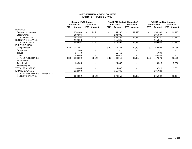### **NORTHERN NEW MEXICO COLLEGE EXHIBIT 17\_PUBLIC SERVICE**

|                               |            | <b>Original FY19 Budget</b> |                |                          |                          | <b>Final FY19 Budget (Estimated)</b> |                          |                          |                          | <b>FY19 Unaudited Actuals</b> |                   |
|-------------------------------|------------|-----------------------------|----------------|--------------------------|--------------------------|--------------------------------------|--------------------------|--------------------------|--------------------------|-------------------------------|-------------------|
|                               |            | <b>Unrestricted</b>         |                | <b>Restricted</b>        |                          | <b>Unrestricted</b>                  |                          | <b>Restricted</b>        |                          | <b>Unrestricted</b>           | <b>Restricted</b> |
|                               | <b>FTE</b> | Amount                      | FTE.           | Amount                   | FTE.                     | Amount                               | FTE.                     | Amount                   | FTE.                     | Amount                        | <b>FTE</b> Amount |
| <b>REVENUE</b>                |            |                             |                |                          |                          |                                      |                          |                          |                          |                               |                   |
| State Appropriations          |            | 254,200                     | $\blacksquare$ | 22,211                   | $\blacksquare$           | 254,200                              | $\sim$                   | 12,197                   | $\overline{\phantom{a}}$ | 254,200                       | 12,197            |
| <b>State Grants</b>           |            | 289,894                     |                |                          | $\overline{\phantom{a}}$ | 204,006                              |                          |                          | $\overline{\phantom{a}}$ | 195,537                       |                   |
| <b>TOTAL REVENUE</b>          |            | 544,094                     |                | 22,211                   |                          | 458,206                              |                          | 12,197                   |                          | 449,737                       | 12,197            |
| <b>BEGINNING BALANCE</b>      |            | 112,598                     |                |                          |                          | 115,345                              |                          |                          |                          | 115,345                       |                   |
| <b>TOTAL AVAILABLE</b>        |            | 656,692                     |                | 22,211                   |                          | 573,551                              |                          | 12,197                   |                          | 565,082                       | 12,197            |
| <b>EXPENDITURES</b>           |            |                             |                |                          |                          |                                      |                          |                          |                          |                               |                   |
| Compensation                  | 4.30       | 341,961                     | $\blacksquare$ | 22,211                   | 3.30                     | 272,244                              | $\overline{\phantom{a}}$ | 12,197                   | 3.30                     | 260,593                       | 15,250            |
| Equipment                     |            | 12,200                      |                |                          |                          |                                      |                          |                          |                          |                               |                   |
| Travel                        |            | 14,773                      |                |                          |                          | 11,750                               |                          |                          |                          | 6,039                         |                   |
| Other                         |            | 199,965                     |                |                          |                          | 199,017                              |                          |                          |                          | 180,938                       |                   |
| <b>TOTAL EXPENDITURES</b>     | 4.30       | 568,899                     | $\sim$         | 22,211                   | 3.30                     | 483,011                              | $\sim$                   | 12,197                   | 3.30                     | 447,570                       | 15,250            |
| <b>TRANSFERS</b>              |            |                             |                |                          |                          |                                      |                          |                          |                          |                               |                   |
| Transfers In                  |            | 24,805                      |                |                          |                          | 24,805                               |                          |                          |                          | 18,510                        | 3,053             |
| Transfers (Out)               |            |                             |                |                          |                          |                                      |                          |                          |                          |                               |                   |
| <b>TOTAL TRANSFERS</b>        |            | 24,805                      |                | $\overline{\phantom{0}}$ |                          | 24,805                               |                          | $\overline{\phantom{0}}$ |                          | 18,510                        | 3,053             |
| <b>ENDING BALANCE</b>         |            | 112,598                     |                |                          |                          | 115,345                              |                          |                          |                          | 136,023                       | ٠                 |
| TOTAL EXPENDITURES, TRANSFERS |            |                             |                |                          |                          |                                      |                          |                          |                          |                               |                   |
| & ENDING BALANCE              |            | 656,692                     |                | 22,211                   |                          | 573,551                              |                          | 12,197                   |                          | 565,082                       | 12,197            |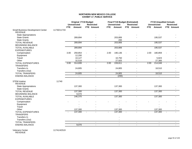### **NORTHERN NEW MEXICO COLLEGE EXHIBIT 17\_PUBLIC SERVICE**

|                                                     |             | <b>Original FY19 Budget</b><br><b>Unrestricted</b> |                | <b>Restricted</b> |        | <b>Final FY19 Budget (Estimated)</b><br><b>Unrestricted</b> | <b>Restricted</b> |      | <b>Unrestricted</b> | <b>FY19 Unaudited Actuals</b><br><b>Restricted</b> |        |
|-----------------------------------------------------|-------------|----------------------------------------------------|----------------|-------------------|--------|-------------------------------------------------------------|-------------------|------|---------------------|----------------------------------------------------|--------|
|                                                     |             | <b>FTE</b>                                         | Amount         | FTE Amount        | FTE    | <b>Amount</b>                                               | FTE Amount        | FTE  | Amount              | FTE Amount                                         |        |
| Small Business Development Center<br><b>REVENUE</b> | 11730/11733 |                                                    |                |                   |        |                                                             |                   |      |                     |                                                    |        |
| <b>State Appropriations</b>                         |             |                                                    |                |                   |        |                                                             |                   |      |                     |                                                    |        |
| <b>State Grants</b>                                 |             |                                                    | 289,894        |                   |        | 203,806                                                     |                   |      | 195,537             |                                                    |        |
| <b>State Grants</b>                                 |             |                                                    |                |                   |        | 200                                                         |                   |      |                     |                                                    |        |
| <b>TOTAL REVENUE</b>                                |             |                                                    | 289,894        |                   |        | 203,806                                                     | $\mathbf{r}$      |      | 195,537             |                                                    |        |
| <b>BEGINNING BALANCE</b>                            |             |                                                    |                |                   |        |                                                             |                   |      |                     |                                                    |        |
| <b>TOTAL AVAILABLE</b>                              |             |                                                    | 289,894        |                   |        | 203,806                                                     | $\blacksquare$    |      | 195,537             |                                                    |        |
| <b>EXPENDITURES</b>                                 |             |                                                    |                |                   |        |                                                             |                   |      |                     |                                                    |        |
| Compensation                                        |             | 3.00                                               | 259,854        |                   | 2.00   | 190,136                                                     |                   | 2.00 | 180,859             |                                                    |        |
| Equipment                                           |             |                                                    | 12,200         |                   |        |                                                             |                   |      |                     |                                                    |        |
| Travel                                              |             |                                                    | 10,127         |                   |        | 10,750                                                      |                   |      | 5,823               |                                                    |        |
| Other                                               |             |                                                    | 32,518         |                   |        | 27,925                                                      |                   |      | 27,366              |                                                    |        |
| <b>TOTAL EXPENDITURES</b><br><b>TRANSFERS</b>       |             | 3.00                                               | 314,699        |                   | 2.00   | 228,811                                                     |                   | 2.00 | 214,048             |                                                    |        |
| Transfers In                                        |             |                                                    | 24,805         |                   |        | 24,805                                                      |                   |      | 18,510              |                                                    |        |
| Transfers (Out)                                     |             |                                                    |                |                   |        |                                                             |                   |      |                     |                                                    |        |
| <b>TOTAL TRANSFERS</b>                              |             |                                                    | 24,805         | $\blacksquare$    |        | 24,805                                                      | $\sim$            |      | 18,510              | $\sim$                                             |        |
| <b>ENDING BALANCE</b>                               |             |                                                    | $\sim$         |                   |        | (200)                                                       | $\blacksquare$    |      | $\sim$              | $\sim$                                             |        |
| <b>STEM Iniative</b>                                | 11740       |                                                    |                |                   |        |                                                             |                   |      |                     |                                                    |        |
| <b>REVENUE</b>                                      |             |                                                    |                |                   |        |                                                             |                   |      |                     |                                                    |        |
| <b>State Appropriations</b>                         |             |                                                    | 137,300        |                   |        | 137,300                                                     |                   |      | 137,300             |                                                    |        |
| <b>State Grants</b>                                 |             |                                                    | $\sim$         |                   |        |                                                             |                   |      |                     |                                                    |        |
| <b>TOTAL REVENUE</b>                                |             |                                                    | 137,300        |                   |        | 137,300                                                     |                   |      | 137,300             |                                                    |        |
| <b>BEGINNING BALANCE</b>                            |             |                                                    | 9,070          |                   |        |                                                             |                   |      |                     |                                                    |        |
| <b>TOTAL AVAILABLE</b><br><b>EXPENDITURES</b>       |             |                                                    | 146,370        |                   |        | 137,300                                                     | $\overline{a}$    |      | 137,300             |                                                    |        |
| Compensation                                        |             |                                                    |                |                   |        |                                                             |                   |      |                     |                                                    |        |
| Equipment                                           |             |                                                    |                |                   |        |                                                             |                   |      |                     |                                                    |        |
| Travel                                              |             |                                                    |                |                   |        |                                                             |                   |      |                     |                                                    |        |
| Other                                               |             |                                                    | 137,300        |                   |        | 137,300                                                     |                   |      | 137,300             |                                                    |        |
| <b>TOTAL EXPENDITURES</b>                           |             |                                                    | 137,300        |                   | $\sim$ | 137,300                                                     |                   |      | 137,300             |                                                    |        |
| <b>TRANSFERS</b>                                    |             |                                                    |                |                   |        |                                                             |                   |      |                     |                                                    |        |
| Transfers In                                        |             |                                                    |                |                   |        |                                                             |                   |      |                     |                                                    |        |
| Transfers (Out)                                     |             |                                                    |                |                   |        | $\blacksquare$                                              |                   |      |                     |                                                    |        |
| <b>TOTAL TRANSFERS</b>                              |             |                                                    | $\blacksquare$ | $\blacksquare$    |        | $\overline{\phantom{a}}$                                    | $\blacksquare$    |      | $\blacksquare$      |                                                    | $\sim$ |
| <b>ENDING BALANCE</b>                               |             |                                                    | 9,070          | $\blacksquare$    |        | $\blacksquare$                                              | $\blacksquare$    |      | $\mathbf{r}$        | $\sim$                                             |        |

Veterans Center 11741/42519 REVENUE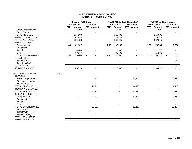#### **NORTHERN NEW MEXICO COLLEGE EXHIBIT 17\_PUBLIC SERVICE**

|                                |       |            | <b>Original FY19 Budget</b><br><b>Unrestricted</b> | <b>Restricted</b>        |                          | <b>Final FY19 Budget (Estimated)</b><br><b>Unrestricted</b> | <b>Restricted</b> |      | <b>FY19 Unaudited Actuals</b><br><b>Unrestricted</b> | <b>Restricted</b> |
|--------------------------------|-------|------------|----------------------------------------------------|--------------------------|--------------------------|-------------------------------------------------------------|-------------------|------|------------------------------------------------------|-------------------|
|                                |       | <b>FTE</b> | Amount                                             | <b>FTE</b> Amount        | FTE.                     | Amount                                                      | FTE Amount        | FTE. | Amount                                               | FTE Amount        |
| <b>State Appropriations</b>    |       |            | 116,900                                            |                          |                          | 116,900                                                     |                   |      | 116,900                                              |                   |
| <b>State Grants</b>            |       |            |                                                    |                          |                          |                                                             |                   |      |                                                      |                   |
| <b>TOTAL REVENUE</b>           |       |            | 116,900                                            | $\mathbf{r}$             |                          | 116,900                                                     | $\overline{a}$    |      | 116,900                                              |                   |
| <b>BEGINNING BALANCE</b>       |       |            | 103,528                                            |                          |                          | 115,345                                                     |                   |      | 115,345                                              |                   |
| <b>TOTAL AVAILABLE</b>         |       |            | 220,428                                            | $\blacksquare$           |                          | 232,245                                                     | $\blacksquare$    |      | 232,245                                              |                   |
| <b>EXPENDITURES</b>            |       |            |                                                    |                          |                          |                                                             |                   |      |                                                      |                   |
| Compensation                   |       | 1.30       | 82,107                                             |                          | 1.30                     | 82,108                                                      |                   | 1.30 | 79,734                                               | 3,053             |
| Equipment                      |       |            |                                                    |                          |                          |                                                             |                   |      |                                                      |                   |
| Travel                         |       |            | 4,646                                              |                          |                          | 1,000                                                       |                   |      | 216                                                  |                   |
| Other                          |       |            | 30,147                                             |                          |                          | 33,792                                                      |                   |      | 16,272                                               |                   |
| TOTAL EXPENDITURES             |       | 1.30       | 116,900                                            |                          | 1.30                     | 116,900                                                     |                   | 1.30 | 96,222                                               | 3,053             |
| <b>TRANSFERS</b>               |       |            |                                                    |                          |                          |                                                             |                   |      |                                                      |                   |
| Transfers In                   |       |            |                                                    |                          |                          |                                                             |                   |      |                                                      | 3,053             |
| Transfers (Out)                |       |            |                                                    |                          |                          |                                                             |                   |      |                                                      |                   |
| <b>TOTAL TRANSFERS</b>         |       |            | $\sim$                                             | $\blacksquare$           |                          | $\sim$                                                      | $\blacksquare$    |      | $\mathbf{r}$                                         | 3,053             |
| <b>ENDING BALANCE</b>          |       |            | 103,528                                            | $\overline{\phantom{a}}$ |                          | 115,345                                                     | $\blacksquare$    |      | 136,023                                              | $\sim$            |
|                                |       |            |                                                    |                          |                          |                                                             |                   |      |                                                      |                   |
| <b>SBDC Federal Allocation</b> | 41803 |            |                                                    |                          |                          |                                                             |                   |      |                                                      |                   |
| <b>REVENUE</b>                 |       |            |                                                    |                          |                          |                                                             |                   |      |                                                      |                   |
| <b>Federal Appropriation</b>   |       |            |                                                    | 22,211                   |                          |                                                             | 12,197            |      |                                                      | 12,197            |
| <b>State Appropriations</b>    |       |            |                                                    |                          |                          |                                                             |                   |      |                                                      |                   |
| <b>State Grants</b>            |       |            |                                                    |                          |                          |                                                             |                   |      |                                                      |                   |
| <b>TOTAL REVENUE</b>           |       |            |                                                    | 22,211                   |                          |                                                             | 12,197            |      |                                                      | 12,197            |
| <b>BEGINNING BALANCE</b>       |       |            |                                                    |                          |                          |                                                             |                   |      |                                                      |                   |
| <b>TOTAL AVAILABLE</b>         |       |            |                                                    | 22,211                   |                          |                                                             | 12,197            |      |                                                      | 12,197            |
| <b>EXPENDITURES</b>            |       |            |                                                    |                          |                          |                                                             |                   |      |                                                      |                   |
| Compensation                   |       |            |                                                    | 22,211                   |                          |                                                             | 12,197            |      |                                                      | 12,197            |
| Equipment                      |       |            |                                                    |                          |                          |                                                             |                   |      |                                                      |                   |
| Travel                         |       |            |                                                    |                          |                          |                                                             |                   |      |                                                      |                   |
| Other                          |       |            |                                                    |                          |                          | $\overline{\phantom{a}}$                                    |                   |      |                                                      |                   |
| <b>TOTAL EXPENDITURES</b>      |       |            | $\overline{\phantom{a}}$                           | 22,211                   | $\overline{\phantom{a}}$ |                                                             | 12,197            |      |                                                      | 12,197            |
| <b>TRANSFERS</b>               |       |            |                                                    |                          |                          |                                                             |                   |      |                                                      |                   |
| Transfers In                   |       |            |                                                    |                          |                          |                                                             |                   |      |                                                      |                   |
| Transfers (Out)                |       |            |                                                    |                          |                          |                                                             |                   |      |                                                      |                   |
| <b>TOTAL TRANSFERS</b>         |       |            | $\sim$                                             | $\overline{a}$           |                          | $\blacksquare$                                              | $\overline{a}$    |      | $\blacksquare$                                       |                   |
| <b>ENDING BALANCE</b>          |       |            | $\overline{a}$                                     | $\overline{a}$           |                          | $\overline{a}$                                              | $\overline{a}$    |      | $\overline{a}$                                       |                   |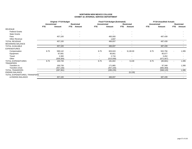#### **NORTHERN NEW MEXICO COLLEGE EXHIBIT 18\_INTERNAL SERVICE DEPARTMENT**

|                               |                     | <b>Original FY19 Budget</b> |            |                          |                          | <b>Final FY19 Budget (Estimated)</b> |            |                          |                     | <b>FY19 Unaudited Actuals</b> |            |            |
|-------------------------------|---------------------|-----------------------------|------------|--------------------------|--------------------------|--------------------------------------|------------|--------------------------|---------------------|-------------------------------|------------|------------|
|                               | <b>Unrestricted</b> |                             |            | Restricted               | <b>Unrestricted</b>      |                                      |            | <b>Restricted</b>        | <b>Unrestricted</b> |                               |            | Restricted |
|                               | <b>FTE</b>          | Amount                      | <b>FTE</b> | Amount                   | <b>FTE</b>               | Amount                               | <b>FTE</b> | Amount                   | <b>FTE</b>          | Amount                        | <b>FTE</b> | Amount     |
| <b>REVENUE</b>                |                     |                             |            |                          |                          |                                      |            |                          |                     |                               |            |            |
| <b>Federal Grants</b>         |                     |                             |            | $\overline{\phantom{a}}$ |                          | $\overline{\phantom{a}}$             |            |                          |                     |                               |            |            |
| <b>State Grants</b>           |                     |                             |            |                          |                          |                                      |            |                          |                     |                               |            |            |
| Fees                          |                     | 457,100                     |            |                          |                          | 465,000                              |            |                          |                     | 487,439                       |            |            |
| Other Revenue                 |                     |                             |            |                          |                          | 1,837                                |            |                          |                     |                               |            |            |
| <b>TOTAL REVENUE</b>          |                     | 457,100                     |            |                          |                          | 466,837                              |            | $\overline{\phantom{a}}$ |                     | 487,439                       |            |            |
| <b>BEGINNING BALANCE</b>      |                     |                             |            | $\overline{\phantom{a}}$ |                          | $\overline{\phantom{a}}$             |            | $\overline{\phantom{a}}$ |                     |                               |            |            |
| <b>TOTAL AVAILABLE</b>        |                     | 457,100                     |            | $\overline{\phantom{a}}$ |                          | 466,837                              |            | $\overline{\phantom{a}}$ |                     | 487,439                       |            |            |
| <b>EXPENDITURES</b>           |                     |                             |            |                          |                          |                                      |            |                          |                     |                               |            |            |
| Compensation                  | 8.75                | 589,142                     |            |                          | 8.75                     | 603,043                              |            | 9,130.00                 | 8.75                | 502,756                       |            | 1,395      |
| Equipment                     |                     | 87,681                      |            |                          | $\overline{\phantom{a}}$ | 90,851                               |            |                          |                     | 85,677                        |            |            |
| Travel                        |                     | 2,300                       |            |                          | $\overline{\phantom{a}}$ | 2,716                                |            |                          |                     | 3,452                         |            |            |
| Other                         |                     | (509, 384)                  |            |                          | $\overline{\phantom{a}}$ | (515,008)                            |            |                          |                     | (672, 567)                    |            |            |
| <b>TOTAL EXPENDITURES</b>     | 8.75                | 169,739                     |            | $\overline{\phantom{a}}$ | 8.75                     | 181,602                              | $\sim$     | 9,130                    | 8.75                | (80, 681)                     |            | 1,395      |
| <b>TRANSFERS</b>              |                     |                             |            |                          |                          |                                      |            |                          |                     |                               |            |            |
| Transfers In                  |                     | 169,739                     |            |                          |                          | 171,865                              |            |                          |                     | 97,348                        |            | 1,395      |
| Transfers (Out)               |                     | (457, 100)                  |            |                          |                          | (457, 100)                           |            | $\overline{\phantom{a}}$ |                     | (665, 469)                    |            |            |
| <b>TOTAL TRANSFERS</b>        |                     | (287, 361)                  |            |                          |                          | (285, 235)                           |            | $\overline{\phantom{a}}$ |                     | (568, 120)                    |            | 1,395      |
| <b>ENDING BALANCE</b>         |                     |                             |            | $\overline{\phantom{a}}$ |                          | $\sim$                               |            | (9, 130)                 |                     | $\overline{\phantom{a}}$      |            |            |
| TOTAL EXPENDITURES, TRANSFERS |                     |                             |            |                          |                          |                                      |            |                          |                     |                               |            |            |
| & ENDING BALANCE              |                     | 457,100                     |            | $\overline{\phantom{a}}$ |                          | 466,837                              |            | $\overline{\phantom{a}}$ |                     | 487,439                       |            | $\sim$     |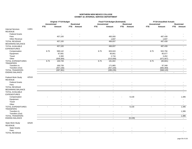#### **NORTHERN NEW MEXICO COLLEGE EXHIBIT 18\_INTERNAL SERVICE DEPARTMENT**

|                                                                       |       |                     | <b>Original FY19 Budget</b> |                          |                     | Final FY19 Budget (Estimated) |            |                          |                          | <b>FY19 Unaudited Actuals</b> |                |                          |
|-----------------------------------------------------------------------|-------|---------------------|-----------------------------|--------------------------|---------------------|-------------------------------|------------|--------------------------|--------------------------|-------------------------------|----------------|--------------------------|
|                                                                       |       | <b>Unrestricted</b> |                             | <b>Restricted</b>        | <b>Unrestricted</b> |                               |            | <b>Restricted</b>        | <b>Unrestricted</b>      |                               |                | <b>Restricted</b>        |
|                                                                       |       | <b>FTE</b>          | Amount                      | FTE Amount               | <b>FTE</b>          | Amount                        | <b>FTE</b> | <b>Amount</b>            | <b>FTE</b>               | Amount                        |                | FTE Amount               |
| <b>Internal Services</b>                                              | 11801 |                     |                             |                          |                     |                               |            |                          |                          |                               |                |                          |
| <b>REVENUE</b>                                                        |       |                     |                             |                          |                     |                               |            |                          |                          |                               |                |                          |
| <b>Federal Grants</b>                                                 |       |                     |                             |                          |                     |                               |            |                          |                          |                               |                |                          |
| Fees                                                                  |       |                     | 457,100                     |                          |                     | 465,000                       |            |                          |                          | 487,439                       |                |                          |
| <b>Other Revenue</b>                                                  |       |                     |                             |                          |                     | 1,837                         |            |                          |                          | 1,837                         |                |                          |
| <b>TOTAL REVENUE</b>                                                  |       |                     | 457,100                     |                          |                     | 466,837                       |            | $\overline{\phantom{a}}$ |                          | 487,439                       |                |                          |
| <b>BEGINNING BALANCE</b>                                              |       |                     |                             |                          |                     | $\blacksquare$                |            |                          |                          |                               |                |                          |
| <b>TOTAL AVAILABLE</b>                                                |       |                     | 457,100                     |                          |                     | 466,837                       |            | $\blacksquare$           |                          | 487,439                       |                |                          |
| <b>EXPENDITURES</b>                                                   |       |                     |                             |                          |                     |                               |            |                          |                          |                               |                |                          |
|                                                                       |       |                     |                             |                          |                     |                               |            |                          |                          |                               |                |                          |
| Compensation                                                          |       | 8.75                | 589,142                     |                          | 8.75                | 603,043                       |            |                          | 8.75                     | 502,756                       |                |                          |
| Equipment                                                             |       |                     | 87,681                      |                          |                     | 90,851                        |            |                          |                          | 85,677                        |                |                          |
| Travel                                                                |       |                     | 2,300                       |                          |                     | 2,716                         |            |                          |                          | 3,452                         |                |                          |
| Other                                                                 |       |                     | (509, 384)                  |                          |                     | (515,008)                     |            |                          |                          | (672, 567)                    |                |                          |
| <b>TOTAL EXPENDITURES</b><br>TRANSFERS                                |       | 8.75                | 169,739                     |                          | 8.75                | 181,602                       | $\sim$     |                          | 8.75                     | (80, 681)                     |                |                          |
| Transfers In                                                          |       |                     | 169,739                     |                          |                     | 171,865                       |            |                          |                          | 97,348                        |                |                          |
| Transfers (Out)                                                       |       |                     | (457, 100)                  |                          |                     | (457, 100)                    |            |                          |                          | (665, 469)                    |                |                          |
| TOTAL TRANSFERS                                                       |       |                     | (287, 361)                  | $\blacksquare$           |                     | (285, 235)                    |            | $\overline{\phantom{a}}$ |                          | (568, 120)                    |                |                          |
| <b>ENDING BALANCE</b>                                                 |       |                     | $\sim$                      | $\blacksquare$           |                     | $\blacksquare$                |            | $\overline{\phantom{a}}$ |                          | $\blacksquare$                | $\blacksquare$ | $\sim$                   |
| Federal Work Study<br><b>REVENUE</b><br><b>Federal Grants</b><br>Fees | 42519 |                     |                             |                          |                     |                               |            |                          |                          |                               |                |                          |
|                                                                       |       |                     |                             |                          |                     |                               |            |                          |                          |                               |                |                          |
| <b>TOTAL REVENUE</b>                                                  |       |                     |                             |                          |                     |                               |            |                          |                          |                               |                |                          |
| <b>BEGINNING BALANCE</b>                                              |       |                     |                             | $\overline{\phantom{a}}$ |                     | $\overline{\phantom{a}}$      |            | $\overline{\phantom{a}}$ |                          |                               |                |                          |
| <b>TOTAL AVAILABLE</b><br><b>EXPENDITURES</b>                         |       |                     |                             |                          |                     |                               |            | $\sim$                   |                          |                               |                |                          |
| Compensation                                                          |       |                     |                             |                          |                     |                               |            | 9,130                    |                          |                               |                | 1,395                    |
| Equipment                                                             |       |                     |                             |                          |                     |                               |            |                          |                          |                               |                | $\overline{\phantom{a}}$ |
| Travel                                                                |       |                     |                             |                          |                     |                               |            |                          |                          |                               |                |                          |
| Other                                                                 |       |                     |                             |                          |                     |                               |            |                          |                          |                               |                |                          |
| TOTAL EXPENDITURES<br><b>TRANSFERS</b>                                |       |                     |                             |                          | $\sim$              |                               |            | 9,130                    | $\overline{\phantom{a}}$ |                               |                | 1,395                    |
| Transfers In                                                          |       |                     |                             |                          |                     |                               |            |                          |                          |                               |                | 1,395                    |
| Transfers (Out)                                                       |       |                     |                             |                          |                     |                               |            |                          |                          |                               |                |                          |
| <b>TOTAL TRANSFERS</b>                                                |       |                     | $\overline{\phantom{a}}$    | $\overline{\phantom{a}}$ |                     | $\blacksquare$                |            | $\sim$                   |                          | $\blacksquare$                |                | 1,395                    |
| <b>ENDING BALANCE</b>                                                 |       |                     | $\overline{\phantom{a}}$    | $\blacksquare$           |                     | $\sim$                        |            | (9, 130)                 |                          | $\sim$                        |                | $\sim$                   |
| State Work Study<br><b>REVENUE</b>                                    | 42529 |                     |                             |                          |                     |                               |            |                          |                          |                               |                |                          |
| <b>State Grants</b>                                                   |       |                     |                             |                          |                     |                               |            |                          |                          |                               |                |                          |
| Fees                                                                  |       |                     |                             |                          |                     |                               |            |                          |                          |                               |                |                          |
| <b>TOTAL REVENUE</b>                                                  |       |                     |                             |                          |                     |                               |            |                          |                          |                               |                |                          |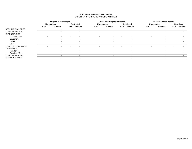#### **NORTHERN NEW MEXICO COLLEGE EXHIBIT 18\_INTERNAL SERVICE DEPARTMENT**

|                           |                          | <b>Original FY19 Budget</b> |      |                          |                          | Final FY19 Budget (Estimated) |      |                          |            | <b>FY19 Unaudited Actuals</b> |      |                          |
|---------------------------|--------------------------|-----------------------------|------|--------------------------|--------------------------|-------------------------------|------|--------------------------|------------|-------------------------------|------|--------------------------|
|                           |                          | <b>Unrestricted</b>         |      | <b>Restricted</b>        |                          | <b>Unrestricted</b>           |      | Restricted               |            | <b>Unrestricted</b>           |      | Restricted               |
|                           | <b>FTE</b>               | Amount                      | FTE. | Amount                   | FTE.                     | Amount                        | FTE. | Amount                   | <b>FTE</b> | Amount                        | FTE. | Amount                   |
| <b>BEGINNING BALANCE</b>  |                          |                             |      | $\overline{\phantom{a}}$ |                          | $\overline{\phantom{a}}$      |      | $\overline{\phantom{a}}$ |            | $\overline{\phantom{a}}$      |      | $\overline{\phantom{0}}$ |
| <b>TOTAL AVAILABLE</b>    |                          |                             |      |                          |                          |                               |      | $\overline{\phantom{a}}$ |            |                               |      |                          |
| <b>EXPENDITURES</b>       |                          |                             |      |                          |                          |                               |      |                          |            |                               |      |                          |
| Compensation              | $\overline{\phantom{a}}$ |                             |      |                          | $\overline{\phantom{0}}$ |                               |      |                          |            |                               |      |                          |
| Equipment                 |                          | $\overline{\phantom{a}}$    |      |                          |                          |                               |      | $\overline{\phantom{0}}$ |            |                               |      |                          |
| Travel                    |                          | $\overline{\phantom{a}}$    |      |                          |                          |                               |      | $\overline{\phantom{0}}$ |            |                               |      |                          |
| Other                     |                          |                             |      |                          |                          |                               |      | $\overline{\phantom{0}}$ |            |                               |      |                          |
| <b>TOTAL EXPENDITURES</b> |                          |                             |      |                          |                          |                               |      |                          |            |                               |      |                          |
| <b>TRANSFERS</b>          |                          |                             |      |                          |                          |                               |      |                          |            |                               |      |                          |
| Transfers In              |                          |                             |      |                          |                          |                               |      |                          |            |                               |      |                          |
| Transfers (Out)           |                          |                             |      |                          |                          |                               |      | $\overline{\phantom{0}}$ |            | $\overline{\phantom{a}}$      |      |                          |
| <b>TOTAL TRANSFERS</b>    |                          |                             |      |                          |                          |                               |      |                          |            | $\overline{\phantom{a}}$      |      |                          |
| <b>ENDING BALANCE</b>     |                          |                             |      |                          |                          |                               |      | $\overline{\phantom{a}}$ |            |                               |      |                          |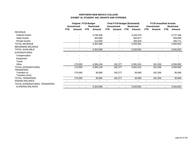|                               | <b>Original FY19 Budget</b> |                     |            |                   |                | <b>Final FY19 Budget (Estimated)</b> |                |                   |                          | <b>FY19 Unaudited Actuals</b> |                |                   |
|-------------------------------|-----------------------------|---------------------|------------|-------------------|----------------|--------------------------------------|----------------|-------------------|--------------------------|-------------------------------|----------------|-------------------|
|                               |                             | <b>Unrestricted</b> |            | <b>Restricted</b> |                | <b>Unrestricted</b>                  |                | <b>Restricted</b> |                          | <b>Unrestricted</b>           |                | <b>Restricted</b> |
|                               | <b>FTE</b>                  | Amount              | <b>FTE</b> | Amount            | <b>FTE</b>     | Amount                               | FTE.           | Amount            | <b>FTE</b>               | <b>Amount</b>                 | <b>FTE</b>     | Amount            |
| <b>REVENUE</b>                |                             |                     |            |                   |                |                                      |                |                   |                          |                               |                |                   |
| <b>Federal Grants</b>         |                             |                     |            | 3,746,406         |                |                                      |                | 4,183,479         |                          |                               |                | 3,727,166         |
| <b>State Grants</b>           |                             |                     |            | 393,680           |                |                                      |                | 562,877           |                          |                               |                | 556,895           |
| <b>Private Grants</b>         |                             |                     |            | 214,000           |                |                                      |                | 284,625           |                          |                               |                | 280,771           |
| <b>TOTAL REVENUE</b>          |                             |                     |            | 4,354,086         |                |                                      |                | 5,030,981         |                          |                               |                | 4,564,832         |
| <b>BEGINNING BALANCE</b>      |                             |                     |            |                   |                |                                      |                |                   |                          |                               |                |                   |
| TOTAL AVAILABLE               |                             |                     |            | 4,354,086         |                |                                      |                | 5,030,981         |                          |                               |                | 4,564,832         |
| <b>EXPENDITURES</b>           |                             |                     |            |                   |                |                                      |                |                   |                          |                               |                |                   |
| Compensation                  |                             |                     |            |                   |                |                                      |                |                   |                          |                               |                |                   |
| Equipment                     |                             |                     |            |                   |                |                                      |                |                   |                          |                               |                |                   |
| Travel                        |                             |                     |            |                   |                |                                      |                |                   |                          |                               |                |                   |
| Other                         |                             | 170,000             |            | 4,384,146         |                | 182,277                              |                | 5,061,041         |                          | 181,556                       |                | 4,594,892         |
| TOTAL EXPENDITURES            |                             | 170,000             |            | 4,384,146         | $\blacksquare$ | 182,277                              | $\blacksquare$ | 5,061,041         | $\overline{\phantom{a}}$ | 181,556                       | $\blacksquare$ | 4,594,892         |
| <b>TRANSFERS</b>              |                             |                     |            |                   |                |                                      |                |                   |                          |                               |                |                   |
| Transfers In                  |                             | 170,000             |            | 30,060            |                | 182,277                              |                | 30,060            |                          | 181,556                       |                | 30,060            |
| Transfers (Out)               |                             |                     |            |                   |                |                                      |                |                   |                          |                               |                |                   |
| <b>TOTAL TRANSFERS</b>        |                             | 170,000             |            | 30,060            |                | 182,277                              |                | 30,060            |                          | 181,556                       |                | 30,060            |
| <b>ENDING BALANCE</b>         |                             |                     |            |                   |                |                                      |                |                   |                          |                               |                |                   |
| TOTAL EXPENDITURES, TRANSFERS |                             |                     |            |                   |                |                                      |                |                   |                          |                               |                |                   |
| & ENDING BALANCE              |                             |                     |            | 4,354,086         | $\blacksquare$ |                                      |                | 5,030,981         | $\overline{\phantom{a}}$ |                               |                | 4,564,832         |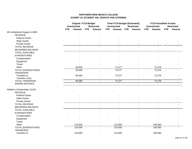|                                                 |            | <b>Original FY19 Budget</b><br><b>Unrestricted</b><br><b>Restricted</b> |            |                | <b>Final FY19 Budget (Estimated)</b><br><b>Unrestricted</b> |                | <b>Restricted</b> |                | <b>FY19 Unaudited Actuals</b><br><b>Unrestricted</b> |                | <b>Restricted</b> |        |
|-------------------------------------------------|------------|-------------------------------------------------------------------------|------------|----------------|-------------------------------------------------------------|----------------|-------------------|----------------|------------------------------------------------------|----------------|-------------------|--------|
|                                                 | <b>FTE</b> | Amount                                                                  | <b>FTE</b> | Amount         | <b>FTE</b>                                                  | Amount         | <b>FTE</b>        | <b>Amount</b>  | <b>FTE</b>                                           | Amount         | <b>FTE</b>        | Amount |
| 3% Institutional Support-11900                  |            |                                                                         |            |                |                                                             |                |                   |                |                                                      |                |                   |        |
| <b>REVENUE</b>                                  |            |                                                                         |            |                |                                                             |                |                   |                |                                                      |                |                   |        |
| <b>Federal Grants</b>                           |            |                                                                         |            |                |                                                             |                |                   |                |                                                      |                |                   |        |
| <b>State Grants</b>                             |            |                                                                         |            |                |                                                             |                |                   |                |                                                      |                |                   |        |
| <b>Private Grants</b>                           |            |                                                                         |            |                |                                                             |                |                   |                |                                                      |                |                   |        |
| <b>TOTAL REVENUE</b>                            |            |                                                                         |            |                |                                                             |                |                   |                |                                                      |                |                   |        |
| <b>BEGINNING BALANCE</b>                        |            |                                                                         |            |                |                                                             |                |                   |                |                                                      |                |                   |        |
| <b>TOTAL AVAILABLE</b>                          |            |                                                                         |            | $\overline{a}$ |                                                             | $\blacksquare$ |                   | $\mathbf{r}$   |                                                      |                |                   |        |
| <b>EXPENDITURES</b>                             |            |                                                                         |            |                |                                                             |                |                   |                |                                                      |                |                   |        |
| Compensation                                    |            |                                                                         |            |                |                                                             |                |                   |                |                                                      |                |                   |        |
| Equipment                                       |            |                                                                         |            |                |                                                             |                |                   |                |                                                      |                |                   |        |
| Travel                                          |            |                                                                         |            |                |                                                             |                |                   |                |                                                      |                |                   |        |
| Other                                           |            | 60,000                                                                  |            |                |                                                             | 72,277         |                   |                |                                                      | 72,276         |                   |        |
| <b>TOTAL EXPENDITURES</b>                       |            | 60,000                                                                  | $\sim$     |                |                                                             | 72,277         | $\sim$            |                |                                                      | 72,276         | $\sim$            |        |
| <b>TRANSFERS</b>                                |            |                                                                         |            |                |                                                             |                |                   |                |                                                      |                |                   |        |
| Transfers In<br>Transfers (Out)                 |            | 60,000                                                                  |            |                |                                                             | 72,277         |                   |                |                                                      | 72,276         |                   |        |
| <b>TOTAL TRANSFERS</b>                          |            | 60,000                                                                  |            | $\blacksquare$ |                                                             | 72,277         |                   | $\blacksquare$ |                                                      | 72,276         |                   | $\sim$ |
| <b>ENDING BALANCE</b>                           |            | $\sim$                                                                  |            | $\sim$         |                                                             | $\blacksquare$ |                   | $\blacksquare$ |                                                      | $\blacksquare$ |                   | $\sim$ |
|                                                 |            |                                                                         |            |                |                                                             |                |                   |                |                                                      |                |                   |        |
| Athletic's Scholarships-12105<br><b>REVENUE</b> |            |                                                                         |            |                |                                                             |                |                   |                |                                                      |                |                   |        |
| <b>Federal Grants</b>                           |            |                                                                         |            |                |                                                             |                |                   |                |                                                      |                |                   |        |
| <b>State Grants</b>                             |            |                                                                         |            |                |                                                             |                |                   |                |                                                      |                |                   |        |
| <b>Private Grants</b>                           |            |                                                                         |            |                |                                                             |                |                   |                |                                                      |                |                   |        |
|                                                 |            |                                                                         |            |                |                                                             |                |                   |                |                                                      |                |                   |        |
| <b>TOTAL REVENUE</b>                            |            |                                                                         |            |                |                                                             |                |                   |                |                                                      |                |                   |        |
| <b>BEGINNING BALANCE</b>                        |            |                                                                         |            |                |                                                             |                |                   |                |                                                      |                |                   |        |
| <b>TOTAL AVAILABLE</b>                          |            |                                                                         |            |                |                                                             |                |                   |                |                                                      |                |                   |        |
| <b>EXPENDITURES</b>                             |            |                                                                         |            |                |                                                             |                |                   |                |                                                      |                |                   |        |
| Compensation                                    |            |                                                                         |            |                |                                                             |                |                   |                |                                                      |                |                   |        |
| Equipment                                       |            |                                                                         |            |                |                                                             |                |                   |                |                                                      |                |                   |        |
| Travel                                          |            |                                                                         |            |                |                                                             |                |                   |                |                                                      |                |                   |        |
| Other                                           |            | 110,000                                                                 |            |                |                                                             | 110,000        |                   |                |                                                      | 109,280        |                   |        |
| <b>TOTAL EXPENDITURES</b><br><b>TRANSFERS</b>   |            | 110,000                                                                 | $\sim$     |                |                                                             | 110,000        | $\sim$            |                |                                                      | 109,280        | $\blacksquare$    |        |
| Transfers In                                    |            | 110,000                                                                 |            |                |                                                             | 110,000        |                   |                |                                                      | 109,280        |                   |        |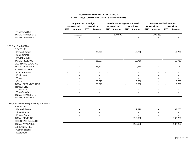|                                          |            | <b>Original FY19 Budget</b><br><b>Unrestricted</b> |            | <b>Restricted</b>        |            | <b>Final FY19 Budget (Estimated)</b><br><b>Unrestricted</b> |            | <b>Restricted</b> |            | <b>FY19 Unaudited Actuals</b><br><b>Unrestricted</b> |            | <b>Restricted</b> |
|------------------------------------------|------------|----------------------------------------------------|------------|--------------------------|------------|-------------------------------------------------------------|------------|-------------------|------------|------------------------------------------------------|------------|-------------------|
|                                          | <b>FTE</b> | Amount                                             | <b>FTE</b> | Amount                   | <b>FTE</b> | <b>Amount</b>                                               | <b>FTE</b> | Amount            | <b>FTE</b> | Amount                                               | <b>FTE</b> | <b>Amount</b>     |
| Transfers (Out)                          |            |                                                    |            | $\blacksquare$           |            | $\blacksquare$                                              |            |                   |            | $\sim$                                               |            |                   |
| <b>TOTAL TRANSFERS</b>                   |            | 110,000                                            |            | $\blacksquare$           |            | 110,000                                                     |            | $\blacksquare$    |            | 109,280                                              |            | $\blacksquare$    |
| <b>ENDING BALANCE</b>                    |            | $\blacksquare$                                     |            | $\blacksquare$           |            |                                                             |            | $\blacksquare$    |            | $\blacksquare$                                       |            | $\blacksquare$    |
|                                          |            |                                                    |            |                          |            |                                                             |            |                   |            |                                                      |            |                   |
| NSF Due Pearl-40104                      |            |                                                    |            |                          |            |                                                             |            |                   |            |                                                      |            |                   |
| <b>REVENUE</b>                           |            |                                                    |            |                          |            |                                                             |            |                   |            |                                                      |            |                   |
| <b>Federal Grants</b>                    |            |                                                    |            | 25,227                   |            |                                                             |            | 10,750            |            |                                                      |            | 10,750            |
| <b>State Grants</b>                      |            |                                                    |            |                          |            |                                                             |            |                   |            |                                                      |            |                   |
| <b>Private Grants</b>                    |            |                                                    |            |                          |            |                                                             |            |                   |            |                                                      |            |                   |
| <b>TOTAL REVENUE</b>                     |            |                                                    |            | 25,227                   |            |                                                             |            | 10,750            |            |                                                      |            | 10,750            |
| <b>BEGINNING BALANCE</b>                 |            |                                                    |            |                          |            |                                                             |            |                   |            |                                                      |            |                   |
| <b>TOTAL AVAILABLE</b>                   |            | $\overline{a}$                                     |            | 25,227                   |            | $\blacksquare$                                              |            | 10,750            |            | $\overline{a}$                                       |            | 10,750            |
| <b>EXPENDITURES</b>                      |            |                                                    |            |                          |            |                                                             |            |                   |            |                                                      |            |                   |
| Compensation                             |            |                                                    |            |                          |            |                                                             |            |                   |            |                                                      |            |                   |
| Equipment                                |            |                                                    |            |                          |            |                                                             |            |                   |            |                                                      |            |                   |
| Travel                                   |            |                                                    |            |                          |            |                                                             |            |                   |            |                                                      |            |                   |
| Other                                    |            |                                                    |            | 25,227                   |            |                                                             |            | 10,750            |            |                                                      |            | 10,750            |
| <b>TOTAL EXPENDITURES</b>                |            |                                                    |            | 25,227                   |            |                                                             |            | 10,750            | $\sim$     |                                                      |            | 10,750            |
| <b>TRANSFERS</b>                         |            |                                                    |            |                          |            |                                                             |            |                   |            |                                                      |            |                   |
| Transfers In                             |            |                                                    |            |                          |            |                                                             |            |                   |            |                                                      |            |                   |
| Transfers (Out)                          |            |                                                    |            |                          |            |                                                             |            |                   |            |                                                      |            |                   |
| <b>TOTAL TRANSFERS</b>                   |            | $\blacksquare$                                     |            | $\sim$                   |            | $\blacksquare$                                              |            | $\blacksquare$    |            | $\sim$                                               |            | $\blacksquare$    |
| <b>ENDING BALANCE</b>                    |            | $\mathbf{u}$                                       |            | $\mathbf{r}$             |            | $\mathbf{r}$                                                |            | $\blacksquare$    |            | $\mathbf{r}$                                         |            | $\sim$            |
| College Assistance Migrant Program-41102 |            |                                                    |            |                          |            |                                                             |            |                   |            |                                                      |            |                   |
| <b>REVENUE</b>                           |            |                                                    |            |                          |            |                                                             |            |                   |            |                                                      |            |                   |
| <b>Federal Grants</b>                    |            |                                                    |            |                          |            |                                                             |            | 219,990           |            |                                                      |            | 187,260           |
| <b>State Grants</b>                      |            |                                                    |            |                          |            |                                                             |            |                   |            |                                                      |            |                   |
| <b>Private Grants</b>                    |            |                                                    |            | $\overline{\phantom{a}}$ |            | $\blacksquare$                                              |            |                   |            | $\overline{\phantom{a}}$                             |            |                   |
| <b>TOTAL REVENUE</b>                     |            |                                                    |            | $\blacksquare$           |            |                                                             |            | 219,990           |            |                                                      |            | 187,260           |
| <b>BEGINNING BALANCE</b>                 |            |                                                    |            |                          |            |                                                             |            |                   |            |                                                      |            |                   |
| <b>TOTAL AVAILABLE</b>                   |            | $\blacksquare$                                     |            | $\overline{a}$           |            | $\sim$                                                      |            | 219,990           |            | $\blacksquare$                                       |            | 187,260           |
| <b>EXPENDITURES</b>                      |            |                                                    |            |                          |            |                                                             |            |                   |            |                                                      |            |                   |
| Compensation                             |            |                                                    |            |                          |            |                                                             |            |                   |            |                                                      |            |                   |
| Equipment                                |            |                                                    |            |                          |            |                                                             |            |                   |            |                                                      |            |                   |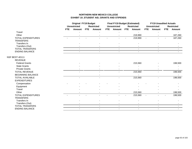|                          | <b>Original FY19 Budget</b> |                     |            |                   |            | <b>Final FY19 Budget (Estimated)</b> |            |                          |                | <b>FY19 Unaudited Actuals</b> |            |                   |
|--------------------------|-----------------------------|---------------------|------------|-------------------|------------|--------------------------------------|------------|--------------------------|----------------|-------------------------------|------------|-------------------|
|                          |                             | <b>Unrestricted</b> |            | <b>Restricted</b> |            | <b>Unrestricted</b>                  |            | <b>Restricted</b>        |                | <b>Unrestricted</b>           |            | <b>Restricted</b> |
|                          | <b>FTE</b>                  | Amount              | <b>FTE</b> | Amount            | <b>FTE</b> | Amount                               | <b>FTE</b> | Amount                   | <b>FTE</b>     | Amount                        | <b>FTE</b> | Amount            |
| Travel                   |                             |                     |            |                   |            |                                      |            |                          |                |                               |            |                   |
| Other                    |                             |                     |            |                   |            |                                      |            | 219,990                  |                |                               |            | 187,260           |
| TOTAL EXPENDITURES       |                             |                     |            |                   |            |                                      |            | 219,990                  | $\blacksquare$ |                               |            | 187,260           |
| <b>TRANSFERS</b>         |                             |                     |            |                   |            |                                      |            |                          |                |                               |            |                   |
| Transfers In             |                             |                     |            |                   |            |                                      |            |                          |                |                               |            |                   |
| Transfers (Out)          |                             |                     |            |                   |            |                                      |            |                          |                |                               |            |                   |
| <b>TOTAL TRANSFERS</b>   |                             | $\sim$              |            | $\sim$            |            | $\sim$                               |            | $\sim$                   |                | $\sim$                        |            | $\sim$            |
| <b>ENDING BALANCE</b>    |                             |                     |            |                   |            | $\blacksquare$                       |            | $\overline{\phantom{a}}$ |                |                               |            |                   |
| <b>NSF BEST-40111</b>    |                             |                     |            |                   |            |                                      |            |                          |                |                               |            |                   |
| <b>REVENUE</b>           |                             |                     |            |                   |            |                                      |            |                          |                |                               |            |                   |
| <b>Federal Grants</b>    |                             |                     |            |                   |            |                                      |            | 215,560                  |                |                               |            | 198,500           |
| <b>State Grants</b>      |                             |                     |            |                   |            |                                      |            |                          |                |                               |            |                   |
| <b>Private Grants</b>    |                             |                     |            |                   |            |                                      |            |                          |                |                               |            |                   |
| <b>TOTAL REVENUE</b>     |                             |                     |            |                   |            |                                      |            | 215,560                  |                |                               |            | 198,500           |
| <b>BEGINNING BALANCE</b> |                             |                     |            |                   |            |                                      |            |                          |                |                               |            |                   |
| <b>TOTAL AVAILABLE</b>   |                             |                     |            |                   |            |                                      |            | 215,560                  |                |                               |            | 198,500           |
| <b>EXPENDITURES</b>      |                             |                     |            |                   |            |                                      |            |                          |                |                               |            |                   |
| Compensation             |                             |                     |            |                   |            |                                      |            |                          |                |                               |            |                   |
| Equipment                |                             |                     |            |                   |            |                                      |            |                          |                |                               |            |                   |
| Travel                   |                             |                     |            |                   |            |                                      |            |                          |                |                               |            |                   |
| Other                    |                             |                     |            |                   |            |                                      |            | 215,560                  |                |                               |            | 198,500           |
| TOTAL EXPENDITURES       |                             |                     |            |                   |            |                                      |            | 215,560                  | $\blacksquare$ |                               |            | 198,500           |
| <b>TRANSFERS</b>         |                             |                     |            |                   |            |                                      |            |                          |                |                               |            |                   |
| Transfers In             |                             |                     |            |                   |            |                                      |            |                          |                |                               |            |                   |
| Transfers (Out)          |                             |                     |            |                   |            |                                      |            |                          |                |                               |            |                   |
| <b>TOTAL TRANSFERS</b>   |                             | $\blacksquare$      |            | $\blacksquare$    |            | $\sim$                               |            | $\sim$                   |                | $\sim$                        |            |                   |
| <b>ENDING BALANCE</b>    |                             | $\blacksquare$      |            | $\sim$            |            | $\blacksquare$                       |            | $\overline{\phantom{a}}$ |                | $\blacksquare$                |            | $\sim$            |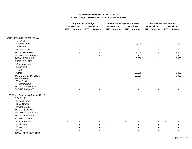|                                     |            | <b>Original FY19 Budget</b><br><b>Unrestricted</b> |            | <b>Restricted</b>        |                | <b>Final FY19 Budget (Estimated)</b><br><b>Unrestricted</b> |                | <b>Restricted</b>        |                          | <b>FY19 Unaudited Actuals</b><br><b>Unrestricted</b> |            | <b>Restricted</b> |
|-------------------------------------|------------|----------------------------------------------------|------------|--------------------------|----------------|-------------------------------------------------------------|----------------|--------------------------|--------------------------|------------------------------------------------------|------------|-------------------|
|                                     | <b>FTE</b> | Amount                                             | <b>FTE</b> | <b>Amount</b>            | <b>FTE</b>     | <b>Amount</b>                                               |                | FTE Amount               | <b>FTE</b>               | Amount                                               | <b>FTE</b> | Amount            |
| Stem Pathways: NM AMP 40119         |            |                                                    |            |                          |                |                                                             |                |                          |                          |                                                      |            |                   |
| <b>REVENUE</b>                      |            |                                                    |            |                          |                |                                                             |                |                          |                          |                                                      |            |                   |
| <b>Federal Grants</b>               |            |                                                    |            |                          |                |                                                             |                | 13,000                   |                          |                                                      |            | 9,000             |
| <b>State Grants</b>                 |            |                                                    |            |                          |                |                                                             |                |                          |                          |                                                      |            |                   |
| <b>Private Grants</b>               |            |                                                    |            |                          |                |                                                             |                |                          |                          |                                                      |            |                   |
| <b>TOTAL REVENUE</b>                |            |                                                    |            |                          |                |                                                             |                | 13,000                   |                          |                                                      |            | 9,000             |
| <b>BEGINNING BALANCE</b>            |            |                                                    |            |                          |                |                                                             |                | $\overline{a}$           |                          |                                                      |            | $\sim$            |
| <b>TOTAL AVAILABLE</b>              |            |                                                    |            |                          |                |                                                             |                | 13,000                   |                          |                                                      |            | 9,000             |
| <b>EXPENDITURES</b>                 |            |                                                    |            |                          |                |                                                             |                |                          |                          |                                                      |            |                   |
| Compensation                        |            |                                                    |            |                          |                |                                                             |                |                          |                          |                                                      |            |                   |
| Equipment                           |            |                                                    |            |                          |                |                                                             |                |                          |                          |                                                      |            |                   |
| Travel                              |            |                                                    |            |                          |                |                                                             |                |                          |                          |                                                      |            |                   |
| Other                               |            |                                                    |            |                          |                |                                                             |                | 13,000                   |                          |                                                      |            | 9,000             |
| <b>TOTAL EXPENDITURES</b>           | $\sim$     |                                                    |            | $\overline{\phantom{a}}$ |                |                                                             | $\blacksquare$ | 13,000                   | $\blacksquare$           | $\blacksquare$                                       |            | 9,000             |
| <b>TRANSFERS</b>                    |            |                                                    |            |                          |                |                                                             |                |                          |                          |                                                      |            |                   |
| Transfers In                        |            |                                                    |            |                          |                |                                                             |                |                          |                          |                                                      |            |                   |
| Transfers (Out)                     |            |                                                    |            |                          |                |                                                             |                |                          |                          |                                                      |            |                   |
| <b>TOTAL TRANSFERS</b>              |            | $\blacksquare$                                     |            | $\blacksquare$           |                | $\blacksquare$                                              |                | $\blacksquare$           |                          | $\blacksquare$                                       |            | $\blacksquare$    |
| <b>ENDING BALANCE</b>               |            | $\overline{a}$                                     |            | $\mathbf{r}$             |                | $\blacksquare$                                              |                | $\sim$                   |                          | $\sim$                                               |            | $\blacksquare$    |
| NSF-Noyce Scholarship Project-41118 |            |                                                    |            |                          |                |                                                             |                |                          |                          |                                                      |            |                   |
| <b>REVENUE</b>                      |            |                                                    |            |                          |                |                                                             |                |                          |                          |                                                      |            |                   |
| <b>Federal Grants</b>               |            |                                                    |            |                          |                |                                                             |                |                          |                          |                                                      |            |                   |
| <b>State Grants</b>                 |            |                                                    |            |                          |                |                                                             |                |                          |                          |                                                      |            |                   |
| <b>Private Grants</b>               |            |                                                    |            |                          |                |                                                             |                | $\overline{\phantom{a}}$ |                          |                                                      |            |                   |
| <b>TOTAL REVENUE</b>                |            |                                                    |            |                          |                |                                                             |                |                          |                          |                                                      |            |                   |
| <b>BEGINNING BALANCE</b>            |            |                                                    |            |                          |                |                                                             |                |                          |                          |                                                      |            |                   |
| <b>TOTAL AVAILABLE</b>              |            |                                                    |            | $\sim$                   |                | $\sim$                                                      |                | $\sim$                   |                          | $\sim$                                               |            |                   |
| <b>EXPENDITURES</b>                 |            |                                                    |            |                          |                |                                                             |                |                          |                          |                                                      |            |                   |
| Compensation                        |            |                                                    |            |                          |                |                                                             |                |                          |                          |                                                      |            |                   |
| Equipment                           |            |                                                    |            |                          |                |                                                             |                |                          |                          |                                                      |            |                   |
| Travel                              |            |                                                    |            |                          |                |                                                             |                |                          |                          |                                                      |            |                   |
| Other                               |            |                                                    |            |                          |                |                                                             |                |                          |                          |                                                      |            |                   |
| <b>TOTAL EXPENDITURES</b>           |            |                                                    |            | $\sim$                   | $\blacksquare$ | $\blacksquare$                                              | $\blacksquare$ | $\sim$                   | $\overline{\phantom{a}}$ | $\sim$                                               |            |                   |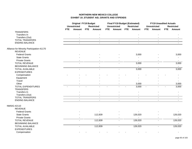|                                           |            | <b>Original FY19 Budget</b> |            |                   |            | <b>Final FY19 Budget (Estimated)</b> |     |                          |                | <b>FY19 Unaudited Actuals</b> |            |                   |
|-------------------------------------------|------------|-----------------------------|------------|-------------------|------------|--------------------------------------|-----|--------------------------|----------------|-------------------------------|------------|-------------------|
|                                           |            | <b>Unrestricted</b>         |            | <b>Restricted</b> |            | <b>Unrestricted</b>                  |     | <b>Restricted</b>        |                | <b>Unrestricted</b>           |            | <b>Restricted</b> |
|                                           | <b>FTE</b> | <b>Amount</b>               | <b>FTE</b> | Amount            | <b>FTE</b> | <b>Amount</b>                        | FTE | <b>Amount</b>            | <b>FTE</b>     | <b>Amount</b>                 | <b>FTE</b> | Amount            |
| <b>TRANSFERS</b>                          |            |                             |            |                   |            |                                      |     |                          |                |                               |            |                   |
| Transfers In                              |            |                             |            |                   |            |                                      |     |                          |                |                               |            |                   |
| Transfers (Out)                           |            | $\sim$                      |            | $\blacksquare$    |            |                                      |     | $\sim$                   |                | $\sim$                        |            | $\blacksquare$    |
| <b>TOTAL TRANSFERS</b>                    |            | $\sim$                      |            | $\blacksquare$    |            | $\sim$                               |     | $\sim$                   |                | $\sim$                        |            | $\sim$            |
| <b>ENDING BALANCE</b>                     |            | $\mathbf{r}$                |            | $\blacksquare$    |            |                                      |     | $\blacksquare$           |                | $\blacksquare$                |            | $\blacksquare$    |
| Alliance for Minority Participation-41170 |            |                             |            |                   |            |                                      |     |                          |                |                               |            |                   |
| <b>REVENUE</b>                            |            |                             |            |                   |            |                                      |     |                          |                |                               |            |                   |
| <b>Federal Grants</b>                     |            |                             |            |                   |            |                                      |     | 3,000                    |                |                               |            | 3,000             |
| <b>State Grants</b>                       |            |                             |            |                   |            |                                      |     |                          |                |                               |            | $\sim$            |
| <b>Private Grants</b>                     |            |                             |            |                   |            |                                      |     |                          |                |                               |            |                   |
| <b>TOTAL REVENUE</b>                      |            |                             |            |                   |            |                                      |     | 3,000                    |                |                               |            | 3,000             |
| <b>BEGINNING BALANCE</b>                  |            |                             |            |                   |            |                                      |     |                          |                |                               |            |                   |
| <b>TOTAL AVAILABLE</b>                    |            | ω.                          |            | $\overline{a}$    |            | ω.                                   |     | 3,000                    |                | $\mathbf{r}$                  |            | 3,000             |
| <b>EXPENDITURES</b>                       |            |                             |            |                   |            |                                      |     |                          |                |                               |            |                   |
| Compensation                              |            |                             |            |                   |            |                                      |     |                          |                |                               |            |                   |
| Equipment                                 |            |                             |            |                   |            |                                      |     |                          |                |                               |            |                   |
| Travel                                    |            |                             |            |                   |            |                                      |     | $\overline{\phantom{a}}$ |                |                               |            | $\sim$            |
| Other                                     |            |                             |            |                   |            |                                      |     | 3,000                    |                |                               |            | 3,000             |
| <b>TOTAL EXPENDITURES</b>                 | $\sim$     |                             |            |                   |            |                                      |     | 3,000                    | $\blacksquare$ |                               |            | 3,000             |
| <b>TRANSFERS</b>                          |            |                             |            |                   |            |                                      |     |                          |                |                               |            |                   |
| Transfers In                              |            |                             |            |                   |            |                                      |     |                          |                |                               |            |                   |
| Transfers (Out)                           |            |                             |            |                   |            |                                      |     | $\blacksquare$           |                |                               |            |                   |
| <b>TOTAL TRANSFERS</b>                    |            |                             |            | $\blacksquare$    |            | $\blacksquare$                       |     | $\blacksquare$           |                | $\blacksquare$                |            |                   |
| <b>ENDING BALANCE</b>                     |            | $\sim$                      |            | $\mathbf{r}$      |            | $\sim$                               |     | $\mathbf{r}$             |                | $\sim$                        |            | $\sim$            |
| <b>NMSIG-42110</b>                        |            |                             |            |                   |            |                                      |     |                          |                |                               |            |                   |
| <b>REVENUE</b>                            |            |                             |            |                   |            |                                      |     |                          |                |                               |            |                   |
| <b>Federal Grants</b>                     |            |                             |            |                   |            |                                      |     |                          |                |                               |            |                   |
| <b>State Grants</b>                       |            |                             |            | 112,839           |            |                                      |     | 126,020                  |                |                               |            | 126,020           |
| <b>Private Grants</b>                     |            |                             |            |                   |            |                                      |     |                          |                |                               |            | $\sim$            |
| <b>TOTAL REVENUE</b>                      |            | ÷.                          |            | 112,839           |            |                                      |     | 126,020                  |                | $\overline{a}$                |            | 126,020           |
| <b>BEGINNING BALANCE</b>                  |            |                             |            |                   |            |                                      |     | $\blacksquare$           |                |                               |            |                   |
| <b>TOTAL AVAILABLE</b>                    |            | $\blacksquare$              |            | 112,839           |            |                                      |     | 126,020                  |                |                               |            | 126,020           |
| <b>EXPENDITURES</b>                       |            |                             |            |                   |            |                                      |     |                          |                |                               |            |                   |
| Compensation                              |            |                             |            |                   |            |                                      |     |                          |                |                               |            |                   |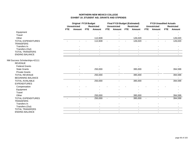|                               |            | <b>Original FY19 Budget</b> |            |                   |            | <b>Final FY19 Budget (Estimated)</b> |     |                   |                | <b>FY19 Unaudited Actuals</b> |            |                   |
|-------------------------------|------------|-----------------------------|------------|-------------------|------------|--------------------------------------|-----|-------------------|----------------|-------------------------------|------------|-------------------|
|                               |            | <b>Unrestricted</b>         |            | <b>Restricted</b> |            | <b>Unrestricted</b>                  |     | <b>Restricted</b> |                | <b>Unrestricted</b>           |            | <b>Restricted</b> |
|                               | <b>FTE</b> | Amount                      | <b>FTE</b> | <b>Amount</b>     | <b>FTE</b> | <b>Amount</b>                        | FTE | Amount            | FTE            | Amount                        | <b>FTE</b> | Amount            |
| Equipment                     |            |                             |            |                   |            |                                      |     |                   |                |                               |            |                   |
| Travel                        |            |                             |            |                   |            |                                      |     |                   |                |                               |            |                   |
| Other                         |            |                             |            | 112,839           |            |                                      |     | 126,020           |                |                               |            | 126,020           |
| <b>TOTAL EXPENDITURES</b>     |            |                             |            | 112,839           | $\sim$     |                                      |     | 126,020           | $\blacksquare$ |                               |            | 126,020           |
| <b>TRANSFERS</b>              |            |                             |            |                   |            |                                      |     |                   |                |                               |            |                   |
| Transfers In                  |            |                             |            |                   |            |                                      |     |                   |                |                               |            |                   |
| Transfers (Out)               |            |                             |            |                   |            |                                      |     |                   |                |                               |            |                   |
| <b>TOTAL TRANSFERS</b>        |            | $\sim$                      |            | $\sim$            |            | $\blacksquare$                       |     | $\sim$            |                | $\blacksquare$                |            |                   |
| <b>ENDING BALANCE</b>         |            | $\sim$                      |            | $\sim$            |            | $\blacksquare$                       |     | $\sim$            |                | $\sim$                        |            |                   |
| NM Success Scholarships-42111 |            |                             |            |                   |            |                                      |     |                   |                |                               |            |                   |
| <b>REVENUE</b>                |            |                             |            |                   |            |                                      |     |                   |                |                               |            |                   |
| <b>Federal Grants</b>         |            |                             |            |                   |            |                                      |     |                   |                |                               |            |                   |
| <b>State Grants</b>           |            |                             |            | 250,000           |            |                                      |     | 395,000           |                |                               |            | 394,599           |
| <b>Private Grants</b>         |            |                             |            |                   |            |                                      |     |                   |                |                               |            |                   |
| <b>TOTAL REVENUE</b>          |            |                             |            | 250,000           |            |                                      |     | 395,000           |                |                               |            | 394,599           |
| <b>BEGINNING BALANCE</b>      |            |                             |            |                   |            |                                      |     |                   |                |                               |            |                   |
| <b>TOTAL AVAILABLE</b>        |            |                             |            | 250,000           |            |                                      |     | 395,000           |                |                               |            | 394,599           |
| <b>EXPENDITURES</b>           |            |                             |            |                   |            |                                      |     |                   |                |                               |            |                   |
| Compensation                  |            |                             |            |                   |            |                                      |     |                   |                |                               |            |                   |
| Equipment                     |            |                             |            |                   |            |                                      |     |                   |                |                               |            |                   |
| Travel                        |            |                             |            |                   |            |                                      |     |                   |                |                               |            |                   |
| Other                         |            |                             |            | 250,000           |            |                                      |     | 395,000           |                |                               |            | 394,599           |
| <b>TOTAL EXPENDITURES</b>     |            |                             |            | 250,000           |            |                                      |     | 395,000           | $\overline{a}$ |                               |            | 394,599           |
| <b>TRANSFERS</b>              |            |                             |            |                   |            |                                      |     |                   |                |                               |            |                   |
| Transfers In                  |            |                             |            |                   |            |                                      |     |                   |                |                               |            |                   |
| Transfers (Out)               |            |                             |            |                   |            |                                      |     |                   |                |                               |            |                   |
| <b>TOTAL TRANSFERS</b>        |            |                             |            | $\overline{a}$    |            | $\sim$                               |     | $\sim$            |                |                               |            |                   |
| <b>ENDING BALANCE</b>         |            | $\sim$                      |            | $\blacksquare$    |            | $\sim$                               |     | $\blacksquare$    |                | $\blacksquare$                |            | $\sim$            |
|                               |            |                             |            |                   |            |                                      |     |                   |                |                               |            |                   |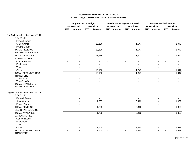|                                               |            | <b>Original FY19 Budget</b><br><b>Unrestricted</b> |            | <b>Restricted</b>        |            | <b>Final FY19 Budget (Estimated)</b><br><b>Unrestricted</b> |            | <b>Restricted</b> |                | <b>FY19 Unaudited Actuals</b><br><b>Unrestricted</b> |                | <b>Restricted</b> |
|-----------------------------------------------|------------|----------------------------------------------------|------------|--------------------------|------------|-------------------------------------------------------------|------------|-------------------|----------------|------------------------------------------------------|----------------|-------------------|
|                                               | <b>FTE</b> | <b>Amount</b>                                      | <b>FTE</b> | Amount                   | <b>FTE</b> | Amount                                                      | <b>FTE</b> | Amount            | <b>FTE</b>     | Amount                                               | <b>FTE</b>     | Amount            |
| NM College Affordability Act-42112            |            |                                                    |            |                          |            |                                                             |            |                   |                |                                                      |                |                   |
| <b>REVENUE</b>                                |            |                                                    |            |                          |            |                                                             |            |                   |                |                                                      |                |                   |
| <b>Federal Grants</b>                         |            |                                                    |            |                          |            |                                                             |            |                   |                |                                                      |                |                   |
| <b>State Grants</b>                           |            |                                                    |            | 13,136                   |            |                                                             |            | 1,947             |                |                                                      |                | 1,947             |
| <b>Private Grants</b>                         |            |                                                    |            | $\blacksquare$           |            |                                                             |            | $\overline{a}$    |                |                                                      |                | $\sim$            |
| <b>TOTAL REVENUE</b>                          |            |                                                    |            | 13,136                   |            |                                                             |            | 1,947             |                |                                                      |                | 1,947             |
| <b>BEGINNING BALANCE</b>                      |            |                                                    |            |                          |            |                                                             |            |                   |                |                                                      |                | $\sim$            |
| <b>TOTAL AVAILABLE</b>                        |            | $\blacksquare$                                     |            | 13,136                   |            | $\sim$                                                      |            | 1,947             |                | $\blacksquare$                                       |                | 1,947             |
| <b>EXPENDITURES</b>                           |            |                                                    |            |                          |            |                                                             |            |                   |                |                                                      |                |                   |
| Compensation                                  |            |                                                    |            |                          |            |                                                             |            |                   |                |                                                      |                |                   |
| Equipment                                     |            |                                                    |            |                          |            |                                                             |            |                   |                |                                                      |                |                   |
| Travel                                        |            |                                                    |            |                          |            |                                                             |            |                   |                |                                                      |                |                   |
| Other                                         |            |                                                    |            | 13,136                   |            |                                                             |            | 1,947             |                |                                                      |                | 1,947             |
| <b>TOTAL EXPENDITURES</b>                     |            |                                                    |            | 13,136                   |            |                                                             |            | 1,947             |                |                                                      |                | 1,947             |
| <b>TRANSFERS</b>                              |            |                                                    |            |                          |            |                                                             |            |                   |                |                                                      |                |                   |
| Transfers In                                  |            |                                                    |            |                          |            |                                                             |            |                   |                |                                                      |                |                   |
| Transfers (Out)                               |            | $\overline{\phantom{a}}$                           |            | $\overline{\phantom{a}}$ |            | $\blacksquare$                                              |            | $\blacksquare$    |                | $\blacksquare$                                       |                | $\sim$            |
| <b>TOTAL TRANSFERS</b>                        |            | $\mathbf{r}$                                       |            | $\blacksquare$           |            | $\sim$                                                      |            | $\sim$            |                | $\blacksquare$                                       |                |                   |
| <b>ENDING BALANCE</b>                         |            | $\sim$                                             |            | $\blacksquare$           |            | $\sim$                                                      |            | $\sim$            |                | $\mathbf{r}$                                         |                | $\mathbf{r}$      |
| Legislative Endowment Fund-42120              |            |                                                    |            |                          |            |                                                             |            |                   |                |                                                      |                |                   |
| <b>REVENUE</b>                                |            |                                                    |            |                          |            |                                                             |            |                   |                |                                                      |                |                   |
| <b>Federal Grants</b>                         |            |                                                    |            |                          |            |                                                             |            |                   |                |                                                      |                |                   |
| <b>State Grants</b>                           |            |                                                    |            | 1,705                    |            |                                                             |            | 3,410             |                |                                                      |                | 1,839             |
| <b>Private Grants</b>                         |            |                                                    |            |                          |            |                                                             |            | $\overline{a}$    |                |                                                      |                | $\sim$            |
| <b>TOTAL REVENUE</b>                          |            |                                                    |            | 1,705                    |            |                                                             |            | 3,410             |                |                                                      |                | 1,839             |
| <b>BEGINNING BALANCE</b>                      |            |                                                    |            |                          |            |                                                             |            | $\blacksquare$    |                |                                                      |                | $\sim$            |
| <b>TOTAL AVAILABLE</b>                        |            | $\blacksquare$                                     |            | 1,705                    |            | $\sim$                                                      |            | 3,410             |                | $\blacksquare$                                       |                | 1,839             |
| <b>EXPENDITURES</b>                           |            |                                                    |            |                          |            |                                                             |            |                   |                |                                                      |                |                   |
| Compensation                                  |            |                                                    |            |                          |            |                                                             |            |                   |                |                                                      |                |                   |
| Equipment                                     |            |                                                    |            |                          |            |                                                             |            |                   |                |                                                      |                |                   |
| Travel                                        |            |                                                    |            |                          |            |                                                             |            |                   |                |                                                      |                |                   |
| Other                                         |            |                                                    |            | 1,705                    |            |                                                             |            | 3,410             |                |                                                      |                | 1,839             |
| <b>TOTAL EXPENDITURES</b><br><b>TRANSFERS</b> |            |                                                    |            | 1,705                    |            |                                                             |            | 3,410             | $\blacksquare$ |                                                      | $\overline{a}$ | 1,839             |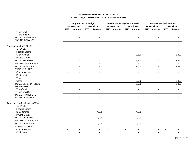|                                |            | <b>Original FY19 Budget</b><br><b>Unrestricted</b> |            |                             |            | <b>Final FY19 Budget (Estimated)</b><br><b>Unrestricted</b> |     | <b>Restricted</b>        |            | <b>FY19 Unaudited Actuals</b><br><b>Unrestricted</b> |            | <b>Restricted</b> |
|--------------------------------|------------|----------------------------------------------------|------------|-----------------------------|------------|-------------------------------------------------------------|-----|--------------------------|------------|------------------------------------------------------|------------|-------------------|
|                                | <b>FTE</b> | Amount                                             | <b>FTE</b> | <b>Restricted</b><br>Amount | <b>FTE</b> | Amount                                                      | FTE | Amount                   | <b>FTE</b> | Amount                                               | <b>FTE</b> | <b>Amount</b>     |
| Transfers In                   |            |                                                    |            |                             |            |                                                             |     |                          |            |                                                      |            |                   |
| Transfers (Out)                |            | $\sim$                                             |            | $\blacksquare$              |            | $\sim$                                                      |     | $\sim$                   |            | $\sim$                                               |            |                   |
| <b>TOTAL TRANSFERS</b>         |            | $\sim$                                             |            | $\blacksquare$              |            | $\blacksquare$                                              |     | $\overline{\phantom{a}}$ |            | $\blacksquare$                                       |            |                   |
| <b>ENDING BALANCE</b>          |            | $\omega$                                           |            | $\mathbf{r}$                |            | $\mathbf{r}$                                                |     | $\mathbf{r}$             |            | $\omega$                                             |            | $\sim$            |
| NM Scholars Fund-42122         |            |                                                    |            |                             |            |                                                             |     |                          |            |                                                      |            |                   |
| <b>REVENUE</b>                 |            |                                                    |            |                             |            |                                                             |     |                          |            |                                                      |            |                   |
| <b>Federal Grants</b>          |            |                                                    |            |                             |            |                                                             |     |                          |            |                                                      |            |                   |
| <b>State Grants</b>            |            |                                                    |            |                             |            |                                                             |     | 2,500                    |            |                                                      |            | 2,490             |
| <b>Private Grants</b>          |            |                                                    |            |                             |            |                                                             |     |                          |            |                                                      |            |                   |
| <b>TOTAL REVENUE</b>           |            |                                                    |            |                             |            |                                                             |     | 2,500                    |            |                                                      |            | 2,490             |
| <b>BEGINNING BALANCE</b>       |            |                                                    |            |                             |            |                                                             |     |                          |            |                                                      |            |                   |
| <b>TOTAL AVAILABLE</b>         |            | ÷.                                                 |            | $\overline{\phantom{a}}$    |            | $\omega$ .                                                  |     | 2,500                    |            | $\mathbf{r}$                                         |            | 2,490             |
| <b>EXPENDITURES</b>            |            |                                                    |            |                             |            |                                                             |     |                          |            |                                                      |            |                   |
| Compensation                   |            |                                                    |            |                             |            |                                                             |     |                          |            |                                                      |            |                   |
| Equipment                      |            |                                                    |            |                             |            |                                                             |     |                          |            |                                                      |            |                   |
| Travel                         |            |                                                    |            |                             |            |                                                             |     |                          |            |                                                      |            |                   |
| Other                          |            |                                                    |            |                             |            |                                                             |     | 2,500                    |            |                                                      |            | 2,490             |
| <b>TOTAL EXPENDITURES</b>      |            |                                                    |            |                             |            |                                                             |     | 2,500                    |            |                                                      |            | 2,490             |
| <b>TRANSFERS</b>               |            |                                                    |            |                             |            |                                                             |     |                          |            |                                                      |            |                   |
| Transfers In                   |            |                                                    |            |                             |            |                                                             |     |                          |            |                                                      |            |                   |
| Transfers (Out)                |            |                                                    |            |                             |            |                                                             |     |                          |            |                                                      |            |                   |
| <b>TOTAL TRANSFERS</b>         |            | $\blacksquare$                                     |            | $\blacksquare$              |            | $\sim$                                                      |     | $\blacksquare$           |            | $\blacksquare$                                       |            | $\sim$            |
| <b>ENDING BALANCE</b>          |            | $\mathbf{r}$                                       |            | $\mathbf{r}$                |            | $\mathbf{r}$                                                |     | $\mathbf{r}$             |            | $\mathbf{r}$                                         |            | $\sim$            |
| Teacher Loan for Service-42210 |            |                                                    |            |                             |            |                                                             |     |                          |            |                                                      |            |                   |
| <b>REVENUE</b>                 |            |                                                    |            |                             |            |                                                             |     |                          |            |                                                      |            |                   |
| <b>Federal Grants</b>          |            |                                                    |            |                             |            |                                                             |     |                          |            |                                                      |            |                   |
| <b>State Grants</b>            |            |                                                    |            | 4,000                       |            |                                                             |     | 4,000                    |            |                                                      |            |                   |
| <b>Private Grants</b>          |            |                                                    |            | $\blacksquare$              |            |                                                             |     | $\overline{a}$           |            |                                                      |            |                   |
| <b>TOTAL REVENUE</b>           |            |                                                    |            | 4,000                       |            |                                                             |     | 4,000                    |            |                                                      |            |                   |
| <b>BEGINNING BALANCE</b>       |            |                                                    |            | $\blacksquare$              |            |                                                             |     |                          |            |                                                      |            |                   |
| <b>TOTAL AVAILABLE</b>         |            | $\overline{a}$                                     |            | 4,000                       |            | $\sim$                                                      |     | 4,000                    |            | $\sim$                                               |            |                   |
| <b>EXPENDITURES</b>            |            |                                                    |            |                             |            |                                                             |     |                          |            |                                                      |            |                   |
| Compensation                   |            |                                                    |            |                             |            |                                                             |     |                          |            |                                                      |            |                   |
| Equipment                      |            |                                                    |            |                             |            |                                                             |     |                          |            |                                                      |            |                   |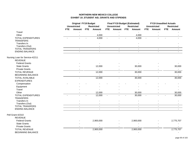|                                | <b>Original FY19 Budget</b><br><b>Unrestricted</b><br><b>Restricted</b> |                |                |                | <b>Final FY19 Budget (Estimated)</b><br><b>Unrestricted</b> |                | <b>Restricted</b> |                | <b>FY19 Unaudited Actuals</b><br><b>Unrestricted</b> |                | <b>Restricted</b> |                |
|--------------------------------|-------------------------------------------------------------------------|----------------|----------------|----------------|-------------------------------------------------------------|----------------|-------------------|----------------|------------------------------------------------------|----------------|-------------------|----------------|
|                                | <b>FTE</b>                                                              | Amount         | <b>FTE</b>     | Amount         | <b>FTE</b>                                                  | <b>Amount</b>  | <b>FTE</b>        | Amount         | <b>FTE</b>                                           | Amount         | <b>FTE</b>        | Amount         |
| Travel                         |                                                                         |                |                | $\blacksquare$ |                                                             |                |                   |                |                                                      |                |                   |                |
| Other                          |                                                                         |                |                | 4,000          |                                                             |                |                   | 4,000          |                                                      |                |                   |                |
| <b>TOTAL EXPENDITURES</b>      |                                                                         |                |                | 4,000          | $\sim$                                                      |                |                   | 4,000          | $\sim$                                               |                |                   |                |
| <b>TRANSFERS</b>               |                                                                         |                |                |                |                                                             |                |                   |                |                                                      |                |                   |                |
| Transfers In                   |                                                                         |                |                |                |                                                             |                |                   |                |                                                      |                |                   |                |
| Transfers (Out)                |                                                                         |                |                |                |                                                             |                |                   |                |                                                      |                |                   |                |
| <b>TOTAL TRANSFERS</b>         |                                                                         | $\blacksquare$ |                | $\sim$         |                                                             | $\blacksquare$ |                   | $\sim$         |                                                      | $\blacksquare$ |                   |                |
| <b>ENDING BALANCE</b>          |                                                                         |                |                |                |                                                             |                |                   |                |                                                      |                |                   |                |
| Nursing Loan for Service-42211 |                                                                         |                |                |                |                                                             |                |                   |                |                                                      |                |                   |                |
| <b>REVENUE</b>                 |                                                                         |                |                |                |                                                             |                |                   |                |                                                      |                |                   |                |
| <b>Federal Grants</b>          |                                                                         |                |                |                |                                                             |                |                   |                |                                                      |                |                   |                |
| <b>State Grants</b>            |                                                                         |                |                | 12,000         |                                                             |                |                   | 30,000         |                                                      |                |                   | 30,000         |
| <b>Private Grants</b>          |                                                                         |                |                |                |                                                             |                |                   | $\sim$         |                                                      |                |                   | $\sim$         |
| <b>TOTAL REVENUE</b>           |                                                                         |                |                | 12,000         |                                                             |                |                   | 30,000         |                                                      |                |                   | 30,000         |
| <b>BEGINNING BALANCE</b>       |                                                                         |                |                |                |                                                             |                |                   |                |                                                      |                |                   |                |
| <b>TOTAL AVAILABLE</b>         |                                                                         | $\overline{a}$ |                | 12,000         |                                                             | $\blacksquare$ |                   | 30,000         |                                                      |                |                   | 30,000         |
| <b>EXPENDITURES</b>            |                                                                         |                |                |                |                                                             |                |                   |                |                                                      |                |                   |                |
| Compensation                   |                                                                         |                |                |                |                                                             |                |                   |                |                                                      |                |                   |                |
| Equipment                      |                                                                         |                |                |                |                                                             |                |                   |                |                                                      |                |                   |                |
| Travel                         |                                                                         |                |                |                |                                                             |                |                   |                |                                                      |                |                   |                |
| Other                          |                                                                         |                |                | 12,000         |                                                             |                |                   | 30,000         |                                                      |                |                   | 30,000         |
| TOTAL EXPENDITURES             | $\sim$                                                                  |                | $\overline{a}$ | 12,000         | $\sim$                                                      |                |                   | 30,000         | $\sim$                                               |                |                   | 30,000         |
| <b>TRANSFERS</b>               |                                                                         |                |                |                |                                                             |                |                   |                |                                                      |                |                   |                |
| Transfers In                   |                                                                         |                |                |                |                                                             |                |                   |                |                                                      |                |                   |                |
| Transfers (Out)                |                                                                         |                |                | $\sim$         |                                                             |                |                   |                |                                                      |                |                   |                |
| <b>TOTAL TRANSFERS</b>         |                                                                         | $\sim$         |                | $\sim$         |                                                             | $\sim$         |                   | $\sim$         |                                                      | $\blacksquare$ |                   | $\blacksquare$ |
| <b>ENDING BALANCE</b>          |                                                                         | $\blacksquare$ |                | $\sim$         |                                                             | $\blacksquare$ |                   | $\blacksquare$ |                                                      | $\sim$         |                   |                |
| Pell Grant-42310               |                                                                         |                |                |                |                                                             |                |                   |                |                                                      |                |                   |                |
| <b>REVENUE</b>                 |                                                                         |                |                |                |                                                             |                |                   |                |                                                      |                |                   |                |
| <b>Federal Grants</b>          |                                                                         |                |                | 2,900,000      |                                                             |                |                   | 2,900,000      |                                                      |                |                   | 2,775,707      |
| <b>State Grants</b>            |                                                                         |                |                |                |                                                             |                |                   |                |                                                      |                |                   |                |
| <b>Private Grants</b>          |                                                                         |                |                |                |                                                             |                |                   |                |                                                      |                |                   |                |
| <b>TOTAL REVENUE</b>           |                                                                         |                |                | 2,900,000      |                                                             |                |                   | 2,900,000      |                                                      |                |                   | 2,775,707      |
| <b>BEGINNING BALANCE</b>       |                                                                         |                |                | $\overline{a}$ |                                                             |                |                   | $\blacksquare$ |                                                      |                |                   | $\sim$         |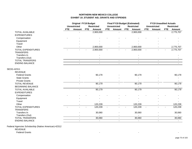|                           |            | <b>Original FY19 Budget</b> |            |                   |            | <b>Final FY19 Budget (Estimated)</b> |            |                   |              | <b>FY19 Unaudited Actuals</b> |            |                   |
|---------------------------|------------|-----------------------------|------------|-------------------|------------|--------------------------------------|------------|-------------------|--------------|-------------------------------|------------|-------------------|
|                           |            | <b>Unrestricted</b>         |            | <b>Restricted</b> |            | <b>Unrestricted</b>                  |            | <b>Restricted</b> |              | <b>Unrestricted</b>           |            | <b>Restricted</b> |
|                           | <b>FTE</b> | <b>Amount</b>               | <b>FTE</b> | Amount            | <b>FTE</b> | <b>Amount</b>                        | <b>FTE</b> | Amount            | <b>FTE</b>   | Amount                        | <b>FTE</b> | Amount            |
| <b>TOTAL AVAILABLE</b>    |            |                             |            | 2,900,000         |            |                                      |            | 2,900,000         |              |                               |            | 2,775,707         |
| <b>EXPENDITURES</b>       |            |                             |            |                   |            |                                      |            |                   |              |                               |            |                   |
| Compensation              |            |                             |            |                   |            |                                      |            |                   |              |                               |            |                   |
| Equipment                 |            |                             |            |                   |            |                                      |            |                   |              |                               |            |                   |
| Travel                    |            |                             |            |                   |            |                                      |            |                   |              |                               |            |                   |
| Other                     |            |                             |            | 2,900,000         |            |                                      |            | 2,900,000         |              |                               |            | 2,775,707         |
| <b>TOTAL EXPENDITURES</b> |            |                             |            | 2,900,000         |            |                                      |            | 2,900,000         | $\sim$       |                               |            | 2,775,707         |
| <b>TRANSFERS</b>          |            |                             |            |                   |            |                                      |            |                   |              |                               |            |                   |
| Transfers In              |            |                             |            |                   |            |                                      |            |                   |              |                               |            |                   |
| Transfers (Out)           |            |                             |            |                   |            |                                      |            |                   |              |                               |            |                   |
| <b>TOTAL TRANSFERS</b>    |            | $\sim$                      |            | $\sim$            |            | $\blacksquare$                       |            | $\blacksquare$    |              | $\sim$                        |            |                   |
| <b>ENDING BALANCE</b>     |            |                             |            | $\blacksquare$    |            | $\blacksquare$                       |            | $\blacksquare$    |              | $\overline{\phantom{a}}$      |            |                   |
| SEOG-42311                |            |                             |            |                   |            |                                      |            |                   |              |                               |            |                   |
| <b>REVENUE</b>            |            |                             |            |                   |            |                                      |            |                   |              |                               |            |                   |
| <b>Federal Grants</b>     |            |                             |            | 90,179            |            |                                      |            | 90,179            |              |                               |            | 90,179            |
| <b>State Grants</b>       |            |                             |            |                   |            |                                      |            |                   |              |                               |            |                   |
| <b>Private Grants</b>     |            |                             |            |                   |            |                                      |            |                   |              |                               |            |                   |
| <b>TOTAL REVENUE</b>      |            |                             |            | 90,179            |            |                                      |            | 90,179            |              |                               |            | 90,179            |
| <b>BEGINNING BALANCE</b>  |            |                             |            |                   |            |                                      |            |                   |              |                               |            |                   |
| <b>TOTAL AVAILABLE</b>    |            | $\overline{\phantom{a}}$    |            | 90,179            |            |                                      |            | 90,179            |              |                               |            | 90,179            |
| <b>EXPENDITURES</b>       |            |                             |            |                   |            |                                      |            |                   |              |                               |            |                   |
| Compensation              |            |                             |            |                   |            |                                      |            |                   |              |                               |            |                   |
| Equipment                 |            |                             |            |                   |            |                                      |            |                   |              |                               |            |                   |
| Travel                    |            |                             |            |                   |            |                                      |            |                   |              |                               |            |                   |
| Other                     |            |                             |            | 120,239           |            |                                      |            | 120,239           |              |                               |            | 120,239           |
| TOTAL EXPENDITURES        |            |                             |            | 120,239           |            |                                      |            | 120,239           | $\mathbf{r}$ |                               |            | 120,239           |
| <b>TRANSFERS</b>          |            |                             |            |                   |            |                                      |            |                   |              |                               |            |                   |
| Transfers In              |            |                             |            | 30,060            |            |                                      |            | 30,060            |              |                               |            | 30,060            |
| Transfers (Out)           |            |                             |            |                   |            |                                      |            | $\sim$            |              |                               |            |                   |
| <b>TOTAL TRANSFERS</b>    |            | $\sim$                      |            | 30,060            |            | $\mathbf{r}$                         |            | 30,060            |              | $\sim$                        |            | 30,060            |
| <b>ENDING BALANCE</b>     |            | $\blacksquare$              |            | $\omega$          |            | $\blacksquare$                       |            | $\omega$ .        |              | $\blacksquare$                |            | $\sim$            |

Federal Agencies Scholarship (Native American)-42312

REVENUE

Federal Grants - - -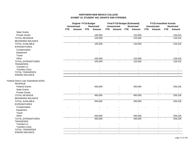|                                      |            | <b>Original FY19 Budget</b> |            |                   |        | <b>Final FY19 Budget (Estimated)</b> |            |                   |                | <b>FY19 Unaudited Actuals</b> |            |                   |
|--------------------------------------|------------|-----------------------------|------------|-------------------|--------|--------------------------------------|------------|-------------------|----------------|-------------------------------|------------|-------------------|
|                                      |            | <b>Unrestricted</b>         |            | <b>Restricted</b> |        | <b>Unrestricted</b>                  |            | <b>Restricted</b> |                | <b>Unrestricted</b>           |            | <b>Restricted</b> |
|                                      | <b>FTE</b> | Amount                      | <b>FTE</b> | Amount            | FTE    | Amount                               | <b>FTE</b> | Amount            | <b>FTE</b>     | Amount                        | <b>FTE</b> | Amount            |
| <b>State Grants</b>                  |            |                             |            |                   |        |                                      |            |                   |                |                               |            |                   |
| <b>Private Grants</b>                |            |                             |            | 105,000           |        |                                      |            | 125,000           |                |                               |            | 128,315           |
| <b>TOTAL REVENUE</b>                 |            |                             |            | 105,000           |        |                                      |            | 125,000           |                |                               |            | 128,315           |
| <b>BEGINNING BALANCE</b>             |            |                             |            | $\mathbf{r}$      |        |                                      |            | $\blacksquare$    |                |                               |            |                   |
| <b>TOTAL AVAILABLE</b>               |            | $\overline{a}$              |            | 105,000           |        | $\mathbf{r}$                         |            | 125,000           |                | $\overline{a}$                |            | 128,315           |
| <b>EXPENDITURES</b>                  |            |                             |            |                   |        |                                      |            |                   |                |                               |            |                   |
| Compensation                         |            |                             |            |                   |        |                                      |            |                   |                |                               |            |                   |
| Equipment                            |            |                             |            |                   |        |                                      |            |                   |                |                               |            |                   |
| Travel                               |            |                             |            |                   |        |                                      |            |                   |                |                               |            |                   |
| Other                                |            |                             |            | 105,000           |        |                                      |            | 125,000           |                |                               |            | 128,315           |
| <b>TOTAL EXPENDITURES</b>            |            |                             |            | 105,000           | $\sim$ |                                      |            | 125,000           | $\blacksquare$ |                               |            | 128,315           |
| <b>TRANSFERS</b>                     |            |                             |            |                   |        |                                      |            |                   |                |                               |            |                   |
| Transfers In                         |            |                             |            |                   |        |                                      |            |                   |                |                               |            |                   |
| Transfers (Out)                      |            |                             |            |                   |        |                                      |            |                   |                |                               |            |                   |
| <b>TOTAL TRANSFERS</b>               |            | $\mathbf{r}$                |            | $\sim$            |        | $\sim$                               |            | $\mathbf{r}$      |                | $\mathbf{r}$                  |            | $\sim$            |
| <b>ENDING BALANCE</b>                |            |                             |            | $\sim$            |        |                                      |            | $\sim$            |                | $\sim$                        |            |                   |
|                                      |            |                             |            |                   |        |                                      |            |                   |                |                               |            |                   |
| Federal Direct Loan Subsidized-42352 |            |                             |            |                   |        |                                      |            |                   |                |                               |            |                   |
| <b>REVENUE</b>                       |            |                             |            |                   |        |                                      |            |                   |                |                               |            |                   |
| <b>Federal Grants</b>                |            |                             |            | 450,000           |        |                                      |            | 450,000           |                |                               |            | 259,228           |
| <b>State Grants</b>                  |            |                             |            |                   |        |                                      |            |                   |                |                               |            |                   |
| <b>Private Grants</b>                |            |                             |            |                   |        |                                      |            |                   |                |                               |            | $\sim$            |
| <b>TOTAL REVENUE</b>                 |            |                             |            | 450,000           |        |                                      |            | 450,000           |                |                               |            | 259,228           |
| <b>BEGINNING BALANCE</b>             |            |                             |            |                   |        |                                      |            |                   |                |                               |            |                   |
| <b>TOTAL AVAILABLE</b>               |            |                             |            | 450,000           |        |                                      |            | 450,000           |                |                               |            | 259,228           |
| <b>EXPENDITURES</b>                  |            |                             |            |                   |        |                                      |            |                   |                |                               |            |                   |
| Compensation                         |            |                             |            |                   |        |                                      |            |                   |                |                               |            |                   |
| Equipment                            |            |                             |            |                   |        |                                      |            |                   |                |                               |            |                   |
| Travel                               |            |                             |            |                   |        |                                      |            |                   |                |                               |            |                   |
| Other                                |            |                             |            | 450,000           |        |                                      |            | 450,000           |                |                               |            | 259,228           |
| <b>TOTAL EXPENDITURES</b>            | $\sim$     |                             |            | 450,000           | $\sim$ | $\overline{a}$                       |            | 450,000           | $\blacksquare$ | $\sim$                        |            | 259,228           |
| <b>TRANSFERS</b>                     |            |                             |            |                   |        |                                      |            |                   |                |                               |            |                   |
| Transfers In                         |            |                             |            |                   |        |                                      |            |                   |                |                               |            |                   |
| Transfers (Out)                      |            |                             |            |                   |        | $\blacksquare$                       |            |                   |                |                               |            |                   |
| <b>TOTAL TRANSFERS</b>               |            |                             |            | $\sim$            |        | $\mathbf{r}$                         |            | $\sim$            |                | $\sim$                        |            |                   |
| <b>ENDING BALANCE</b>                |            | $\sim$                      |            | $\sim$            |        | $\blacksquare$                       |            | $\blacksquare$    |                | $\sim$                        |            |                   |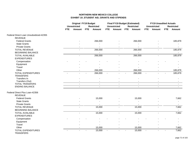## **NORTHERN NEW MEXICO COLLEGE EXHIBIT 19\_STUDENT AID, GRANTS AND STIPENDS**

|                                                  | <b>Original FY19 Budget</b><br><b>Unrestricted</b><br><b>Restricted</b> |        |     |                |            | <b>Final FY19 Budget (Estimated)</b><br><b>Unrestricted</b> |            | <b>Restricted</b> |                | <b>FY19 Unaudited Actuals</b><br><b>Unrestricted</b> |            | <b>Restricted</b> |
|--------------------------------------------------|-------------------------------------------------------------------------|--------|-----|----------------|------------|-------------------------------------------------------------|------------|-------------------|----------------|------------------------------------------------------|------------|-------------------|
|                                                  | <b>FTE</b>                                                              | Amount | FTE | Amount         | <b>FTE</b> | <b>Amount</b>                                               | <b>FTE</b> | Amount            | <b>FTE</b>     | Amount                                               | <b>FTE</b> | <b>Amount</b>     |
| Federal Direct Loan Unsubsidized-42355           |                                                                         |        |     |                |            |                                                             |            |                   |                |                                                      |            |                   |
| <b>REVENUE</b>                                   |                                                                         |        |     |                |            |                                                             |            |                   |                |                                                      |            |                   |
| <b>Federal Grants</b>                            |                                                                         |        |     | 266,000        |            |                                                             |            | 266,000           |                |                                                      |            | 185,879           |
| <b>State Grants</b>                              |                                                                         |        |     |                |            |                                                             |            |                   |                |                                                      |            |                   |
| <b>Private Grants</b>                            |                                                                         |        |     |                |            | $\overline{\phantom{a}}$                                    |            |                   |                | $\sim$                                               |            |                   |
| <b>TOTAL REVENUE</b>                             |                                                                         |        |     | 266,000        |            |                                                             |            | 266,000           |                |                                                      |            | 185,879           |
| <b>BEGINNING BALANCE</b>                         |                                                                         |        |     |                |            |                                                             |            |                   |                |                                                      |            |                   |
| <b>TOTAL AVAILABLE</b>                           |                                                                         |        |     | 266,000        |            | $\blacksquare$                                              |            | 266,000           |                | $\overline{a}$                                       |            | 185,879           |
| <b>EXPENDITURES</b>                              |                                                                         |        |     |                |            |                                                             |            |                   |                |                                                      |            |                   |
| Compensation                                     |                                                                         |        |     |                |            |                                                             |            |                   |                |                                                      |            |                   |
| Equipment                                        |                                                                         |        |     |                |            |                                                             |            |                   |                |                                                      |            |                   |
| Travel                                           |                                                                         |        |     |                |            |                                                             |            |                   |                |                                                      |            |                   |
| Other                                            |                                                                         |        |     | 266,000        |            |                                                             |            | 266,000           |                |                                                      |            | 185,879           |
| <b>TOTAL EXPENDITURES</b><br><b>TRANSFERS</b>    |                                                                         |        |     | 266,000        |            |                                                             |            | 266,000           |                |                                                      |            | 185,879           |
| Transfers In                                     |                                                                         |        |     |                |            |                                                             |            |                   |                |                                                      |            |                   |
| Transfers (Out)                                  |                                                                         | $\sim$ |     | $\blacksquare$ |            | $\overline{\phantom{a}}$                                    |            | $\sim$            |                | $\overline{\phantom{a}}$                             |            | $\sim$            |
| <b>TOTAL TRANSFERS</b>                           |                                                                         | $\sim$ |     | $\sim$         |            | $\blacksquare$                                              |            | $\blacksquare$    |                | $\sim$                                               |            | $\sim$            |
| <b>ENDING BALANCE</b>                            |                                                                         | $\sim$ |     | $\sim$         |            | $\sim$                                                      |            | $\blacksquare$    |                | $\sim$                                               |            |                   |
| Federal Direct Plus Loan-42356<br><b>REVENUE</b> |                                                                         |        |     |                |            |                                                             |            |                   |                |                                                      |            |                   |
| <b>Federal Grants</b>                            |                                                                         |        |     | 15,000         |            |                                                             |            | 15,000            |                |                                                      |            | 7,662             |
| <b>State Grants</b>                              |                                                                         |        |     |                |            |                                                             |            |                   |                |                                                      |            |                   |
| <b>Private Grants</b>                            |                                                                         |        |     |                |            |                                                             |            |                   |                |                                                      |            |                   |
| <b>TOTAL REVENUE</b>                             |                                                                         | $\sim$ |     | 15,000         |            | $\overline{a}$                                              |            | 15,000            |                | $\overline{a}$                                       |            | 7,662             |
| <b>BEGINNING BALANCE</b>                         |                                                                         |        |     |                |            |                                                             |            |                   |                |                                                      |            |                   |
| TOTAL AVAILABLE                                  |                                                                         | $\sim$ |     | 15,000         |            | $\sim$                                                      |            | 15,000            |                | $\overline{a}$                                       |            | 7,662             |
| <b>EXPENDITURES</b>                              |                                                                         |        |     |                |            |                                                             |            |                   |                |                                                      |            |                   |
| Compensation                                     |                                                                         |        |     |                |            |                                                             |            |                   |                |                                                      |            |                   |
| Equipment                                        |                                                                         |        |     |                |            |                                                             |            |                   |                |                                                      |            |                   |
| Travel                                           |                                                                         |        |     |                |            |                                                             |            |                   |                |                                                      |            |                   |
| Other                                            |                                                                         |        |     | 15,000         |            |                                                             |            | 15,000            |                |                                                      |            | 7,662             |
| <b>TOTAL EXPENDITURES</b><br><b>TRANSFERS</b>    |                                                                         |        |     | 15,000         |            |                                                             |            | 15,000            | $\blacksquare$ |                                                      |            | 7,662             |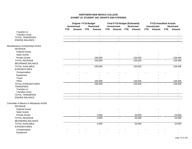## **NORTHERN NEW MEXICO COLLEGE EXHIBIT 19\_STUDENT AID, GRANTS AND STIPENDS**

|                                        |            | <b>Original FY19 Budget</b><br><b>Unrestricted</b> |            | <b>Restricted</b> |            | <b>Final FY19 Budget (Estimated)</b><br><b>Unrestricted</b> |            | <b>Restricted</b>        |                | <b>FY19 Unaudited Actuals</b><br><b>Unrestricted</b> |     | <b>Restricted</b> |
|----------------------------------------|------------|----------------------------------------------------|------------|-------------------|------------|-------------------------------------------------------------|------------|--------------------------|----------------|------------------------------------------------------|-----|-------------------|
|                                        | <b>FTE</b> | Amount                                             | <b>FTE</b> | Amount            | <b>FTE</b> | Amount                                                      | <b>FTE</b> | Amount                   | <b>FTE</b>     | Amount                                               | FTE | <b>Amount</b>     |
| Transfers In                           |            |                                                    |            |                   |            |                                                             |            |                          |                |                                                      |     |                   |
| Transfers (Out)                        |            |                                                    |            | $\blacksquare$    |            |                                                             |            | $\blacksquare$           |                |                                                      |     |                   |
| <b>TOTAL TRANSFERS</b>                 |            | $\blacksquare$                                     |            | $\blacksquare$    |            | $\blacksquare$                                              |            | $\overline{\phantom{a}}$ |                | $\blacksquare$                                       |     |                   |
| <b>ENDING BALANCE</b>                  |            | $\mathbf{r}$                                       |            | $\mathbf{r}$      |            | $\mathbf{r}$                                                |            | $\mathbf{r}$             |                | $\omega$                                             |     | $\blacksquare$    |
| Miscellaneous Scholarships-42423       |            |                                                    |            |                   |            |                                                             |            |                          |                |                                                      |     |                   |
| <b>REVENUE</b>                         |            |                                                    |            |                   |            |                                                             |            |                          |                |                                                      |     |                   |
| <b>Federal Grants</b>                  |            |                                                    |            |                   |            |                                                             |            |                          |                |                                                      |     |                   |
| <b>State Grants</b>                    |            |                                                    |            |                   |            |                                                             |            |                          |                |                                                      |     |                   |
| <b>Private Grants</b>                  |            |                                                    |            | 105,000           |            |                                                             |            | 133,625                  |                |                                                      |     | 128,456           |
| <b>TOTAL REVENUE</b>                   |            |                                                    |            | 105,000           |            |                                                             |            | 133,625                  |                |                                                      |     | 128,456           |
| <b>BEGINNING BALANCE</b>               |            |                                                    |            |                   |            |                                                             |            |                          |                |                                                      |     |                   |
| <b>TOTAL AVAILABLE</b>                 |            | ω.                                                 |            | 105,000           |            | $\blacksquare$                                              |            | 133,625                  |                | $\mathbf{r}$                                         |     | 128,456           |
| <b>EXPENDITURES</b>                    |            |                                                    |            |                   |            |                                                             |            |                          |                |                                                      |     |                   |
| Compensation                           |            |                                                    |            |                   |            |                                                             |            |                          |                |                                                      |     |                   |
| Equipment                              |            |                                                    |            |                   |            |                                                             |            |                          |                |                                                      |     |                   |
| Travel                                 |            |                                                    |            |                   |            |                                                             |            |                          |                |                                                      |     |                   |
| Other                                  |            |                                                    |            | 105,000           |            |                                                             |            | 133,625                  |                |                                                      |     | 128,456           |
| <b>TOTAL EXPENDITURES</b>              |            |                                                    |            | 105,000           |            |                                                             |            | 133,625                  | $\overline{a}$ |                                                      |     | 128,456           |
| <b>TRANSFERS</b>                       |            |                                                    |            |                   |            |                                                             |            |                          |                |                                                      |     |                   |
| Transfers In                           |            |                                                    |            |                   |            |                                                             |            |                          |                |                                                      |     |                   |
| Transfers (Out)                        |            |                                                    |            | $\blacksquare$    |            |                                                             |            |                          |                |                                                      |     |                   |
| <b>TOTAL TRANSFERS</b>                 |            |                                                    |            | $\blacksquare$    |            | $\sim$                                                      |            | $\blacksquare$           |                | $\blacksquare$                                       |     |                   |
| <b>ENDING BALANCE</b>                  |            | ä.                                                 |            | $\mathbf{r}$      |            | $\omega$                                                    |            | $\sim$                   |                | $\mathbf{r}$                                         |     | $\overline{a}$    |
| Consulate of Mexico in Albuqerqu-42428 |            |                                                    |            |                   |            |                                                             |            |                          |                |                                                      |     |                   |
| <b>REVENUE</b>                         |            |                                                    |            |                   |            |                                                             |            |                          |                |                                                      |     |                   |
| <b>Federal Grants</b>                  |            |                                                    |            |                   |            |                                                             |            |                          |                |                                                      |     |                   |
| <b>State Grants</b>                    |            |                                                    |            |                   |            |                                                             |            |                          |                |                                                      |     |                   |
| <b>Private Grants</b>                  |            |                                                    |            | 4,000             |            | $\blacksquare$                                              |            | 26,000                   |                |                                                      |     | 24,000            |
| <b>TOTAL REVENUE</b>                   |            |                                                    |            | 4,000             |            |                                                             |            | 26,000                   |                |                                                      |     | 24,000            |
| <b>BEGINNING BALANCE</b>               |            |                                                    |            | $\blacksquare$    |            |                                                             |            |                          |                |                                                      |     |                   |
| <b>TOTAL AVAILABLE</b>                 |            | ÷.                                                 |            | 4,000             |            | $\sim$                                                      |            | 26,000                   |                | ÷.                                                   |     | 24,000            |
| <b>EXPENDITURES</b>                    |            |                                                    |            |                   |            |                                                             |            |                          |                |                                                      |     |                   |
| Compensation                           |            |                                                    |            |                   |            |                                                             |            |                          |                |                                                      |     |                   |
| Equipment                              |            |                                                    |            |                   |            |                                                             |            |                          |                |                                                      |     |                   |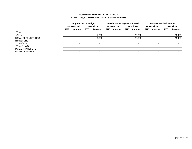## **NORTHERN NEW MEXICO COLLEGE EXHIBIT 19\_STUDENT AID, GRANTS AND STIPENDS**

|                                 |          | <b>Original FY19 Budget</b> |            |                   | <b>Final FY19 Budget (Estimated)</b> |                          |      |                   | <b>FY19 Unaudited Actuals</b> |                     |            |                   |
|---------------------------------|----------|-----------------------------|------------|-------------------|--------------------------------------|--------------------------|------|-------------------|-------------------------------|---------------------|------------|-------------------|
|                                 |          | <b>Unrestricted</b>         |            | <b>Restricted</b> |                                      | <b>Unrestricted</b>      |      | <b>Restricted</b> |                               | <b>Unrestricted</b> |            | <b>Restricted</b> |
|                                 | FTE.     | Amount                      | <b>FTE</b> | Amount            | FTE.                                 | Amount                   | FTE. | Amount            | FTE.                          | Amount              | <b>FTE</b> | Amount            |
| Travel                          |          |                             |            |                   |                                      |                          |      |                   |                               |                     |            |                   |
| Other                           |          |                             |            | 4,000             |                                      | ۰.                       |      | 26,000            |                               |                     |            | 24,000            |
| TOTAL EXPENDITURES<br>TRANSFERS | <b>.</b> | $\overline{\phantom{0}}$    |            | 4,000             | $\overline{\phantom{0}}$             | $\overline{\phantom{0}}$ |      | 26,000            | $\overline{a}$                |                     |            | 24,000            |
| Transfers In                    |          |                             |            |                   |                                      | $\overline{\phantom{0}}$ |      |                   |                               |                     |            |                   |
| Transfers (Out)                 |          |                             |            |                   |                                      |                          |      |                   |                               |                     |            |                   |
| TOTAL TRANSFERS                 |          |                             |            | $\sim$            |                                      | $\overline{\phantom{0}}$ |      |                   |                               |                     |            |                   |
| <b>ENDING BALANCE</b>           |          |                             |            |                   |                                      |                          |      |                   |                               |                     |            |                   |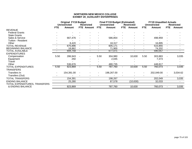|                                                   | <b>Original FY19 Budget</b><br><b>Unrestricted</b><br><b>Restricted</b> |               |  |                          |            | <b>Final FY19 Budget (Estimated)</b><br><b>Unrestricted</b> |                | <b>Restricted</b>        |            | <b>FY19 Unaudited Actuals</b><br><b>Unrestricted</b> |                | <b>Restricted</b> |
|---------------------------------------------------|-------------------------------------------------------------------------|---------------|--|--------------------------|------------|-------------------------------------------------------------|----------------|--------------------------|------------|------------------------------------------------------|----------------|-------------------|
|                                                   | <b>FTE</b>                                                              | <b>Amount</b> |  | <b>FTE Amount</b>        | <b>FTE</b> | Amount                                                      | <b>FTE</b>     | Amount                   | <b>FTE</b> | <b>Amount</b>                                        | <b>FTE</b>     | <b>Amount</b>     |
| <b>REVENUE</b>                                    |                                                                         |               |  |                          |            |                                                             |                |                          |            |                                                      |                |                   |
| <b>Federal Grants</b>                             |                                                                         |               |  |                          |            |                                                             |                |                          |            |                                                      |                |                   |
| <b>State Grants</b>                               |                                                                         |               |  |                          |            |                                                             |                |                          |            |                                                      |                |                   |
| Sales & Service                                   |                                                                         | 667,476       |  |                          |            | 586,854                                                     |                |                          |            | 498,959                                              |                |                   |
| <b>Tuition - Resident</b>                         |                                                                         |               |  |                          |            |                                                             |                |                          |            |                                                      |                |                   |
| Other                                             |                                                                         | 8,420         |  |                          |            | 18,317                                                      |                |                          |            | 16,895                                               |                |                   |
| <b>TOTAL REVENUE</b>                              |                                                                         | 675,896       |  |                          |            | 605,171                                                     |                |                          |            | 515,855                                              | ÷.             |                   |
| <b>BEGINNING BALANCE</b>                          |                                                                         | 18,862        |  |                          |            | 71,900                                                      |                |                          |            | 74,202                                               |                |                   |
| TOTAL AVAILABLE                                   |                                                                         | 694,758       |  |                          |            | 677,071                                                     |                |                          |            | 590,057                                              | -              | ۰.                |
| <b>EXPENDITURES</b>                               |                                                                         |               |  |                          |            |                                                             |                |                          |            |                                                      |                |                   |
| Compensation                                      | 5.50                                                                    | 286,943       |  |                          | 5.50       | 304,980                                                     | $\blacksquare$ | 10,630                   | 5.50       | 303,883                                              | $\blacksquare$ | 3,035             |
| Equipment                                         |                                                                         | 250           |  |                          |            | 2,045                                                       |                |                          |            | 7,373                                                |                |                   |
| Travel                                            |                                                                         |               |  |                          |            |                                                             |                |                          |            |                                                      |                |                   |
| Other                                             |                                                                         | 536,676       |  |                          |            | 480,735                                                     |                |                          |            | 448,817                                              |                |                   |
| <b>TOTAL EXPENDITURES</b>                         | 5.50                                                                    | 823,869       |  |                          | 5.50       | 787,760                                                     |                | 10,630                   | 5.50       | 760,073                                              |                | 3,035             |
| <b>TRANSFERS</b>                                  |                                                                         |               |  |                          |            |                                                             |                |                          |            |                                                      |                |                   |
| Transfers In                                      | $\blacksquare$                                                          | 154,391.00    |  |                          |            | 198,267.00                                                  |                |                          |            | 202,049.00                                           | $\blacksquare$ | 3,034.62          |
| Transfers (Out)                                   |                                                                         |               |  |                          |            |                                                             |                |                          |            |                                                      |                |                   |
| <b>TOTAL TRANSFERS</b>                            |                                                                         | 154,391       |  | $\blacksquare$           |            | 198,267                                                     |                | $\overline{\phantom{a}}$ |            | 202,049                                              |                | 3,035             |
| <b>ENDING BALANCE</b>                             |                                                                         | 25,280        |  | $\overline{\phantom{0}}$ |            | 87,578                                                      |                | (10, 630)                |            | 32,033                                               |                | -                 |
| TOTAL EXPENDITURES, TRANSFERS<br>& ENDING BALANCE |                                                                         | 823,869       |  | $\blacksquare$           |            | 787,760                                                     |                | 10,630                   |            | 760,073                                              |                | 3,035             |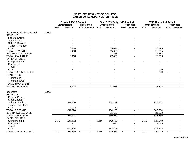|                                                           |       |            | <b>Original FY19 Budget</b><br><b>Unrestricted</b> | <b>Restricted</b> |            | <b>Final FY19 Budget (Estimated)</b><br><b>Unrestricted</b> | <b>Restricted</b> |                          | <b>FY19 Unaudited Actuals</b><br><b>Unrestricted</b> |            | <b>Restricted</b> |
|-----------------------------------------------------------|-------|------------|----------------------------------------------------|-------------------|------------|-------------------------------------------------------------|-------------------|--------------------------|------------------------------------------------------|------------|-------------------|
|                                                           |       | <b>FTE</b> | <b>Amount</b>                                      | FTE Amount        | <b>FTE</b> | <b>Amount</b>                                               | FTE Amount        | <b>FTE</b>               | <b>Amount</b>                                        | <b>FTE</b> | <b>Amount</b>     |
| <b>I&amp;G Income Facilities Rental</b><br><b>REVENUE</b> | 12004 |            |                                                    |                   |            |                                                             |                   |                          |                                                      |            |                   |
| <b>Federal Grants</b>                                     |       |            |                                                    |                   |            |                                                             |                   |                          |                                                      |            |                   |
| <b>State Grants</b>                                       |       |            |                                                    |                   |            |                                                             |                   |                          |                                                      |            |                   |
| Sales & Service                                           |       |            |                                                    |                   |            |                                                             |                   |                          |                                                      |            |                   |
| <b>Tuition - Resident</b>                                 |       |            |                                                    |                   |            |                                                             |                   |                          |                                                      |            |                   |
| Other                                                     |       |            | 6,418                                              |                   |            | 15,678                                                      |                   |                          | 16,895                                               |            |                   |
| <b>TOTAL REVENUE</b>                                      |       |            | 6,418                                              |                   |            | 15,678                                                      |                   |                          | 16,895                                               |            |                   |
| <b>BEGINNING BALANCE</b>                                  |       |            |                                                    |                   |            | 11,388                                                      |                   |                          | 11,388                                               |            |                   |
| <b>TOTAL AVAILABLE</b><br><b>EXPENDITURES</b>             |       |            | 6,418                                              |                   |            | 27,066                                                      |                   |                          | 28,283                                               |            |                   |
| Compensation                                              |       |            |                                                    |                   |            |                                                             |                   |                          |                                                      |            |                   |
| Equipment                                                 |       |            |                                                    |                   |            |                                                             |                   |                          |                                                      |            |                   |
| Travel                                                    |       |            |                                                    |                   |            |                                                             |                   |                          |                                                      |            |                   |
| Other                                                     |       |            |                                                    |                   |            |                                                             |                   |                          | 750                                                  |            |                   |
| <b>TOTAL EXPENDITURES</b>                                 |       |            |                                                    |                   |            |                                                             |                   | $\overline{\phantom{a}}$ | 750                                                  |            |                   |
| <b>TRANSFERS</b>                                          |       |            |                                                    |                   |            |                                                             |                   |                          |                                                      |            |                   |
| Transfers In                                              |       |            |                                                    |                   |            |                                                             |                   |                          |                                                      |            |                   |
| Transfers (Out)                                           |       |            |                                                    |                   |            |                                                             |                   |                          |                                                      |            |                   |
| <b>TOTAL TRANSFERS</b>                                    |       |            |                                                    | $\blacksquare$    |            |                                                             | $\blacksquare$    |                          |                                                      |            |                   |
| <b>ENDING BALANCE</b>                                     |       |            | 6,418                                              | $\blacksquare$    |            | 27,066                                                      | $\blacksquare$    |                          | 27,533                                               |            |                   |
|                                                           |       |            |                                                    |                   |            |                                                             |                   |                          |                                                      |            |                   |
| <b>Bookstore</b><br><b>REVENUE</b>                        | 12005 |            |                                                    |                   |            |                                                             |                   |                          |                                                      |            |                   |
| <b>Federal Grants</b>                                     |       |            |                                                    |                   |            |                                                             |                   |                          |                                                      |            |                   |
| <b>State Grants</b>                                       |       |            |                                                    |                   |            |                                                             |                   |                          |                                                      |            |                   |
| Sales & Service                                           |       |            | 452,926                                            |                   |            | 404,258                                                     |                   |                          | 346,604                                              |            |                   |
| <b>Tuition - Resident</b>                                 |       |            |                                                    |                   |            |                                                             |                   |                          |                                                      |            |                   |
| Other                                                     |       |            | 2,002                                              |                   |            | 30                                                          |                   |                          |                                                      |            |                   |
| <b>TOTAL REVENUE</b>                                      |       |            | 454,928                                            |                   |            | 404,288                                                     |                   |                          | 346,604                                              |            |                   |
| <b>BEGINNING BALANCE</b>                                  |       |            |                                                    |                   |            | 31,682                                                      |                   |                          | 31,692                                               |            |                   |
| <b>TOTAL AVAILABLE</b>                                    |       |            | 454,928                                            | $\blacksquare$    |            | 435,970                                                     | ٠                 |                          | 378,296                                              |            |                   |
| <b>EXPENDITURES</b>                                       |       |            |                                                    |                   |            |                                                             |                   |                          |                                                      |            |                   |
| Compensation                                              |       | 2.10       | 124,413                                            |                   | 2.10       | 142,757                                                     |                   | 2.10                     | 138,949                                              |            |                   |
| Equipment                                                 |       |            |                                                    |                   |            | 2,045                                                       |                   |                          | 2,045                                                |            |                   |
| Travel                                                    |       |            |                                                    |                   |            |                                                             |                   |                          |                                                      |            |                   |
| Other                                                     |       |            | 380,515                                            |                   |            | 344,796                                                     |                   |                          | 314,722                                              |            |                   |
| <b>TOTAL EXPENDITURES</b>                                 |       | 2.10       | 504,928                                            |                   | 2.10       | 489,598                                                     |                   | 2.10                     | 455,715                                              |            |                   |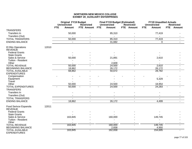|                                                    |       |            | <b>Original FY19 Budget</b><br><b>Unrestricted</b> | <b>Restricted</b> | <b>Final FY19 Budget (Estimated)</b><br><b>Unrestricted</b> | <b>Restricted</b> | <b>FY19 Unaudited Actuals</b><br><b>Unrestricted</b> | <b>Restricted</b>           |
|----------------------------------------------------|-------|------------|----------------------------------------------------|-------------------|-------------------------------------------------------------|-------------------|------------------------------------------------------|-----------------------------|
|                                                    |       | <b>FTE</b> | <b>Amount</b>                                      | FTE Amount        | <b>FTE</b><br><b>Amount</b>                                 | FTE Amount        | <b>FTE</b><br><b>Amount</b>                          | <b>FTE</b><br><b>Amount</b> |
| <b>TRANSFERS</b>                                   |       |            |                                                    |                   |                                                             |                   |                                                      |                             |
| Transfers In                                       |       |            | 50,000                                             |                   | 85,310                                                      |                   | 77,419                                               |                             |
| Transfers (Out)                                    |       |            |                                                    |                   |                                                             |                   | $\sim$                                               |                             |
| <b>TOTAL TRANSFERS</b>                             |       |            | 50,000                                             | $\sim$            | 85,310                                                      | $\sim$            | 77,419                                               | $\sim$                      |
| <b>ENDING BALANCE</b>                              |       |            | $\sim$                                             | $\sim$            | 31,682                                                      | $\blacksquare$    | $\mathbf 0$                                          | $\sim$                      |
| El Rito Operations                                 | 12010 |            |                                                    |                   |                                                             |                   |                                                      |                             |
| <b>REVENUE</b>                                     |       |            |                                                    |                   |                                                             |                   |                                                      |                             |
| <b>Federal Grants</b>                              |       |            |                                                    |                   |                                                             |                   |                                                      |                             |
| <b>State Grants</b>                                |       |            |                                                    |                   |                                                             |                   |                                                      |                             |
| Sales & Service                                    |       |            | 50,000                                             |                   | 21,891                                                      |                   | 2,610                                                |                             |
| Tuition - Resident                                 |       |            |                                                    |                   | $\blacksquare$                                              |                   | $\blacksquare$                                       |                             |
| Other                                              |       |            |                                                    |                   | 2,609                                                       |                   |                                                      |                             |
| <b>TOTAL REVENUE</b>                               |       |            | 50,000                                             |                   | 24,500                                                      |                   | 2,610                                                |                             |
| <b>BEGINNING BALANCE</b><br><b>TOTAL AVAILABLE</b> |       |            | 18,862<br>68,862                                   | $\sim$            | 26,172<br>50,672                                            |                   | 26,172<br>28,782                                     |                             |
| <b>EXPENDITURES</b>                                |       |            |                                                    |                   |                                                             |                   |                                                      |                             |
| Compensation                                       |       |            |                                                    |                   |                                                             |                   |                                                      |                             |
| Equipment                                          |       |            |                                                    |                   |                                                             |                   | 5,329                                                |                             |
| Travel                                             |       |            |                                                    |                   |                                                             |                   | $\sim$                                               |                             |
| Other                                              |       |            | 50,000                                             |                   | 24,500                                                      |                   | 18,954                                               |                             |
| <b>TOTAL EXPENDITURES</b>                          |       |            | 50,000                                             |                   | 24,500                                                      |                   | 24,283                                               |                             |
| <b>TRANSFERS</b>                                   |       |            |                                                    |                   |                                                             |                   |                                                      |                             |
| Transfers In                                       |       |            |                                                    |                   |                                                             |                   |                                                      |                             |
| Transfers (Out)                                    |       |            |                                                    |                   |                                                             |                   |                                                      |                             |
| <b>TOTAL TRANSFERS</b>                             |       |            |                                                    | $\sim$            | $\sim$                                                      | $\sim$            | $\sim$                                               | $\blacksquare$              |
| <b>ENDING BALANCE</b>                              |       |            | 18,862                                             | $\sim$            | 26,172                                                      | $\blacksquare$    | 4,499                                                | $\sim$                      |
| Food Serivce Espanola<br><b>REVENUE</b>            | 12011 |            |                                                    |                   |                                                             |                   |                                                      |                             |
| <b>Federal Grants</b>                              |       |            |                                                    |                   |                                                             |                   |                                                      |                             |
| <b>State Grants</b>                                |       |            |                                                    |                   |                                                             |                   |                                                      |                             |
| Sales & Service                                    |       |            | 163,845                                            |                   | 160,000                                                     |                   | 149,745                                              |                             |
| Tuition - Resident                                 |       |            |                                                    |                   |                                                             |                   |                                                      |                             |
| Other                                              |       |            |                                                    |                   |                                                             |                   |                                                      |                             |
| <b>TOTAL REVENUE</b>                               |       |            | 163,845                                            |                   | 160,000                                                     |                   | 149,745                                              |                             |
| <b>BEGINNING BALANCE</b>                           |       |            |                                                    |                   | 2,658                                                       |                   | 4,950                                                |                             |
| <b>TOTAL AVAILABLE</b><br><b>EXPENDITURES</b>      |       |            | 163,845                                            | $\blacksquare$    | 162,658                                                     | $\sim$            | 154,695                                              |                             |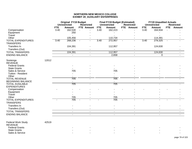|                           |       | <b>Original FY19 Budget</b><br><b>Unrestricted</b><br><b>Restricted</b> |                |                          | <b>Final FY19 Budget (Estimated)</b><br><b>Unrestricted</b> |                | <b>Restricted</b> |               | <b>FY19 Unaudited Actuals</b><br><b>Unrestricted</b> |               | <b>Restricted</b> |               |
|---------------------------|-------|-------------------------------------------------------------------------|----------------|--------------------------|-------------------------------------------------------------|----------------|-------------------|---------------|------------------------------------------------------|---------------|-------------------|---------------|
|                           |       | <b>FTE</b>                                                              | <b>Amount</b>  | FTE Amount               | <b>FTE</b>                                                  | <b>Amount</b>  | <b>FTE</b>        | <b>Amount</b> | <b>FTE</b>                                           | <b>Amount</b> | <b>FTE</b>        | <b>Amount</b> |
| Compensation              |       | 3.40                                                                    | 162,530        |                          | 3.40                                                        | 162,223        |                   |               | 3.40                                                 | 164,934       |                   |               |
| Equipment                 |       |                                                                         | 250            |                          |                                                             |                |                   |               |                                                      |               |                   |               |
| Travel                    |       |                                                                         |                |                          |                                                             |                |                   |               |                                                      |               |                   |               |
| Other                     |       |                                                                         | 105,456        |                          |                                                             | 110,734        |                   |               |                                                      | 114,391       |                   |               |
| <b>TOTAL EXPENDITURES</b> |       | 3.40                                                                    | 268,236        | $\blacksquare$           | 3.40                                                        | 272,957        |                   |               | 3.40                                                 | 279,325       | $\blacksquare$    |               |
| <b>TRANSFERS</b>          |       |                                                                         |                |                          |                                                             |                |                   |               |                                                      |               |                   |               |
| Transfers In              |       |                                                                         | 104,391        |                          |                                                             | 112,957        |                   |               |                                                      | 124,630       |                   |               |
| Transfers (Out)           |       |                                                                         |                |                          |                                                             |                |                   |               |                                                      |               |                   |               |
| <b>TOTAL TRANSFERS</b>    |       |                                                                         | 104,391        | $\overline{\phantom{a}}$ |                                                             | 112,957        |                   | $\sim$        |                                                      | 124,630       |                   |               |
| <b>ENDING BALANCE</b>     |       |                                                                         | $\sim$         |                          |                                                             | 2,658          |                   |               |                                                      | $\mathbf 0$   |                   |               |
| Sostenga                  | 12012 |                                                                         |                |                          |                                                             |                |                   |               |                                                      |               |                   |               |
| <b>REVENUE</b>            |       |                                                                         |                |                          |                                                             |                |                   |               |                                                      |               |                   |               |
| <b>Federal Grants</b>     |       |                                                                         |                |                          |                                                             |                |                   |               |                                                      |               |                   |               |
| <b>State Grants</b>       |       |                                                                         |                |                          |                                                             |                |                   |               |                                                      |               |                   |               |
| Sales & Service           |       |                                                                         | 705            |                          |                                                             | 705            |                   |               |                                                      |               |                   |               |
| Tuition - Resident        |       |                                                                         |                |                          |                                                             |                |                   |               |                                                      |               |                   |               |
| Other                     |       |                                                                         |                |                          |                                                             |                |                   |               |                                                      |               |                   |               |
| <b>TOTAL REVENUE</b>      |       |                                                                         | 705            |                          |                                                             | 705            |                   |               |                                                      |               |                   |               |
| <b>BEGINNING BALANCE</b>  |       |                                                                         |                |                          |                                                             |                |                   |               |                                                      |               |                   |               |
| <b>TOTAL AVAILABLE</b>    |       |                                                                         | 705            |                          |                                                             | 705            |                   |               |                                                      |               |                   |               |
| <b>EXPENDITURES</b>       |       |                                                                         |                |                          |                                                             |                |                   |               |                                                      |               |                   |               |
| Compensation              |       |                                                                         |                |                          |                                                             |                |                   |               |                                                      |               |                   |               |
| Equipment                 |       |                                                                         |                |                          |                                                             |                |                   |               |                                                      |               |                   |               |
| Travel                    |       |                                                                         |                |                          |                                                             |                |                   |               |                                                      |               |                   |               |
| Other                     |       |                                                                         | 705            |                          |                                                             | 705            |                   |               |                                                      |               |                   |               |
| <b>TOTAL EXPENDITURES</b> |       |                                                                         | 705            |                          |                                                             | 705            |                   |               |                                                      |               |                   |               |
| <b>TRANSFERS</b>          |       |                                                                         |                |                          |                                                             |                |                   |               |                                                      |               |                   |               |
| Transfers In              |       |                                                                         |                |                          |                                                             |                |                   |               |                                                      |               |                   |               |
| Transfers (Out)           |       |                                                                         |                |                          |                                                             |                |                   |               |                                                      |               |                   |               |
| <b>TOTAL TRANSFERS</b>    |       |                                                                         | $\sim$         | $\blacksquare$           |                                                             | $\blacksquare$ |                   | $\sim$        |                                                      | $\sim$        |                   |               |
| <b>ENDING BALANCE</b>     |       |                                                                         | $\blacksquare$ |                          |                                                             | $\blacksquare$ |                   |               |                                                      | $\sim$        |                   |               |
|                           |       |                                                                         |                |                          |                                                             |                |                   |               |                                                      |               |                   |               |

| Federal Work Study    | 42519 |  |                          |  |
|-----------------------|-------|--|--------------------------|--|
| REVENUE               |       |  |                          |  |
| <b>Federal Grants</b> |       |  |                          |  |
| <b>State Grants</b>   |       |  | $\overline{\phantom{a}}$ |  |
| Sales & Service       |       |  |                          |  |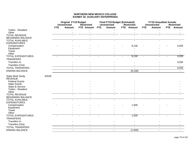|                                                                    |            | <b>Original FY19 Budget</b><br>Unrestricted<br><b>Restricted</b> |                          |            |                | <b>Final FY19 Budget (Estimated)</b><br><b>Unrestricted</b> | <b>Restricted</b> |            | <b>FY19 Unaudited Actuals</b><br><b>Unrestricted</b> | <b>Restricted</b>        |            |
|--------------------------------------------------------------------|------------|------------------------------------------------------------------|--------------------------|------------|----------------|-------------------------------------------------------------|-------------------|------------|------------------------------------------------------|--------------------------|------------|
|                                                                    | <b>FTE</b> |                                                                  | <b>Amount</b>            | FTE Amount |                | <b>FTE</b>                                                  | Amount            | FTE Amount | <b>FTE</b>                                           | <b>Amount</b>            | FTE Amount |
| Tuition - Resident                                                 |            |                                                                  |                          |            |                |                                                             |                   |            |                                                      |                          |            |
| Other<br><b>TOTAL REVENUE</b>                                      |            |                                                                  |                          |            |                |                                                             |                   |            |                                                      |                          |            |
| <b>BEGINNING BALANCE</b>                                           |            |                                                                  |                          |            |                |                                                             |                   |            |                                                      |                          |            |
| <b>TOTAL AVAILABLE</b>                                             |            |                                                                  |                          |            |                |                                                             |                   |            |                                                      |                          |            |
| <b>EXPENDITURES</b>                                                |            |                                                                  |                          |            |                |                                                             |                   |            |                                                      |                          |            |
| Compensation                                                       |            |                                                                  |                          |            |                |                                                             |                   | 9,130      |                                                      |                          | 3,035      |
| Equipment                                                          |            |                                                                  |                          |            |                |                                                             |                   |            |                                                      |                          |            |
| Travel                                                             |            |                                                                  |                          |            |                |                                                             |                   |            |                                                      |                          |            |
| Other                                                              |            |                                                                  |                          |            |                |                                                             |                   |            |                                                      |                          |            |
| <b>TOTAL EXPENDITURES</b>                                          |            |                                                                  |                          |            |                |                                                             |                   | 9,130      | $\sim$                                               |                          | 3,035      |
| <b>TRANSFERS</b>                                                   |            |                                                                  |                          |            |                |                                                             |                   |            |                                                      |                          |            |
| Transfers In                                                       |            |                                                                  |                          |            |                |                                                             |                   |            |                                                      |                          | 3,035      |
| Transfers (Out)                                                    |            |                                                                  |                          |            |                |                                                             |                   |            |                                                      |                          |            |
| <b>TOTAL TRANSFERS</b>                                             |            |                                                                  | $\sim$                   |            | $\blacksquare$ |                                                             | $\blacksquare$    | $\sim$     |                                                      | $\sim$                   | 3,035      |
| <b>ENDING BALANCE</b>                                              |            |                                                                  | $\overline{a}$           |            | $\blacksquare$ |                                                             | $\overline{a}$    | (9, 130)   |                                                      | $\blacksquare$           |            |
| <b>State Work Study</b><br><b>REVENUE</b><br><b>Federal Grants</b> | 42529      |                                                                  |                          |            |                |                                                             |                   |            |                                                      |                          |            |
| <b>State Grants</b>                                                |            |                                                                  |                          |            |                |                                                             |                   |            |                                                      |                          |            |
| Sales & Service                                                    |            |                                                                  |                          |            |                |                                                             |                   |            |                                                      |                          |            |
| Tuition - Resident                                                 |            |                                                                  |                          |            |                |                                                             |                   |            |                                                      |                          |            |
| Other                                                              |            |                                                                  |                          |            |                |                                                             |                   |            |                                                      |                          |            |
| <b>TOTAL REVENUE</b>                                               |            |                                                                  |                          |            |                |                                                             |                   |            |                                                      |                          |            |
| <b>BEGINNING BALANCE</b>                                           |            |                                                                  |                          |            |                |                                                             |                   |            |                                                      |                          |            |
| <b>TOTAL AVAILABLE</b><br><b>EXPENDITURES</b>                      |            |                                                                  |                          |            |                |                                                             | ۰                 |            |                                                      |                          |            |
| Compensation                                                       |            |                                                                  |                          |            |                |                                                             |                   | 1,500      |                                                      |                          |            |
| Equipment                                                          |            |                                                                  |                          |            |                |                                                             |                   |            |                                                      |                          |            |
| Travel                                                             |            |                                                                  |                          |            |                |                                                             |                   |            |                                                      |                          |            |
| Other                                                              |            |                                                                  |                          |            |                |                                                             |                   |            |                                                      |                          |            |
| <b>TOTAL EXPENDITURES</b>                                          |            |                                                                  |                          |            |                |                                                             |                   | 1,500      | $\blacksquare$                                       |                          |            |
| <b>TRANSFERS</b>                                                   |            |                                                                  |                          |            |                |                                                             |                   |            |                                                      |                          |            |
| Transfers In                                                       |            |                                                                  |                          |            |                |                                                             |                   |            |                                                      |                          |            |
| Transfers (Out)                                                    |            |                                                                  |                          |            |                |                                                             |                   |            |                                                      |                          |            |
| <b>TOTAL TRANSFERS</b>                                             |            |                                                                  | $\overline{\phantom{a}}$ |            | $\blacksquare$ |                                                             | $\blacksquare$    |            |                                                      | $\overline{\phantom{a}}$ |            |
| <b>ENDING BALANCE</b>                                              |            |                                                                  | $\overline{a}$           |            | $\mathbf{r}$   |                                                             | $\mathbf{r}$      | (1,500)    |                                                      | $\blacksquare$           |            |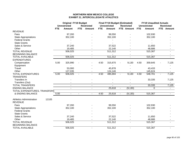## **NORTHERN NEW MEXICO COLLEGEEXHIBIT 21\_INTERCOLLEGIATE ATHLETICS**

|                                 |       | <b>Original FY19 Budget</b> |                     |                          |                          |            | <b>Final FY19 Budget (Estimated)</b> |                |                          |            | <b>FY19 Unaudited Actuals</b> |                |                   |
|---------------------------------|-------|-----------------------------|---------------------|--------------------------|--------------------------|------------|--------------------------------------|----------------|--------------------------|------------|-------------------------------|----------------|-------------------|
|                                 |       |                             | <b>Unrestricted</b> |                          | <b>Restricted</b>        |            | <b>Unrestricted</b>                  |                | <b>Restricted</b>        |            | <b>Unrestricted</b>           |                | <b>Restricted</b> |
|                                 |       | <b>FTE</b>                  | <b>Amount</b>       | <b>FTE</b>               | <b>Amount</b>            | <b>FTE</b> | Amount                               |                | FTE Amount               | <b>FTE</b> | <b>Amount</b>                 |                | FTE Amount        |
| <b>REVENUE</b>                  |       |                             |                     |                          |                          |            |                                      |                |                          |            |                               |                |                   |
| Fees                            |       |                             | 97,200              |                          |                          |            | 99,550                               |                |                          |            | 102,930                       |                |                   |
| <b>State Appropriations</b>     |       |                             | 352,100             |                          |                          |            | 352,100                              |                |                          |            | 352,100                       |                |                   |
| <b>Federal Grants</b>           |       |                             |                     |                          |                          |            |                                      |                |                          |            |                               |                |                   |
| <b>State Grants</b>             |       |                             |                     |                          |                          |            |                                      |                |                          |            |                               |                |                   |
| Sales & Service                 |       |                             | 37,240              |                          |                          |            | 37,522                               |                |                          |            | 11,650                        |                |                   |
| Other                           |       |                             | 19,485              |                          |                          |            | 22,140                               |                |                          |            | 48,686                        |                |                   |
| <b>TOTAL REVENUE</b>            |       |                             | 506,025             |                          |                          |            | 511,312                              |                |                          |            | 515,367                       |                |                   |
| <b>BEGINNING BALANCE</b>        |       |                             |                     |                          |                          |            |                                      |                |                          |            |                               |                |                   |
| <b>TOTAL AVAILABLE</b>          |       |                             | 506,025             |                          | $\blacksquare$           |            | 511,312                              |                | $\blacksquare$           |            | 515,367                       |                | $\blacksquare$    |
| <b>EXPENDITURES</b>             |       |                             |                     |                          |                          |            |                                      |                |                          |            |                               |                |                   |
| Compensation                    |       | 5.00                        | 325,990             |                          |                          | 4.50       | 315,670                              |                | 9,130                    | 4.50       | 359,645                       |                | 7,125             |
| Equipment                       |       |                             |                     |                          |                          |            |                                      |                |                          |            |                               |                |                   |
| Travel                          |       |                             | 53,000              |                          |                          |            | 45,878                               |                |                          |            | 43,433                        |                |                   |
| Other                           |       |                             | 127,035             |                          |                          |            | 124,146                              |                |                          |            | 145,624                       |                |                   |
| <b>TOTAL EXPENDITURES</b>       |       | 5.00                        | 506,025             | $\blacksquare$           |                          | 4.50       | 485,694                              | $\sim$         | 9,130                    | 4.50       | 548,701                       | $\blacksquare$ | 7,125             |
| <b>TRANSFERS</b>                |       |                             |                     |                          |                          |            |                                      |                |                          |            |                               |                |                   |
| Transfers In                    |       |                             |                     |                          |                          |            |                                      |                |                          |            | 33,335                        |                | 7,125             |
| Transfers (Out)                 |       |                             |                     |                          |                          |            |                                      |                |                          |            |                               |                | $\blacksquare$    |
| <b>TOTAL TRANSFERS</b>          |       |                             | $\blacksquare$      |                          | $\overline{\phantom{a}}$ |            |                                      |                |                          |            | 33,335                        |                | 7,125             |
| <b>ENDING BALANCE</b>           |       |                             | $\overline{a}$      |                          | $\blacksquare$           |            | 25,618                               | $\blacksquare$ | (9, 130)                 |            | $\Omega$                      |                | $\blacksquare$    |
| TOTAL EXPENDITURES, TRANSFERS   |       |                             |                     |                          |                          |            |                                      |                |                          |            |                               |                |                   |
| <b>&amp; ENDING BALANCE</b>     |       | 5.00                        | $\blacksquare$      | $\overline{\phantom{a}}$ | $\blacksquare$           | 4.50       | 25,618                               | $\blacksquare$ | (9, 130)                 |            | 515,367                       |                | $\blacksquare$    |
|                                 |       |                             |                     |                          |                          |            |                                      |                |                          |            |                               |                |                   |
| <b>Athletics Administration</b> | 12105 |                             |                     |                          |                          |            |                                      |                |                          |            |                               |                |                   |
| <b>REVENUE</b>                  |       |                             |                     |                          |                          |            |                                      |                |                          |            |                               |                |                   |
| Fees                            |       |                             | 97,200              |                          |                          |            | 99,550                               |                |                          |            | 102,930                       |                |                   |
| <b>State Appropriations</b>     |       |                             | 352,100             |                          |                          |            | 352,100                              |                |                          |            | 352,100                       |                |                   |
| <b>Federal Grants</b>           |       |                             |                     |                          |                          |            |                                      |                |                          |            |                               |                |                   |
| <b>State Grants</b>             |       |                             |                     |                          |                          |            |                                      |                |                          |            |                               |                |                   |
| Sales & Service                 |       |                             | 37,240              |                          |                          |            | 37,522                               |                |                          |            | 11,650                        |                |                   |
| Other                           |       |                             | 19,485              |                          |                          |            | 22,140                               |                |                          |            | 48,686                        |                |                   |
| <b>TOTAL REVENUE</b>            |       |                             | 506,025             |                          | $\blacksquare$           |            | 511,312                              |                |                          |            | 515,367                       |                |                   |
| <b>BEGINNING BALANCE</b>        |       |                             |                     |                          |                          |            |                                      |                |                          |            |                               |                |                   |
| <b>TOTAL AVAILABLE</b>          |       |                             | 506,025             |                          | $\blacksquare$           |            | 511,312                              |                | $\overline{\phantom{a}}$ |            | 515,367                       |                |                   |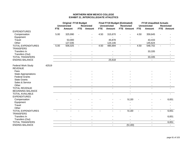## **NORTHERN NEW MEXICO COLLEGEEXHIBIT 21\_INTERCOLLEGIATE ATHLETICS**

|                                                                                                                                                |       | <b>Original FY19 Budget</b> |                     |            |                          | <b>Final FY19 Budget (Estimated)</b> |                          |                |                          | <b>FY19 Unaudited Actuals</b> |                     |                          |
|------------------------------------------------------------------------------------------------------------------------------------------------|-------|-----------------------------|---------------------|------------|--------------------------|--------------------------------------|--------------------------|----------------|--------------------------|-------------------------------|---------------------|--------------------------|
|                                                                                                                                                |       |                             | <b>Unrestricted</b> |            | <b>Restricted</b>        |                                      | <b>Unrestricted</b>      |                | <b>Restricted</b>        |                               | <b>Unrestricted</b> | <b>Restricted</b>        |
|                                                                                                                                                |       | <b>FTE</b>                  | <b>Amount</b>       | <b>FTE</b> | <b>Amount</b>            | <b>FTE</b>                           | <b>Amount</b>            |                | FTE Amount               | <b>FTE</b>                    | <b>Amount</b>       | FTE Amount               |
| <b>EXPENDITURES</b>                                                                                                                            |       |                             |                     |            |                          |                                      |                          |                |                          |                               |                     |                          |
| Compensation                                                                                                                                   |       | 5.00                        | 325,990             |            |                          | 4.50                                 | 315,670                  |                |                          | 4.50                          | 359,645             |                          |
| Equipment                                                                                                                                      |       |                             |                     |            |                          |                                      |                          |                |                          |                               |                     |                          |
| Travel                                                                                                                                         |       |                             | 53,000              |            |                          |                                      | 45,878                   |                |                          |                               | 43,433              |                          |
| Other                                                                                                                                          |       |                             | 127,035             |            |                          |                                      | 124,146                  |                |                          |                               | 145,624             |                          |
| <b>TOTAL EXPENDITURES</b><br><b>TRANSFERS</b>                                                                                                  |       | 5.00                        | 506,025             |            |                          | 4.50                                 | 485,694                  | $\blacksquare$ |                          | 4.50                          | 548,702             |                          |
| Transfers In                                                                                                                                   |       |                             |                     |            |                          |                                      |                          |                |                          |                               | 33,335              |                          |
| Transfers (Out)                                                                                                                                |       |                             |                     |            |                          |                                      |                          |                |                          |                               |                     |                          |
| <b>TOTAL TRANSFERS</b>                                                                                                                         |       |                             | $\blacksquare$      |            | $\overline{\phantom{a}}$ |                                      | $\overline{\phantom{a}}$ |                | $\overline{\phantom{a}}$ |                               | 33,335              | $\blacksquare$           |
| <b>ENDING BALANCE</b>                                                                                                                          |       |                             | $\blacksquare$      |            | $\blacksquare$           |                                      | 25,618                   |                | $\blacksquare$           |                               | $\blacksquare$      | $\blacksquare$           |
| Federal Work Study<br><b>REVENUE</b><br>Fees<br><b>State Appropriations</b><br><b>Federal Grants</b><br><b>State Grants</b><br>Sales & Service | 42519 |                             |                     |            |                          |                                      |                          |                |                          |                               |                     |                          |
| Other                                                                                                                                          |       |                             |                     |            |                          |                                      |                          |                |                          |                               |                     |                          |
| <b>TOTAL REVENUE</b>                                                                                                                           |       |                             |                     |            |                          |                                      |                          |                |                          |                               |                     |                          |
| <b>BEGINNING BALANCE</b><br><b>TOTAL AVAILABLE</b>                                                                                             |       |                             |                     |            |                          |                                      |                          |                |                          |                               |                     |                          |
| <b>EXPENDITURES</b>                                                                                                                            |       |                             |                     |            |                          |                                      |                          |                |                          |                               |                     |                          |
| Compensation                                                                                                                                   |       |                             |                     |            |                          |                                      |                          |                | 9,130                    |                               |                     | 6,651                    |
| Equipment                                                                                                                                      |       |                             |                     |            |                          |                                      |                          |                |                          |                               |                     |                          |
| Travel                                                                                                                                         |       |                             |                     |            |                          |                                      |                          |                |                          |                               |                     |                          |
| Other                                                                                                                                          |       |                             |                     |            |                          |                                      |                          |                |                          |                               |                     |                          |
| <b>TOTAL EXPENDITURES</b><br><b>TRANSFERS</b>                                                                                                  |       |                             |                     |            |                          |                                      |                          |                | 9,130                    | $\blacksquare$                |                     | 6,651                    |
| Transfers In                                                                                                                                   |       |                             |                     |            |                          |                                      |                          |                |                          |                               |                     | 6,651                    |
| Transfers (Out)                                                                                                                                |       |                             |                     |            |                          |                                      |                          |                |                          |                               |                     |                          |
| <b>TOTAL TRANSFERS</b>                                                                                                                         |       |                             | $\blacksquare$      |            | $\overline{\phantom{a}}$ |                                      | $\blacksquare$           |                | $\blacksquare$           |                               | $\blacksquare$      | 6,651                    |
| <b>ENDING BALANCE</b>                                                                                                                          |       |                             | $\blacksquare$      |            | $\blacksquare$           |                                      | $\blacksquare$           |                | (9, 130)                 |                               | $\blacksquare$      | $\overline{\phantom{a}}$ |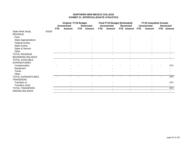## **NORTHERN NEW MEXICO COLLEGEEXHIBIT 21\_INTERCOLLEGIATE ATHLETICS**

|                             |       | <b>Original FY19 Budget</b> |                     |            |                   |            |                     | <b>Final FY19 Budget (Estimated)</b> |            | <b>FY19 Unaudited Actuals</b> |                   |
|-----------------------------|-------|-----------------------------|---------------------|------------|-------------------|------------|---------------------|--------------------------------------|------------|-------------------------------|-------------------|
|                             |       |                             | <b>Unrestricted</b> |            | <b>Restricted</b> |            | <b>Unrestricted</b> | <b>Restricted</b>                    |            | <b>Unrestricted</b>           | <b>Restricted</b> |
|                             |       | <b>FTE</b>                  | <b>Amount</b>       | <b>FTE</b> | Amount            | <b>FTE</b> | <b>Amount</b>       | FTE Amount                           | <b>FTE</b> | <b>Amount</b>                 | <b>FTE</b> Amount |
| State Work Study            | 42529 |                             |                     |            |                   |            |                     |                                      |            |                               |                   |
| <b>REVENUE</b>              |       |                             |                     |            |                   |            |                     |                                      |            |                               |                   |
| Fees                        |       |                             |                     |            |                   |            |                     |                                      |            |                               |                   |
| <b>State Appropriations</b> |       |                             |                     |            |                   |            |                     |                                      |            |                               |                   |
| <b>Federal Grants</b>       |       |                             |                     |            |                   |            |                     |                                      |            |                               |                   |
| <b>State Grants</b>         |       |                             |                     |            |                   |            |                     |                                      |            |                               |                   |
| Sales & Service             |       |                             |                     |            |                   |            |                     |                                      |            |                               |                   |
| Other                       |       |                             |                     |            |                   |            |                     |                                      |            |                               |                   |
| <b>TOTAL REVENUE</b>        |       |                             |                     |            |                   |            |                     | $\blacksquare$                       |            |                               |                   |
| <b>BEGINNING BALANCE</b>    |       |                             |                     |            |                   |            |                     |                                      |            |                               |                   |
| <b>TOTAL AVAILABLE</b>      |       |                             |                     |            |                   |            |                     |                                      |            |                               |                   |
| <b>EXPENDITURES</b>         |       |                             |                     |            |                   |            |                     |                                      |            |                               |                   |
| Compensation                |       |                             |                     |            |                   |            |                     |                                      |            |                               | 474               |
| Equipment                   |       |                             |                     |            |                   |            |                     |                                      |            |                               |                   |
| Travel                      |       |                             |                     |            |                   |            |                     |                                      |            |                               |                   |
| Other                       |       |                             |                     |            |                   |            |                     |                                      |            |                               |                   |
| <b>TOTAL EXPENDITURES</b>   |       |                             |                     |            |                   |            |                     |                                      |            |                               | 474               |
| <b>TRANSFERS</b>            |       |                             |                     |            |                   |            |                     |                                      |            |                               |                   |
| Transfers In                |       |                             |                     |            |                   |            |                     |                                      |            |                               | 474               |
| Transfers (Out)             |       |                             |                     |            |                   |            |                     |                                      |            |                               |                   |
| <b>TOTAL TRANSFERS</b>      |       |                             |                     |            |                   |            |                     | $\blacksquare$                       |            |                               | 474               |
| <b>ENDING BALANCE</b>       |       |                             |                     |            |                   |            |                     | $\blacksquare$                       |            |                               |                   |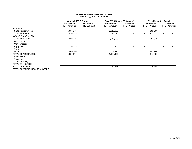|                               | <b>Original FY19 Budget</b> |                          |            |                          | <b>Final FY19 Budget (Estimated)</b> |                          |                          |                   | <b>FY19 Unaudited Actuals</b> |                     |      |                   |
|-------------------------------|-----------------------------|--------------------------|------------|--------------------------|--------------------------------------|--------------------------|--------------------------|-------------------|-------------------------------|---------------------|------|-------------------|
|                               |                             | <b>Unrestricted</b>      |            | <b>Restricted</b>        |                                      | <b>Unrestricted</b>      |                          | <b>Restricted</b> |                               | <b>Unrestricted</b> |      | <b>Restricted</b> |
|                               | FTE.                        | Amount                   | <b>FTE</b> | Amount                   | FTE.                                 | Amount                   | FTE.                     | Amount            | <b>FTE</b>                    | Amount              | FTE. | Amount            |
| <b>REVENUE</b>                |                             |                          |            |                          |                                      |                          |                          |                   |                               |                     |      |                   |
| <b>State Appropriations</b>   |                             | 1,050,679                |            |                          |                                      | 1,017,090                |                          |                   | $\blacksquare$                | 952,539             |      |                   |
| TOTAL REVENUE                 |                             | 1,050,679                |            | $\overline{\phantom{a}}$ |                                      | 1,017,090                |                          |                   | $\blacksquare$                | 952,539             |      |                   |
| <b>BEGINNING BALANCE</b>      |                             |                          |            |                          |                                      |                          |                          |                   |                               |                     |      |                   |
| TOTAL AVAILABLE               |                             | 1,050,679                |            |                          |                                      | 1,017,090                |                          |                   |                               | 952,539             |      |                   |
| <b>EXPENDITURES</b>           |                             |                          |            |                          |                                      |                          |                          |                   |                               |                     |      |                   |
| Compensation                  |                             |                          |            |                          |                                      |                          |                          |                   |                               |                     |      |                   |
| Equipment                     |                             | 50,679                   |            | $\blacksquare$           |                                      |                          |                          |                   |                               |                     |      |                   |
| Travel                        |                             |                          |            | $\overline{\phantom{a}}$ |                                      |                          |                          |                   |                               |                     |      |                   |
| Other                         |                             | ,000,000                 |            |                          |                                      | 1,004,432                |                          |                   | $\blacksquare$                | 941,890             |      |                   |
| TOTAL EXPENDITURES            |                             | 1,050,679                |            |                          |                                      | 1,004,432                | $\overline{\phantom{0}}$ |                   | $\blacksquare$                | 941,890             |      |                   |
| TRANSFERS                     |                             |                          |            |                          |                                      |                          |                          |                   |                               |                     |      |                   |
| Transfers In                  |                             |                          |            | $\overline{\phantom{a}}$ |                                      |                          |                          |                   |                               |                     |      |                   |
| Transfers (Out)               |                             | $\overline{\phantom{0}}$ |            | $\overline{\phantom{a}}$ |                                      | $\overline{\phantom{0}}$ | $\overline{\phantom{0}}$ |                   | $\overline{\phantom{0}}$      |                     |      |                   |
| TOTAL TRANSFERS               |                             | $\overline{\phantom{0}}$ |            | $\blacksquare$           |                                      |                          |                          |                   |                               |                     |      |                   |
| <b>ENDING BALANCE</b>         |                             | $\blacksquare$           |            | $\overline{\phantom{a}}$ |                                      | 12,658                   | $\blacksquare$           |                   | $\blacksquare$                | 10,649              |      |                   |
| TOTAL EXPENDITURES, TRANSFERS |                             |                          |            |                          |                                      |                          |                          |                   |                               |                     |      |                   |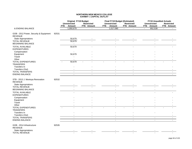|                                                          |       | <b>Original FY19 Budget</b><br><b>Unrestricted</b> | <b>Restricted</b>        |            | <b>Final FY19 Budget (Estimated)</b><br><b>Unrestricted</b> |                          | <b>Restricted</b>           |                     | <b>FY19 Unaudited Actuals</b><br><b>Unrestricted</b> |                | <b>Restricted</b> |
|----------------------------------------------------------|-------|----------------------------------------------------|--------------------------|------------|-------------------------------------------------------------|--------------------------|-----------------------------|---------------------|------------------------------------------------------|----------------|-------------------|
|                                                          |       | FTE.<br>Amount                                     | FTE Amount               | <b>FTE</b> | <b>Amount</b>                                               |                          | FTE Amount                  | <b>FTE</b>          | <b>Amount</b>                                        |                | FTE Amount        |
| & ENDING BALANCE                                         |       | 1,050,679                                          | $\mathbf{r}$             |            | 1,017,090                                                   | $\overline{\phantom{a}}$ | $\mathcal{L}^{\mathcal{L}}$ | $\mathcal{L}^{\pm}$ | 952,539                                              | $\blacksquare$ |                   |
| GOB - 2012 Power, Security & Equipment<br><b>REVENUE</b> | 92531 |                                                    |                          |            |                                                             |                          |                             |                     |                                                      |                |                   |
| State Appropriations                                     |       | 50,679                                             |                          |            |                                                             |                          |                             |                     |                                                      |                |                   |
| <b>TOTAL REVENUE</b><br><b>BEGINNING BALANCE</b>         |       | 50,679                                             |                          |            |                                                             |                          |                             |                     |                                                      |                |                   |
| <b>TOTAL AVAILABLE</b><br><b>EXPENDITURES</b>            |       | 50,679                                             |                          |            |                                                             |                          |                             |                     |                                                      |                |                   |
| Compensation                                             |       | $\overline{a}$                                     |                          |            |                                                             |                          |                             |                     |                                                      |                |                   |
| Equipment<br>Travel                                      |       | 50,679                                             |                          |            |                                                             |                          |                             |                     |                                                      |                |                   |
| Other                                                    |       |                                                    |                          |            |                                                             |                          |                             |                     |                                                      |                |                   |
| <b>TOTAL EXPENDITURES</b><br><b>TRANSFERS</b>            |       | 50,679                                             |                          |            |                                                             |                          |                             |                     |                                                      |                |                   |
| Transfers In                                             |       |                                                    |                          |            |                                                             |                          |                             |                     |                                                      |                |                   |
| Transfers (Out)                                          |       |                                                    |                          |            |                                                             |                          |                             |                     |                                                      |                |                   |
| <b>TOTAL TRANSFERS</b>                                   |       | $\blacksquare$                                     | $\overline{\phantom{a}}$ |            | $\overline{\phantom{a}}$                                    |                          | $\overline{\phantom{a}}$    |                     | $\overline{\phantom{a}}$                             |                |                   |
| ENDING BALANCE                                           |       | $\sim$                                             | $\sim$                   |            | $\mathbf{r}$                                                |                          | $\sim$                      |                     | $\sim$                                               |                | $\blacksquare$    |
| STB - 2013 J. Montoya Renovation<br><b>REVENUE</b>       | 92532 |                                                    |                          |            |                                                             |                          |                             |                     |                                                      |                |                   |
| State Appropriations                                     |       |                                                    |                          |            |                                                             |                          |                             |                     |                                                      |                |                   |
| <b>TOTAL REVENUE</b><br><b>BEGINNING BALANCE</b>         |       |                                                    |                          |            |                                                             |                          |                             |                     |                                                      |                |                   |
| <b>TOTAL AVAILABLE</b><br><b>EXPENDITURES</b>            |       |                                                    |                          |            |                                                             |                          |                             |                     |                                                      |                |                   |
| Compensation                                             |       |                                                    |                          |            |                                                             |                          |                             |                     |                                                      |                |                   |
| Equipment                                                |       |                                                    |                          |            |                                                             |                          |                             |                     |                                                      |                |                   |
| Travel                                                   |       |                                                    |                          |            |                                                             |                          |                             |                     |                                                      |                |                   |
| Other                                                    |       |                                                    |                          |            |                                                             |                          |                             |                     |                                                      |                |                   |
| TOTAL EXPENDITURES<br><b>TRANSFERS</b>                   |       |                                                    |                          |            |                                                             |                          |                             |                     |                                                      |                |                   |
| Transfers In                                             |       |                                                    |                          |            |                                                             |                          |                             |                     |                                                      |                |                   |
| Transfers (Out)                                          |       |                                                    |                          |            |                                                             |                          |                             |                     |                                                      |                |                   |
| <b>TOTAL TRANSFERS</b>                                   |       | $\blacksquare$                                     | $\blacksquare$           |            | $\blacksquare$                                              |                          | $\blacksquare$              |                     | $\overline{\phantom{a}}$                             |                |                   |
| <b>ENDING BALANCE</b>                                    |       | $\blacksquare$                                     | $\blacksquare$           |            | $\blacksquare$                                              |                          | $\blacksquare$              |                     | $\blacksquare$                                       |                |                   |
| GOB - 2014 Infrastructure<br><b>REVENUE</b>              | 92535 |                                                    |                          |            |                                                             |                          |                             |                     |                                                      |                |                   |
| State Appropriations                                     |       |                                                    |                          |            |                                                             |                          |                             |                     |                                                      |                |                   |
| <b>TOTAL REVENUE</b>                                     |       |                                                    |                          |            |                                                             |                          |                             |                     |                                                      |                |                   |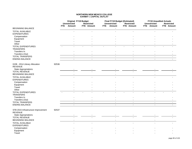|                                                 |       | <b>Original FY19 Budget</b>   |                                 | <b>Final FY19 Budget (Estimated)</b>  |                          | <b>FY19 Unaudited Actuals</b>     |                                 |
|-------------------------------------------------|-------|-------------------------------|---------------------------------|---------------------------------------|--------------------------|-----------------------------------|---------------------------------|
|                                                 | FTE.  | <b>Unrestricted</b><br>Amount | <b>Restricted</b><br>FTE Amount | <b>Unrestricted</b><br>Amount<br>FTE. | Restricted<br>FTE Amount | <b>Unrestricted</b><br>FTE Amount | <b>Restricted</b><br>FTE Amount |
| <b>BEGINNING BALANCE</b>                        |       |                               |                                 |                                       |                          |                                   |                                 |
| <b>TOTAL AVAILABLE</b>                          |       |                               |                                 |                                       |                          |                                   |                                 |
| <b>EXPENDITURES</b>                             |       |                               |                                 |                                       |                          |                                   |                                 |
| Compensation                                    |       |                               |                                 |                                       |                          |                                   |                                 |
| Equipment                                       |       |                               |                                 |                                       |                          |                                   |                                 |
| Travel                                          |       |                               |                                 |                                       |                          |                                   |                                 |
| Other                                           |       |                               |                                 |                                       |                          |                                   |                                 |
| TOTAL EXPENDITURES                              |       |                               |                                 |                                       |                          |                                   |                                 |
| <b>TRANSFERS</b>                                |       |                               |                                 |                                       |                          |                                   |                                 |
| Transfers In                                    |       |                               |                                 |                                       |                          |                                   |                                 |
| Transfers (Out)                                 |       |                               | $\overline{\phantom{a}}$        |                                       | $\overline{\phantom{a}}$ |                                   |                                 |
| TOTAL TRANSFERS                                 |       | $\blacksquare$                | $\blacksquare$                  | $\blacksquare$                        | $\blacksquare$           | $\overline{\phantom{a}}$          |                                 |
| <b>ENDING BALANCE</b>                           |       |                               | $\overline{a}$                  | $\overline{a}$                        |                          | $\overline{a}$                    |                                 |
| GOB - 2014 Library Allocation<br><b>REVENUE</b> | 92536 |                               |                                 |                                       |                          |                                   |                                 |
| State Appropriations                            |       |                               |                                 |                                       |                          |                                   |                                 |
| <b>TOTAL REVENUE</b>                            |       |                               |                                 |                                       |                          |                                   |                                 |
| <b>BEGINNING BALANCE</b>                        |       |                               |                                 |                                       |                          |                                   |                                 |
| <b>TOTAL AVAILABLE</b>                          |       |                               |                                 |                                       |                          |                                   |                                 |
| <b>EXPENDITURES</b>                             |       |                               |                                 |                                       |                          |                                   |                                 |
| Compensation                                    |       |                               |                                 |                                       |                          |                                   |                                 |
| Equipment                                       |       |                               |                                 |                                       |                          |                                   |                                 |
| Travel                                          |       |                               |                                 |                                       |                          |                                   |                                 |
| Other                                           |       |                               |                                 |                                       |                          |                                   |                                 |
| TOTAL EXPENDITURES                              |       |                               |                                 |                                       |                          |                                   |                                 |
| <b>TRANSFERS</b>                                |       |                               |                                 |                                       |                          |                                   |                                 |
| Transfers In                                    |       |                               |                                 |                                       |                          |                                   |                                 |
| Transfers (Out)                                 |       |                               | $\overline{\phantom{a}}$        | $\overline{\phantom{0}}$              | $\overline{\phantom{0}}$ |                                   |                                 |
| <b>TOTAL TRANSFERS</b>                          |       | $\sim$                        | $\blacksquare$                  | $\blacksquare$                        | $\overline{\phantom{a}}$ | $\overline{\phantom{a}}$          |                                 |
| <b>ENDING BALANCE</b>                           |       | $\sim$                        | $\blacksquare$                  | $\blacksquare$                        | $\overline{a}$           | $\blacksquare$                    |                                 |
| STB 2015 Infrastructure Improvement             | 92537 |                               |                                 |                                       |                          |                                   |                                 |
| <b>REVENUE</b>                                  |       |                               |                                 |                                       |                          |                                   |                                 |
| State Appropriations                            |       |                               |                                 |                                       |                          |                                   |                                 |
| <b>TOTAL REVENUE</b>                            |       |                               |                                 |                                       |                          |                                   |                                 |
| <b>BEGINNING BALANCE</b>                        |       |                               |                                 |                                       |                          |                                   |                                 |
| <b>TOTAL AVAILABLE</b>                          |       |                               |                                 |                                       |                          |                                   |                                 |
| <b>EXPENDITURES</b>                             |       |                               |                                 |                                       |                          |                                   |                                 |
| Compensation                                    |       |                               |                                 |                                       |                          |                                   |                                 |
| Equipment                                       |       |                               |                                 |                                       |                          |                                   |                                 |
| Travel                                          |       |                               |                                 |                                       |                          |                                   |                                 |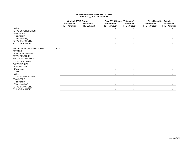|                                                    |       | <b>Original FY19 Budget</b><br><b>Unrestricted</b> |                          | <b>Restricted</b> |            | <b>Final FY19 Budget (Estimated)</b><br><b>Unrestricted</b> | <b>Restricted</b>        | <b>FY19 Unaudited Actuals</b><br><b>Unrestricted</b> | Restricted |
|----------------------------------------------------|-------|----------------------------------------------------|--------------------------|-------------------|------------|-------------------------------------------------------------|--------------------------|------------------------------------------------------|------------|
|                                                    |       | <b>FTE</b>                                         | Amount                   | FTE Amount        | <b>FTE</b> | Amount                                                      | FTE Amount               | FTE Amount                                           | FTE Amount |
| Other                                              |       |                                                    |                          |                   |            |                                                             |                          |                                                      |            |
| <b>TOTAL EXPENDITURES</b>                          |       |                                                    |                          |                   |            |                                                             |                          |                                                      |            |
| <b>TRANSFERS</b>                                   |       |                                                    |                          |                   |            |                                                             |                          |                                                      |            |
| Transfers In                                       |       |                                                    |                          |                   |            |                                                             |                          |                                                      |            |
| Transfers (Out)                                    |       |                                                    |                          |                   |            |                                                             |                          |                                                      |            |
| <b>TOTAL TRANSFERS</b>                             |       |                                                    | $\blacksquare$           | $\sim$            |            | $\blacksquare$                                              | $\overline{\phantom{a}}$ |                                                      |            |
| <b>ENDING BALANCE</b>                              |       |                                                    |                          | $\blacksquare$    |            |                                                             |                          |                                                      |            |
| STB 2015 Farmer's Market Project<br><b>REVENUE</b> | 92538 |                                                    |                          |                   |            |                                                             |                          |                                                      |            |
| State Appropriations                               |       |                                                    |                          |                   |            |                                                             |                          |                                                      |            |
| <b>TOTAL REVENUE</b>                               |       |                                                    |                          |                   |            |                                                             |                          |                                                      |            |
| <b>BEGINNING BALANCE</b>                           |       |                                                    |                          |                   |            |                                                             |                          |                                                      |            |
| TOTAL AVAILABLE<br><b>EXPENDITURES</b>             |       |                                                    |                          |                   |            |                                                             |                          |                                                      |            |
| Compensation                                       |       |                                                    |                          |                   |            |                                                             |                          |                                                      |            |
| Equipment                                          |       |                                                    |                          |                   |            |                                                             |                          |                                                      |            |
| Travel                                             |       |                                                    |                          |                   |            |                                                             |                          |                                                      |            |
| Other                                              |       |                                                    |                          |                   |            |                                                             |                          |                                                      |            |
| <b>TOTAL EXPENDITURES</b><br><b>TRANSFERS</b>      |       |                                                    |                          |                   |            |                                                             |                          |                                                      |            |
| Transfers In                                       |       |                                                    |                          |                   |            |                                                             |                          |                                                      |            |
| Transfers (Out)                                    |       |                                                    |                          |                   |            |                                                             |                          |                                                      |            |
| <b>TOTAL TRANSFERS</b>                             |       |                                                    |                          |                   |            |                                                             |                          |                                                      |            |
| <b>ENDING BALANCE</b>                              |       |                                                    | $\overline{\phantom{0}}$ | $\sim$            |            |                                                             | $\overline{\phantom{a}}$ |                                                      |            |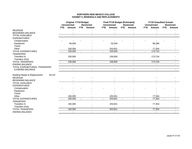## **NORTHERN NEW MEXICO COLLEGE EXHIBIT II\_RENEWALS AND REPLACEMENTS**

|                                                   | <b>Original FY19 Budget</b> |                     |                |                   |        | <b>Final FY19 Budget (Estimated)</b> |        |                          |      | <b>FY19 Unaudited Actuals</b> |      |                   |
|---------------------------------------------------|-----------------------------|---------------------|----------------|-------------------|--------|--------------------------------------|--------|--------------------------|------|-------------------------------|------|-------------------|
|                                                   |                             | <b>Unrestricted</b> |                | <b>Restricted</b> |        | <b>Unrestricted</b>                  |        | <b>Restricted</b>        |      | <b>Unrestricted</b>           |      | <b>Restricted</b> |
|                                                   | <b>FTE</b>                  | Amount              | <b>FTE</b>     | Amount            | FTE.   | Amount                               | FTE.   | Amount                   | FTE. | Amount                        | FTE. | Amount            |
| <b>REVENUE</b>                                    |                             |                     |                |                   |        |                                      |        |                          |      |                               |      |                   |
| <b>BEGINNING BALANCE</b>                          |                             |                     |                |                   |        | $\mathcal{L}_{\mathcal{A}}$          |        | $\sim$                   |      | $\sim$                        |      |                   |
| <b>TOTAL AVAILABLE</b>                            |                             |                     |                |                   |        |                                      |        |                          |      |                               |      |                   |
| <b>EXPENDITURES</b>                               |                             |                     |                |                   |        |                                      |        |                          |      |                               |      |                   |
| Compensation                                      |                             |                     |                |                   |        |                                      |        |                          |      |                               |      |                   |
| Equipment                                         |                             | 65,000              |                |                   |        | 26,349                               |        |                          |      | 96,380                        |      |                   |
| Travel                                            |                             |                     |                |                   |        |                                      |        |                          |      |                               |      |                   |
| Other                                             |                             | 165,000             |                |                   |        | 203,651                              |        |                          |      | 77,354                        |      |                   |
| TOTAL EXPENDITURES                                |                             | 230,000             | $\blacksquare$ | $\sim$            | $\sim$ | 230,000                              | $\sim$ | $\blacksquare$           |      | 173,734                       |      |                   |
| <b>TRANSFERS</b>                                  |                             |                     |                |                   |        |                                      |        |                          |      |                               |      |                   |
| Transfers In                                      |                             | 230,000             |                |                   |        | 230,000                              |        |                          |      | 173,734                       |      |                   |
| Transfers (Out)                                   |                             |                     |                |                   |        |                                      |        |                          |      |                               |      |                   |
| <b>TOTAL TRANSFERS</b>                            |                             | 230,000             |                | $\blacksquare$    |        | 230,000                              |        | $\blacksquare$           |      | 173,734                       |      |                   |
| <b>ENDING BALANCE</b>                             |                             |                     |                |                   |        |                                      |        | $\overline{\phantom{a}}$ |      | $\overline{\phantom{a}}$      |      |                   |
| TOTAL EXPENDITURES, TRANSFERS                     |                             |                     |                |                   |        |                                      |        |                          |      |                               |      |                   |
| & ENDING BALANCE                                  |                             | $\sim$              |                | $\sim$            |        | $\sim$                               |        | $\sim$                   |      | $\blacksquare$                |      |                   |
| 91110<br><b>Building Repair &amp; Replacement</b> |                             |                     |                |                   |        |                                      |        |                          |      |                               |      |                   |
| <b>REVENUE</b>                                    |                             |                     |                |                   |        |                                      |        |                          |      |                               |      |                   |
| <b>BEGINNING BALANCE</b>                          |                             |                     |                |                   |        |                                      |        |                          |      |                               |      |                   |
| <b>TOTAL AVAILABLE</b>                            |                             |                     |                |                   |        |                                      |        |                          |      |                               |      |                   |
| <b>EXPENDITURES</b>                               |                             |                     |                |                   |        |                                      |        |                          |      |                               |      |                   |
| Compensation                                      |                             |                     |                |                   |        |                                      |        |                          |      |                               |      |                   |
| Equipment                                         |                             |                     |                |                   |        |                                      |        |                          |      |                               |      |                   |
| Travel                                            |                             |                     |                |                   |        |                                      |        |                          |      |                               |      |                   |
| Other                                             |                             | 165,000             |                |                   |        | 203,651                              |        |                          |      | 77,354                        |      |                   |
| <b>TOTAL EXPENDITURES</b>                         |                             | 165,000             |                |                   |        | 203,651                              |        |                          |      | 77,354                        |      |                   |
| <b>TRANSFERS</b>                                  |                             |                     |                |                   |        |                                      |        |                          |      |                               |      |                   |
| Transfers In                                      |                             | 165,000             |                |                   |        | 203,651                              |        |                          |      | 77,354                        |      |                   |
| Transfers (Out)                                   |                             |                     |                |                   |        |                                      |        |                          |      |                               |      |                   |
| <b>TOTAL TRANSFERS</b>                            |                             | 165,000             |                | $\blacksquare$    |        | 203,651                              |        | $\blacksquare$           |      | 77,354                        |      |                   |
| <b>ENDING BALANCE</b>                             |                             | $\sim$              |                |                   |        |                                      |        | $\overline{\phantom{a}}$ |      | $\blacksquare$                |      |                   |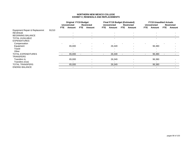## **NORTHERN NEW MEXICO COLLEGE EXHIBIT II\_RENEWALS AND REPLACEMENTS**

|                               |       | <b>Original FY19 Budget</b> |                     |                          |                          | <b>Final FY19 Budget (Estimated)</b> |                     |            |                   | <b>FY19 Unaudited Actuals</b> |                     |      |                   |
|-------------------------------|-------|-----------------------------|---------------------|--------------------------|--------------------------|--------------------------------------|---------------------|------------|-------------------|-------------------------------|---------------------|------|-------------------|
|                               |       |                             | <b>Unrestricted</b> |                          | <b>Restricted</b>        |                                      | <b>Unrestricted</b> |            | <b>Restricted</b> |                               | <b>Unrestricted</b> |      | <b>Restricted</b> |
|                               |       | FTE.                        | Amount              | FTE.                     | Amount                   | <b>FTE</b>                           | Amount              | <b>FTE</b> | Amount            | <b>FTE</b>                    | Amount              | FTE. | Amount            |
| Equipment Repair & Replacemnt | 91210 |                             |                     |                          |                          |                                      |                     |            |                   |                               |                     |      |                   |
| <b>REVENUE</b>                |       |                             |                     |                          |                          |                                      |                     |            |                   |                               |                     |      |                   |
| <b>BEGINNING BALANCE</b>      |       |                             |                     |                          | $\overline{\phantom{a}}$ |                                      |                     |            |                   |                               |                     |      |                   |
| <b>TOTAL AVAILABLE</b>        |       |                             |                     |                          |                          |                                      |                     |            |                   |                               |                     |      |                   |
| <b>EXPENDITURES</b>           |       |                             |                     |                          |                          |                                      |                     |            |                   |                               |                     |      |                   |
| Compensation                  |       |                             |                     |                          |                          |                                      |                     |            |                   |                               |                     |      |                   |
| Equipment                     |       |                             | 65,000              |                          |                          |                                      | 26,349              |            |                   |                               | 96,380              |      |                   |
| Travel                        |       |                             |                     |                          |                          |                                      |                     |            |                   |                               |                     |      |                   |
| Other                         |       |                             |                     |                          |                          |                                      |                     |            |                   |                               |                     |      |                   |
| <b>TOTAL EXPENDITURES</b>     |       |                             | 65,000              | $\overline{\phantom{a}}$ |                          |                                      | 26,349              |            |                   |                               | 96,380              |      |                   |
| <b>TRANSFERS</b>              |       |                             |                     |                          |                          |                                      |                     |            |                   |                               |                     |      |                   |
| Transfers In                  |       |                             | 65,000              |                          |                          |                                      | 26,349              |            |                   |                               | 96,380              |      |                   |
| Transfers (Out)               |       |                             |                     |                          |                          |                                      |                     |            |                   |                               |                     |      |                   |
| <b>TOTAL TRANSFERS</b>        |       |                             | 65,000              |                          |                          |                                      | 26,349              |            |                   |                               | 96,380              |      |                   |
| <b>ENDING BALANCE</b>         |       |                             |                     |                          |                          |                                      |                     |            |                   |                               |                     |      |                   |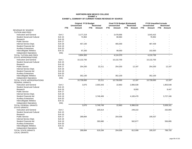#### **NORTHERN NEW MEXICO COLLEGE EXHIBIT aEXHIBIT a\_SUMMARY OF CURRENT FUNDS REVENUE BY SOURCE**

|                                    |                  | <b>Original FY19 Budget</b> |      |                   |                | Final FY19 Budget (Estimated) |      |                   |            | <b>FY19 Unaudited Actuals</b> |                   |
|------------------------------------|------------------|-----------------------------|------|-------------------|----------------|-------------------------------|------|-------------------|------------|-------------------------------|-------------------|
|                                    |                  | <b>Unrestricted</b>         |      | <b>Restricted</b> |                | <b>Unrestricted</b>           |      | <b>Restricted</b> |            | <b>Unrestricted</b>           | <b>Restricted</b> |
|                                    | <b>FTE</b>       | Amount                      | FTE. | Amount            | <b>FTE</b>     | Amount                        | FTE. | Amount            | <b>FTE</b> | Amount                        | <b>FTE</b> Amount |
| <b>REVENUE BY SOURCE</b>           |                  |                             |      |                   |                |                               |      |                   |            |                               |                   |
| <b>TUITION AND FEES</b>            |                  |                             |      |                   |                |                               |      |                   |            |                               |                   |
| Instruction and General            | Exh <sub>2</sub> | 3,177,219                   |      |                   |                | 3,478,956                     |      |                   |            | 3,543,415                     |                   |
| <b>Student Social and Cultural</b> | <b>Exh 15</b>    | 72,864                      |      |                   |                | 80,864                        |      |                   |            | 76,952                        |                   |
| Research                           | <b>Exh 16</b>    |                             |      |                   |                |                               |      |                   |            |                               |                   |
| <b>Public Service</b>              | <b>Exh 17</b>    |                             |      |                   |                |                               |      |                   |            |                               |                   |
| Internal Service Dept.             | Exh 18           | 457,100                     |      |                   |                | 465,000                       |      |                   |            | 487,439                       |                   |
| <b>Student Financial Aid</b>       | Exh 19           |                             |      |                   |                |                               |      |                   |            |                               |                   |
| <b>Auxiliary Enterprises</b>       | <b>Exh 20</b>    |                             |      |                   |                |                               |      |                   |            |                               |                   |
| Intercollegiate Athletics          | <b>Exh 21</b>    | 97,200                      |      |                   |                | 99,550                        |      |                   |            | 102,930                       |                   |
| Independent Operations             | (NA)             |                             |      |                   |                |                               |      |                   |            |                               |                   |
| TOTAL TUITION AND FEES             |                  | 3,804,383                   |      |                   |                | 4,124,370                     |      | $\overline{a}$    |            | 4,210,736                     |                   |
| <b>STATE APPROPRIATIONS</b>        |                  |                             |      |                   |                |                               |      |                   |            |                               |                   |
| Instruction and General            | Exh 2            | 10,132,700                  |      |                   |                | 10,132,700                    |      |                   |            | 10,132,700                    |                   |
| <b>Student Social and Cultural</b> | <b>Exh 15</b>    |                             |      |                   |                |                               |      |                   |            |                               |                   |
| Research                           | <b>Exh 16</b>    |                             |      |                   |                |                               |      |                   |            |                               |                   |
| <b>Public Service</b>              | <b>Exh 17</b>    | 254,200                     |      | 22,211            |                | 254,200                       |      | 12,197            |            | 254,200                       | 12,197            |
| Internal Service Dept.             | Exh 18           |                             |      |                   |                |                               |      |                   |            |                               |                   |
| <b>Student Financial Aid</b>       | <b>Exh 19</b>    |                             |      |                   |                |                               |      |                   |            |                               |                   |
| <b>Auxiliary Enterprises</b>       | <b>Exh 20</b>    |                             |      |                   |                |                               |      |                   |            |                               |                   |
| Intercollegiate Athletics          | Exh 21           | 352,100                     |      |                   |                | 352,100                       |      |                   |            | 352,100                       |                   |
| <b>Independent Operations</b>      | (NA)             |                             |      |                   |                |                               |      |                   |            |                               |                   |
| TOTAL STATE APPROPRIATIONS         |                  | 10,739,000                  |      | 22,211            | $\blacksquare$ | 10,739,000                    |      | 12,197            |            | 10,739,000                    | 12,197            |
| <b>FEDERAL GRANTS</b>              |                  |                             |      |                   |                |                               |      |                   |            |                               |                   |
| Instruction and General            | Exh <sub>2</sub> | 3,075                       |      | 2,003,343         |                | 22,863                        |      | 2,806,539         |            |                               | 1,903,548         |
| <b>Student Social and Cultural</b> | <b>Exh 15</b>    |                             |      |                   |                |                               |      |                   |            |                               |                   |
| Research                           | <b>Exh 16</b>    |                             |      |                   |                |                               |      | 8,000             |            |                               | 8,447             |
| <b>Public Service</b>              | Exh 17           |                             |      |                   |                |                               |      |                   |            |                               |                   |
| Internal Service Dept.             | Exh 18           |                             |      |                   |                |                               |      |                   |            |                               |                   |
| <b>Student Financial Aid</b>       | <b>Exh 19</b>    |                             |      | 3,746,406         |                |                               |      | 4,183,479         |            |                               | 3,727,166         |
| <b>Auxiliary Enterprises</b>       | <b>Exh 20</b>    |                             |      |                   |                |                               |      |                   |            |                               |                   |
| Intercollegiate Athletics          | <b>Exh 21</b>    |                             |      |                   |                |                               |      |                   |            |                               |                   |
| <b>Independent Operations</b>      | (NA)             |                             |      |                   |                |                               |      |                   |            |                               |                   |
| TOTAL FEDERAL GRANTS               |                  | 3,075                       |      | 5,749,749         |                | 22,863                        |      | 6,998,018         |            | $\overline{a}$                | 5,639,161         |
| <b>STATE GRANTS</b>                |                  |                             |      |                   |                |                               |      |                   |            |                               |                   |
| <b>Instruction and General</b>     | Exh 2            |                             |      | 225,614           |                |                               |      | 249,222           |            |                               | 232,855           |
| <b>Student Social and Cultural</b> | <b>Exh 15</b>    |                             |      |                   |                |                               |      |                   |            |                               |                   |
| Research                           | Exh 16           |                             |      |                   |                |                               |      |                   |            |                               |                   |
| <b>Public Service</b>              | <b>Exh 17</b>    | 289,894                     |      |                   |                | 204,006                       |      |                   |            | 195,537                       |                   |
| Internal Service Dept.             | Exh 18           |                             |      |                   |                |                               |      |                   |            |                               |                   |
| <b>Student Financial Aid</b>       | Exh 19           |                             |      | 393,680           |                |                               |      | 562,877           |            |                               | 556,895           |
| <b>Auxiliary Enterprises</b>       | <b>Exh 20</b>    |                             |      |                   |                |                               |      |                   |            |                               |                   |
| Intercollegiate Athletics          | <b>Exh 21</b>    |                             |      |                   |                |                               |      |                   |            |                               |                   |
| Independent Operations             | (NA)             |                             |      |                   |                |                               |      |                   |            |                               |                   |
| <b>TOTAL STATE GRANTS</b>          |                  | 289,894                     |      | 619,294           |                | 204,006                       |      | 812,099           |            | 195,537                       | 789,750           |
| <b>LOCAL GRANTS</b>                |                  |                             |      |                   |                |                               |      |                   |            |                               |                   |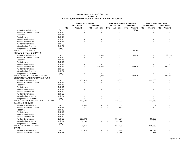#### **NORTHERN NEW MEXICO COLLEGE EXHIBIT aEXHIBIT a\_SUMMARY OF CURRENT FUNDS REVENUE BY SOURCE**

|                                     |                  | <b>Original FY19 Budget</b> |                   |                      | Final FY19 Budget (Estimated) |                     | <b>FY19 Unaudited Actuals</b> |
|-------------------------------------|------------------|-----------------------------|-------------------|----------------------|-------------------------------|---------------------|-------------------------------|
|                                     |                  | <b>Unrestricted</b>         | <b>Restricted</b> | <b>Unrestricted</b>  | <b>Restricted</b>             | <b>Unrestricted</b> | <b>Restricted</b>             |
|                                     | <b>FTE</b>       | Amount                      | FTE.<br>Amount    | <b>FTE</b><br>Amount | FTE<br>Amount                 | FTE.<br>Amount      | FTE.<br>Amount                |
| <b>Instruction and General</b>      | Exh <sub>2</sub> |                             |                   |                      | 25,708                        |                     |                               |
| <b>Student Social and Cultural</b>  | <b>Exh 15</b>    |                             |                   |                      |                               |                     |                               |
| Research                            | Exh 16           |                             |                   |                      |                               |                     |                               |
| <b>Public Service</b>               | <b>Exh 17</b>    |                             |                   |                      |                               |                     |                               |
| Internal Service Dept.              | Exh 18           |                             |                   |                      |                               |                     |                               |
| <b>Student Financial Aid</b>        | <b>Exh 19</b>    |                             |                   |                      |                               |                     |                               |
| <b>Auxiliary Enterprises</b>        | <b>Exh 20</b>    |                             |                   |                      |                               |                     |                               |
| Intercollegiate Athletics           | <b>Exh 21</b>    |                             |                   |                      |                               |                     |                               |
| Independent Operations              | (NA)             |                             |                   |                      |                               |                     |                               |
| TOTAL LOCAL GRANTS                  |                  |                             | $\overline{a}$    |                      | 25,708                        |                     |                               |
| PRIVATE GIFTS AND GRANTS            |                  |                             |                   |                      |                               |                     |                               |
| Instruction and General             | Exh <sub>2</sub> |                             | 8,000             |                      | 236,294                       |                     | 89,725                        |
| <b>Student Social and Cultural</b>  | <b>Exh 15</b>    |                             |                   |                      |                               |                     |                               |
| Research                            | <b>Exh 16</b>    |                             |                   |                      |                               |                     |                               |
| <b>Public Service</b>               | <b>Exh 17</b>    |                             |                   |                      |                               |                     |                               |
| Internal Service Dept.              | Exh 18           |                             |                   |                      |                               |                     |                               |
| <b>Student Financial Aid</b>        | <b>Exh 19</b>    |                             | 214,000           |                      | 284,625                       |                     | 280,771                       |
| <b>Auxiliary Enterprises</b>        | <b>Exh 20</b>    |                             |                   |                      |                               |                     |                               |
| Intercollegiate Athletics           | <b>Exh 21</b>    |                             |                   |                      |                               |                     |                               |
| Independent Operations              | (NA)             |                             |                   |                      |                               |                     |                               |
| TOTAL PRIVATE GIFTS AND GRANTS      |                  |                             | 222,000           |                      | 520,919                       |                     | 370,496                       |
| ENDOWMENT/LAND PERMANENT FUND       |                  |                             |                   |                      |                               |                     |                               |
| <b>Instruction and General</b>      | Exh <sub>2</sub> | 163,525                     |                   | 225,000              |                               | 223,368             |                               |
| <b>Student Social and Cultural</b>  | <b>Exh 15</b>    |                             |                   |                      |                               |                     |                               |
| Research                            | <b>Exh 16</b>    |                             |                   |                      |                               |                     |                               |
| <b>Public Service</b>               | <b>Exh 17</b>    |                             |                   |                      |                               |                     |                               |
| Internal Service Dept.              | Exh 18           |                             |                   |                      |                               |                     |                               |
| <b>Student Financial Aid</b>        | <b>Exh 19</b>    |                             |                   |                      |                               |                     |                               |
| <b>Auxiliary Enterprises</b>        | <b>Exh 20</b>    |                             |                   |                      |                               |                     |                               |
| Intercollegiate Athletics           | <b>Exh 21</b>    |                             |                   |                      |                               |                     |                               |
| Independent Operations              | (NA)             |                             |                   |                      |                               |                     |                               |
| TOTAL ENDOWMENT/LAND PERMANENT FUND |                  | 163,525                     |                   | 225,000              | $\overline{a}$                | 223,368             |                               |
| <b>SALES AND SERVICE</b>            |                  |                             |                   |                      |                               |                     |                               |
| <b>Instruction and General</b>      | Exh <sub>2</sub> | 2,000                       |                   | 2,500                |                               | 2,059               |                               |
| <b>Student Social and Cultural</b>  | <b>Exh 15</b>    |                             |                   | 862                  |                               | 13,200              |                               |
| Research                            | <b>Exh 16</b>    |                             |                   |                      |                               |                     |                               |
| <b>Public Service</b>               | <b>Exh 17</b>    |                             |                   |                      |                               |                     |                               |
| Internal Service Dept.              | Exh 18           |                             |                   |                      |                               |                     |                               |
| <b>Student Financial Aid</b>        | <b>Exh 19</b>    |                             |                   |                      |                               |                     |                               |
| <b>Auxiliary Enterprises</b>        | <b>Exh 20</b>    | 667,476                     |                   | 586,854              |                               | 498,959             |                               |
| Intercollegiate Athletics           | <b>Exh 21</b>    | 37,240                      |                   | 37,522               |                               | 11,650              |                               |
| <b>Independent Operations</b>       | (NA)             |                             |                   |                      |                               |                     |                               |
| TOTAL SALES AND SERVICE             |                  | 706,716                     | $\overline{a}$    | 627,738              | $\blacksquare$                | 525,869             |                               |
| <b>OTHER</b>                        |                  |                             |                   |                      |                               |                     |                               |
| <b>Instruction and General</b>      | Exh <sub>2</sub> | 60,575                      |                   | 117,838              |                               | 146,018             |                               |
| <b>Student Social and Cultural</b>  | <b>Exh 15</b>    | $\sim$                      |                   | 16,258               |                               | 861                 |                               |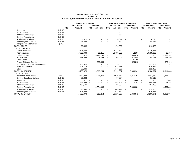#### **NORTHERN NEW MEXICO COLLEGE EXHIBIT aEXHIBIT a\_SUMMARY OF CURRENT FUNDS REVENUE BY SOURCE**

|                                    |                  | <b>Original FY19 Budget</b><br><b>Unrestricted</b> |            | <b>Restricted</b> |                          | Final FY19 Budget (Estimated)<br><b>Unrestricted</b> |            | <b>Restricted</b> |                          | <b>FY19 Unaudited Actuals</b><br><b>Unrestricted</b> | <b>Restricted</b> |           |
|------------------------------------|------------------|----------------------------------------------------|------------|-------------------|--------------------------|------------------------------------------------------|------------|-------------------|--------------------------|------------------------------------------------------|-------------------|-----------|
|                                    | <b>FTE</b>       | Amount                                             | <b>FTE</b> | Amount            | <b>FTE</b>               | Amount                                               | <b>FTE</b> | Amount            | <b>FTE</b>               | Amount                                               | <b>FTE</b>        | Amount    |
| Research                           | Exh 16           |                                                    |            |                   |                          |                                                      |            |                   |                          |                                                      |                   |           |
| <b>Public Service</b>              | Exh 17           |                                                    |            |                   |                          |                                                      |            |                   |                          |                                                      |                   |           |
| Internal Service Dept.             | Exh 18           |                                                    |            |                   |                          | 1,837                                                |            |                   |                          |                                                      |                   |           |
| <b>Student Financial Aid</b>       | <b>Exh 19</b>    |                                                    |            |                   |                          |                                                      |            |                   |                          |                                                      |                   |           |
| <b>Auxiliary Enterprises</b>       | <b>Exh 20</b>    | 8,420                                              |            |                   |                          | 18,317                                               |            |                   |                          | 16,895                                               |                   |           |
| Intercollegiate Athletics          | <b>Exh 21</b>    | 19,485                                             |            |                   |                          | 22,140                                               |            |                   |                          | 48,686                                               |                   |           |
| <b>Independent Operations</b>      | (NA)             |                                                    |            |                   |                          |                                                      |            |                   |                          |                                                      |                   |           |
| <b>TOTAL OTHER</b>                 |                  | 88,480                                             |            |                   |                          | 176,390                                              |            |                   |                          | 212,460                                              |                   |           |
| <b>TOTAL BY SOURCE</b>             |                  |                                                    |            |                   |                          |                                                      |            |                   |                          |                                                      |                   |           |
| <b>Tuition and Fees</b>            |                  | 3,804,383                                          |            |                   |                          | 4,124,370                                            |            |                   |                          | 4,210,736                                            |                   |           |
| Appropriations                     |                  | 10,739,000                                         |            | 22,211            | $\overline{\phantom{a}}$ | 10,739,000                                           |            | 12,197            |                          | 10,739,000                                           |                   | 12,197    |
| <b>Federal Grants</b>              |                  | 3,075                                              |            | 5,749,749         |                          | 22,863                                               |            | 6,998,018         |                          |                                                      |                   | 5,639,161 |
| <b>State Grants</b>                |                  | 289,894                                            |            | 619,294           | $\overline{\phantom{a}}$ | 204,006                                              |            | 812,099           |                          | 195,537                                              |                   | 789,750   |
| <b>Local Grants</b>                |                  |                                                    |            |                   |                          |                                                      |            | 25,708            |                          |                                                      |                   |           |
| <b>Private Gifts and Grants</b>    |                  |                                                    |            | 222,000           | $\overline{\phantom{a}}$ |                                                      |            | 520,919           |                          |                                                      |                   | 370,496   |
| Endowment/Land Permanent Fund      |                  | 163,525                                            |            |                   |                          | 225,000                                              |            |                   |                          | 223,368                                              |                   |           |
| Sales and Service                  |                  | 706,716                                            |            |                   |                          | 627,738                                              |            |                   |                          | 525,869                                              |                   |           |
| Other                              |                  | 88,480                                             |            |                   |                          | 176,390                                              |            |                   |                          | 212,460                                              |                   |           |
| <b>TOTAL BY SOURCE</b>             |                  | 15,795,073                                         |            | 6,613,254         | $\overline{\phantom{a}}$ | 16,119,367                                           |            | 8,368,941         |                          | 16,106,971                                           |                   | 6,811,604 |
| <b>TOTAL BY EXHIBIT</b>            |                  |                                                    |            |                   |                          |                                                      |            |                   |                          |                                                      |                   |           |
| <b>Instruction and General</b>     | Exh <sub>2</sub> | 13,539,094                                         |            | 2,236,957         | $\blacksquare$           | 13,979,857                                           |            | 3,317,763         | $\blacksquare$           | 14,047,560                                           |                   | 2,226,127 |
| <b>Student Social and Cultural</b> | <b>Exh 15</b>    | 72,864                                             |            |                   |                          | 97,984                                               |            |                   |                          | 91,013                                               |                   |           |
| Research                           | <b>Exh 16</b>    |                                                    |            |                   |                          |                                                      |            | 8,000             |                          |                                                      |                   | 8,447     |
| <b>Public Service</b>              | <b>Exh 17</b>    | 544,094                                            |            | 22,211            | $\overline{\phantom{a}}$ | 458,206                                              |            | 12,197            | $\overline{\phantom{a}}$ | 449,737                                              |                   | 12,197    |
| Internal Service Dept.             | Exh 18           | 457,100                                            |            |                   |                          | 466,837                                              |            |                   |                          | 487,439                                              |                   |           |
| <b>Student Financial Aid</b>       | <b>Exh 19</b>    |                                                    |            | 4,354,086         | $\overline{\phantom{a}}$ |                                                      |            | 5,030,981         | $\overline{\phantom{a}}$ | $\overline{\phantom{0}}$                             |                   | 4,564,832 |
| <b>Auxiliary Enterprises</b>       | <b>Exh 20</b>    | 675,896                                            |            |                   |                          | 605,171                                              |            |                   |                          | 515,855                                              |                   |           |
| Intercollegiate Athletics          | Exh 21           | 506,025                                            |            |                   |                          | 511,312                                              |            |                   |                          | 515,367                                              |                   |           |
| <b>TOTAL BY EXHIBIT</b>            |                  | 15,795,073                                         |            | 6,613,254         |                          | 16,119,367                                           |            | 8,368,941         |                          | 16,106,971                                           |                   | 6,811,604 |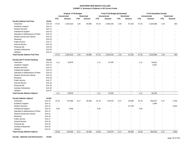|                                         |                   | <b>Original FY19 Budget</b> |                     |                          |                          |                          | Final FY19 Budget (Estimated) |                          |                          |                          | <b>FY19 Unaudited Actuals</b> |                          |                          |
|-----------------------------------------|-------------------|-----------------------------|---------------------|--------------------------|--------------------------|--------------------------|-------------------------------|--------------------------|--------------------------|--------------------------|-------------------------------|--------------------------|--------------------------|
|                                         |                   |                             | <b>Unrestricted</b> |                          | <b>Restricted</b>        |                          | <b>Unrestricted</b>           |                          | <b>Restricted</b>        |                          | <b>Unrestricted</b>           |                          | <b>Restricted</b>        |
|                                         |                   | <b>FTE</b>                  | Amount              | <b>FTE</b>               | Amount                   | <b>FTE</b>               | Amount                        | <b>FTE</b>               | Amount                   | <b>FTE</b>               | Amount                        | <b>FTE</b>               | Amount                   |
| <b>Faculty Salaries Full-Time</b>       | 61101             |                             |                     |                          |                          |                          |                               |                          |                          |                          |                               |                          |                          |
| Instruction                             | <b>Exh 10</b>     | 47.24                       | 2,532,510           | 1.04                     | 40,690                   | 47.24                    | 2,354,235                     | 1.04                     | 67,104                   | 47.24                    | 2,220,388                     | 1.04                     | 264                      |
| Academic Support                        | Exh 11            | $\overline{\phantom{a}}$    |                     |                          |                          |                          |                               |                          |                          |                          |                               |                          | $\blacksquare$           |
| <b>Student Services</b>                 | <b>Exh 12</b>     |                             |                     |                          |                          |                          |                               |                          |                          |                          |                               |                          |                          |
| <b>Institutional Support</b>            | Exh 13            |                             |                     |                          |                          |                          |                               |                          |                          |                          |                               |                          |                          |
| Operation & Maintenance of Plant        | <b>Exh 14</b>     |                             |                     |                          |                          |                          |                               |                          |                          |                          |                               |                          |                          |
| <b>Student Social and Cultural</b>      | <b>Exh 15</b>     |                             |                     |                          |                          |                          |                               |                          |                          |                          |                               |                          |                          |
| Research                                | <b>Exh 16</b>     |                             |                     |                          |                          |                          |                               |                          |                          |                          |                               |                          |                          |
| <b>Public Service</b>                   | <b>Exh 17</b>     |                             |                     |                          |                          |                          |                               |                          |                          |                          |                               |                          |                          |
| <b>Internal Service</b>                 | Exh 18            |                             |                     |                          |                          |                          |                               |                          |                          |                          |                               |                          |                          |
| <b>Financial Aid</b>                    | Exh 19            |                             |                     |                          |                          |                          |                               |                          |                          |                          |                               |                          |                          |
| <b>Auxiliary Enterprises</b>            | Exh 20            |                             |                     |                          |                          |                          |                               |                          |                          |                          |                               |                          |                          |
| Athletics                               | <b>Exh 21</b>     | $\overline{\phantom{a}}$    | ÷                   | $\overline{\phantom{a}}$ |                          |                          |                               | $\overline{\phantom{a}}$ |                          | ÷                        | ÷,                            |                          | $\overline{\phantom{a}}$ |
| <b>Total Faculty Salaries Full-Time</b> |                   | 47.24                       | 2,532,510           | 1.04                     | 40,690                   | 47.24                    | 2,354,235                     | 1.04                     | 67,104                   | 47.24                    | 2,220,388                     | 1.04                     | 264                      |
| <b>Faculty Sal FT Ovrid-Teaching</b>    | 61102             |                             |                     |                          |                          |                          |                               |                          |                          |                          |                               |                          |                          |
| Instruction                             | <b>Exh 10</b>     | 1.11                        | 45,876              |                          |                          | 1.11                     | 72,449                        |                          |                          | 1.11                     | 54,661                        |                          |                          |
| Academic Support                        | <b>Exh 11</b>     | $\sim$                      |                     |                          |                          |                          |                               |                          |                          |                          | 5,567                         |                          |                          |
| <b>Student Services</b>                 | Exh 12            |                             |                     |                          |                          |                          |                               |                          |                          |                          |                               |                          |                          |
| <b>Institutional Support</b>            | <b>Exh 13</b>     | $\overline{a}$              |                     |                          |                          |                          |                               |                          |                          |                          |                               |                          |                          |
| Operation & Maintenance of Plant        | Exh 14            | $\blacksquare$              |                     |                          |                          |                          |                               |                          |                          |                          |                               |                          |                          |
| <b>Student Social and Cultural</b>      | Exh 15            |                             |                     |                          |                          |                          |                               |                          |                          |                          |                               |                          |                          |
| Research                                | <b>Exh 16</b>     |                             |                     |                          |                          |                          |                               |                          |                          |                          |                               |                          |                          |
| <b>Public Service</b>                   | <b>Exh 17</b>     |                             |                     |                          |                          |                          |                               |                          |                          |                          |                               |                          |                          |
| <b>Internal Service</b>                 | Exh 18            |                             |                     |                          |                          |                          |                               |                          |                          |                          |                               |                          |                          |
| <b>Financial Aid</b>                    | Exh 19            |                             |                     |                          |                          |                          |                               |                          |                          |                          |                               |                          |                          |
| <b>Auxiliary Enterprises</b>            | <b>Exh 20</b>     |                             |                     |                          |                          |                          |                               |                          |                          |                          |                               |                          |                          |
| Athletics                               | <b>Exh 21</b>     | $\blacksquare$              |                     |                          |                          |                          |                               |                          | $\overline{\phantom{0}}$ |                          |                               |                          |                          |
| <b>Total Faculty Salaries Adjunct</b>   |                   | 1.11                        | 45,876              | $\blacksquare$           | $\blacksquare$           | 1.11                     | 72,449                        | $\blacksquare$           | $\overline{a}$           | 1.11                     | 60,228                        | $\overline{\phantom{a}}$ | $\blacksquare$           |
|                                         |                   |                             |                     |                          |                          |                          |                               |                          |                          |                          |                               |                          |                          |
| <b>Faculty Salaries Adjunct</b>         | 61103             |                             |                     |                          |                          |                          |                               |                          |                          |                          |                               |                          |                          |
| Instruction                             | <b>Exh 10</b>     | 15.78                       | 737,905             | 0.17                     | 20,450                   | 15.78                    | 719,578                       | 0.17                     | 20,599                   | 15.78                    | 659,237                       | 0.17                     | 2,760                    |
| Academic Support                        | Exh 11            | $\blacksquare$              | $\overline{a}$      | $\overline{\phantom{a}}$ | $\overline{\phantom{a}}$ | $\overline{\phantom{a}}$ |                               | $\sim$                   | $\blacksquare$           | $\overline{\phantom{a}}$ | 1,090                         | $\overline{\phantom{a}}$ | $\blacksquare$           |
| <b>Student Services</b>                 | Exh 12            | $\overline{\phantom{a}}$    |                     |                          |                          |                          |                               |                          | 37,759                   | $\overline{\phantom{a}}$ |                               |                          | 5,042                    |
| <b>Institutional Support</b>            | Exh 13            | 0.05                        | 2,500               |                          |                          | 0.05                     |                               |                          | $\overline{a}$           | 0.05                     |                               |                          | $\overline{a}$           |
| Operation & Maintenance of Plant        | Exh <sub>14</sub> |                             |                     |                          |                          |                          |                               |                          |                          |                          |                               |                          |                          |
| <b>Student Social and Cultural</b>      | <b>Exh 15</b>     | $\overline{\phantom{a}}$    |                     |                          |                          |                          |                               |                          |                          |                          |                               |                          |                          |
| Research                                | Exh 16            |                             |                     |                          |                          |                          |                               |                          |                          |                          |                               |                          |                          |
| <b>Public Service</b>                   | Exh 17            |                             |                     |                          |                          |                          |                               |                          |                          |                          |                               |                          |                          |
| <b>Internal Service</b>                 | Exh 18            |                             |                     |                          |                          |                          |                               |                          |                          |                          |                               |                          |                          |
| <b>Financial Aid</b>                    | Exh 19            |                             |                     |                          |                          |                          |                               |                          |                          |                          |                               |                          |                          |
| <b>Auxiliary Enterprises</b>            | <b>Exh 20</b>     |                             |                     |                          |                          |                          |                               |                          |                          |                          |                               |                          |                          |
| Athletics                               | Exh 21            |                             |                     |                          |                          |                          |                               |                          |                          |                          |                               |                          |                          |
| <b>Total Faculty Salaries Adjunct</b>   |                   | 15.83                       | 740,405             | 0.17                     | 20,450                   | 15.83                    | 719,578                       | 0.17                     | 58,358                   | 15.83                    | 660,326                       | 0.17                     | 7,802                    |

**Faculty - Stipends and Honorariums 61104**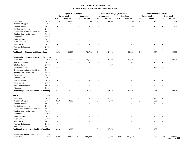|                                                    |               | <b>Original FY19 Budget</b> |                     |                          |                          |                          | Final FY19 Budget (Estimated) |                          |                          |                          | <b>FY19 Unaudited Actuals</b> |                          |                                  |
|----------------------------------------------------|---------------|-----------------------------|---------------------|--------------------------|--------------------------|--------------------------|-------------------------------|--------------------------|--------------------------|--------------------------|-------------------------------|--------------------------|----------------------------------|
|                                                    |               |                             | <b>Unrestricted</b> |                          | <b>Restricted</b>        |                          | <b>Unrestricted</b>           |                          | <b>Restricted</b>        |                          | <b>Unrestricted</b>           |                          | <b>Restricted</b>                |
|                                                    |               | <b>FTE</b>                  | Amount              | <b>FTE</b>               | Amount                   | <b>FTE</b>               | Amount                        | <b>FTE</b>               | Amount                   | <b>FTE</b>               | Amount                        | <b>FTE</b>               | Amount                           |
| Instruction                                        | <b>Exh 10</b> | 1.20                        | 83,075              | $\overline{a}$           | 79,743                   | 1.20                     | 74,048                        | $\overline{\phantom{a}}$ | 50,743                   | 1.20                     | 41,497                        |                          | 12,032                           |
| Academic Support                                   | Exh 11        | $\overline{\phantom{a}}$    | 1,000               | $\overline{a}$           |                          | $\overline{a}$           |                               |                          |                          |                          |                               |                          |                                  |
| <b>Student Services</b>                            | Exh 12        |                             |                     |                          |                          |                          |                               |                          | 5,488                    |                          |                               |                          | 838                              |
| Institutional Support                              | Exh 13        |                             |                     |                          |                          |                          |                               |                          |                          |                          |                               |                          |                                  |
| Operation & Maintenance of Plant                   | Exh 14        |                             |                     |                          |                          |                          |                               |                          |                          |                          |                               |                          |                                  |
| <b>Student Social and Cultural</b>                 | <b>Exh 15</b> |                             |                     |                          |                          |                          |                               |                          |                          |                          |                               |                          |                                  |
| Research                                           | Exh 16        |                             |                     |                          |                          |                          |                               |                          |                          |                          |                               |                          |                                  |
| <b>Public Service</b>                              | <b>Exh 17</b> |                             |                     |                          |                          |                          |                               |                          |                          |                          |                               |                          |                                  |
| <b>Internal Service</b>                            | Exh 18        |                             |                     |                          |                          |                          |                               |                          |                          |                          |                               |                          |                                  |
| <b>Financial Aid</b>                               | <b>Exh 19</b> |                             |                     |                          |                          |                          |                               |                          |                          |                          |                               |                          |                                  |
| <b>Auxiliary Enterprises</b>                       | <b>Exh 20</b> |                             |                     |                          |                          |                          |                               |                          |                          |                          |                               |                          |                                  |
| Athletics                                          | <b>Exh 21</b> |                             |                     |                          |                          |                          |                               |                          |                          |                          |                               |                          |                                  |
| <b>Total Faculty - Stipends and Honorariums</b>    |               | 1.20                        | 84,075              | $\blacksquare$           | 79,743                   | 1.20                     | 74,048                        | $\sim$                   | 56,231                   | 1.20                     | 41,497                        | $\sim$                   | 12,870                           |
| Faculty Salary - Overload Non-Teachin 61106        |               |                             |                     |                          |                          |                          |                               |                          |                          |                          |                               |                          |                                  |
| Instruction                                        | <b>Exh 10</b> | 0.11                        | 5,170               |                          | 15,167                   | 0.11                     | 45,985                        |                          | 89,101                   | 0.11                     | 56,693                        |                          | 99,814                           |
| Academic Support                                   | Exh 11        | $\overline{\phantom{a}}$    |                     |                          |                          | $\overline{a}$           |                               |                          |                          |                          |                               |                          |                                  |
| <b>Student Services</b>                            | <b>Exh 12</b> |                             |                     |                          |                          |                          | 250                           |                          |                          |                          | $\overline{\phantom{a}}$      |                          |                                  |
| <b>Institutional Support</b>                       | <b>Exh 13</b> |                             |                     |                          |                          |                          |                               |                          |                          |                          | 250                           |                          |                                  |
|                                                    |               |                             |                     |                          |                          |                          |                               |                          |                          |                          |                               |                          |                                  |
| Operation & Maintenance of Plant                   | Exh 14        |                             |                     |                          |                          |                          |                               |                          |                          |                          |                               |                          |                                  |
| <b>Student Social and Cultural</b>                 | <b>Exh 15</b> |                             |                     |                          |                          |                          |                               |                          |                          |                          |                               |                          |                                  |
| Research                                           | Exh 16        |                             |                     |                          |                          |                          |                               |                          |                          |                          |                               |                          |                                  |
| <b>Public Service</b>                              | Exh 17        |                             |                     |                          |                          |                          |                               |                          |                          |                          |                               |                          |                                  |
| <b>Internal Service</b>                            | Exh 18        |                             |                     |                          |                          |                          |                               |                          |                          |                          |                               |                          |                                  |
| <b>Financial Aid</b>                               | Exh 19        |                             |                     |                          |                          |                          |                               |                          |                          |                          |                               |                          |                                  |
| <b>Auxiliary Enterprises</b>                       | Exh 20        |                             |                     |                          |                          |                          |                               |                          |                          |                          |                               |                          |                                  |
| Athletics                                          | Exh 21        |                             |                     |                          |                          |                          |                               |                          |                          |                          |                               |                          |                                  |
| Total FacultySalary - Overload Non-Teaching        |               | 0.11                        | 5,170               | $\overline{a}$           | 15,167                   | 0.11                     | 46,235                        | $\sim$                   | 89,101                   | 0.11                     | 56,943                        | $\sim$                   | 99,814                           |
| Bonus                                              | 61107         |                             |                     |                          |                          |                          |                               |                          |                          |                          |                               |                          |                                  |
| Instruction                                        | Exh 10        | $\overline{\phantom{a}}$    |                     |                          |                          | $\blacksquare$           | 10,175                        |                          |                          | $\overline{\phantom{a}}$ | 10,175                        |                          |                                  |
| Academic Support                                   | Exh 11        | 0.13                        | 3,300               |                          |                          | 0.13                     | 3,300                         |                          |                          | 0.13                     | 3,300                         |                          |                                  |
| <b>Student Services</b>                            | Exh 12        | $\overline{a}$              |                     |                          |                          |                          |                               |                          |                          |                          |                               |                          |                                  |
| <b>Institutional Support</b>                       | Exh 13        | ÷.                          |                     |                          |                          |                          |                               |                          |                          |                          |                               |                          |                                  |
| Operation & Maintenance of Plant                   | Exh 14        |                             |                     |                          |                          |                          |                               |                          |                          |                          |                               |                          |                                  |
| <b>Student Social and Cultural</b>                 | Exh 15        |                             |                     |                          |                          |                          |                               |                          |                          |                          |                               |                          |                                  |
| Research                                           | <b>Exh 16</b> |                             |                     |                          |                          |                          |                               |                          |                          |                          |                               |                          |                                  |
| <b>Public Service</b>                              | Exh 17        |                             |                     |                          |                          |                          |                               |                          |                          |                          |                               |                          |                                  |
| <b>Internal Service</b>                            | Exh 18        |                             |                     |                          |                          |                          |                               |                          |                          |                          |                               |                          |                                  |
| <b>Financial Aid</b>                               | Exh 19        |                             |                     |                          |                          |                          |                               |                          |                          |                          |                               |                          |                                  |
| <b>Auxiliary Enterprises</b>                       | <b>Exh 20</b> |                             |                     |                          |                          |                          |                               |                          |                          |                          |                               |                          |                                  |
| Athletics                                          | <b>Exh 21</b> | $\blacksquare$              |                     | $\overline{\phantom{a}}$ | $\overline{\phantom{a}}$ | $\overline{\phantom{a}}$ |                               |                          |                          |                          |                               |                          |                                  |
| <b>Total FacultySalary - Overload Non-Teaching</b> |               | 0.13                        | 3,300               | $\overline{a}$           | $\overline{\phantom{a}}$ | 0.13                     | 13,475                        | $\overline{\phantom{a}}$ | $\overline{\phantom{a}}$ | 0.13                     | 13,475                        | $\overline{\phantom{a}}$ | $\sim$                           |
| <b>Professional Salaries Full-Time</b>             | 61301         |                             |                     |                          |                          |                          |                               |                          |                          |                          |                               |                          |                                  |
| Instruction                                        | <b>Exh 10</b> | 2.00                        | 89,692              | 4.20                     | 188,020                  | 2.00                     | 89,792                        | 4.20                     | 217,113                  | 2.00                     | 89,792                        | 4.20                     | 188,512<br>103 <sup>699</sup> 93 |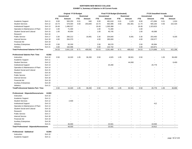|                                                  |               | Original FY19 Budget     |                     |                          |                          |                          | Final FY19 Budget (Estimated) |                          |                          |                          | <b>FY19 Unaudited Actuals</b> |                          |                   |
|--------------------------------------------------|---------------|--------------------------|---------------------|--------------------------|--------------------------|--------------------------|-------------------------------|--------------------------|--------------------------|--------------------------|-------------------------------|--------------------------|-------------------|
|                                                  |               |                          | <b>Unrestricted</b> |                          | <b>Restricted</b>        |                          | <b>Unrestricted</b>           |                          | <b>Restricted</b>        |                          | <b>Unrestricted</b>           |                          | <b>Restricted</b> |
|                                                  |               | <b>FTE</b>               | Amount              | <b>FTE</b>               | Amount                   | <b>FTE</b>               | Amount                        | <b>FTE</b>               | Amount                   | <b>FTE</b>               | Amount                        | <b>FTE</b>               | <b>Amount</b>     |
| Academic Support                                 | <b>Exh 11</b> | 8.00                     | 583,250             | 0.01                     | 840                      | 8.00                     | 481,618                       | 0.01                     | 1,025                    | 8.00                     | 471,084                       | 0.01                     | 1,024             |
| <b>Student Services</b>                          | <b>Exh 12</b> | 10.74                    | 579,304             | 4.50                     | 203,840                  | 10.74                    | 563,396                       | 4.50                     | 262,381                  | 11.74                    | 565,183                       | 4.50                     | 222,425           |
| <b>Institutional Support</b>                     | Exh 13        | 18.49                    | 1,496,527           | $\sim$                   | $\overline{a}$           | 18.49                    | 1,305,388                     | $\overline{\phantom{a}}$ |                          | 18.49                    | 1,323,823                     | $\overline{\phantom{a}}$ |                   |
| Operation & Maintenance of Plant                 | <b>Exh 14</b> | 1.00                     | 71,400              | $\sim$                   | ÷,                       | 1.00                     | 71,400                        | $\overline{\phantom{a}}$ | $\overline{\phantom{a}}$ | 1.00                     |                               |                          |                   |
| <b>Student Social and Cultural</b>               | <b>Exh 15</b> | 1.00                     | 40,954              |                          |                          | 1.00                     | 40,745                        |                          |                          | 1.00                     | 40,088                        |                          |                   |
| Research                                         | <b>Exh 16</b> | $\blacksquare$           | $\blacksquare$      |                          | ÷,                       | $\blacksquare$           |                               |                          | $\overline{\phantom{a}}$ | $\blacksquare$           |                               |                          |                   |
| <b>Public Service</b>                            | Exh 17        | 3.30                     | 260,212             |                          | 16,891                   | 3.30                     | 204,840                       |                          | 9,391                    | 3.30                     | 203,483                       |                          | 9,335             |
| <b>Internal Service</b>                          | Exh 18        | 4.00                     | 264,370             |                          | $\overline{\phantom{a}}$ | 4.00                     | 285,000                       |                          | $\sim$                   | 4.00                     | 230,577                       |                          |                   |
| <b>Financial Aid</b>                             | Exh 19        | $\sim$                   |                     |                          |                          | $\sim$                   |                               |                          |                          | $\sim$                   |                               |                          |                   |
| <b>Auxiliary Enterprises</b>                     | <b>Exh 20</b> | 2.00                     | 93,330              | $\blacksquare$           | $\overline{\phantom{a}}$ | 2.00                     | 86,578                        |                          | $\overline{\phantom{a}}$ | 2.00                     | 85,994                        |                          |                   |
| Athletics                                        | <b>Exh 21</b> | 4.00                     | 162,096             | $\sim$                   | $\overline{a}$           | 3.00                     | 132,732                       |                          | $\sim$                   | 3.00                     | 164,871                       |                          |                   |
| <b>Total Professional Salaries Full-Time</b>     |               | 54.53                    | 3,641,135           | 8.71                     | 409,591                  | 53.53                    | 3,261,489                     | 8.71                     | 489,910                  | 54.53                    | 3,174,896                     | 8.71                     | 421,296           |
| <b>Professional Salaries Part- Time</b>          | 61302         |                          |                     |                          |                          |                          |                               |                          |                          |                          |                               |                          |                   |
|                                                  |               |                          |                     |                          |                          |                          |                               |                          |                          |                          |                               |                          |                   |
| Instruction                                      | <b>Exh 10</b> | 0.50                     | 16,320              | 1.05                     | 36,200                   | 0.50                     | 4,925                         | 1.05                     | 38,501<br>$\sim$         | 0.50                     |                               | 1.05                     | 38,490            |
| Academic Support                                 | <b>Exh 11</b> | ÷                        |                     |                          |                          | $\overline{a}$           | $\overline{\phantom{a}}$      |                          |                          |                          |                               |                          |                   |
| <b>Student Services</b>                          | Exh 12        | ÷,                       |                     |                          |                          | $\blacksquare$           | $\sim$                        |                          | 44,000                   |                          |                               |                          | 8,400             |
| <b>Institutional Support</b>                     | <b>Exh 13</b> |                          |                     |                          |                          |                          | 20,280                        |                          |                          |                          | 20,778                        |                          |                   |
| Operation & Maintenance of Plant                 | Exh 14        |                          |                     |                          |                          |                          | $\blacksquare$                |                          |                          |                          |                               |                          |                   |
| <b>Student Social and Cultural</b>               | <b>Exh 15</b> |                          |                     |                          |                          |                          |                               |                          |                          |                          |                               |                          |                   |
| Research                                         | Exh 16        |                          |                     |                          |                          |                          |                               |                          |                          |                          |                               |                          |                   |
| <b>Public Service</b>                            | Exh 17        |                          |                     |                          |                          |                          |                               |                          |                          |                          |                               |                          |                   |
| <b>Internal Service</b>                          | Exh 18        |                          |                     |                          |                          |                          |                               |                          |                          |                          |                               |                          |                   |
| <b>Financial Aid</b>                             | <b>Exh 19</b> |                          |                     |                          |                          |                          |                               |                          |                          |                          |                               |                          |                   |
| <b>Auxiliary Enterprises</b>                     | <b>Exh 20</b> |                          |                     |                          |                          |                          |                               |                          |                          |                          |                               |                          |                   |
| Athletics                                        | <b>Exh 21</b> |                          |                     |                          |                          |                          |                               |                          |                          |                          |                               |                          |                   |
| <b>TotalProfessional Salaries Part- Time</b>     |               | 0.50                     | 16,320              | 1.05                     | 36,200                   | 0.50                     | 25,205                        | 1.05                     | 82,501                   | 0.50                     | 20,778                        | 1.05                     | 46,890            |
| Professional - Stipends/Honorariums              | 61303         |                          |                     |                          |                          |                          |                               |                          |                          |                          |                               |                          |                   |
| Instruction                                      | <b>Exh 10</b> |                          |                     |                          |                          |                          |                               |                          |                          |                          |                               |                          |                   |
| <b>Academic Support</b>                          | Exh 11        |                          |                     |                          |                          |                          |                               |                          |                          |                          |                               |                          |                   |
| <b>Student Services</b>                          | <b>Exh 12</b> |                          | 2,500               |                          |                          |                          |                               |                          |                          |                          |                               |                          |                   |
| <b>Institutional Support</b>                     | <b>Exh 13</b> |                          |                     |                          |                          |                          |                               |                          |                          |                          | 412                           |                          |                   |
| Operation & Maintenance of Plant                 | Exh 14        |                          |                     |                          |                          |                          |                               |                          |                          |                          |                               |                          |                   |
| <b>Student Social and Cultural</b>               | <b>Exh 15</b> |                          |                     |                          |                          |                          |                               |                          |                          |                          |                               |                          |                   |
| Research                                         | <b>Exh 16</b> |                          |                     |                          |                          |                          |                               |                          |                          |                          |                               |                          |                   |
| <b>Public Service</b>                            | Exh 17        |                          |                     |                          |                          |                          |                               |                          |                          |                          |                               |                          |                   |
| <b>Internal Service</b>                          | <b>Exh 18</b> |                          |                     |                          |                          |                          |                               |                          |                          |                          |                               |                          |                   |
| <b>Financial Aid</b>                             | <b>Exh 19</b> |                          |                     |                          |                          |                          |                               |                          |                          |                          |                               |                          |                   |
| <b>Auxiliary Enterprises</b>                     | <b>Exh 20</b> | ÷,                       | ÷,                  |                          |                          |                          | $\overline{\phantom{a}}$      |                          |                          |                          |                               |                          |                   |
| Athletics                                        | <b>Exh 21</b> |                          | 46,000              | $\blacksquare$           |                          | $\blacksquare$           | 23,501                        |                          |                          |                          | 19,500                        |                          |                   |
| <b>Total Professional - Stipends/Honorariums</b> |               | $\overline{\phantom{a}}$ | 48,500              | $\overline{\phantom{a}}$ | $\overline{\phantom{a}}$ | $\overline{\phantom{a}}$ | 23,501                        | $\overline{\phantom{a}}$ | $\overline{\phantom{a}}$ | $\overline{\phantom{a}}$ | 19,912                        | $\sim$                   | $\sim$            |
|                                                  |               |                          |                     |                          |                          |                          |                               |                          |                          |                          |                               |                          |                   |
| <b>Professional - Sabbatical</b>                 | 61304         |                          |                     |                          |                          |                          |                               |                          |                          |                          |                               |                          |                   |
| Instruction                                      | Exh 10        |                          |                     |                          |                          |                          |                               |                          |                          |                          |                               |                          |                   |
| Academic Support                                 | <b>Exh 11</b> |                          |                     |                          |                          |                          |                               |                          |                          |                          |                               |                          | page 94 of 103    |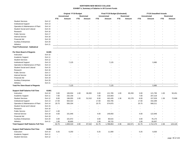|                                               |               | Original FY19 Budget     |                     |                          |                          |                | Final FY19 Budget (Estimated) |                |                          | <b>FY19 Unaudited Actuals</b> |                |                          |                   |  |
|-----------------------------------------------|---------------|--------------------------|---------------------|--------------------------|--------------------------|----------------|-------------------------------|----------------|--------------------------|-------------------------------|----------------|--------------------------|-------------------|--|
|                                               |               |                          | <b>Unrestricted</b> |                          | <b>Restricted</b>        |                | <b>Unrestricted</b>           |                | <b>Restricted</b>        | <b>Unrestricted</b>           |                |                          | <b>Restricted</b> |  |
|                                               |               | <b>FTE</b>               | Amount              | <b>FTE</b>               | Amount                   | <b>FTE</b>     | Amount                        | <b>FTE</b>     | <b>Amount</b>            | <b>FTE</b>                    | Amount         | <b>FTE</b>               | Amount            |  |
| <b>Student Services</b>                       | <b>Exh 12</b> | $\overline{a}$           |                     |                          |                          |                |                               |                |                          |                               |                |                          |                   |  |
| <b>Institutional Support</b>                  | Exh 13        |                          |                     |                          |                          |                |                               |                |                          |                               |                |                          |                   |  |
| Operation & Maintenance of Plant              | <b>Exh 14</b> |                          |                     |                          |                          |                |                               |                |                          |                               |                |                          |                   |  |
| <b>Student Social and Cultural</b>            | <b>Exh 15</b> |                          |                     |                          |                          |                |                               |                |                          |                               |                |                          |                   |  |
| Research                                      | Exh 16        |                          |                     |                          |                          |                |                               |                |                          |                               |                |                          |                   |  |
| <b>Public Service</b>                         | <b>Exh 17</b> |                          |                     |                          |                          |                |                               |                |                          |                               |                |                          |                   |  |
| <b>Internal Service</b>                       | Exh 18        |                          |                     |                          |                          |                |                               |                |                          |                               |                |                          |                   |  |
| <b>Financial Aid</b>                          | Exh 19        |                          |                     |                          |                          |                |                               |                |                          |                               |                |                          |                   |  |
| <b>Auxiliary Enterprises</b>                  | <b>Exh 20</b> |                          |                     |                          |                          |                |                               |                |                          |                               |                |                          |                   |  |
| Athletics                                     | <b>Exh 21</b> | $\overline{a}$           |                     |                          |                          |                |                               |                |                          |                               |                |                          |                   |  |
| <b>Total Professional - Sabbatical</b>        |               | $\sim$                   | $\sim$              | $\sim$                   | $\overline{\phantom{a}}$ | $\sim$         | $\overline{a}$                | $\sim$         | $\blacksquare$           | $\sim$                        | $\overline{a}$ | $\overline{\phantom{a}}$ | $\sim$            |  |
| Per Diem Board of Regents                     | 61305         |                          |                     |                          |                          |                |                               |                |                          |                               |                |                          |                   |  |
| Instruction                                   | Exh 10        |                          |                     |                          |                          |                |                               |                |                          |                               |                |                          |                   |  |
| Academic Support                              | Exh 11        |                          |                     |                          |                          |                |                               |                |                          |                               |                |                          |                   |  |
| <b>Student Services</b>                       | <b>Exh 12</b> |                          |                     |                          |                          |                |                               |                |                          |                               |                |                          |                   |  |
| <b>Institutional Support</b>                  | Exh 13        |                          | 7,125               |                          |                          |                | 7,125                         |                |                          |                               | 5,985          |                          |                   |  |
| Operation & Maintenance of Plant              | Exh 14        |                          |                     |                          |                          |                |                               |                |                          |                               |                |                          |                   |  |
| <b>Student Social and Cultural</b>            | <b>Exh 15</b> |                          |                     |                          |                          |                |                               |                |                          |                               |                |                          |                   |  |
| Research                                      | Exh 16        |                          |                     |                          |                          |                |                               |                |                          |                               |                |                          |                   |  |
| <b>Public Service</b>                         | Exh 17        |                          |                     |                          |                          |                |                               |                |                          |                               |                |                          |                   |  |
| <b>Internal Service</b>                       | Exh 18        |                          |                     |                          |                          |                |                               |                |                          |                               |                |                          |                   |  |
| <b>Financial Aid</b>                          | <b>Exh 19</b> |                          |                     |                          |                          |                |                               |                |                          |                               |                |                          |                   |  |
| <b>Auxiliary Enterprises</b>                  | <b>Exh 20</b> |                          |                     |                          |                          |                |                               |                |                          |                               |                |                          |                   |  |
| Athletics                                     | <b>Exh 21</b> | $\overline{a}$           |                     |                          |                          |                |                               |                |                          |                               |                |                          | $\blacksquare$    |  |
| <b>Total Per Diem Board of Regents</b>        |               | $\overline{a}$           | 7,125               | $\overline{\phantom{a}}$ | $\overline{\phantom{a}}$ | $\overline{a}$ | 7,125                         | $\overline{a}$ | $\sim$                   | $\overline{a}$                | 5,985          | $\overline{\phantom{a}}$ | $\sim$            |  |
|                                               |               |                          |                     |                          |                          |                |                               |                |                          |                               |                |                          |                   |  |
| <b>Support Staff Salaries Full-Time</b>       | 61401         |                          |                     |                          |                          |                |                               |                |                          |                               |                |                          |                   |  |
| Instruction                                   | Exh 10        | 3.00                     | 106,934             | 1.00                     | 36,000                   | 3.00           | 121,785                       | 1.00           | 80,293                   | 3.00                          | 121,795        | 1.00                     | 50,451            |  |
| Academic Support                              | Exh 11        | 7.00                     | 232,156             | $\sim$                   | $\sim$                   | 7.00           | 215,583                       | $\blacksquare$ | $\overline{\phantom{a}}$ | 7.00                          | 207,218        | $\blacksquare$           | ÷                 |  |
| <b>Student Services</b>                       | <b>Exh 12</b> | 6.00                     | 196,055             | 1.00                     | 51,510                   | 6.00           | 162,435                       | 1.36           | 82,278                   | 6.00                          | 157,529        | 1.36                     | 72,668            |  |
| <b>Institutional Support</b>                  | Exh 13        | 17.00                    | 563,322             | $\overline{a}$           | $\sim$                   | 17.00          | 453,795                       | $\sim$         |                          | 17.00                         | 432,289        | $\overline{a}$           |                   |  |
| Operation & Maintenance of Plant              | <b>Exh 14</b> | 20.75                    | 556,334             |                          |                          | 20.75          | 574,875                       |                |                          | 20.75                         | 568,211        |                          |                   |  |
| <b>Student Social and Cultural</b>            | Exh 15        | $\sim$                   |                     |                          |                          |                |                               |                |                          | $\overline{a}$                |                |                          |                   |  |
| Research                                      | Exh 16        | $\overline{\phantom{a}}$ |                     |                          |                          |                |                               |                |                          | $\overline{\phantom{a}}$      |                |                          |                   |  |
| <b>Public Service</b>                         | <b>Exh 17</b> | 1.00                     |                     |                          |                          |                |                               |                |                          | $\overline{\phantom{a}}$      |                |                          |                   |  |
| <b>Internal Service</b>                       | Exh 18        | 4.00                     | 151,946             |                          |                          | 4.00           | 149,050                       |                |                          | 4.00                          | 122,946        |                          |                   |  |
| <b>Financial Aid</b>                          | <b>Exh 19</b> | $\blacksquare$           |                     |                          |                          | $\blacksquare$ |                               |                |                          | $\overline{\phantom{a}}$      | ÷,             |                          |                   |  |
| <b>Auxiliary Enterprises</b>                  | <b>Exh 20</b> | 3.00                     | 101,972             | ÷                        | $\overline{a}$           | 3.00           | 80,615                        |                |                          | 3.00                          | 76,175         |                          |                   |  |
| Athletics                                     | <b>Exh 21</b> | 1.00                     | 30,600              | $\overline{a}$           | $\sim$                   | 1.00           | 30,715                        | $\blacksquare$ |                          | 1.00                          | 26,007         |                          |                   |  |
| <b>Total Support Staff Salaries Full-Time</b> |               | 62.75                    | 1,939,319           | 2.00                     | 87,510                   | 61.75          | 1,788,853                     | 2.36           | 162,571                  | 61.75                         | 1,712,170      | 2.36                     | 123,120           |  |
| <b>Support Staff Salaries Part-Time</b>       | 61402         |                          |                     |                          |                          |                |                               |                |                          |                               |                |                          |                   |  |
| Instruction                                   | Exh 10        | 0.25                     | 6,250               |                          |                          | 0.25           | 11,000                        |                |                          | 0.25                          | 6,630          |                          |                   |  |
| Academic Support                              | <b>Exh 11</b> | $\overline{\phantom{a}}$ |                     |                          |                          |                |                               |                |                          | $\overline{\phantom{a}}$      |                |                          |                   |  |
| <b>Student Services</b>                       | <b>Exh 12</b> | $\overline{a}$           |                     |                          |                          |                |                               |                |                          | $\overline{\phantom{a}}$      |                |                          | page 95 of 103    |  |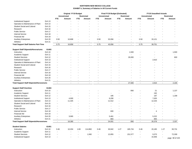|                                                 |                   | <b>Original FY19 Budget</b> |                          |                          |                          |                          | Final FY19 Budget (Estimated) |                          |                          | <b>FY19 Unaudited Actuals</b> |                |                          |                   |  |
|-------------------------------------------------|-------------------|-----------------------------|--------------------------|--------------------------|--------------------------|--------------------------|-------------------------------|--------------------------|--------------------------|-------------------------------|----------------|--------------------------|-------------------|--|
|                                                 |                   |                             | Unrestricted             |                          | <b>Restricted</b>        |                          | Unrestricted                  |                          | <b>Restricted</b>        |                               | Unrestricted   |                          | <b>Restricted</b> |  |
|                                                 |                   | <b>FTE</b>                  | Amount                   | <b>FTE</b>               | Amount                   | <b>FTE</b>               | Amount                        | <b>FTE</b>               | Amount                   | <b>FTE</b>                    | Amount         | <b>FTE</b>               | Amount            |  |
| Institutional Support                           | <b>Exh 13</b>     |                             |                          |                          |                          |                          |                               |                          |                          |                               |                |                          |                   |  |
| Operation & Maintenance of Plant                | Exh 14            |                             |                          |                          |                          |                          |                               |                          |                          |                               |                |                          |                   |  |
| <b>Student Social and Cultural</b>              | <b>Exh 15</b>     |                             |                          |                          |                          |                          |                               |                          |                          |                               |                |                          |                   |  |
| Research                                        | Exh 16            |                             |                          |                          |                          |                          |                               |                          |                          |                               |                |                          |                   |  |
| <b>Public Service</b>                           | Exh 17            |                             |                          |                          |                          |                          |                               |                          |                          |                               |                |                          |                   |  |
| <b>Internal Service</b>                         | Exh 18            |                             |                          |                          |                          |                          |                               |                          |                          |                               |                |                          |                   |  |
| <b>Financial Aid</b>                            | <b>Exh 19</b>     | $\blacksquare$              |                          |                          |                          |                          |                               |                          |                          |                               |                |                          |                   |  |
| <b>Auxiliary Enterprises</b>                    | Exh <sub>20</sub> | 0.50                        | 10,608                   |                          |                          | 0.50                     | 32,056                        |                          |                          | 0.50                          | 33,121         |                          |                   |  |
| Athletics                                       | <b>Exh 21</b>     | $\sim$                      |                          |                          | $\overline{\phantom{a}}$ | $\overline{\phantom{a}}$ |                               |                          |                          | $\overline{\phantom{a}}$      |                |                          |                   |  |
| <b>Total Support Staff Salaries Part-Time</b>   |                   | 0.75                        | 16,858                   | $\sim$                   | $\overline{\phantom{a}}$ | 0.75                     | 43,056                        | $\overline{\phantom{a}}$ | $\overline{\phantom{a}}$ | 0.75                          | 39,751         | $\sim$                   | $\sim$            |  |
| <b>Support Staff Stipends/Hororariums</b>       | 61403             |                             |                          |                          |                          |                          |                               |                          |                          |                               |                |                          |                   |  |
| Instruction                                     | <b>Exh 10</b>     |                             |                          |                          |                          |                          |                               |                          | 1,500                    |                               |                |                          | 1,500             |  |
| Academic Support                                | <b>Exh 11</b>     |                             |                          |                          |                          |                          |                               |                          |                          |                               |                |                          |                   |  |
| <b>Student Services</b>                         | <b>Exh 12</b>     |                             |                          |                          |                          |                          |                               |                          | 26,000                   |                               |                |                          | 600               |  |
| <b>Institutional Support</b>                    | Exh 13            |                             |                          |                          |                          |                          |                               |                          |                          |                               | 2,610          |                          |                   |  |
| Operation & Maintenance of Plant                | Exh 14            |                             |                          |                          |                          |                          |                               |                          |                          |                               |                |                          |                   |  |
| <b>Student Social and Cultural</b>              | <b>Exh 15</b>     |                             |                          |                          |                          |                          |                               |                          |                          |                               |                |                          |                   |  |
| Research                                        | Exh 16            |                             |                          |                          |                          |                          |                               |                          |                          |                               |                |                          |                   |  |
| <b>Public Service</b>                           | Exh 17            |                             |                          |                          |                          |                          |                               |                          |                          |                               |                |                          |                   |  |
| <b>Internal Service</b>                         | Exh 18            |                             |                          |                          |                          |                          |                               |                          |                          |                               |                |                          |                   |  |
| <b>Financial Aid</b>                            | <b>Exh 19</b>     |                             |                          |                          |                          |                          |                               |                          |                          |                               |                |                          |                   |  |
| <b>Auxiliary Enterprises</b>                    | Exh <sub>20</sub> |                             |                          |                          |                          |                          |                               |                          |                          |                               |                |                          |                   |  |
| Athletics                                       | <b>Exh 21</b>     | $\overline{a}$              | $\overline{\phantom{a}}$ |                          | $\overline{a}$           | $\overline{a}$           |                               |                          |                          |                               |                |                          |                   |  |
| <b>Total Support Staff Stipends/Hororariums</b> |                   | $\blacksquare$              | $\blacksquare$           | $\sim$                   | $\sim$                   | $\overline{\phantom{a}}$ | $\sim$                        | $\blacksquare$           | 27,500                   | $\blacksquare$                | 2,610          | $\blacksquare$           | 2,100             |  |
|                                                 |                   |                             |                          |                          |                          |                          |                               |                          |                          |                               |                |                          |                   |  |
| <b>Support Staff Overtime</b>                   | 61404             |                             |                          |                          |                          |                          |                               |                          |                          |                               |                |                          |                   |  |
| Instruction                                     | <b>Exh 10</b>     |                             |                          |                          |                          |                          |                               |                          | 856                      |                               | 21             |                          | 1,137             |  |
| Academic Support                                | <b>Exh 11</b>     |                             |                          |                          |                          |                          |                               |                          |                          |                               | 192            |                          |                   |  |
| <b>Student Services</b>                         | Exh 12            |                             |                          |                          |                          |                          | 185                           |                          |                          |                               | 187            |                          | 1,199             |  |
| <b>Institutional Support</b>                    | <b>Exh 13</b>     |                             | 4,000                    |                          |                          |                          | 6,290                         |                          |                          |                               | 7,635          |                          |                   |  |
| Operation & Maintenance of Plant                | Exh 14            |                             | 11,325                   |                          |                          |                          | 11,512                        |                          |                          |                               | 12,234         |                          |                   |  |
| <b>Student Social and Cultural</b>              | <b>Exh 15</b>     |                             | $\overline{a}$           |                          |                          |                          |                               |                          |                          |                               | $\overline{a}$ |                          |                   |  |
| Research                                        | Exh 16            |                             |                          |                          |                          |                          | $\overline{a}$                |                          |                          |                               | $\overline{a}$ |                          |                   |  |
| <b>Public Service</b>                           | Exh 17            |                             |                          |                          |                          |                          | $\blacksquare$                |                          |                          |                               |                |                          |                   |  |
| <b>Internal Service</b>                         | <b>Exh 18</b>     |                             |                          |                          |                          |                          | 600                           |                          |                          |                               | $\overline{4}$ |                          |                   |  |
| <b>Financial Aid</b>                            | Exh 19            |                             |                          |                          |                          |                          |                               |                          |                          |                               |                |                          |                   |  |
| <b>Auxiliary Enterprises</b>                    | <b>Exh 20</b>     | $\overline{a}$              | 3,065                    |                          |                          | $\overline{\phantom{a}}$ | 5,461                         |                          |                          |                               | 5,222          |                          |                   |  |
| Athletics                                       | <b>Exh 21</b>     | $\overline{\phantom{a}}$    | $\blacksquare$           | $\overline{\phantom{a}}$ | $\blacksquare$           | $\overline{\phantom{a}}$ | 883                           |                          |                          |                               | 883            | $\overline{\phantom{a}}$ |                   |  |
| <b>Total Support Staff Stipends/Hororariums</b> |                   | $\blacksquare$              | 18,390                   | $\sim$                   | $\overline{\phantom{a}}$ | $\overline{\phantom{a}}$ | 24,931                        | $\sim$                   | 856                      | $\sim$                        | 26,378         | $\sim$                   | 2,337             |  |
| <b>Student Salaries</b>                         | 61451             |                             |                          |                          |                          |                          |                               |                          |                          |                               |                |                          |                   |  |
| Instruction                                     | <b>Exh 10</b>     | 0.46                        | 10,204                   | 1.69                     | 114,860                  | 0.46                     | 30,942                        | 1.27                     | 185,734                  | 0.46                          | 20,185         | 1.27                     | 93,731            |  |
| Academic Support                                | Exh 11            | $\overline{a}$              | $\blacksquare$           | $\overline{\phantom{a}}$ | $\overline{a}$           | $\sim$                   | $\sim$                        | $\sim$                   | $\sim$                   | $\overline{\phantom{a}}$      | $\sim$         | $\sim$                   |                   |  |
| <b>Student Services</b>                         | Exh 12            |                             |                          |                          | 1,560                    | ÷,                       | 12,855                        | $\overline{\phantom{a}}$ | 151,577                  |                               | 9,373          | $\overline{a}$           | 72,309            |  |
| <b>Institutional Support</b>                    | <b>Exh 13</b>     |                             |                          |                          |                          | ÷,                       | $\blacksquare$                | $\overline{\phantom{a}}$ | $\sim$                   |                               | 15,946         |                          | page 96 of 103    |  |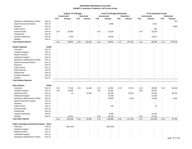|                                              |               | <b>Original FY19 Budget</b> |                     |                          |                          |                          | Final FY19 Budget (Estimated) |                          |                          | <b>FY19 Unaudited Actuals</b> |                          |                          |                   |  |
|----------------------------------------------|---------------|-----------------------------|---------------------|--------------------------|--------------------------|--------------------------|-------------------------------|--------------------------|--------------------------|-------------------------------|--------------------------|--------------------------|-------------------|--|
|                                              |               |                             | <b>Unrestricted</b> |                          | Restricted               |                          | <b>Unrestricted</b>           |                          | <b>Restricted</b>        |                               | <b>Unrestricted</b>      |                          | <b>Restricted</b> |  |
|                                              |               | <b>FTE</b>                  | Amount              | <b>FTE</b>               | Amount                   | <b>FTE</b>               | Amount                        | <b>FTE</b>               | Amount                   | <b>FTE</b>                    | Amount                   | <b>FTE</b>               | Amount            |  |
| Operation & Maintenance of Plant             | Exh 14        | $\overline{\phantom{a}}$    |                     |                          |                          |                          |                               |                          |                          |                               |                          |                          | 250               |  |
| <b>Student Social and Cultural</b>           | <b>Exh 15</b> |                             |                     |                          |                          |                          | 4,000                         |                          |                          |                               | 4,313                    |                          |                   |  |
| Research                                     | Exh 16        |                             |                     |                          |                          |                          | $\overline{a}$                |                          |                          |                               |                          |                          | 3,889             |  |
| <b>Public Service</b>                        | Exh 17        | $\overline{\phantom{a}}$    |                     |                          |                          | ÷                        | $\blacksquare$                |                          |                          | $\blacksquare$                | 538                      |                          |                   |  |
| <b>Internal Service</b>                      | Exh 18        | 0.75                        | 20,000              |                          |                          | 0.75                     | 22,165                        |                          |                          | 0.75                          | 26,318                   |                          |                   |  |
| <b>Financial Aid</b>                         | <b>Exh 19</b> | $\overline{a}$              | $\overline{a}$      |                          |                          | ÷                        |                               |                          |                          |                               |                          |                          |                   |  |
| <b>Auxiliary Enterprises</b>                 | <b>Exh 20</b> |                             | 5,700               |                          |                          |                          | 14,340                        |                          |                          |                               | 13,927                   |                          |                   |  |
| Athletics                                    | <b>Exh 21</b> | $\overline{a}$              |                     |                          |                          | $\overline{\phantom{a}}$ |                               |                          |                          |                               |                          |                          |                   |  |
| <b>Total Student Salaries</b>                |               | 1.21                        | 35,904              | 1.69                     | 116,420                  | 1.21                     | 84,302                        | 1.27                     | 337,311                  | 1.21                          | 90,599                   | 1.27                     | 170,179           |  |
| <b>Student Stipends</b>                      | 61452         |                             |                     |                          |                          |                          |                               |                          |                          |                               |                          |                          |                   |  |
| Instruction                                  | <b>Exh 10</b> |                             |                     |                          |                          |                          |                               |                          |                          |                               |                          |                          |                   |  |
| Academic Support                             | Exh 11        |                             |                     |                          |                          |                          |                               |                          |                          |                               |                          |                          |                   |  |
| <b>Student Services</b>                      | <b>Exh 12</b> |                             |                     |                          |                          |                          |                               |                          |                          |                               |                          |                          |                   |  |
| <b>Institutional Support</b>                 | <b>Exh 13</b> |                             |                     |                          |                          |                          |                               |                          |                          |                               |                          |                          |                   |  |
| Operation & Maintenance of Plant             | Exh 14        |                             |                     |                          |                          |                          |                               |                          |                          |                               |                          |                          |                   |  |
| <b>Student Social and Cultural</b>           | Exh 15        |                             |                     |                          |                          |                          |                               |                          |                          |                               |                          |                          |                   |  |
| Research                                     | Exh 16        |                             |                     |                          |                          |                          |                               |                          |                          |                               |                          |                          |                   |  |
| <b>Public Service</b>                        | Exh 17        |                             |                     |                          |                          |                          |                               |                          |                          |                               |                          |                          |                   |  |
| <b>Internal Service</b>                      | Exh 18        |                             |                     |                          |                          |                          |                               |                          |                          |                               |                          |                          |                   |  |
| <b>Financial Aid</b>                         | Exh 19        |                             |                     |                          |                          |                          |                               |                          |                          |                               |                          |                          |                   |  |
| <b>Auxiliary Enterprises</b>                 | <b>Exh 20</b> |                             |                     |                          |                          |                          |                               |                          |                          |                               |                          |                          |                   |  |
| Athletics                                    | <b>Exh 21</b> | $\overline{\phantom{a}}$    |                     |                          | $\overline{\phantom{a}}$ |                          |                               |                          |                          |                               |                          |                          |                   |  |
| <b>Total Student Stipends</b>                |               | $\overline{\phantom{a}}$    | $\overline{a}$      | $\overline{\phantom{a}}$ | $\sim$                   | $\sim$                   | $\sim$                        | $\sim$                   | $\sim$                   | $\blacksquare$                | $\overline{a}$           | $\sim$                   | $\sim$            |  |
|                                              |               |                             |                     |                          |                          |                          |                               |                          |                          |                               |                          |                          |                   |  |
| <b>Other Salaries</b>                        | 61505         |                             |                     |                          |                          |                          |                               |                          |                          |                               |                          |                          |                   |  |
| Instruction                                  | Exh 10        | 2.23                        | 77,516              | 0.15                     | 13,040                   | 2.23                     | 62,301                        | 0.15                     | 71,574                   | 2.23                          | 68,855                   | 0.15                     | 55,446            |  |
| Academic Support                             | Exh 11        | 1.00                        | 10,400              | $\blacksquare$           |                          | 1.00                     | 24,822                        | $\overline{\phantom{a}}$ | $\overline{\phantom{a}}$ | 1.00                          | 34,525                   |                          |                   |  |
| <b>Student Services</b>                      | <b>Exh 12</b> | $\overline{a}$              | 10                  | $\overline{\phantom{a}}$ | 11,500                   | $\overline{\phantom{a}}$ | 38,190                        | $\overline{\phantom{a}}$ | 43,415                   | $\overline{\phantom{a}}$      | 31,949                   | $\overline{\phantom{a}}$ | 39,973            |  |
| <b>Institutional Support</b>                 | Exh 13        |                             |                     |                          |                          |                          | 12,438                        | $\blacksquare$           |                          |                               | 12,438                   |                          |                   |  |
| Operation & Maintenance of Plant             | Exh 14        |                             |                     |                          |                          |                          | 16,800                        | $\blacksquare$           | 2,340                    |                               | 14,400                   |                          | 2,340             |  |
| <b>Student Social and Cultural</b>           | Exh 15        |                             |                     |                          |                          |                          | $\overline{\phantom{a}}$      |                          |                          |                               |                          |                          |                   |  |
| Research                                     | Exh 16        |                             |                     |                          |                          |                          | $\overline{\phantom{a}}$      |                          |                          |                               | $\overline{\phantom{a}}$ |                          |                   |  |
| <b>Public Service</b>                        | <b>Exh 17</b> |                             |                     |                          |                          |                          | 150                           |                          |                          |                               | 75                       |                          |                   |  |
| <b>Internal Service</b>                      | Exh 18        |                             |                     |                          |                          |                          | $\overline{\phantom{a}}$      |                          |                          |                               | $\overline{a}$           |                          |                   |  |
| <b>Financial Aid</b>                         | <b>Exh 19</b> |                             |                     |                          |                          |                          | $\overline{\phantom{a}}$      |                          |                          |                               |                          |                          |                   |  |
| <b>Auxiliary Enterprises</b>                 | <b>Exh 20</b> |                             |                     |                          |                          | ÷                        | 8,009                         |                          |                          |                               | 11,924                   |                          |                   |  |
| Athletics                                    | <b>Exh 21</b> |                             | 32,312              | $\overline{\phantom{a}}$ |                          | 0.50                     | 56,248                        |                          |                          | 0.50                          | 57,018                   |                          |                   |  |
| <b>Total Other Salaries</b>                  |               | 3.23                        | 120,238             | 0.15                     | 24,540                   | 3.73                     | 218,958                       | 0.15                     | 117,329                  | 3.73                          | 231,183                  | 0.15                     | 97,760            |  |
| <b>Salary Contingency Restricted (Vacano</b> | 61511         |                             |                     |                          |                          |                          |                               |                          |                          |                               |                          |                          |                   |  |
| Instruction                                  | <b>Exh 10</b> |                             | (382, 152)          |                          |                          |                          | (382, 152)                    |                          |                          |                               |                          |                          |                   |  |
| Academic Support                             | Exh 11        |                             |                     |                          |                          |                          |                               |                          |                          |                               |                          |                          |                   |  |
| <b>Student Services</b>                      | Exh 12        |                             |                     |                          |                          |                          |                               |                          |                          |                               |                          |                          |                   |  |
| <b>Institutional Support</b>                 | Exh 13        |                             |                     |                          |                          |                          |                               |                          |                          |                               |                          |                          |                   |  |
| Operation & Maintenance of Plant             | Exh 14        |                             |                     |                          |                          |                          |                               |                          |                          |                               |                          |                          | page 97 of 103    |  |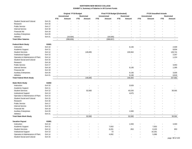|                                    |               |                          | Original FY19 Budget     |                             |                   | Final FY19 Budget (Estimated) |                          | <b>FY19 Unaudited Actuals</b> |                   |                          |                |                          |                          |
|------------------------------------|---------------|--------------------------|--------------------------|-----------------------------|-------------------|-------------------------------|--------------------------|-------------------------------|-------------------|--------------------------|----------------|--------------------------|--------------------------|
|                                    |               |                          | <b>Unrestricted</b>      |                             | <b>Restricted</b> |                               | <b>Unrestricted</b>      |                               | <b>Restricted</b> | <b>Unrestricted</b>      |                |                          | <b>Restricted</b>        |
|                                    |               | <b>FTE</b>               | Amount                   | <b>FTE</b>                  | Amount            | <b>FTE</b>                    | Amount                   | <b>FTE</b>                    | Amount            | <b>FTE</b>               | Amount         | <b>FTE</b>               | Amount                   |
| <b>Student Social and Cultural</b> | Exh 15        |                          |                          |                             |                   |                               |                          |                               |                   |                          |                |                          |                          |
| Research                           | Exh 16        |                          |                          |                             |                   |                               |                          |                               |                   |                          |                |                          |                          |
| <b>Public Service</b>              | Exh 17        |                          |                          |                             |                   |                               |                          |                               |                   |                          |                |                          |                          |
| <b>Internal Service</b>            | Exh 18        |                          |                          |                             |                   |                               |                          |                               |                   |                          |                |                          |                          |
| <b>Financial Aid</b>               | Exh 19        |                          |                          |                             |                   |                               |                          |                               |                   |                          |                |                          |                          |
| <b>Auxiliary Enterprises</b>       | <b>Exh 20</b> |                          |                          |                             |                   |                               |                          |                               |                   |                          |                |                          |                          |
| Athletics                          | <b>Exh 21</b> |                          | (16, 504)                |                             |                   |                               | (16, 505)                |                               |                   |                          |                |                          |                          |
| <b>Total Other Salaries</b>        |               | $\sim$                   | (398, 656)               | $\mathcal{L}_{\mathcal{A}}$ | $\sim$            | $\blacksquare$                | (398, 657)               | $\blacksquare$                | $\sim$            | $\blacksquare$           | $\overline{a}$ | $\sim$                   | $\sim$                   |
| <b>Federal Work Study</b>          | 61601         |                          |                          |                             |                   |                               |                          |                               |                   |                          |                |                          |                          |
| Instruction                        | Exh 10        |                          |                          |                             |                   |                               |                          |                               | 9,130             |                          |                |                          | 2,509                    |
| Academic Support                   | Exh 11        |                          |                          |                             |                   |                               |                          |                               |                   |                          |                |                          | 8,834                    |
| <b>Student Services</b>            | Exh 12        |                          |                          |                             | 146,085           |                               |                          |                               | 109,564           |                          |                |                          | 128,741                  |
| <b>Institutional Support</b>       | Exh 13        |                          |                          |                             |                   |                               |                          |                               |                   |                          |                |                          | 2,257                    |
| Operation & Maintenance of Plant   | Exh 14        |                          |                          |                             |                   |                               |                          |                               |                   |                          |                |                          | 1,224                    |
| <b>Student Social and Cultural</b> | <b>Exh 15</b> |                          |                          |                             |                   |                               |                          |                               |                   |                          |                |                          | $\overline{\phantom{a}}$ |
| Research                           | Exh 16        |                          |                          |                             |                   |                               |                          |                               |                   |                          |                |                          | $\overline{\phantom{a}}$ |
| <b>Public Service</b>              | <b>Exh 17</b> |                          |                          |                             |                   |                               |                          |                               |                   |                          |                |                          | 3,053                    |
|                                    |               |                          |                          |                             |                   |                               |                          |                               |                   |                          |                |                          |                          |
| <b>Internal Service</b>            | Exh 18        |                          |                          |                             |                   |                               |                          |                               | 9,130             |                          |                |                          | 1,395                    |
| <b>Financial Aid</b>               | Exh 19        |                          |                          |                             |                   |                               |                          |                               |                   |                          |                |                          | $\sim$                   |
| <b>Auxiliary Enterprises</b>       | <b>Exh 20</b> |                          |                          |                             |                   |                               |                          | $\overline{\phantom{a}}$      | 9,130             |                          |                | $\overline{\phantom{a}}$ | 3,035                    |
| Athletics                          | <b>Exh 21</b> |                          |                          |                             |                   |                               |                          |                               | 9,130             |                          |                | $\overline{a}$           | 6,616                    |
| <b>Total Federal Work Study</b>    |               | $\overline{\phantom{a}}$ | $\overline{\phantom{a}}$ | $\sim$                      | 146,085           | $\overline{\phantom{a}}$      | $\overline{\phantom{a}}$ | $\sim$                        | 146,084           | $\overline{\phantom{a}}$ | $\blacksquare$ | $\sim$                   | 157,662                  |
| <b>State Work Study</b>            | 61602         |                          |                          |                             |                   |                               |                          |                               |                   |                          |                |                          |                          |
| Instruction                        | Exh 10        |                          |                          |                             |                   |                               |                          |                               | 3,529             |                          |                |                          |                          |
| Academic Support                   | Exh 11        |                          |                          |                             |                   |                               |                          |                               |                   |                          |                |                          |                          |
| <b>Student Services</b>            | Exh 12        |                          |                          |                             | 52,930            |                               |                          |                               | 43,226            |                          |                |                          | 30,591                   |
| <b>Institutional Support</b>       | Exh 13        |                          |                          |                             |                   |                               |                          |                               | 4,675             |                          |                |                          | $\overline{a}$           |
| Operation & Maintenance of Plant   | Exh 14        |                          |                          |                             |                   |                               |                          |                               |                   |                          |                |                          |                          |
| <b>Student Social and Cultural</b> | <b>Exh 15</b> |                          |                          |                             |                   |                               |                          |                               |                   |                          |                |                          |                          |
| Research                           | Exh 16        |                          |                          |                             |                   |                               |                          |                               |                   |                          |                |                          |                          |
| <b>Public Service</b>              | <b>Exh 17</b> |                          |                          |                             |                   |                               |                          |                               |                   |                          |                |                          |                          |
| <b>Internal Service</b>            | Exh 18        |                          |                          |                             |                   |                               |                          |                               |                   |                          |                |                          |                          |
| <b>Financial Aid</b>               | Exh 19        |                          |                          |                             |                   |                               |                          |                               |                   |                          |                |                          |                          |
| <b>Auxiliary Enterprises</b>       | Exh 20        |                          |                          |                             |                   |                               |                          |                               | 1,500             |                          |                |                          |                          |
| Athletics                          | Exh 21        |                          |                          |                             |                   |                               |                          | $\overline{\phantom{a}}$      |                   |                          |                |                          |                          |
| <b>Total State Work Study</b>      |               | $\sim$                   | $\sim$                   | $\sim$                      | 52,930            | $\sim$                        | $\sim$                   | $\sim$                        | 52,930            | $\sim$                   | $\sim$         | $\sim$                   | 30,591                   |
| <b>Vacation Payout</b>             | 61801         |                          |                          |                             |                   |                               |                          |                               |                   |                          |                |                          |                          |
| Instruction                        | <b>Exh 10</b> |                          |                          |                             |                   |                               |                          |                               | 1,559             |                          |                |                          | 4,593                    |
| Academic Support                   | <b>Exh 11</b> |                          |                          |                             |                   |                               | 7,053                    | $\overline{\phantom{a}}$      |                   |                          | 7,053          |                          | $\blacksquare$           |
| <b>Student Services</b>            | Exh 12        |                          |                          |                             |                   |                               | 6,201                    | $\overline{a}$                | 853               |                          | 8,103          |                          | 853                      |
|                                    |               |                          |                          |                             |                   |                               |                          |                               |                   |                          |                |                          |                          |
| <b>Institutional Support</b>       | Exh 13        |                          |                          |                             |                   |                               | 73                       |                               |                   |                          | 16,181         |                          | $\overline{\phantom{a}}$ |
| Operation & Maintenance of Plant   | Exh 14        |                          |                          |                             |                   |                               | 4,002                    |                               |                   |                          | 5,389          |                          |                          |
| <b>Student Social and Cultural</b> | <b>Exh 15</b> |                          |                          |                             |                   |                               |                          |                               |                   |                          | $\sim$         |                          | page 98 of 103           |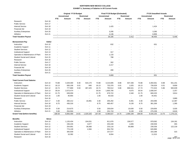|                                      |               | <b>Original FY19 Budget</b> |                     |                |                          |                          | Final FY19 Budget (Estimated) |                          |                   | <b>FY19 Unaudited Actuals</b> |                          |                          |                          |  |
|--------------------------------------|---------------|-----------------------------|---------------------|----------------|--------------------------|--------------------------|-------------------------------|--------------------------|-------------------|-------------------------------|--------------------------|--------------------------|--------------------------|--|
|                                      |               |                             | <b>Unrestricted</b> |                | <b>Restricted</b>        |                          | <b>Unrestricted</b>           |                          | <b>Restricted</b> |                               | <b>Unrestricted</b>      |                          | <b>Restricted</b>        |  |
|                                      |               | <b>FTE</b>                  | <b>Amount</b>       | <b>FTE</b>     | Amount                   | <b>FTE</b>               | Amount                        | <b>FTE</b>               | <b>Amount</b>     | <b>FTE</b>                    | Amount                   | <b>FTE</b>               | Amount                   |  |
| Research                             | Exh 16        |                             |                     |                |                          |                          |                               |                          |                   |                               |                          |                          |                          |  |
| <b>Public Service</b>                | <b>Exh 17</b> |                             |                     |                |                          |                          | $\blacksquare$                |                          |                   |                               | $\overline{\phantom{a}}$ |                          |                          |  |
| <b>Internal Service</b>              | Exh 18        |                             |                     |                |                          |                          | 1,425                         |                          |                   |                               | 1,424                    |                          |                          |  |
| <b>Financial Aid</b>                 | Exh 19        |                             |                     |                |                          |                          |                               |                          |                   | $\overline{a}$                | $\overline{\phantom{a}}$ |                          |                          |  |
| <b>Auxiliary Enterprises</b>         | Exh 20        |                             |                     |                |                          |                          | 3,295                         |                          |                   |                               | 3,295                    |                          |                          |  |
| Athletics                            | <b>Exh 21</b> | $\overline{\phantom{a}}$    |                     | $\overline{a}$ |                          | $\overline{a}$           | 4,136                         | $\overline{\phantom{a}}$ | ÷,                | ÷,                            | 6,959                    | $\blacksquare$           | $\overline{a}$           |  |
| <b>Total Vacation Payout</b>         |               | $\sim$                      |                     | $\overline{a}$ |                          | $\sim$                   | 26,185                        |                          | 2,412             | $\overline{\phantom{a}}$      | 48,405                   | $\overline{\phantom{a}}$ | 5,446                    |  |
| Bereavement Pay                      | 61812         |                             |                     |                |                          |                          |                               |                          |                   |                               |                          |                          |                          |  |
| Instruction                          | <b>Exh 10</b> |                             |                     |                |                          |                          | 632                           |                          |                   |                               | 631                      |                          |                          |  |
| Academic Support                     | Exh 11        |                             |                     |                |                          |                          |                               |                          |                   |                               |                          |                          |                          |  |
| <b>Student Services</b>              | <b>Exh 12</b> |                             |                     |                |                          |                          | $\sim$                        |                          |                   |                               |                          |                          |                          |  |
| <b>Institutional Support</b>         | Exh 13        |                             |                     |                |                          |                          | 317                           |                          |                   |                               |                          |                          |                          |  |
| Operation & Maintenance of Plant     | Exh 14        |                             |                     |                |                          |                          | 1,133                         |                          |                   |                               |                          |                          |                          |  |
| <b>Student Social and Cultural</b>   | Exh 15        |                             |                     |                |                          |                          | 788                           |                          |                   |                               |                          |                          |                          |  |
| Research                             | Exh 16        |                             |                     |                |                          |                          |                               |                          |                   |                               |                          |                          |                          |  |
| <b>Public Service</b>                | <b>Exh 17</b> |                             |                     |                |                          |                          | 302                           |                          |                   |                               |                          |                          |                          |  |
| <b>Internal Service</b>              | Exh 18        |                             |                     |                |                          |                          | 2,217                         |                          |                   |                               |                          |                          |                          |  |
| <b>Financial Aid</b>                 | Exh 19        |                             |                     |                |                          |                          | $\sim$                        |                          |                   |                               |                          |                          |                          |  |
| <b>Auxiliary Enterprises</b>         | <b>Exh 20</b> |                             |                     |                |                          |                          | 280                           |                          |                   |                               |                          |                          |                          |  |
| Athletics                            | <b>Exh 21</b> |                             |                     |                |                          |                          |                               |                          |                   |                               |                          |                          | $\overline{\phantom{a}}$ |  |
| <b>Total Vacation Payout</b>         |               | $\overline{\phantom{a}}$    |                     | $\sim$         | $\overline{\phantom{a}}$ | $\blacksquare$           | 5,669                         | $\overline{\phantom{a}}$ | $\blacksquare$    | $\overline{a}$                | 631                      | $\overline{a}$           | $\overline{\phantom{a}}$ |  |
| <b>Total Current Fund Salaries</b>   |               |                             |                     |                |                          |                          |                               |                          |                   |                               |                          |                          |                          |  |
| Instruction                          | Exh 10        | 73.88                       | 3,329,300           | 9.30           | 544,170                  | 73.88                    | 3,215,695                     | 8.88                     | 837,336           | 73.88                         | 3,350,561                | 8.88                     | 551,241                  |  |
| <b>Academic Support</b>              | Exh 11        | 16.13                       | 830,106             | 0.01           | 840                      | 16.13                    | 732,376                       | 0.01                     | 1,025             | 16.13                         | 730,029                  | 0.01                     | 9,858                    |  |
| <b>Student Services</b>              | <b>Exh 12</b> | 16.74                       | 777,869             | 5.50           | 467,425                  | 16.74                    | 783,512                       | 5.86                     | 806,541           | 17.74                         | 772,324                  | 5.86                     | 583,639                  |  |
| <b>Institutional Support</b>         | Exh 13        | 35.54                       | 2,073,474           | $\sim$         |                          | 35.54                    | 1,805,706                     | $\blacksquare$           | 4,675             | 35.54                         | 1,838,347                | $\sim$                   | 2,257                    |  |
| Operation & Maintenance of Plant     | Exh 14        | 21.75                       | 639,059             | $\sim$         |                          | 21.75                    | 679,722                       | $\sim$                   | 2,340             | 21.75                         | 600,233                  | $\blacksquare$           | 3,814                    |  |
| <b>Student Social and Cultural</b>   | Exh 15        | 1.00                        | 40,954              | $\blacksquare$ |                          | 1.00                     | 45,533                        |                          | $\blacksquare$    | 1.00                          | 44,401                   | $\overline{a}$           |                          |  |
| Research                             | Exh 16        | $\sim$                      | $\sim$              |                | $\sim$                   | $\overline{\phantom{a}}$ |                               |                          | $\sim$            | $\blacksquare$                | $\overline{a}$           | ÷,                       | 3,889                    |  |
| <b>Public Service</b>                | Exh 17        | 4.30                        | 260,212             | $\sim$         | 16,891                   | 3.30                     | 205,292                       | $\sim$                   | 9,391             | 3.30                          | 204,096                  | ÷,                       | 12,387                   |  |
| <b>Internal Service</b>              | Exh 18        | 8.75                        | 436,316             | $\overline{a}$ | $\overline{\phantom{a}}$ | 8.75                     | 460,457                       | $\overline{a}$           | 9,130             | 8.75                          | 381,269                  | $\overline{\phantom{a}}$ | 1,395                    |  |
| <b>Financial Aid</b>                 | Exh 19        | $\sim$                      |                     |                |                          | $\overline{\phantom{a}}$ |                               |                          | $\blacksquare$    | $\sim$                        | $\overline{a}$           |                          |                          |  |
| <b>Auxiliary Enterprises</b>         | <b>Exh 20</b> | 5.50                        | 214,675             | $\blacksquare$ |                          | 5.50                     | 230,634                       | $\overline{\phantom{a}}$ | 10,630            | 5.50                          | 229,656                  | $\blacksquare$           | 3,035                    |  |
| Athletics                            | Exh 21        | 5.00                        | 254,504             | $\sim$         | $\overline{\phantom{a}}$ | 4.50                     | 231,710                       | $\overline{\phantom{a}}$ | 9,130             | 4.50                          | 275,238                  | $\blacksquare$           | 6,616                    |  |
| <b>Grand Total (before benefits)</b> |               | 188.59                      | 8,856,469           | 14.81          | 1,029,326                | 187.09                   | 8,390,637                     | 14.75                    | 1,690,199         | 188.09                        | 8,426,155                | 14.75                    | 1,178,131                |  |
| <b>Benefits</b>                      | 62xxx         |                             |                     |                |                          |                          |                               |                          |                   |                               |                          |                          |                          |  |
| Instruction                          | $Exh$ 10      | $\blacksquare$              | 1,126,434           | $\blacksquare$ | 104,031                  |                          | 811,676                       | $\overline{\phantom{a}}$ | 159,577           | $\overline{\phantom{a}}$      | 979,592                  | $\overline{\phantom{a}}$ | 134,181                  |  |
| Academic Support                     | Exh 11        |                             | 236,226             | $\sim$         | 3,677                    |                          | 253,248                       | $\sim$                   | 1,835             | $\blacksquare$                | 230,559                  | $\overline{\phantom{a}}$ | 355                      |  |
| <b>Student Services</b>              | <b>Exh 12</b> | $\blacksquare$              | 254,691             | $\blacksquare$ | 36,068                   | $\overline{\phantom{a}}$ | 233,116                       | $\overline{\phantom{a}}$ | 80,808            | $\overline{\phantom{a}}$      | 230,536                  | $\overline{a}$           | 122,218                  |  |
| <b>Institutional Support</b>         | Exh 13        | $\overline{a}$              | 774,139             | $\sim$         | 4,384                    |                          | 654,750                       |                          |                   | $\overline{\phantom{a}}$      | 626,966                  |                          |                          |  |
| Operation & Maintenance of Plant     | Exh 14        | $\overline{a}$              | 305,939             | $\sim$         | $\overline{\phantom{a}}$ | $\overline{\phantom{a}}$ | 237,577                       |                          | $\overline{a}$    | $\overline{a}$                | 333,288                  | $\overline{a}$           | 315                      |  |
| <b>Student Social and Cultural</b>   | Exh 15        |                             | 10,392              | $\overline{a}$ |                          |                          | 9,004                         |                          |                   | $\overline{\phantom{a}}$      | 11,015                   |                          | $\overline{\phantom{a}}$ |  |
| Research                             | Exh 16        |                             |                     | $\blacksquare$ |                          |                          |                               |                          |                   | $\overline{\phantom{a}}$      | ÷,                       |                          | page 99 of 103           |  |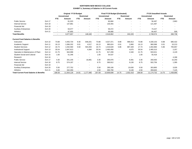|                                                   |                   |                          | <b>Original FY19 Budget</b> |                          |                          |            | <b>Final FY19 Budget (Estimated)</b> |                          |                   | <b>FY19 Unaudited Actuals</b> |                     |                          |                   |  |
|---------------------------------------------------|-------------------|--------------------------|-----------------------------|--------------------------|--------------------------|------------|--------------------------------------|--------------------------|-------------------|-------------------------------|---------------------|--------------------------|-------------------|--|
|                                                   |                   |                          | <b>Unrestricted</b>         |                          | <b>Restricted</b>        |            | <b>Unrestricted</b>                  |                          | <b>Restricted</b> |                               | <b>Unrestricted</b> |                          | <b>Restricted</b> |  |
|                                                   |                   | <b>FTE</b>               | Amount                      | <b>FTE</b>               | Amount                   | <b>FTE</b> | Amount                               | <b>FTE</b>               | Amount            | <b>FTE</b>                    | Amount              | <b>FTE</b>               | Amount            |  |
| <b>Public Service</b>                             | <b>Exh 17</b>     |                          | 81,023                      | $\overline{\phantom{a}}$ |                          |            | 60,684                               | $\overline{\phantom{a}}$ |                   |                               | 56,497              | $\overline{\phantom{a}}$ | 2,863             |  |
| <b>Internal Service</b>                           | Exh 18            | $\overline{\phantom{a}}$ | 137,881                     | $\overline{\phantom{a}}$ |                          |            | 130,455                              |                          |                   |                               | 121,487             | $\overline{\phantom{a}}$ |                   |  |
| <b>Financial Aid</b>                              | <b>Exh 19</b>     |                          |                             |                          |                          |            |                                      |                          |                   |                               |                     |                          |                   |  |
| <b>Auxiliary Enterprises</b>                      | <b>Exh 20</b>     | $\overline{\phantom{a}}$ | 63,077                      | $\blacksquare$           |                          |            | 59,472                               | $\overline{\phantom{a}}$ |                   |                               | 74,227              |                          |                   |  |
| Athletics                                         | Exh 21            | $\overline{\phantom{a}}$ | 87,855                      |                          |                          |            | 69,080                               | $\overline{\phantom{a}}$ |                   |                               | 84,407              | $\overline{\phantom{a}}$ | 509               |  |
| <b>Total Benefits</b>                             |                   |                          | 3,077,657                   | $\sim$                   | 148,160                  |            | 2,519,062                            | $\sim$                   | 242,220           |                               | 2,748,574           | $\sim$                   | 260,738           |  |
| <b>Current Fund Salaries &amp; Benefits</b>       |                   |                          |                             |                          |                          |            |                                      |                          |                   |                               |                     |                          |                   |  |
| Instruction                                       | $Exh$ 10          | 73.88                    | 4,455,734                   | 9.30                     | 648,201                  | 73.88      | 4,027,371                            | 8.88                     | 996,913           | 73.88                         | 4,330,153           | 8.88                     | 685,422           |  |
| Academic Support                                  | <b>Exh 11</b>     | 16.13                    | 1,066,332                   | 0.01                     | 4,517                    | 16.13      | 985,624                              | 0.01                     | 2,860             | 16.13                         | 960,588             | 0.01                     | 10,213            |  |
| <b>Student Services</b>                           | <b>Exh 12</b>     | 16.74                    | 1,032,560                   | 5.50                     | 503.493                  | 16.74      | 1,016,628                            | 5.86                     | 887,349           | 17.74                         | 1,002,860           | 5.86                     | 705,857           |  |
| <b>Institutional Support</b>                      | <b>Exh 13</b>     | 35.54                    | 2,847,613                   | $\overline{\phantom{a}}$ | 4,384                    | 35.54      | 2,460,456                            | $\overline{\phantom{a}}$ | 4,675             | 35.54                         | 2,465,313           | $\overline{\phantom{a}}$ | 2,257             |  |
| Operation & Maintenance of Plant                  | <b>Exh 14</b>     | 21.75                    | 944,998                     | $\overline{\phantom{a}}$ | $\overline{\phantom{a}}$ | 21.75      | 917,299                              | $\overline{\phantom{a}}$ | 2,340             | 21.75                         | 933,521             | $\overline{\phantom{a}}$ | 4,129             |  |
| <b>Student Social and Cultural</b>                | Exh 15            | 1.00                     | 51,346                      | $\overline{\phantom{a}}$ | $\overline{\phantom{a}}$ | 1.00       | 54,537                               | $\overline{\phantom{a}}$ |                   | 1.00                          | 55,418              | $\overline{\phantom{a}}$ |                   |  |
| Research                                          | Exh 16            | $\overline{\phantom{a}}$ |                             |                          |                          |            |                                      |                          |                   |                               |                     |                          | 4,186             |  |
| <b>Public Service</b>                             | <b>Exh 17</b>     | 4.30                     | 341,235                     | $\overline{\phantom{a}}$ | 16,891                   | 3.30       | 265,976                              |                          | 9.391             | 3.30                          | 260,593             |                          | 15,250            |  |
| <b>Internal Service</b>                           | Exh <sub>18</sub> | 8.75                     | 574,197                     | $\blacksquare$           |                          | 8.75       | 590,912                              | $\overline{\phantom{a}}$ | 9,130             | 8.75                          | 502,756             | $\overline{\phantom{a}}$ | 1,395             |  |
| <b>Financial Aid</b>                              | <b>Exh 19</b>     | $\overline{\phantom{a}}$ |                             |                          |                          |            |                                      |                          |                   |                               |                     |                          |                   |  |
| <b>Auxiliary Enterprises</b>                      | <b>Exh 20</b>     | 5.50                     | 277,752                     | $\overline{\phantom{a}}$ | $\overline{\phantom{a}}$ | 5.50       | 290,106                              | $\overline{\phantom{a}}$ | 10,630            | 5.50                          | 303,883             | $\overline{\phantom{a}}$ | 3,035             |  |
| <b>Athletics</b>                                  | <b>Exh 21</b>     | 5.00                     | 342,359                     |                          | $\overline{\phantom{a}}$ | 4.50       | 300,790                              | $\overline{\phantom{a}}$ | 9,130             | 4.50                          | 359,645             |                          | 7,125             |  |
| <b>Total Current Fund Salaries &amp; Benefits</b> |                   | 188.59                   | 11,934,126                  | 14.81                    | 1.177.486                | 187.09     | 10,909,699                           | 14.75                    | 1.932.418         | 188.09                        | 11.174.732          | 14.75                    | 1,438,869         |  |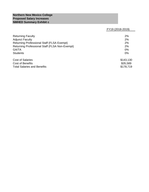## **Northern New Mexico College Proposed Salary Increases NMHED Summary Exhibit c**

## FY19 (2018-2019)

| <b>Returning Faculty</b><br><b>Adjunct Faculty</b> | 2%<br>2%  |
|----------------------------------------------------|-----------|
| <b>Returning Professional Staff (FLSA Exempt)</b>  | 2%        |
| Returning Professional Staff (FLSA Non-Exempt)     | 2%        |
| <b>GA/TA</b>                                       | 0%        |
| <b>Students</b>                                    | 0%        |
| <b>Cost of Salaries</b>                            | \$143,130 |
| <b>Cost of Benefits</b>                            | \$35,589  |
| <b>Total Salaries and Benefits</b>                 | \$178,719 |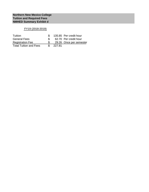## FY19 (2018-2019)

| Tuition                       |        | 135.85 Per credit hour  |
|-------------------------------|--------|-------------------------|
| <b>General Fees</b>           |        | 62.70 Per credit hour   |
| <b>Registration Fee</b>       |        | 29.26 Once per semester |
| <b>Total Tuition and Fees</b> | 227.81 |                         |